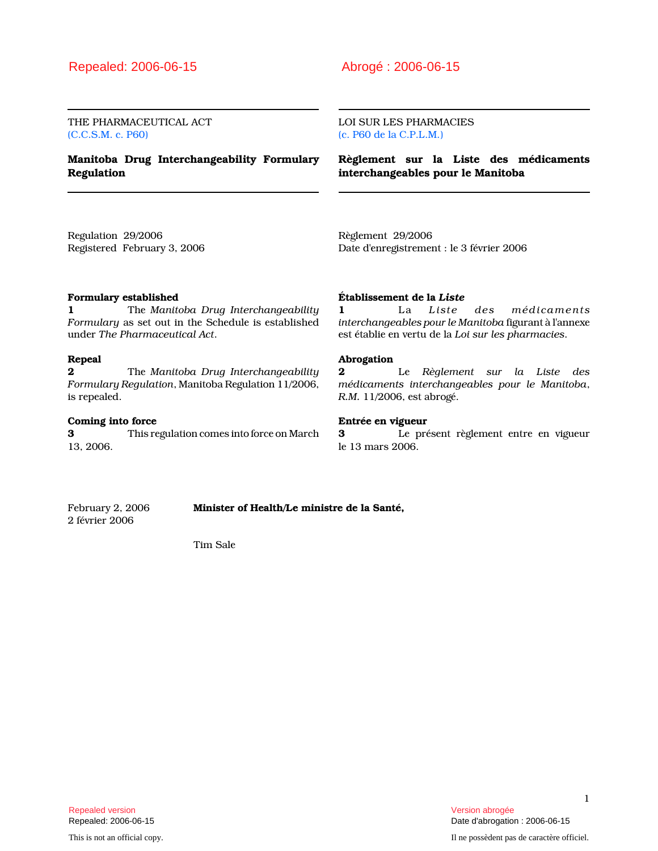THE PHARMACEUTICAL ACT (C.C.S.M. c. P60)

Manitoba Drug Interchangeability Formulary Regulation

LOI SUR LES PHARMACIES (c. P60 de la C.P.L.M.)

Règlement sur la Liste des médicaments interchangeables pour le Manitoba

Regulation 29/2006 Registered February 3, 2006 Règlement 29/2006 Date d'enregistrement : le 3 février 2006

## Formulary established

1 The Manitoba Drug Interchangeability Formulary as set out in the Schedule is established under The Pharmaceutical Act.

## Repeal

**2** The Manitoba Drug Interchangeability Formulary Regulation, Manitoba Regulation 11/2006, is repealed.

## Coming into force

3 This regulation comes into force on March 13, 2006.

### Établissement de la Liste

1 La Liste des médicaments interchangeables pour le Manitoba figurant à l'annexe est établie en vertu de la Loi sur les pharmacies.

## Abrogation

2 Le Règlement sur la Liste des médicaments interchangeables pour le Manitoba, R.M. 11/2006, est abrogé.

## Entrée en vigueur

3 Le présent règlement entre en vigueur le 13 mars 2006.

2 février 2006

February 2, 2006 **Minister of Health/Le ministre de la Santé**,

Tim Sale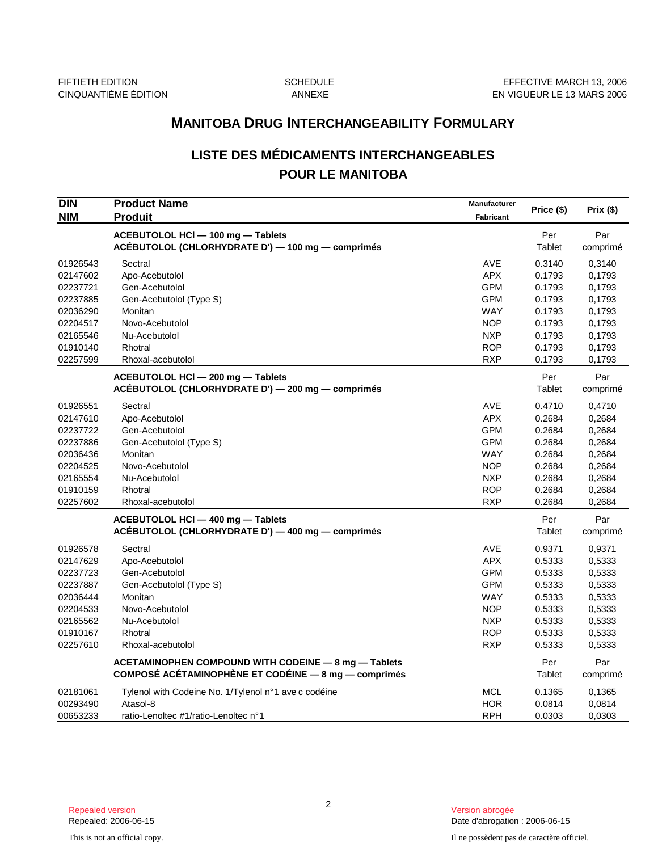## **LISTE DES MÉDICAMENTS INTERCHANGEABLES POUR LE MANITOBA**

|                   | <b>MANITOBA DRUG INTERCHANGEABILITY FORMULARY</b>                                                            |                                  |               |                 |  |
|-------------------|--------------------------------------------------------------------------------------------------------------|----------------------------------|---------------|-----------------|--|
|                   | <b>LISTE DES MÉDICAMENTS INTERCHANGEABLES</b><br><b>POUR LE MANITOBA</b>                                     |                                  |               |                 |  |
| DIN<br><b>NIM</b> | <b>Product Name</b><br><b>Produit</b>                                                                        | Manufacturer<br><b>Fabricant</b> | Price (\$)    | Prix (\$)       |  |
|                   | ACEBUTOLOL HCI - 100 mg - Tablets<br>ACÉBUTOLOL (CHLORHYDRATE D') - 100 mg - comprimés                       |                                  | Per<br>Tablet | Par<br>comprimé |  |
| 01926543          | Sectral                                                                                                      | AVE                              | 0.3140        | 0,3140          |  |
| 02147602          | Apo-Acebutolol                                                                                               | <b>APX</b>                       | 0.1793        | 0,1793          |  |
| 02237721          | Gen-Acebutolol                                                                                               | <b>GPM</b>                       | 0.1793        | 0,1793          |  |
| 02237885          | Gen-Acebutolol (Type S)                                                                                      | <b>GPM</b>                       | 0.1793        | 0,1793          |  |
| 02036290          | Monitan                                                                                                      | <b>WAY</b>                       | 0.1793        | 0,1793          |  |
| 02204517          | Novo-Acebutolol                                                                                              | <b>NOP</b>                       | 0.1793        | 0,1793          |  |
| 02165546          | Nu-Acebutolol                                                                                                | <b>NXP</b>                       | 0.1793        | 0,1793          |  |
| 01910140          | Rhotral                                                                                                      | <b>ROP</b>                       | 0.1793        | 0,1793          |  |
| 02257599          | Rhoxal-acebutolol                                                                                            | <b>RXP</b>                       | 0.1793        | 0,1793          |  |
|                   | ACEBUTOLOL HCI - 200 mg - Tablets<br>ACÉBUTOLOL (CHLORHYDRATE D') — 200 mg — comprimés                       |                                  | Per<br>Tablet | Par<br>comprimé |  |
| 01926551          | Sectral                                                                                                      | AVE                              | 0.4710        | 0,4710          |  |
| 02147610          | Apo-Acebutolol                                                                                               | <b>APX</b>                       | 0.2684        | 0,2684          |  |
| 02237722          | Gen-Acebutolol                                                                                               | <b>GPM</b>                       | 0.2684        | 0,2684          |  |
| 02237886          | Gen-Acebutolol (Type S)                                                                                      | <b>GPM</b>                       | 0.2684        | 0,2684          |  |
| 02036436          | Monitan                                                                                                      | WAY                              | 0.2684        | 0,2684          |  |
| 02204525          | Novo-Acebutolol                                                                                              | <b>NOP</b>                       | 0.2684        | 0,2684          |  |
| 02165554          | Nu-Acebutolol                                                                                                | <b>NXP</b>                       | 0.2684        | 0,2684          |  |
| 01910159          | Rhotral                                                                                                      | <b>ROP</b>                       | 0.2684        | 0,2684          |  |
| 02257602          | Rhoxal-acebutolol                                                                                            | <b>RXP</b>                       | 0.2684        | 0,2684          |  |
|                   | ACEBUTOLOL HCI - 400 mg - Tablets<br>ACÉBUTOLOL (CHLORHYDRATE D') — 400 mg — comprimés                       |                                  | Per<br>Tablet | Par<br>comprimé |  |
| 01926578          | Sectral                                                                                                      | <b>AVE</b>                       | 0.9371        | 0,9371          |  |
| 02147629          | Apo-Acebutolol                                                                                               | <b>APX</b>                       | 0.5333        | 0,5333          |  |
| 02237723          | Gen-Acebutolol                                                                                               | <b>GPM</b>                       | 0.5333        | 0,5333          |  |
| 02237887          | Gen-Acebutolol (Type S)                                                                                      | <b>GPM</b>                       | 0.5333        | 0,5333          |  |
| 02036444          | Monitan                                                                                                      | WAY                              | 0.5333        | 0,5333          |  |
| 02204533          | Novo-Acebutolol                                                                                              | <b>NOP</b>                       | 0.5333        | 0,5333          |  |
| 02165562          | Nu-Acebutolol                                                                                                | <b>NXP</b>                       | 0.5333        | 0,5333          |  |
| 01910167          | Rhotral                                                                                                      | <b>ROP</b>                       | 0.5333        | 0,5333          |  |
| 02257610          | Rhoxal-acebutolol                                                                                            | <b>RXP</b>                       | 0.5333        | 0,5333          |  |
|                   | ACETAMINOPHEN COMPOUND WITH CODEINE - 8 mg - Tablets<br>COMPOSÉ ACÉTAMINOPHÈNE ET CODÉINE - 8 mg - comprimés |                                  | Per<br>Tablet | Par<br>comprimé |  |
| 02181061          | Tylenol with Codeine No. 1/Tylenol n°1 ave c codéine                                                         | <b>MCL</b>                       | 0.1365        | 0,1365          |  |
| 00293490          | Atasol-8                                                                                                     | <b>HOR</b>                       | 0.0814        | 0,0814          |  |
| 00653233          | ratio-Lenoltec #1/ratio-Lenoltec n°1                                                                         | <b>RPH</b>                       | 0.0303        | 0,0303          |  |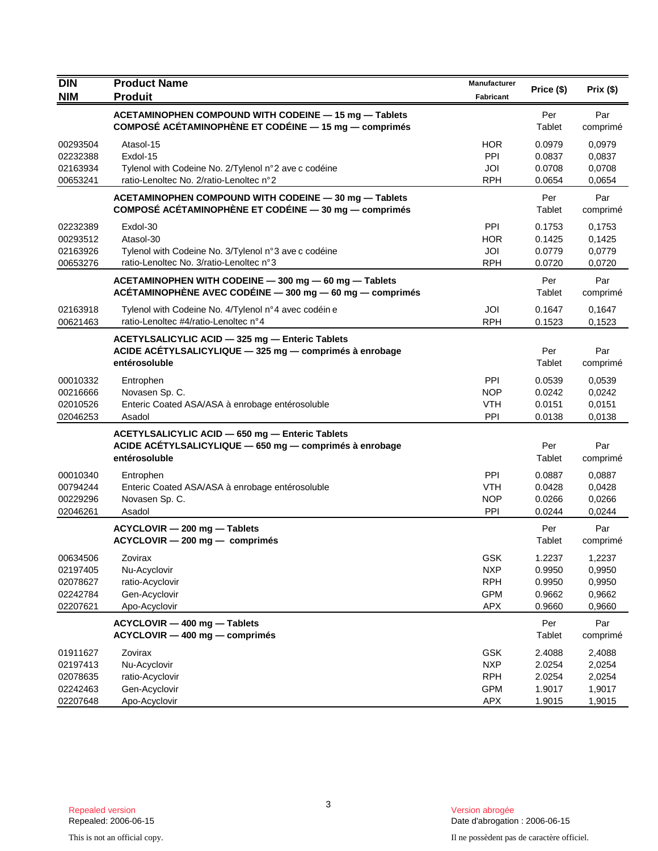| <b>DIN</b>                                               | <b>Product Name</b>                                                                                                         | Manufacturer                                                       | Price (\$)                                     | Prix (\$)                                      |
|----------------------------------------------------------|-----------------------------------------------------------------------------------------------------------------------------|--------------------------------------------------------------------|------------------------------------------------|------------------------------------------------|
| <b>NIM</b>                                               | <b>Produit</b>                                                                                                              | Fabricant                                                          |                                                |                                                |
|                                                          | ACETAMINOPHEN COMPOUND WITH CODEINE - 15 mg - Tablets<br>COMPOSÉ ACÉTAMINOPHÈNE ET CODÉINE - 15 mg - comprimés              |                                                                    | Per<br>Tablet                                  | Par<br>comprimé                                |
| 00293504<br>02232388<br>02163934<br>00653241             | Atasol-15<br>Exdol-15<br>Tylenol with Codeine No. 2/Tylenol n°2 ave c codéine<br>ratio-Lenoltec No. 2/ratio-Lenoltec n°2    | <b>HOR</b><br>PPI<br>JOI<br><b>RPH</b>                             | 0.0979<br>0.0837<br>0.0708<br>0.0654           | 0,0979<br>0,0837<br>0,0708<br>0,0654           |
|                                                          | ACETAMINOPHEN COMPOUND WITH CODEINE - 30 mg - Tablets<br>COMPOSÉ ACÉTAMINOPHÈNE ET CODÉINE — 30 mg — comprimés              |                                                                    | Per<br>Tablet                                  | Par<br>comprimé                                |
| 02232389<br>00293512<br>02163926<br>00653276             | Exdol-30<br>Atasol-30<br>Tylenol with Codeine No. 3/Tylenol n°3 ave c codéine<br>ratio-Lenoltec No. 3/ratio-Lenoltec n°3    | <b>PPI</b><br><b>HOR</b><br>JOI<br><b>RPH</b>                      | 0.1753<br>0.1425<br>0.0779<br>0.0720           | 0,1753<br>0,1425<br>0,0779<br>0,0720           |
|                                                          | ACETAMINOPHEN WITH CODEINE - 300 mg - 60 mg - Tablets<br>ACÉTAMINOPHÈNE AVEC CODÉINE $-$ 300 mg $-$ 60 mg $-$ comprimés     |                                                                    | Per<br>Tablet                                  | Par<br>comprimé                                |
| 02163918<br>00621463                                     | Tylenol with Codeine No. 4/Tylenol n°4 avec codéin e<br>ratio-Lenoltec #4/ratio-Lenoltec n°4                                | JOI<br><b>RPH</b>                                                  | 0.1647<br>0.1523                               | 0,1647<br>0,1523                               |
|                                                          | ACETYLSALICYLIC ACID - 325 mg - Enteric Tablets<br>ACIDE ACÉTYLSALICYLIQUE - 325 mg - comprimés à enrobage<br>entérosoluble |                                                                    | Per<br>Tablet                                  | Par<br>comprimé                                |
| 00010332<br>00216666<br>02010526<br>02046253             | Entrophen<br>Novasen Sp. C.<br>Enteric Coated ASA/ASA à enrobage entérosoluble<br>Asadol                                    | PPI<br><b>NOP</b><br><b>VTH</b><br>PPI                             | 0.0539<br>0.0242<br>0.0151<br>0.0138           | 0,0539<br>0,0242<br>0,0151<br>0,0138           |
|                                                          | ACETYLSALICYLIC ACID - 650 mg - Enteric Tablets<br>ACIDE ACÉTYLSALICYLIQUE - 650 mg - comprimés à enrobage<br>entérosoluble |                                                                    | Per<br>Tablet                                  | Par<br>comprimé                                |
| 00010340<br>00794244<br>00229296<br>02046261             | Entrophen<br>Enteric Coated ASA/ASA à enrobage entérosoluble<br>Novasen Sp. C.<br>Asadol                                    | PPI<br><b>VTH</b><br><b>NOP</b><br>PPI                             | 0.0887<br>0.0428<br>0.0266<br>0.0244           | 0,0887<br>0,0428<br>0,0266<br>0,0244           |
|                                                          | ACYCLOVIR - 200 mg - Tablets<br>ACYCLOVIR - 200 mg - comprimés                                                              |                                                                    | Per<br>Tablet                                  | Par<br>comprimé                                |
| 00634506<br>02197405<br>02078627<br>02242784<br>02207621 | Zovirax<br>Nu-Acyclovir<br>ratio-Acyclovir<br>Gen-Acyclovir<br>Apo-Acyclovir                                                | GSK<br><b>NXP</b><br><b>RPH</b><br><b>GPM</b><br><b>APX</b>        | 1.2237<br>0.9950<br>0.9950<br>0.9662<br>0.9660 | 1,2237<br>0.9950<br>0,9950<br>0,9662<br>0,9660 |
|                                                          | ACYCLOVIR - 400 mg - Tablets<br>ACYCLOVIR - 400 mg - comprimés                                                              |                                                                    | Per<br>Tablet                                  | Par<br>comprimé                                |
| 01911627<br>02197413<br>02078635<br>02242463<br>02207648 | Zovirax<br>Nu-Acyclovir<br>ratio-Acyclovir<br>Gen-Acyclovir<br>Apo-Acyclovir                                                | <b>GSK</b><br><b>NXP</b><br><b>RPH</b><br><b>GPM</b><br><b>APX</b> | 2.4088<br>2.0254<br>2.0254<br>1.9017<br>1.9015 | 2,4088<br>2,0254<br>2,0254<br>1,9017<br>1,9015 |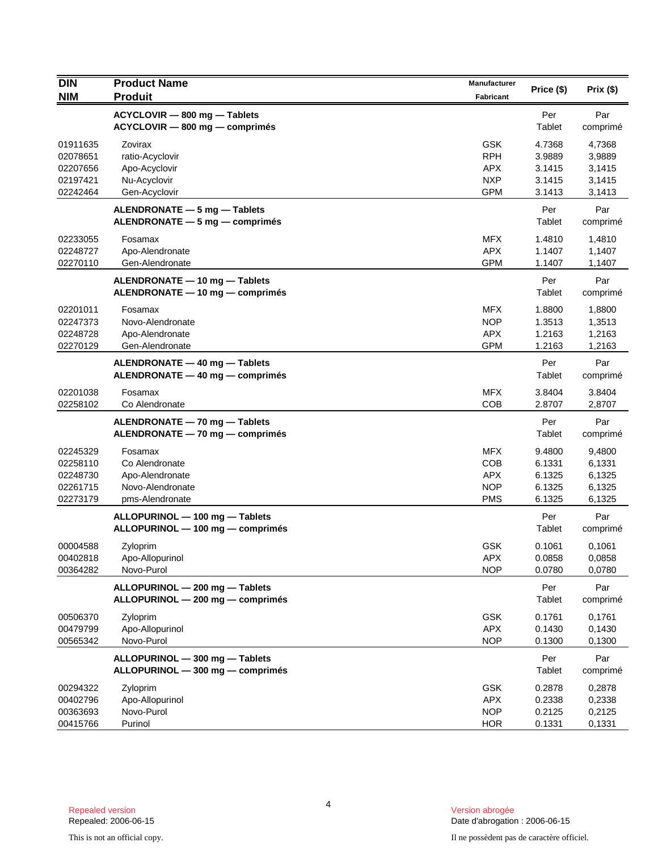| <b>DIN</b>                                               | <b>Product Name</b>                                                                 | <b>Manufacturer</b>                                                | Price (\$)                                     | Prix(\$)                                       |
|----------------------------------------------------------|-------------------------------------------------------------------------------------|--------------------------------------------------------------------|------------------------------------------------|------------------------------------------------|
| <b>NIM</b>                                               | <b>Produit</b>                                                                      | Fabricant                                                          |                                                |                                                |
|                                                          | ACYCLOVIR - 800 mg - Tablets<br>ACYCLOVIR - 800 mg - comprimés                      |                                                                    | Per<br>Tablet                                  | Par<br>comprimé                                |
| 01911635<br>02078651<br>02207656<br>02197421<br>02242464 | Zovirax<br>ratio-Acyclovir<br>Apo-Acyclovir<br>Nu-Acyclovir<br>Gen-Acyclovir        | <b>GSK</b><br><b>RPH</b><br><b>APX</b><br><b>NXP</b><br><b>GPM</b> | 4.7368<br>3.9889<br>3.1415<br>3.1415<br>3.1413 | 4,7368<br>3,9889<br>3,1415<br>3,1415<br>3,1413 |
|                                                          | ALENDRONATE - 5 mg - Tablets<br>ALENDRONATE - 5 mg - comprimés                      |                                                                    | Per<br>Tablet                                  | Par<br>comprimé                                |
| 02233055<br>02248727<br>02270110                         | Fosamax<br>Apo-Alendronate<br>Gen-Alendronate                                       | MFX.<br><b>APX</b><br><b>GPM</b>                                   | 1.4810<br>1.1407<br>1.1407                     | 1,4810<br>1,1407<br>1,1407                     |
|                                                          | ALENDRONATE - 10 mg - Tablets<br>ALENDRONATE - 10 mg - comprimés                    |                                                                    | Per<br>Tablet                                  | Par<br>comprimé                                |
| 02201011<br>02247373<br>02248728<br>02270129             | Fosamax<br>Novo-Alendronate<br>Apo-Alendronate<br>Gen-Alendronate                   | <b>MFX</b><br><b>NOP</b><br><b>APX</b><br><b>GPM</b>               | 1.8800<br>1.3513<br>1.2163<br>1.2163           | 1,8800<br>1,3513<br>1,2163<br>1,2163           |
|                                                          | ALENDRONATE - 40 mg - Tablets<br>ALENDRONATE - 40 mg - comprimés                    |                                                                    | Per<br>Tablet                                  | Par<br>comprimé                                |
| 02201038<br>02258102                                     | Fosamax<br>Co Alendronate                                                           | <b>MFX</b><br><b>COB</b>                                           | 3.8404<br>2.8707                               | 3.8404<br>2,8707                               |
|                                                          | ALENDRONATE - 70 mg - Tablets<br>ALENDRONATE - 70 mg - comprimés                    |                                                                    | Per<br>Tablet                                  | Par<br>comprimé                                |
| 02245329<br>02258110<br>02248730<br>02261715<br>02273179 | Fosamax<br>Co Alendronate<br>Apo-Alendronate<br>Novo-Alendronate<br>pms-Alendronate | MFX.<br><b>COB</b><br><b>APX</b><br><b>NOP</b><br><b>PMS</b>       | 9.4800<br>6.1331<br>6.1325<br>6.1325<br>6.1325 | 9,4800<br>6,1331<br>6,1325<br>6,1325<br>6,1325 |
|                                                          | ALLOPURINOL - 100 mg - Tablets<br>ALLOPURINOL - 100 mg - comprimés                  |                                                                    | Per<br>Tablet                                  | Par<br>comprimé                                |
| 00004588<br>00402818<br>00364282                         | Zyloprim<br>Apo-Allopurinol<br>Novo-Purol                                           | <b>GSK</b><br><b>APX</b><br><b>NOP</b>                             | 0.1061<br>0.0858<br>0.0780                     | 0,1061<br>0,0858<br>0,0780                     |
|                                                          | ALLOPURINOL - 200 mg - Tablets<br>ALLOPURINOL - 200 mg - comprimés                  |                                                                    | Per<br>Tablet                                  | Par<br>comprimé                                |
| 00506370<br>00479799<br>00565342                         | Zyloprim<br>Apo-Allopurinol<br>Novo-Purol                                           | <b>GSK</b><br><b>APX</b><br><b>NOP</b>                             | 0.1761<br>0.1430<br>0.1300                     | 0,1761<br>0,1430<br>0,1300                     |
|                                                          | ALLOPURINOL - 300 mg - Tablets<br>ALLOPURINOL - 300 mg - comprimés                  |                                                                    | Per<br>Tablet                                  | Par<br>comprimé                                |
| 00294322<br>00402796<br>00363693<br>00415766             | Zyloprim<br>Apo-Allopurinol<br>Novo-Purol<br>Purinol                                | <b>GSK</b><br><b>APX</b><br><b>NOP</b><br><b>HOR</b>               | 0.2878<br>0.2338<br>0.2125<br>0.1331           | 0,2878<br>0,2338<br>0,2125<br>0,1331           |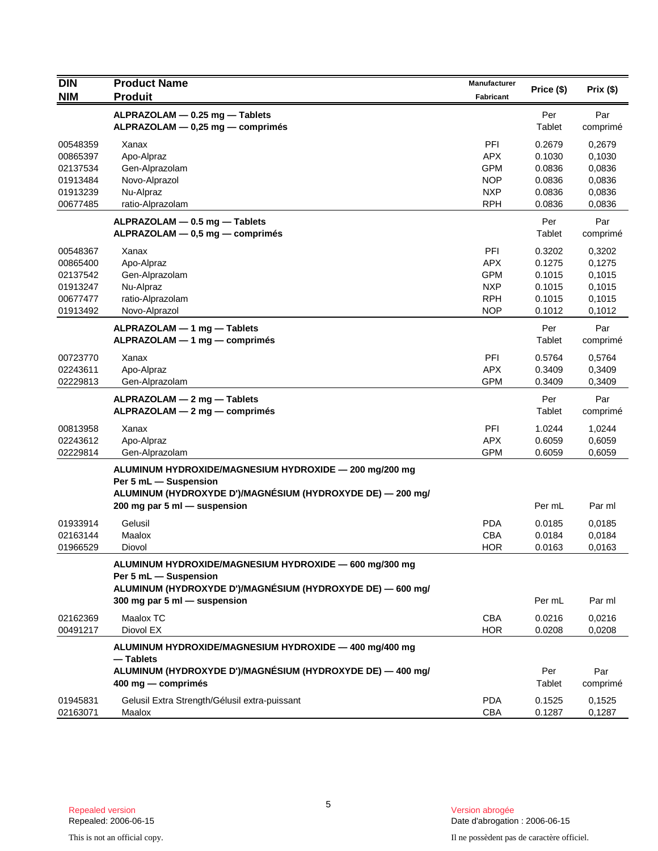| <b>DIN</b>                                                           | <b>Product Name</b><br><b>Produit</b>                                                                                                                                         | <b>Manufacturer</b>                                                       | Price (\$)                                               | Prix(\$)                                                 |
|----------------------------------------------------------------------|-------------------------------------------------------------------------------------------------------------------------------------------------------------------------------|---------------------------------------------------------------------------|----------------------------------------------------------|----------------------------------------------------------|
| <b>NIM</b>                                                           |                                                                                                                                                                               | <b>Fabricant</b>                                                          |                                                          |                                                          |
|                                                                      | ALPRAZOLAM - 0.25 mg - Tablets<br>ALPRAZOLAM - 0,25 mg - comprimés                                                                                                            |                                                                           | Per<br>Tablet                                            | Par<br>comprimé                                          |
| 00548359<br>00865397<br>02137534<br>01913484<br>01913239<br>00677485 | Xanax<br>Apo-Alpraz<br>Gen-Alprazolam<br>Novo-Alprazol<br>Nu-Alpraz<br>ratio-Alprazolam                                                                                       | PFI<br><b>APX</b><br><b>GPM</b><br><b>NOP</b><br><b>NXP</b><br><b>RPH</b> | 0.2679<br>0.1030<br>0.0836<br>0.0836<br>0.0836<br>0.0836 | 0,2679<br>0,1030<br>0,0836<br>0,0836<br>0,0836<br>0,0836 |
|                                                                      | $ALPRAZOLAM - 0.5 mg - Tables$<br>ALPRAZOLAM - 0,5 mg - comprimés                                                                                                             |                                                                           | Per<br>Tablet                                            | Par<br>comprimé                                          |
| 00548367<br>00865400<br>02137542<br>01913247<br>00677477<br>01913492 | Xanax<br>Apo-Alpraz<br>Gen-Alprazolam<br>Nu-Alpraz<br>ratio-Alprazolam<br>Novo-Alprazol                                                                                       | PFI<br><b>APX</b><br><b>GPM</b><br><b>NXP</b><br><b>RPH</b><br><b>NOP</b> | 0.3202<br>0.1275<br>0.1015<br>0.1015<br>0.1015<br>0.1012 | 0,3202<br>0,1275<br>0,1015<br>0,1015<br>0,1015<br>0,1012 |
|                                                                      | $ALPRAZOLAM - 1 mg - Tables$<br>ALPRAZOLAM - 1 mg - comprimés                                                                                                                 |                                                                           | Per<br>Tablet                                            | Par<br>comprimé                                          |
| 00723770<br>02243611<br>02229813                                     | Xanax<br>Apo-Alpraz<br>Gen-Alprazolam                                                                                                                                         | PFI<br><b>APX</b><br><b>GPM</b>                                           | 0.5764<br>0.3409<br>0.3409                               | 0,5764<br>0,3409<br>0,3409                               |
|                                                                      | $ALPRAZOLAM - 2 mg - Tables$<br>ALPRAZOLAM - 2 mg - comprimés                                                                                                                 |                                                                           | Per<br>Tablet                                            | Par<br>comprimé                                          |
| 00813958<br>02243612<br>02229814                                     | Xanax<br>Apo-Alpraz<br>Gen-Alprazolam                                                                                                                                         | PFI<br><b>APX</b><br><b>GPM</b>                                           | 1.0244<br>0.6059<br>0.6059                               | 1,0244<br>0,6059<br>0,6059                               |
|                                                                      | ALUMINUM HYDROXIDE/MAGNESIUM HYDROXIDE - 200 mg/200 mg<br>Per 5 mL - Suspension<br>ALUMINUM (HYDROXYDE D')/MAGNÉSIUM (HYDROXYDE DE) — 200 mg/<br>200 mg par 5 ml - suspension |                                                                           | Per mL                                                   | Par ml                                                   |
| 01933914<br>02163144<br>01966529                                     | Gelusil<br>Maalox<br>Diovol                                                                                                                                                   | <b>PDA</b><br><b>CBA</b><br><b>HOR</b>                                    | 0.0185<br>0.0184<br>0.0163                               | 0,0185<br>0,0184<br>0,0163                               |
|                                                                      | ALUMINUM HYDROXIDE/MAGNESIUM HYDROXIDE - 600 mg/300 mg<br>Per 5 mL - Suspension<br>ALUMINUM (HYDROXYDE D')/MAGNÉSIUM (HYDROXYDE DE) - 600 mg/<br>300 mg par 5 ml - suspension |                                                                           | Per mL                                                   | Par ml                                                   |
| 02162369<br>00491217                                                 | Maalox TC<br>Diovol EX                                                                                                                                                        | CBA<br><b>HOR</b>                                                         | 0.0216<br>0.0208                                         | 0,0216<br>0,0208                                         |
|                                                                      | ALUMINUM HYDROXIDE/MAGNESIUM HYDROXIDE - 400 mg/400 mg<br>— Tablets<br>ALUMINUM (HYDROXYDE D')/MAGNÉSIUM (HYDROXYDE DE) - 400 mg/<br>400 mg - comprimés                       |                                                                           | Per<br>Tablet                                            | Par<br>comprimé                                          |
| 01945831<br>02163071                                                 | Gelusil Extra Strength/Gélusil extra-puissant<br>Maalox                                                                                                                       | <b>PDA</b><br><b>CBA</b>                                                  | 0.1525<br>0.1287                                         | 0,1525<br>0,1287                                         |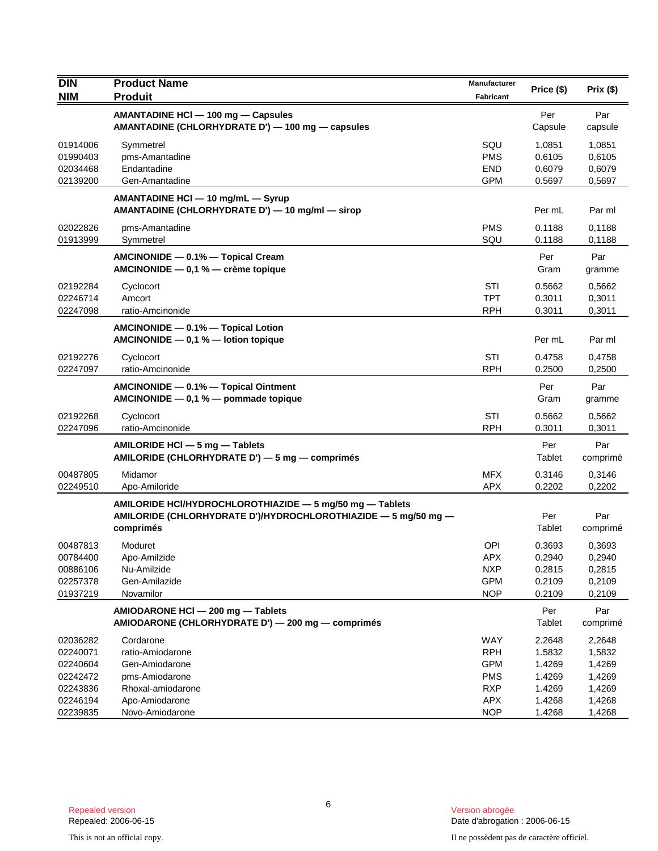| <b>DIN</b>                                               | <b>Product Name</b>                                                                                                                     | Manufacturer                                                | Price (\$)                                     | Prix(\$)                                       |
|----------------------------------------------------------|-----------------------------------------------------------------------------------------------------------------------------------------|-------------------------------------------------------------|------------------------------------------------|------------------------------------------------|
| <b>NIM</b>                                               | <b>Produit</b>                                                                                                                          | Fabricant                                                   |                                                |                                                |
|                                                          | AMANTADINE HCI - 100 mg - Capsules<br>AMANTADINE (CHLORHYDRATE D') - 100 mg - capsules                                                  |                                                             | Per<br>Capsule                                 | Par<br>capsule                                 |
| 01914006<br>01990403<br>02034468<br>02139200             | Symmetrel<br>pms-Amantadine<br>Endantadine<br>Gen-Amantadine                                                                            | SQU<br><b>PMS</b><br><b>END</b><br><b>GPM</b>               | 1.0851<br>0.6105<br>0.6079<br>0.5697           | 1,0851<br>0,6105<br>0,6079<br>0,5697           |
|                                                          | AMANTADINE HCI - 10 mg/mL - Syrup<br>AMANTADINE (CHLORHYDRATE D') - 10 mg/ml - sirop                                                    |                                                             | Per mL                                         | Par ml                                         |
| 02022826<br>01913999                                     | pms-Amantadine<br>Symmetrel                                                                                                             | <b>PMS</b><br>SQU                                           | 0.1188<br>0.1188                               | 0,1188<br>0,1188                               |
|                                                          | AMCINONIDE - 0.1% - Topical Cream<br>AMCINONIDE - 0,1 % - crème topique                                                                 |                                                             | Per<br>Gram                                    | Par<br>gramme                                  |
| 02192284<br>02246714<br>02247098                         | Cyclocort<br>Amcort<br>ratio-Amcinonide                                                                                                 | STI<br><b>TPT</b><br><b>RPH</b>                             | 0.5662<br>0.3011<br>0.3011                     | 0,5662<br>0,3011<br>0,3011                     |
|                                                          | AMCINONIDE - 0.1% - Topical Lotion<br>AMCINONIDE $-$ 0,1 % $-$ lotion topique                                                           |                                                             | Per mL                                         | Par ml                                         |
| 02192276<br>02247097                                     | Cyclocort<br>ratio-Amcinonide                                                                                                           | STI<br><b>RPH</b>                                           | 0.4758<br>0.2500                               | 0,4758<br>0,2500                               |
|                                                          | AMCINONIDE - 0.1% - Topical Ointment<br>AMCINONIDE - 0,1 % - pommade topique                                                            |                                                             | Per<br>Gram                                    | Par<br>gramme                                  |
| 02192268<br>02247096                                     | Cyclocort<br>ratio-Amcinonide                                                                                                           | STI<br><b>RPH</b>                                           | 0.5662<br>0.3011                               | 0,5662<br>0,3011                               |
|                                                          | AMILORIDE HCI - 5 mg - Tablets<br>AMILORIDE (CHLORHYDRATE D') - 5 mg - comprimés                                                        |                                                             | Per<br>Tablet                                  | Par<br>comprimé                                |
| 00487805<br>02249510                                     | Midamor<br>Apo-Amiloride                                                                                                                | <b>MFX</b><br><b>APX</b>                                    | 0.3146<br>0.2202                               | 0,3146<br>0,2202                               |
|                                                          | AMILORIDE HCI/HYDROCHLOROTHIAZIDE - 5 mg/50 mg - Tablets<br>AMILORIDE (CHLORHYDRATE D')/HYDROCHLOROTHIAZIDE - 5 mg/50 mg -<br>comprimés |                                                             | Per<br>Tablet                                  | Par<br>comprimé                                |
| 00487813<br>00784400<br>00886106<br>02257378<br>01937219 | Moduret<br>Apo-Amilzide<br>Nu-Amilzide<br>Gen-Amilazide<br>Novamilor                                                                    | OPI<br>APX<br><b>NXP</b><br><b>GPM</b><br><b>NOP</b>        | 0.3693<br>0.2940<br>0.2815<br>0.2109<br>0.2109 | 0,3693<br>0,2940<br>0,2815<br>0,2109<br>0,2109 |
|                                                          | AMIODARONE HCI - 200 mg - Tablets<br>AMIODARONE (CHLORHYDRATE D') - 200 mg - comprimés                                                  |                                                             | Per<br>Tablet                                  | Par<br>comprimé                                |
| 02036282<br>02240071<br>02240604<br>02242472<br>02243836 | Cordarone<br>ratio-Amiodarone<br>Gen-Amiodarone<br>pms-Amiodarone<br>Rhoxal-amiodarone                                                  | WAY<br><b>RPH</b><br><b>GPM</b><br><b>PMS</b><br><b>RXP</b> | 2.2648<br>1.5832<br>1.4269<br>1.4269<br>1.4269 | 2,2648<br>1,5832<br>1,4269<br>1,4269<br>1,4269 |
| 02246194<br>02239835                                     | Apo-Amiodarone<br>Novo-Amiodarone                                                                                                       | APX<br><b>NOP</b>                                           | 1.4268<br>1.4268                               | 1,4268<br>1,4268                               |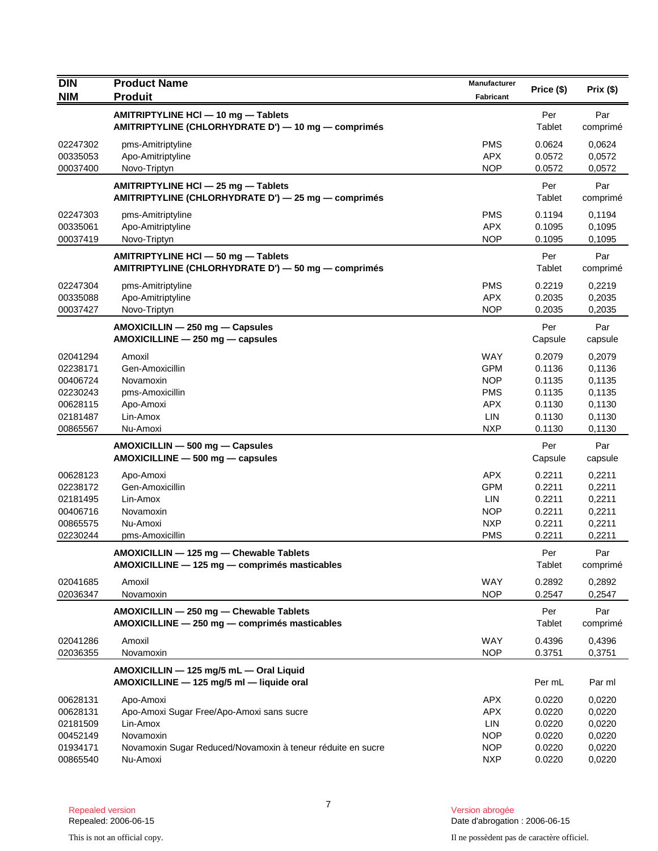| <b>DIN</b>           | <b>Product Name</b>                                         | <b>Manufacturer</b>      | Price (\$)       | Prix(\$)         |
|----------------------|-------------------------------------------------------------|--------------------------|------------------|------------------|
| <b>NIM</b>           | <b>Produit</b>                                              | <b>Fabricant</b>         |                  |                  |
|                      | AMITRIPTYLINE HCI - 10 mg - Tablets                         |                          | Per              | Par              |
|                      | AMITRIPTYLINE (CHLORHYDRATE D') - 10 mg - comprimés         |                          | Tablet           | comprimé         |
| 02247302             | pms-Amitriptyline                                           | <b>PMS</b>               | 0.0624           | 0,0624           |
| 00335053             | Apo-Amitriptyline                                           | <b>APX</b>               | 0.0572           | 0,0572           |
| 00037400             | Novo-Triptyn                                                | <b>NOP</b>               | 0.0572           | 0,0572           |
|                      | AMITRIPTYLINE HCI - 25 mg - Tablets                         |                          | Per              | Par              |
|                      | AMITRIPTYLINE (CHLORHYDRATE D') - 25 mg - comprimés         |                          | Tablet           | comprimé         |
| 02247303             | pms-Amitriptyline                                           | <b>PMS</b>               | 0.1194           | 0,1194           |
| 00335061             | Apo-Amitriptyline                                           | <b>APX</b>               | 0.1095           | 0,1095           |
| 00037419             | Novo-Triptyn                                                | <b>NOP</b>               | 0.1095           | 0,1095           |
|                      | AMITRIPTYLINE HCI - 50 mg - Tablets                         |                          | Per              | Par              |
|                      | AMITRIPTYLINE (CHLORHYDRATE D') - 50 mg - comprimés         |                          | Tablet           | comprimé         |
| 02247304             | pms-Amitriptyline                                           | <b>PMS</b>               | 0.2219           | 0,2219           |
| 00335088             | Apo-Amitriptyline                                           | <b>APX</b>               | 0.2035           | 0,2035           |
| 00037427             | Novo-Triptyn                                                | <b>NOP</b>               | 0.2035           | 0,2035           |
|                      | AMOXICILLIN - 250 mg - Capsules                             |                          | Per              | Par              |
|                      | AMOXICILLINE - 250 mg - capsules                            |                          | Capsule          | capsule          |
| 02041294             | Amoxil                                                      | <b>WAY</b>               | 0.2079           | 0,2079           |
| 02238171             | Gen-Amoxicillin                                             | <b>GPM</b>               | 0.1136           | 0,1136           |
| 00406724             | Novamoxin                                                   | <b>NOP</b>               | 0.1135           | 0,1135           |
| 02230243<br>00628115 | pms-Amoxicillin<br>Apo-Amoxi                                | <b>PMS</b><br><b>APX</b> | 0.1135<br>0.1130 | 0,1135           |
| 02181487             | Lin-Amox                                                    | LIN                      | 0.1130           | 0,1130<br>0,1130 |
| 00865567             | Nu-Amoxi                                                    | <b>NXP</b>               | 0.1130           | 0,1130           |
|                      | AMOXICILLIN - 500 mg - Capsules                             |                          | Per              | Par              |
|                      | $AMOXICILLINE - 500 mg - capsules$                          |                          | Capsule          | capsule          |
| 00628123             | Apo-Amoxi                                                   | <b>APX</b>               | 0.2211           | 0,2211           |
| 02238172             | Gen-Amoxicillin                                             | <b>GPM</b>               | 0.2211           | 0,2211           |
| 02181495             | Lin-Amox                                                    | LIN                      | 0.2211           | 0,2211           |
| 00406716             | Novamoxin                                                   | <b>NOP</b>               | 0.2211           | 0,2211           |
| 00865575             | Nu-Amoxi                                                    | <b>NXP</b>               | 0.2211           | 0,2211           |
| 02230244             | pms-Amoxicillin                                             | <b>PMS</b>               | 0.2211           | 0,2211           |
|                      | AMOXICILLIN - 125 mg - Chewable Tablets                     |                          | Per              | Par              |
|                      | AMOXICILLINE - 125 mg - comprimés masticables               |                          | Tablet           | comprimé         |
| 02041685             | Amoxil                                                      | <b>WAY</b>               | 0.2892           | 0,2892           |
| 02036347             | Novamoxin                                                   | <b>NOP</b>               | 0.2547           | 0,2547           |
|                      | AMOXICILLIN - 250 mg - Chewable Tablets                     |                          | Per              | Par              |
|                      | AMOXICILLINE - 250 mg - comprimés masticables               |                          | Tablet           | comprimé         |
| 02041286             | Amoxil                                                      | <b>WAY</b>               | 0.4396           | 0,4396           |
| 02036355             | Novamoxin                                                   | <b>NOP</b>               | 0.3751           | 0,3751           |
|                      | AMOXICILLIN - 125 mg/5 mL - Oral Liquid                     |                          |                  |                  |
|                      | AMOXICILLINE - 125 mg/5 ml - liquide oral                   |                          | Per mL           | Par ml           |
| 00628131             | Apo-Amoxi                                                   | <b>APX</b>               | 0.0220           | 0,0220           |
| 00628131             | Apo-Amoxi Sugar Free/Apo-Amoxi sans sucre                   | <b>APX</b>               | 0.0220           | 0,0220           |
| 02181509             | Lin-Amox                                                    | LIN                      | 0.0220           | 0,0220           |
| 00452149             | Novamoxin                                                   | <b>NOP</b>               | 0.0220           | 0,0220           |
| 01934171             | Novamoxin Sugar Reduced/Novamoxin à teneur réduite en sucre | <b>NOP</b>               | 0.0220           | 0,0220           |
| 00865540             | Nu-Amoxi                                                    | <b>NXP</b>               | 0.0220           | 0,0220           |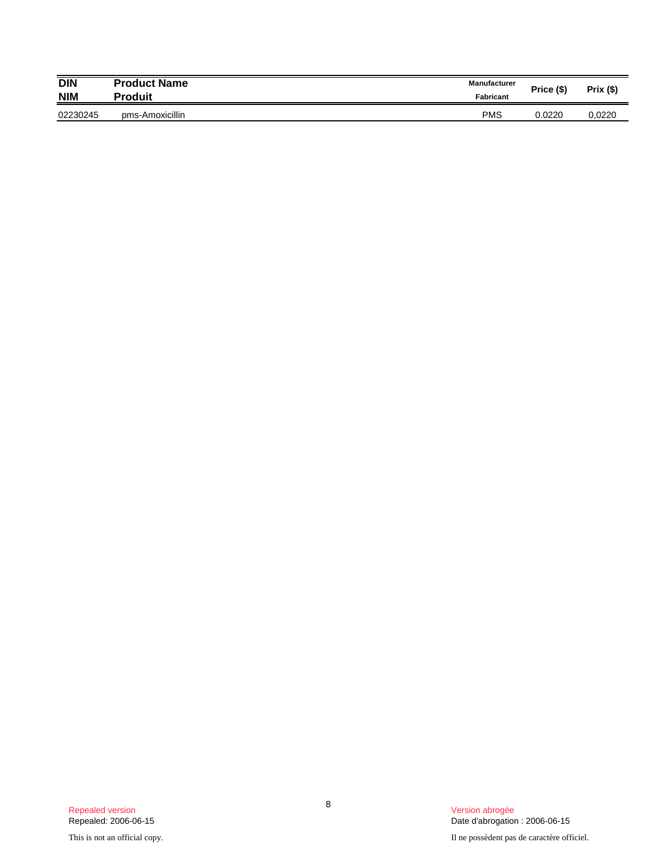| <b>DIN</b> | <b>Product Name</b> | <b>Manufacturer</b> | Price (\$) | <b>Prix (\$)</b> |
|------------|---------------------|---------------------|------------|------------------|
| <b>NIM</b> | Produit             | Fabricant           |            |                  |
| 02230245   | pms-Amoxicillin     | <b>PMS</b>          | 0.0220     | 0.0220           |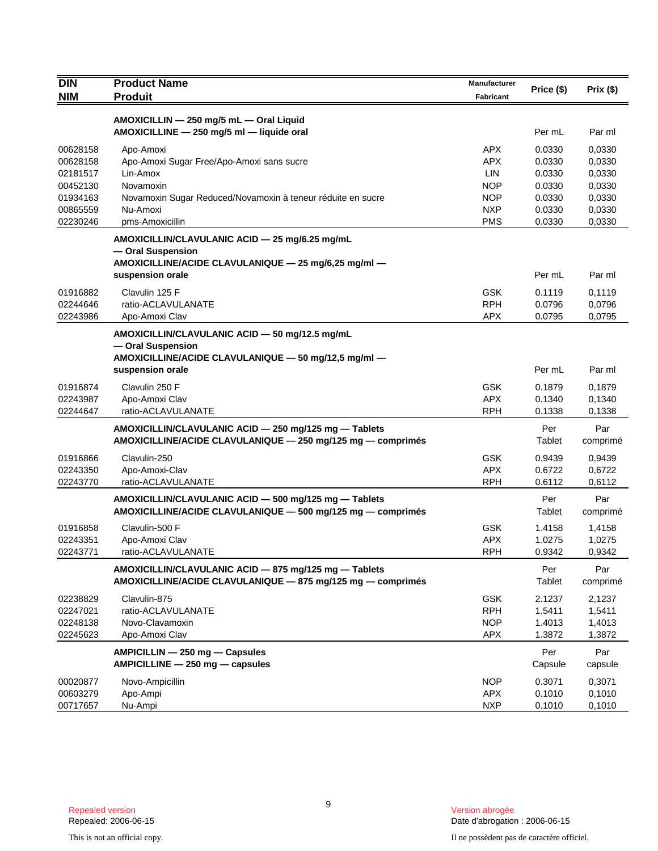| <b>DIN</b> | <b>Product Name</b>                                                                  |            | Price (\$) |          |
|------------|--------------------------------------------------------------------------------------|------------|------------|----------|
| <b>NIM</b> | <b>Produit</b>                                                                       | Fabricant  |            | Prix(\$) |
|            |                                                                                      |            |            |          |
|            | AMOXICILLIN - 250 mg/5 mL - Oral Liquid<br>AMOXICILLINE - 250 mg/5 ml - liquide oral |            | Per mL     | Par ml   |
| 00628158   | Apo-Amoxi                                                                            | <b>APX</b> | 0.0330     | 0.0330   |
| 00628158   | Apo-Amoxi Sugar Free/Apo-Amoxi sans sucre                                            | <b>APX</b> | 0.0330     | 0,0330   |
| 02181517   | Lin-Amox                                                                             | <b>LIN</b> | 0.0330     | 0,0330   |
| 00452130   | Novamoxin                                                                            | <b>NOP</b> | 0.0330     | 0,0330   |
| 01934163   | Novamoxin Sugar Reduced/Novamoxin à teneur réduite en sucre                          | <b>NOP</b> | 0.0330     | 0,0330   |
| 00865559   | Nu-Amoxi                                                                             | <b>NXP</b> | 0.0330     | 0,0330   |
| 02230246   | pms-Amoxicillin                                                                      | <b>PMS</b> | 0.0330     | 0,0330   |
|            | AMOXICILLIN/CLAVULANIC ACID - 25 mg/6.25 mg/mL                                       |            |            |          |
|            | - Oral Suspension                                                                    |            |            |          |
|            | AMOXICILLINE/ACIDE CLAVULANIQUE - 25 mg/6,25 mg/ml -                                 |            |            |          |
|            | suspension orale                                                                     |            | Per mL     | Par ml   |
| 01916882   | Clavulin 125 F                                                                       | <b>GSK</b> | 0.1119     | 0,1119   |
| 02244646   | ratio-ACLAVULANATE                                                                   | <b>RPH</b> | 0.0796     | 0,0796   |
| 02243986   | Apo-Amoxi Clav                                                                       | <b>APX</b> | 0.0795     | 0,0795   |
|            | AMOXICILLIN/CLAVULANIC ACID - 50 mg/12.5 mg/mL                                       |            |            |          |
|            | - Oral Suspension                                                                    |            |            |          |
|            | AMOXICILLINE/ACIDE CLAVULANIQUE - 50 mg/12,5 mg/ml -                                 |            |            |          |
|            | suspension orale                                                                     |            | Per mL     | Par ml   |
| 01916874   | Clavulin 250 F                                                                       | <b>GSK</b> | 0.1879     | 0,1879   |
| 02243987   | Apo-Amoxi Clav                                                                       | <b>APX</b> | 0.1340     | 0,1340   |
| 02244647   | ratio-ACLAVULANATE                                                                   | <b>RPH</b> | 0.1338     | 0,1338   |
|            | AMOXICILLIN/CLAVULANIC ACID - 250 mg/125 mg - Tablets                                |            | Per        | Par      |
|            | AMOXICILLINE/ACIDE CLAVULANIQUE - 250 mg/125 mg - comprimés                          |            | Tablet     | comprimé |
| 01916866   | Clavulin-250                                                                         | <b>GSK</b> | 0.9439     | 0,9439   |
| 02243350   | Apo-Amoxi-Clav                                                                       | <b>APX</b> | 0.6722     | 0,6722   |
| 02243770   | ratio-ACLAVULANATE                                                                   | <b>RPH</b> | 0.6112     | 0,6112   |
|            | AMOXICILLIN/CLAVULANIC ACID - 500 mg/125 mg - Tablets                                |            | Per        | Par      |
|            | AMOXICILLINE/ACIDE CLAVULANIQUE - 500 mg/125 mg - comprimés                          |            | Tablet     | comprimé |
| 01916858   | Clavulin-500 F                                                                       | <b>GSK</b> | 1.4158     | 1,4158   |
| 02243351   | Apo-Amoxi Clav                                                                       | <b>APX</b> | 1.0275     | 1,0275   |
| 02243771   | ratio-ACLAVULANATE                                                                   | <b>RPH</b> | 0.9342     | 0,9342   |
|            | AMOXICILLIN/CLAVULANIC ACID - 875 mg/125 mg - Tablets                                |            | Per        | Par      |
|            | AMOXICILLINE/ACIDE CLAVULANIQUE - 875 mg/125 mg - comprimés                          |            | Tablet     | comprimé |
| 02238829   | Clavulin-875                                                                         | <b>GSK</b> | 2.1237     | 2,1237   |
| 02247021   | ratio-ACLAVULANATE                                                                   | <b>RPH</b> | 1.5411     | 1,5411   |
| 02248138   | Novo-Clavamoxin                                                                      | <b>NOP</b> | 1.4013     | 1,4013   |
| 02245623   | Apo-Amoxi Clav                                                                       | APX        | 1.3872     | 1,3872   |
|            | AMPICILLIN - 250 mg - Capsules                                                       |            | Per        | Par      |
|            | AMPICILLINE - 250 mg - capsules                                                      |            | Capsule    | capsule  |
| 00020877   | Novo-Ampicillin                                                                      | <b>NOP</b> | 0.3071     | 0,3071   |
| 00603279   | Apo-Ampi                                                                             | <b>APX</b> | 0.1010     | 0,1010   |
| 00717657   | Nu-Ampi                                                                              | <b>NXP</b> | 0.1010     | 0,1010   |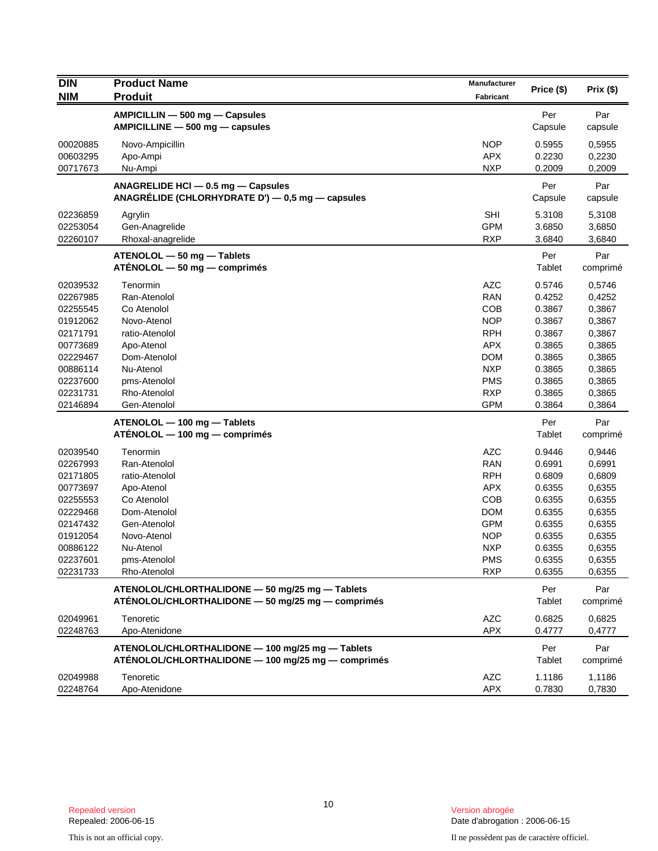| <b>DIN</b>           | <b>Product Name</b>                                                                                  | Manufacturer      | Price (\$)       | Prix(\$)         |
|----------------------|------------------------------------------------------------------------------------------------------|-------------------|------------------|------------------|
| <b>NIM</b>           | <b>Produit</b>                                                                                       | <b>Fabricant</b>  |                  |                  |
|                      | AMPICILLIN - 500 mg - Capsules                                                                       |                   | Per              | Par              |
|                      | AMPICILLINE - 500 mg - capsules                                                                      |                   | Capsule          | capsule          |
| 00020885             | Novo-Ampicillin                                                                                      | <b>NOP</b>        | 0.5955           | 0,5955           |
| 00603295             | Apo-Ampi                                                                                             | <b>APX</b>        | 0.2230           | 0,2230           |
| 00717673             | Nu-Ampi                                                                                              | <b>NXP</b>        | 0.2009           | 0,2009           |
|                      | ANAGRELIDE HCI - 0.5 mg - Capsules                                                                   |                   | Per              | Par              |
|                      | ANAGRÉLIDE (CHLORHYDRATE D') - 0,5 mg - capsules                                                     |                   | Capsule          | capsule          |
| 02236859             | Agrylin                                                                                              | <b>SHI</b>        | 5.3108           | 5,3108           |
| 02253054             | Gen-Anagrelide                                                                                       | <b>GPM</b>        | 3.6850           | 3,6850           |
| 02260107             | Rhoxal-anagrelide                                                                                    | <b>RXP</b>        | 3.6840           | 3,6840           |
|                      | ATENOLOL - 50 mg - Tablets                                                                           |                   | Per              | Par              |
|                      | $ATÉNOLOL - 50 mg - comprimés$                                                                       |                   | Tablet           | comprimé         |
| 02039532             | Tenormin                                                                                             | <b>AZC</b>        | 0.5746           | 0,5746           |
| 02267985             | Ran-Atenolol                                                                                         | <b>RAN</b>        | 0.4252           | 0,4252           |
| 02255545             | Co Atenolol                                                                                          | <b>COB</b>        | 0.3867           | 0,3867           |
| 01912062             | Novo-Atenol                                                                                          | <b>NOP</b>        | 0.3867           | 0,3867           |
| 02171791             | ratio-Atenolol                                                                                       | <b>RPH</b>        | 0.3867           | 0,3867           |
| 00773689             | Apo-Atenol                                                                                           | <b>APX</b>        | 0.3865           | 0,3865           |
| 02229467             | Dom-Atenolol                                                                                         | <b>DOM</b>        | 0.3865           | 0,3865           |
| 00886114             | Nu-Atenol                                                                                            | <b>NXP</b>        | 0.3865           | 0,3865           |
| 02237600             | pms-Atenolol                                                                                         | <b>PMS</b>        | 0.3865           | 0,3865           |
| 02231731             | Rho-Atenolol                                                                                         | <b>RXP</b>        | 0.3865           | 0,3865           |
| 02146894             | Gen-Atenolol                                                                                         | <b>GPM</b>        | 0.3864           | 0,3864           |
|                      | ATENOLOL - 100 mg - Tablets                                                                          |                   | Per              | Par              |
|                      | $ATENOLOL - 100 mg - comprimés$                                                                      |                   | Tablet           | comprimé         |
| 02039540             | Tenormin                                                                                             | <b>AZC</b>        | 0.9446           | 0,9446           |
| 02267993             | Ran-Atenolol                                                                                         | <b>RAN</b>        | 0.6991           | 0,6991           |
| 02171805             | ratio-Atenolol                                                                                       | <b>RPH</b>        | 0.6809           | 0,6809           |
| 00773697             | Apo-Atenol                                                                                           | <b>APX</b>        | 0.6355           | 0,6355           |
| 02255553             | Co Atenolol                                                                                          | COB               | 0.6355           | 0,6355           |
| 02229468             | Dom-Atenolol                                                                                         | <b>DOM</b>        | 0.6355           | 0,6355           |
| 02147432             | Gen-Atenolol                                                                                         | <b>GPM</b>        | 0.6355           | 0,6355           |
| 01912054             | Novo-Atenol                                                                                          | <b>NOP</b>        | 0.6355           | 0,6355           |
| 00886122             | Nu-Atenol                                                                                            | <b>NXP</b>        | 0.6355           | 0,6355           |
| 02237601             | pms-Atenolol                                                                                         | <b>PMS</b>        | 0.6355           | 0,6355           |
| 02231733             | Rho-Atenolol                                                                                         | <b>RXP</b>        | 0.6355           | 0,6355           |
|                      | ATENOLOL/CHLORTHALIDONE - 50 mg/25 mg - Tablets<br>ATÉNOLOL/CHLORTHALIDONE - 50 mg/25 mg - comprimés |                   | Per<br>Tablet    | Par<br>comprimé  |
| 02049961             | Tenoretic                                                                                            | <b>AZC</b>        | 0.6825           | 0,6825           |
| 02248763             | Apo-Atenidone                                                                                        | <b>APX</b>        | 0.4777           | 0,4777           |
|                      | ATENOLOL/CHLORTHALIDONE - 100 mg/25 mg - Tablets                                                     |                   | Per              | Par              |
|                      | ATÉNOLOL/CHLORTHALIDONE - 100 mg/25 mg - comprimés                                                   |                   | Tablet           | comprimé         |
| 02049988<br>02248764 | Tenoretic<br>Apo-Atenidone                                                                           | <b>AZC</b><br>APX | 1.1186<br>0.7830 | 1,1186<br>0,7830 |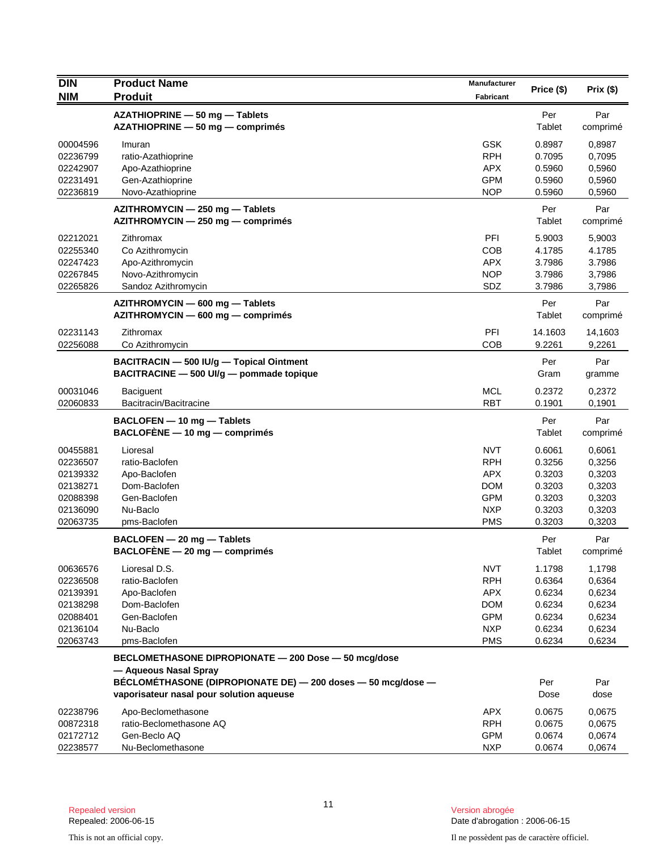| <b>NIM</b><br><b>Produit</b><br><b>Fabricant</b><br>Per<br>AZATHIOPRINE - 50 mg - Tablets<br>Par<br>Tablet<br>AZATHIOPRINE - 50 mg - comprimés<br>comprimé<br><b>GSK</b><br>0.8987<br>00004596<br>0,8987<br>Imuran<br><b>RPH</b><br>0.7095<br>0,7095<br>02236799<br>ratio-Azathioprine<br>02242907<br>Apo-Azathioprine<br><b>APX</b><br>0.5960<br>0,5960<br><b>GPM</b><br>0.5960<br>0,5960<br>02231491<br>Gen-Azathioprine<br>02236819<br><b>NOP</b><br>Novo-Azathioprine<br>0.5960<br>0,5960<br>Par<br>Per<br>AZITHROMYCIN - 250 mg - Tablets<br>Tablet<br>AZITHROMYCIN - 250 mg - comprimés<br>comprimé<br>PFI<br>5.9003<br>02212021<br>Zithromax<br>5,9003<br>Co Azithromycin<br><b>COB</b><br>4.1785<br>4.1785<br>02255340<br><b>APX</b><br>3.7986<br>3.7986<br>02247423<br>Apo-Azithromycin<br>02267845<br>Novo-Azithromycin<br><b>NOP</b><br>3.7986<br>3,7986<br>02265826<br>Sandoz Azithromycin<br>SDZ<br>3.7986<br>3,7986<br>Per<br>Par<br>AZITHROMYCIN - 600 mg - Tablets<br>Tablet<br>AZITHROMYCIN - 600 mg - comprimés<br>comprimé<br>02231143<br>PFI<br>14.1603<br>Zithromax<br>14,1603<br>02256088<br><b>COB</b><br>9.2261<br>9,2261<br>Co Azithromycin<br>Per<br>Par<br>BACITRACIN - 500 IU/g - Topical Ointment<br>BACITRACINE - 500 UI/g - pommade topique<br>Gram<br>gramme<br><b>MCL</b><br>0.2372<br>00031046<br><b>Baciguent</b><br>0,2372<br><b>RBT</b><br>0.1901<br>02060833<br>Bacitracin/Bacitracine<br>0,1901<br>BACLOFEN - 10 mg - Tablets<br>Per<br>Par<br>$BACLOFENE - 10 mg - comprimés$<br>Tablet<br>comprimé<br><b>NVT</b><br>0.6061<br>00455881<br>Lioresal<br>0,6061<br><b>RPH</b><br>0.3256<br>02236507<br>ratio-Baclofen<br>0,3256<br><b>APX</b><br>0.3203<br>0,3203<br>02139332<br>Apo-Baclofen<br>02138271<br>Dom-Baclofen<br><b>DOM</b><br>0.3203<br>0,3203<br><b>GPM</b><br>02088398<br>Gen-Baclofen<br>0.3203<br>0,3203<br>02136090<br>Nu-Baclo<br><b>NXP</b><br>0.3203<br>0,3203<br><b>PMS</b><br>0.3203<br>0,3203<br>02063735<br>pms-Baclofen<br>Per<br>Par<br>BACLOFEN - 20 mg - Tablets<br>$BACLOFENE - 20 mg - comprimés$<br>Tablet<br>comprimé<br>Lioresal D.S.<br><b>NVT</b><br>1.1798<br>1,1798<br>00636576<br><b>RPH</b><br>0.6364<br>02236508<br>ratio-Baclofen<br>0,6364<br><b>APX</b><br>0.6234<br>0,6234<br>02139391<br>Apo-Baclofen<br>Dom-Baclofen<br><b>DOM</b><br>0.6234<br>0,6234<br>02138298<br><b>GPM</b><br>Gen-Baclofen<br>0.6234<br>0,6234<br>02088401<br><b>NXP</b><br>02136104<br>Nu-Baclo<br>0.6234<br>0,6234<br><b>PMS</b><br>02063743<br>0.6234<br>0,6234<br>pms-Baclofen<br>BECLOMETHASONE DIPROPIONATE - 200 Dose - 50 mcg/dose<br>— Aqueous Nasal Spray<br>BÉCLOMÉTHASONE (DIPROPIONATE DE) - 200 doses - 50 mcg/dose -<br>Per<br>Par<br>vaporisateur nasal pour solution aqueuse<br>Dose<br>dose<br>Apo-Beclomethasone<br><b>APX</b><br>0.0675<br>0,0675<br>02238796<br><b>RPH</b><br>ratio-Beclomethasone AQ<br>0.0675<br>0,0675<br>00872318<br><b>GPM</b><br>02172712<br>Gen-Beclo AQ<br>0.0674<br>0,0674<br><b>NXP</b><br>02238577<br>Nu-Beclomethasone<br>0.0674<br>0,0674 | <b>DIN</b> | <b>Product Name</b> | Manufacturer |            |           |
|--------------------------------------------------------------------------------------------------------------------------------------------------------------------------------------------------------------------------------------------------------------------------------------------------------------------------------------------------------------------------------------------------------------------------------------------------------------------------------------------------------------------------------------------------------------------------------------------------------------------------------------------------------------------------------------------------------------------------------------------------------------------------------------------------------------------------------------------------------------------------------------------------------------------------------------------------------------------------------------------------------------------------------------------------------------------------------------------------------------------------------------------------------------------------------------------------------------------------------------------------------------------------------------------------------------------------------------------------------------------------------------------------------------------------------------------------------------------------------------------------------------------------------------------------------------------------------------------------------------------------------------------------------------------------------------------------------------------------------------------------------------------------------------------------------------------------------------------------------------------------------------------------------------------------------------------------------------------------------------------------------------------------------------------------------------------------------------------------------------------------------------------------------------------------------------------------------------------------------------------------------------------------------------------------------------------------------------------------------------------------------------------------------------------------------------------------------------------------------------------------------------------------------------------------------------------------------------------------------------------------------------------------------------------------------------------------------------------------------------------------------------------------------------------------------------------------------------------------------------------------------------------------------------------------------------------------------------------------------------------------------------------------------------------------------|------------|---------------------|--------------|------------|-----------|
|                                                                                                                                                                                                                                                                                                                                                                                                                                                                                                                                                                                                                                                                                                                                                                                                                                                                                                                                                                                                                                                                                                                                                                                                                                                                                                                                                                                                                                                                                                                                                                                                                                                                                                                                                                                                                                                                                                                                                                                                                                                                                                                                                                                                                                                                                                                                                                                                                                                                                                                                                                                                                                                                                                                                                                                                                                                                                                                                                                                                                                                        |            |                     |              | Price (\$) | Prix (\$) |
|                                                                                                                                                                                                                                                                                                                                                                                                                                                                                                                                                                                                                                                                                                                                                                                                                                                                                                                                                                                                                                                                                                                                                                                                                                                                                                                                                                                                                                                                                                                                                                                                                                                                                                                                                                                                                                                                                                                                                                                                                                                                                                                                                                                                                                                                                                                                                                                                                                                                                                                                                                                                                                                                                                                                                                                                                                                                                                                                                                                                                                                        |            |                     |              |            |           |
|                                                                                                                                                                                                                                                                                                                                                                                                                                                                                                                                                                                                                                                                                                                                                                                                                                                                                                                                                                                                                                                                                                                                                                                                                                                                                                                                                                                                                                                                                                                                                                                                                                                                                                                                                                                                                                                                                                                                                                                                                                                                                                                                                                                                                                                                                                                                                                                                                                                                                                                                                                                                                                                                                                                                                                                                                                                                                                                                                                                                                                                        |            |                     |              |            |           |
|                                                                                                                                                                                                                                                                                                                                                                                                                                                                                                                                                                                                                                                                                                                                                                                                                                                                                                                                                                                                                                                                                                                                                                                                                                                                                                                                                                                                                                                                                                                                                                                                                                                                                                                                                                                                                                                                                                                                                                                                                                                                                                                                                                                                                                                                                                                                                                                                                                                                                                                                                                                                                                                                                                                                                                                                                                                                                                                                                                                                                                                        |            |                     |              |            |           |
|                                                                                                                                                                                                                                                                                                                                                                                                                                                                                                                                                                                                                                                                                                                                                                                                                                                                                                                                                                                                                                                                                                                                                                                                                                                                                                                                                                                                                                                                                                                                                                                                                                                                                                                                                                                                                                                                                                                                                                                                                                                                                                                                                                                                                                                                                                                                                                                                                                                                                                                                                                                                                                                                                                                                                                                                                                                                                                                                                                                                                                                        |            |                     |              |            |           |
|                                                                                                                                                                                                                                                                                                                                                                                                                                                                                                                                                                                                                                                                                                                                                                                                                                                                                                                                                                                                                                                                                                                                                                                                                                                                                                                                                                                                                                                                                                                                                                                                                                                                                                                                                                                                                                                                                                                                                                                                                                                                                                                                                                                                                                                                                                                                                                                                                                                                                                                                                                                                                                                                                                                                                                                                                                                                                                                                                                                                                                                        |            |                     |              |            |           |
|                                                                                                                                                                                                                                                                                                                                                                                                                                                                                                                                                                                                                                                                                                                                                                                                                                                                                                                                                                                                                                                                                                                                                                                                                                                                                                                                                                                                                                                                                                                                                                                                                                                                                                                                                                                                                                                                                                                                                                                                                                                                                                                                                                                                                                                                                                                                                                                                                                                                                                                                                                                                                                                                                                                                                                                                                                                                                                                                                                                                                                                        |            |                     |              |            |           |
|                                                                                                                                                                                                                                                                                                                                                                                                                                                                                                                                                                                                                                                                                                                                                                                                                                                                                                                                                                                                                                                                                                                                                                                                                                                                                                                                                                                                                                                                                                                                                                                                                                                                                                                                                                                                                                                                                                                                                                                                                                                                                                                                                                                                                                                                                                                                                                                                                                                                                                                                                                                                                                                                                                                                                                                                                                                                                                                                                                                                                                                        |            |                     |              |            |           |
|                                                                                                                                                                                                                                                                                                                                                                                                                                                                                                                                                                                                                                                                                                                                                                                                                                                                                                                                                                                                                                                                                                                                                                                                                                                                                                                                                                                                                                                                                                                                                                                                                                                                                                                                                                                                                                                                                                                                                                                                                                                                                                                                                                                                                                                                                                                                                                                                                                                                                                                                                                                                                                                                                                                                                                                                                                                                                                                                                                                                                                                        |            |                     |              |            |           |
|                                                                                                                                                                                                                                                                                                                                                                                                                                                                                                                                                                                                                                                                                                                                                                                                                                                                                                                                                                                                                                                                                                                                                                                                                                                                                                                                                                                                                                                                                                                                                                                                                                                                                                                                                                                                                                                                                                                                                                                                                                                                                                                                                                                                                                                                                                                                                                                                                                                                                                                                                                                                                                                                                                                                                                                                                                                                                                                                                                                                                                                        |            |                     |              |            |           |
|                                                                                                                                                                                                                                                                                                                                                                                                                                                                                                                                                                                                                                                                                                                                                                                                                                                                                                                                                                                                                                                                                                                                                                                                                                                                                                                                                                                                                                                                                                                                                                                                                                                                                                                                                                                                                                                                                                                                                                                                                                                                                                                                                                                                                                                                                                                                                                                                                                                                                                                                                                                                                                                                                                                                                                                                                                                                                                                                                                                                                                                        |            |                     |              |            |           |
|                                                                                                                                                                                                                                                                                                                                                                                                                                                                                                                                                                                                                                                                                                                                                                                                                                                                                                                                                                                                                                                                                                                                                                                                                                                                                                                                                                                                                                                                                                                                                                                                                                                                                                                                                                                                                                                                                                                                                                                                                                                                                                                                                                                                                                                                                                                                                                                                                                                                                                                                                                                                                                                                                                                                                                                                                                                                                                                                                                                                                                                        |            |                     |              |            |           |
|                                                                                                                                                                                                                                                                                                                                                                                                                                                                                                                                                                                                                                                                                                                                                                                                                                                                                                                                                                                                                                                                                                                                                                                                                                                                                                                                                                                                                                                                                                                                                                                                                                                                                                                                                                                                                                                                                                                                                                                                                                                                                                                                                                                                                                                                                                                                                                                                                                                                                                                                                                                                                                                                                                                                                                                                                                                                                                                                                                                                                                                        |            |                     |              |            |           |
|                                                                                                                                                                                                                                                                                                                                                                                                                                                                                                                                                                                                                                                                                                                                                                                                                                                                                                                                                                                                                                                                                                                                                                                                                                                                                                                                                                                                                                                                                                                                                                                                                                                                                                                                                                                                                                                                                                                                                                                                                                                                                                                                                                                                                                                                                                                                                                                                                                                                                                                                                                                                                                                                                                                                                                                                                                                                                                                                                                                                                                                        |            |                     |              |            |           |
|                                                                                                                                                                                                                                                                                                                                                                                                                                                                                                                                                                                                                                                                                                                                                                                                                                                                                                                                                                                                                                                                                                                                                                                                                                                                                                                                                                                                                                                                                                                                                                                                                                                                                                                                                                                                                                                                                                                                                                                                                                                                                                                                                                                                                                                                                                                                                                                                                                                                                                                                                                                                                                                                                                                                                                                                                                                                                                                                                                                                                                                        |            |                     |              |            |           |
|                                                                                                                                                                                                                                                                                                                                                                                                                                                                                                                                                                                                                                                                                                                                                                                                                                                                                                                                                                                                                                                                                                                                                                                                                                                                                                                                                                                                                                                                                                                                                                                                                                                                                                                                                                                                                                                                                                                                                                                                                                                                                                                                                                                                                                                                                                                                                                                                                                                                                                                                                                                                                                                                                                                                                                                                                                                                                                                                                                                                                                                        |            |                     |              |            |           |
|                                                                                                                                                                                                                                                                                                                                                                                                                                                                                                                                                                                                                                                                                                                                                                                                                                                                                                                                                                                                                                                                                                                                                                                                                                                                                                                                                                                                                                                                                                                                                                                                                                                                                                                                                                                                                                                                                                                                                                                                                                                                                                                                                                                                                                                                                                                                                                                                                                                                                                                                                                                                                                                                                                                                                                                                                                                                                                                                                                                                                                                        |            |                     |              |            |           |
|                                                                                                                                                                                                                                                                                                                                                                                                                                                                                                                                                                                                                                                                                                                                                                                                                                                                                                                                                                                                                                                                                                                                                                                                                                                                                                                                                                                                                                                                                                                                                                                                                                                                                                                                                                                                                                                                                                                                                                                                                                                                                                                                                                                                                                                                                                                                                                                                                                                                                                                                                                                                                                                                                                                                                                                                                                                                                                                                                                                                                                                        |            |                     |              |            |           |
|                                                                                                                                                                                                                                                                                                                                                                                                                                                                                                                                                                                                                                                                                                                                                                                                                                                                                                                                                                                                                                                                                                                                                                                                                                                                                                                                                                                                                                                                                                                                                                                                                                                                                                                                                                                                                                                                                                                                                                                                                                                                                                                                                                                                                                                                                                                                                                                                                                                                                                                                                                                                                                                                                                                                                                                                                                                                                                                                                                                                                                                        |            |                     |              |            |           |
|                                                                                                                                                                                                                                                                                                                                                                                                                                                                                                                                                                                                                                                                                                                                                                                                                                                                                                                                                                                                                                                                                                                                                                                                                                                                                                                                                                                                                                                                                                                                                                                                                                                                                                                                                                                                                                                                                                                                                                                                                                                                                                                                                                                                                                                                                                                                                                                                                                                                                                                                                                                                                                                                                                                                                                                                                                                                                                                                                                                                                                                        |            |                     |              |            |           |
|                                                                                                                                                                                                                                                                                                                                                                                                                                                                                                                                                                                                                                                                                                                                                                                                                                                                                                                                                                                                                                                                                                                                                                                                                                                                                                                                                                                                                                                                                                                                                                                                                                                                                                                                                                                                                                                                                                                                                                                                                                                                                                                                                                                                                                                                                                                                                                                                                                                                                                                                                                                                                                                                                                                                                                                                                                                                                                                                                                                                                                                        |            |                     |              |            |           |
|                                                                                                                                                                                                                                                                                                                                                                                                                                                                                                                                                                                                                                                                                                                                                                                                                                                                                                                                                                                                                                                                                                                                                                                                                                                                                                                                                                                                                                                                                                                                                                                                                                                                                                                                                                                                                                                                                                                                                                                                                                                                                                                                                                                                                                                                                                                                                                                                                                                                                                                                                                                                                                                                                                                                                                                                                                                                                                                                                                                                                                                        |            |                     |              |            |           |
|                                                                                                                                                                                                                                                                                                                                                                                                                                                                                                                                                                                                                                                                                                                                                                                                                                                                                                                                                                                                                                                                                                                                                                                                                                                                                                                                                                                                                                                                                                                                                                                                                                                                                                                                                                                                                                                                                                                                                                                                                                                                                                                                                                                                                                                                                                                                                                                                                                                                                                                                                                                                                                                                                                                                                                                                                                                                                                                                                                                                                                                        |            |                     |              |            |           |
|                                                                                                                                                                                                                                                                                                                                                                                                                                                                                                                                                                                                                                                                                                                                                                                                                                                                                                                                                                                                                                                                                                                                                                                                                                                                                                                                                                                                                                                                                                                                                                                                                                                                                                                                                                                                                                                                                                                                                                                                                                                                                                                                                                                                                                                                                                                                                                                                                                                                                                                                                                                                                                                                                                                                                                                                                                                                                                                                                                                                                                                        |            |                     |              |            |           |
|                                                                                                                                                                                                                                                                                                                                                                                                                                                                                                                                                                                                                                                                                                                                                                                                                                                                                                                                                                                                                                                                                                                                                                                                                                                                                                                                                                                                                                                                                                                                                                                                                                                                                                                                                                                                                                                                                                                                                                                                                                                                                                                                                                                                                                                                                                                                                                                                                                                                                                                                                                                                                                                                                                                                                                                                                                                                                                                                                                                                                                                        |            |                     |              |            |           |
|                                                                                                                                                                                                                                                                                                                                                                                                                                                                                                                                                                                                                                                                                                                                                                                                                                                                                                                                                                                                                                                                                                                                                                                                                                                                                                                                                                                                                                                                                                                                                                                                                                                                                                                                                                                                                                                                                                                                                                                                                                                                                                                                                                                                                                                                                                                                                                                                                                                                                                                                                                                                                                                                                                                                                                                                                                                                                                                                                                                                                                                        |            |                     |              |            |           |
|                                                                                                                                                                                                                                                                                                                                                                                                                                                                                                                                                                                                                                                                                                                                                                                                                                                                                                                                                                                                                                                                                                                                                                                                                                                                                                                                                                                                                                                                                                                                                                                                                                                                                                                                                                                                                                                                                                                                                                                                                                                                                                                                                                                                                                                                                                                                                                                                                                                                                                                                                                                                                                                                                                                                                                                                                                                                                                                                                                                                                                                        |            |                     |              |            |           |
|                                                                                                                                                                                                                                                                                                                                                                                                                                                                                                                                                                                                                                                                                                                                                                                                                                                                                                                                                                                                                                                                                                                                                                                                                                                                                                                                                                                                                                                                                                                                                                                                                                                                                                                                                                                                                                                                                                                                                                                                                                                                                                                                                                                                                                                                                                                                                                                                                                                                                                                                                                                                                                                                                                                                                                                                                                                                                                                                                                                                                                                        |            |                     |              |            |           |
|                                                                                                                                                                                                                                                                                                                                                                                                                                                                                                                                                                                                                                                                                                                                                                                                                                                                                                                                                                                                                                                                                                                                                                                                                                                                                                                                                                                                                                                                                                                                                                                                                                                                                                                                                                                                                                                                                                                                                                                                                                                                                                                                                                                                                                                                                                                                                                                                                                                                                                                                                                                                                                                                                                                                                                                                                                                                                                                                                                                                                                                        |            |                     |              |            |           |
|                                                                                                                                                                                                                                                                                                                                                                                                                                                                                                                                                                                                                                                                                                                                                                                                                                                                                                                                                                                                                                                                                                                                                                                                                                                                                                                                                                                                                                                                                                                                                                                                                                                                                                                                                                                                                                                                                                                                                                                                                                                                                                                                                                                                                                                                                                                                                                                                                                                                                                                                                                                                                                                                                                                                                                                                                                                                                                                                                                                                                                                        |            |                     |              |            |           |
|                                                                                                                                                                                                                                                                                                                                                                                                                                                                                                                                                                                                                                                                                                                                                                                                                                                                                                                                                                                                                                                                                                                                                                                                                                                                                                                                                                                                                                                                                                                                                                                                                                                                                                                                                                                                                                                                                                                                                                                                                                                                                                                                                                                                                                                                                                                                                                                                                                                                                                                                                                                                                                                                                                                                                                                                                                                                                                                                                                                                                                                        |            |                     |              |            |           |
|                                                                                                                                                                                                                                                                                                                                                                                                                                                                                                                                                                                                                                                                                                                                                                                                                                                                                                                                                                                                                                                                                                                                                                                                                                                                                                                                                                                                                                                                                                                                                                                                                                                                                                                                                                                                                                                                                                                                                                                                                                                                                                                                                                                                                                                                                                                                                                                                                                                                                                                                                                                                                                                                                                                                                                                                                                                                                                                                                                                                                                                        |            |                     |              |            |           |
|                                                                                                                                                                                                                                                                                                                                                                                                                                                                                                                                                                                                                                                                                                                                                                                                                                                                                                                                                                                                                                                                                                                                                                                                                                                                                                                                                                                                                                                                                                                                                                                                                                                                                                                                                                                                                                                                                                                                                                                                                                                                                                                                                                                                                                                                                                                                                                                                                                                                                                                                                                                                                                                                                                                                                                                                                                                                                                                                                                                                                                                        |            |                     |              |            |           |
|                                                                                                                                                                                                                                                                                                                                                                                                                                                                                                                                                                                                                                                                                                                                                                                                                                                                                                                                                                                                                                                                                                                                                                                                                                                                                                                                                                                                                                                                                                                                                                                                                                                                                                                                                                                                                                                                                                                                                                                                                                                                                                                                                                                                                                                                                                                                                                                                                                                                                                                                                                                                                                                                                                                                                                                                                                                                                                                                                                                                                                                        |            |                     |              |            |           |
|                                                                                                                                                                                                                                                                                                                                                                                                                                                                                                                                                                                                                                                                                                                                                                                                                                                                                                                                                                                                                                                                                                                                                                                                                                                                                                                                                                                                                                                                                                                                                                                                                                                                                                                                                                                                                                                                                                                                                                                                                                                                                                                                                                                                                                                                                                                                                                                                                                                                                                                                                                                                                                                                                                                                                                                                                                                                                                                                                                                                                                                        |            |                     |              |            |           |
|                                                                                                                                                                                                                                                                                                                                                                                                                                                                                                                                                                                                                                                                                                                                                                                                                                                                                                                                                                                                                                                                                                                                                                                                                                                                                                                                                                                                                                                                                                                                                                                                                                                                                                                                                                                                                                                                                                                                                                                                                                                                                                                                                                                                                                                                                                                                                                                                                                                                                                                                                                                                                                                                                                                                                                                                                                                                                                                                                                                                                                                        |            |                     |              |            |           |
|                                                                                                                                                                                                                                                                                                                                                                                                                                                                                                                                                                                                                                                                                                                                                                                                                                                                                                                                                                                                                                                                                                                                                                                                                                                                                                                                                                                                                                                                                                                                                                                                                                                                                                                                                                                                                                                                                                                                                                                                                                                                                                                                                                                                                                                                                                                                                                                                                                                                                                                                                                                                                                                                                                                                                                                                                                                                                                                                                                                                                                                        |            |                     |              |            |           |
|                                                                                                                                                                                                                                                                                                                                                                                                                                                                                                                                                                                                                                                                                                                                                                                                                                                                                                                                                                                                                                                                                                                                                                                                                                                                                                                                                                                                                                                                                                                                                                                                                                                                                                                                                                                                                                                                                                                                                                                                                                                                                                                                                                                                                                                                                                                                                                                                                                                                                                                                                                                                                                                                                                                                                                                                                                                                                                                                                                                                                                                        |            |                     |              |            |           |
|                                                                                                                                                                                                                                                                                                                                                                                                                                                                                                                                                                                                                                                                                                                                                                                                                                                                                                                                                                                                                                                                                                                                                                                                                                                                                                                                                                                                                                                                                                                                                                                                                                                                                                                                                                                                                                                                                                                                                                                                                                                                                                                                                                                                                                                                                                                                                                                                                                                                                                                                                                                                                                                                                                                                                                                                                                                                                                                                                                                                                                                        |            |                     |              |            |           |
|                                                                                                                                                                                                                                                                                                                                                                                                                                                                                                                                                                                                                                                                                                                                                                                                                                                                                                                                                                                                                                                                                                                                                                                                                                                                                                                                                                                                                                                                                                                                                                                                                                                                                                                                                                                                                                                                                                                                                                                                                                                                                                                                                                                                                                                                                                                                                                                                                                                                                                                                                                                                                                                                                                                                                                                                                                                                                                                                                                                                                                                        |            |                     |              |            |           |
|                                                                                                                                                                                                                                                                                                                                                                                                                                                                                                                                                                                                                                                                                                                                                                                                                                                                                                                                                                                                                                                                                                                                                                                                                                                                                                                                                                                                                                                                                                                                                                                                                                                                                                                                                                                                                                                                                                                                                                                                                                                                                                                                                                                                                                                                                                                                                                                                                                                                                                                                                                                                                                                                                                                                                                                                                                                                                                                                                                                                                                                        |            |                     |              |            |           |
|                                                                                                                                                                                                                                                                                                                                                                                                                                                                                                                                                                                                                                                                                                                                                                                                                                                                                                                                                                                                                                                                                                                                                                                                                                                                                                                                                                                                                                                                                                                                                                                                                                                                                                                                                                                                                                                                                                                                                                                                                                                                                                                                                                                                                                                                                                                                                                                                                                                                                                                                                                                                                                                                                                                                                                                                                                                                                                                                                                                                                                                        |            |                     |              |            |           |
|                                                                                                                                                                                                                                                                                                                                                                                                                                                                                                                                                                                                                                                                                                                                                                                                                                                                                                                                                                                                                                                                                                                                                                                                                                                                                                                                                                                                                                                                                                                                                                                                                                                                                                                                                                                                                                                                                                                                                                                                                                                                                                                                                                                                                                                                                                                                                                                                                                                                                                                                                                                                                                                                                                                                                                                                                                                                                                                                                                                                                                                        |            |                     |              |            |           |
|                                                                                                                                                                                                                                                                                                                                                                                                                                                                                                                                                                                                                                                                                                                                                                                                                                                                                                                                                                                                                                                                                                                                                                                                                                                                                                                                                                                                                                                                                                                                                                                                                                                                                                                                                                                                                                                                                                                                                                                                                                                                                                                                                                                                                                                                                                                                                                                                                                                                                                                                                                                                                                                                                                                                                                                                                                                                                                                                                                                                                                                        |            |                     |              |            |           |
|                                                                                                                                                                                                                                                                                                                                                                                                                                                                                                                                                                                                                                                                                                                                                                                                                                                                                                                                                                                                                                                                                                                                                                                                                                                                                                                                                                                                                                                                                                                                                                                                                                                                                                                                                                                                                                                                                                                                                                                                                                                                                                                                                                                                                                                                                                                                                                                                                                                                                                                                                                                                                                                                                                                                                                                                                                                                                                                                                                                                                                                        |            |                     |              |            |           |
|                                                                                                                                                                                                                                                                                                                                                                                                                                                                                                                                                                                                                                                                                                                                                                                                                                                                                                                                                                                                                                                                                                                                                                                                                                                                                                                                                                                                                                                                                                                                                                                                                                                                                                                                                                                                                                                                                                                                                                                                                                                                                                                                                                                                                                                                                                                                                                                                                                                                                                                                                                                                                                                                                                                                                                                                                                                                                                                                                                                                                                                        |            |                     |              |            |           |
|                                                                                                                                                                                                                                                                                                                                                                                                                                                                                                                                                                                                                                                                                                                                                                                                                                                                                                                                                                                                                                                                                                                                                                                                                                                                                                                                                                                                                                                                                                                                                                                                                                                                                                                                                                                                                                                                                                                                                                                                                                                                                                                                                                                                                                                                                                                                                                                                                                                                                                                                                                                                                                                                                                                                                                                                                                                                                                                                                                                                                                                        |            |                     |              |            |           |
|                                                                                                                                                                                                                                                                                                                                                                                                                                                                                                                                                                                                                                                                                                                                                                                                                                                                                                                                                                                                                                                                                                                                                                                                                                                                                                                                                                                                                                                                                                                                                                                                                                                                                                                                                                                                                                                                                                                                                                                                                                                                                                                                                                                                                                                                                                                                                                                                                                                                                                                                                                                                                                                                                                                                                                                                                                                                                                                                                                                                                                                        |            |                     |              |            |           |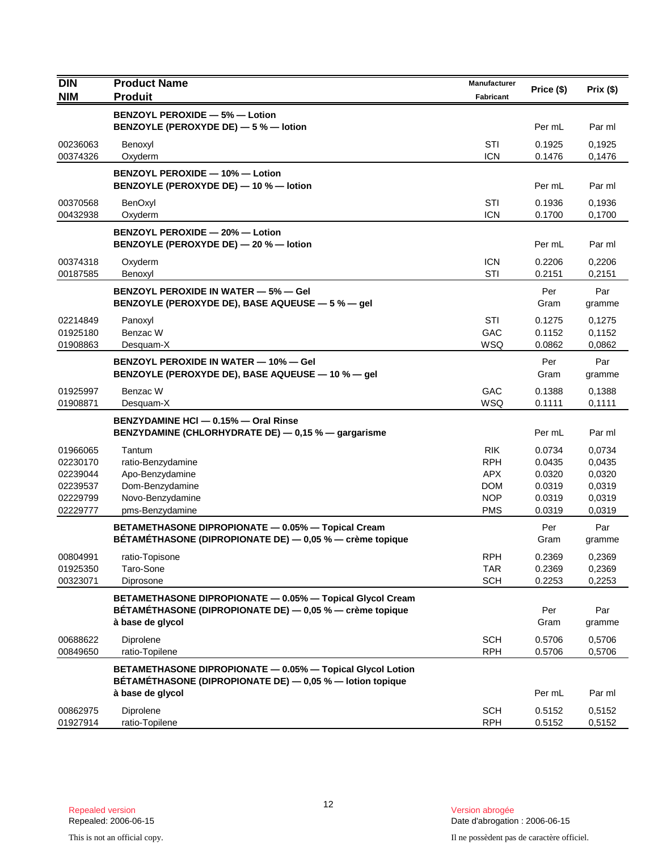| <b>DIN</b>           | <b>Product Name</b>                                                                                                   | Manufacturer             | Price (\$)       | Prix $($ \$)     |
|----------------------|-----------------------------------------------------------------------------------------------------------------------|--------------------------|------------------|------------------|
| <b>NIM</b>           | <b>Produit</b>                                                                                                        | <b>Fabricant</b>         |                  |                  |
|                      | <b>BENZOYL PEROXIDE - 5% - Lotion</b>                                                                                 |                          |                  |                  |
|                      | BENZOYLE (PEROXYDE DE) - 5 % - lotion                                                                                 |                          | Per mL           | Par ml           |
| 00236063             | Benoxyl                                                                                                               | STI                      | 0.1925           | 0,1925           |
| 00374326             | Oxyderm                                                                                                               | <b>ICN</b>               | 0.1476           | 0,1476           |
|                      | BENZOYL PEROXIDE - 10% - Lotion<br>BENZOYLE (PEROXYDE DE) - 10 % - lotion                                             |                          | Per mL           | Par ml           |
| 00370568             | BenOxyl                                                                                                               | <b>STI</b>               | 0.1936           | 0,1936           |
| 00432938             | Oxyderm                                                                                                               | <b>ICN</b>               | 0.1700           | 0,1700           |
|                      | BENZOYL PEROXIDE - 20% - Lotion<br>BENZOYLE (PEROXYDE DE) - 20 % - lotion                                             |                          | Per mL           | Par ml           |
| 00374318             | Oxyderm                                                                                                               | <b>ICN</b>               | 0.2206           | 0,2206           |
| 00187585             | Benoxyl                                                                                                               | STI                      | 0.2151           | 0,2151           |
|                      | <b>BENZOYL PEROXIDE IN WATER - 5% - Gel</b><br>BENZOYLE (PEROXYDE DE), BASE AQUEUSE - 5 % - gel                       |                          | Per<br>Gram      | Par<br>gramme    |
| 02214849             | Panoxyl                                                                                                               | <b>STI</b>               | 0.1275           | 0,1275           |
| 01925180             | Benzac W                                                                                                              | GAC                      | 0.1152           | 0,1152           |
| 01908863             | Desquam-X                                                                                                             | WSQ                      | 0.0862           | 0,0862           |
|                      | <b>BENZOYL PEROXIDE IN WATER - 10% - Gel</b><br>BENZOYLE (PEROXYDE DE), BASE AQUEUSE - 10 % - gel                     |                          | Per<br>Gram      | Par<br>gramme    |
| 01925997<br>01908871 | Benzac W<br>Desquam-X                                                                                                 | GAC<br>WSQ               | 0.1388<br>0.1111 | 0,1388<br>0,1111 |
|                      | BENZYDAMINE HCI - 0.15% - Oral Rinse                                                                                  |                          |                  |                  |
|                      | BENZYDAMINE (CHLORHYDRATE DE) - 0,15 % - gargarisme                                                                   |                          | Per mL           | Par ml           |
| 01966065             | Tantum                                                                                                                | <b>RIK</b>               | 0.0734           | 0,0734           |
| 02230170             | ratio-Benzydamine                                                                                                     | <b>RPH</b>               | 0.0435           | 0,0435           |
| 02239044             | Apo-Benzydamine                                                                                                       | <b>APX</b>               | 0.0320           | 0,0320           |
| 02239537             | Dom-Benzydamine                                                                                                       | <b>DOM</b>               | 0.0319           | 0,0319           |
| 02229799<br>02229777 | Novo-Benzydamine<br>pms-Benzydamine                                                                                   | <b>NOP</b><br><b>PMS</b> | 0.0319<br>0.0319 | 0,0319<br>0,0319 |
|                      |                                                                                                                       |                          |                  |                  |
|                      | BETAMETHASONE DIPROPIONATE - 0.05% - Topical Cream<br>BÉTAMÉTHASONE (DIPROPIONATE DE) - 0,05 % - crème topique        |                          | Per<br>Gram      | Par<br>gramme    |
| 00804991             | ratio-Topisone                                                                                                        | <b>RPH</b>               | 0.2369           | 0,2369           |
| 01925350<br>00323071 | Taro-Sone<br>Diprosone                                                                                                | <b>TAR</b><br><b>SCH</b> | 0.2369<br>0.2253 | 0,2369<br>0,2253 |
|                      |                                                                                                                       |                          |                  |                  |
|                      | BETAMETHASONE DIPROPIONATE - 0.05% - Topical Glycol Cream<br>BÉTAMÉTHASONE (DIPROPIONATE DE) — 0,05 % — crème topique |                          | Per              | Par              |
|                      | à base de glycol                                                                                                      |                          | Gram             | gramme           |
| 00688622             | Diprolene                                                                                                             | <b>SCH</b>               | 0.5706           | 0,5706           |
| 00849650             | ratio-Topilene                                                                                                        | <b>RPH</b>               | 0.5706           | 0,5706           |
|                      | BETAMETHASONE DIPROPIONATE - 0.05% - Topical Glycol Lotion                                                            |                          |                  |                  |
|                      | BÉTAMÉTHASONE (DIPROPIONATE DE) - 0,05 % - lotion topique                                                             |                          |                  |                  |
|                      | à base de glycol                                                                                                      |                          | Per mL           | Par ml           |
| 00862975             | Diprolene                                                                                                             | <b>SCH</b>               | 0.5152           | 0,5152           |
| 01927914             | ratio-Topilene                                                                                                        | <b>RPH</b>               | 0.5152           | 0,5152           |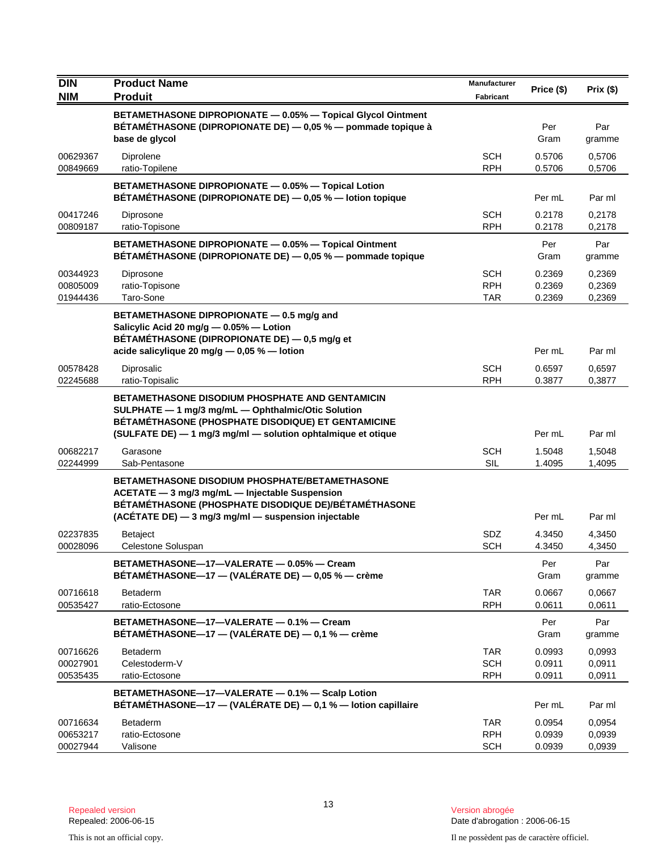| <b>DIN</b>           | <b>Product Name</b>                                                                                                          | Manufacturer             | Price (\$)       | Prix $($ \$)     |
|----------------------|------------------------------------------------------------------------------------------------------------------------------|--------------------------|------------------|------------------|
| <b>NIM</b>           | <b>Produit</b>                                                                                                               | <b>Fabricant</b>         |                  |                  |
|                      | BETAMETHASONE DIPROPIONATE - 0.05% - Topical Glycol Ointment<br>BETAMETHASONE (DIPROPIONATE DE) - 0,05 % - pommade topique à |                          | Per              | Par              |
|                      | base de glycol                                                                                                               |                          | Gram             | gramme           |
| 00629367<br>00849669 | Diprolene<br>ratio-Topilene                                                                                                  | <b>SCH</b><br><b>RPH</b> | 0.5706<br>0.5706 | 0,5706           |
|                      |                                                                                                                              |                          |                  | 0,5706           |
|                      | BETAMETHASONE DIPROPIONATE - 0.05% - Topical Lotion<br>BÉTAMÉTHASONE (DIPROPIONATE DE) - 0,05 % - lotion topique             |                          | Per mL           | Par ml           |
| 00417246<br>00809187 | Diprosone<br>ratio-Topisone                                                                                                  | SCH<br><b>RPH</b>        | 0.2178<br>0.2178 | 0,2178<br>0,2178 |
|                      | BETAMETHASONE DIPROPIONATE - 0.05% - Topical Ointment<br>BÉTAMÉTHASONE (DIPROPIONATE DE) — 0,05 % — pommade topique          |                          | Per<br>Gram      | Par<br>gramme    |
| 00344923             | Diprosone                                                                                                                    | <b>SCH</b>               | 0.2369           | 0,2369           |
| 00805009<br>01944436 | ratio-Topisone<br>Taro-Sone                                                                                                  | <b>RPH</b><br><b>TAR</b> | 0.2369<br>0.2369 | 0,2369<br>0,2369 |
|                      |                                                                                                                              |                          |                  |                  |
|                      | BETAMETHASONE DIPROPIONATE - 0.5 mg/g and<br>Salicylic Acid 20 mg/g - 0.05% - Lotion                                         |                          |                  |                  |
|                      | BÉTAMÉTHASONE (DIPROPIONATE DE) — 0,5 mg/g et                                                                                |                          |                  |                  |
|                      | acide salicylique 20 mg/g $-$ 0,05 % $-$ lotion                                                                              |                          | Per mL           | Par ml           |
| 00578428<br>02245688 | Diprosalic<br>ratio-Topisalic                                                                                                | SCH<br><b>RPH</b>        | 0.6597<br>0.3877 | 0,6597<br>0,3877 |
|                      | <b>BETAMETHASONE DISODIUM PHOSPHATE AND GENTAMICIN</b>                                                                       |                          |                  |                  |
|                      | SULPHATE - 1 mg/3 mg/mL - Ophthalmic/Otic Solution                                                                           |                          |                  |                  |
|                      | BÉTAMÉTHASONE (PHOSPHATE DISODIQUE) ET GENTAMICINE<br>(SULFATE DE) - 1 mg/3 mg/ml - solution ophtalmique et otique           |                          | Per mL           | Par ml           |
| 00682217             | Garasone                                                                                                                     | <b>SCH</b>               | 1.5048           | 1,5048           |
| 02244999             | Sab-Pentasone                                                                                                                | <b>SIL</b>               | 1.4095           | 1,4095           |
|                      | <b>BETAMETHASONE DISODIUM PHOSPHATE/BETAMETHASONE</b>                                                                        |                          |                  |                  |
|                      | ACETATE - 3 mg/3 mg/mL - Injectable Suspension                                                                               |                          |                  |                  |
|                      | BÉTAMÉTHASONE (PHOSPHATE DISODIQUE DE)/BÉTAMÉTHASONE<br>(ACÉTATE DE) - 3 mg/3 mg/ml - suspension injectable                  |                          | Per mL           | Par ml           |
| 02237835             | <b>Betaject</b>                                                                                                              | <b>SDZ</b>               | 4.3450           | 4,3450           |
| 00028096             | Celestone Soluspan                                                                                                           | <b>SCH</b>               | 4.3450           | 4,3450           |
|                      | BETAMETHASONE-17-VALERATE - 0.05% - Cream                                                                                    |                          | Per              | Par              |
|                      | BÉTAMÉTHASONE-17 - (VALÉRATE DE) - 0,05 % - crème                                                                            |                          | Gram             | gramme           |
| 00716618             | <b>Betaderm</b>                                                                                                              | <b>TAR</b>               | 0.0667           | 0,0667           |
| 00535427             | ratio-Ectosone                                                                                                               | <b>RPH</b>               | 0.0611           | 0.0611           |
|                      | BETAMETHASONE-17-VALERATE - 0.1% - Cream<br>BÉTAMÉTHASONE-17 - (VALÉRATE DE) - 0,1 % - crème                                 |                          | Per<br>Gram      | Par<br>gramme    |
| 00716626             | <b>Betaderm</b>                                                                                                              | <b>TAR</b>               | 0.0993           | 0,0993           |
| 00027901<br>00535435 | Celestoderm-V<br>ratio-Ectosone                                                                                              | <b>SCH</b><br><b>RPH</b> | 0.0911<br>0.0911 | 0,0911<br>0,0911 |
|                      | BETAMETHASONE-17-VALERATE - 0.1% - Scalp Lotion                                                                              |                          |                  |                  |
|                      | BÉTAMÉTHASONE-17 - (VALÉRATE DE) - 0,1 % - lotion capillaire                                                                 |                          | Per mL           | Par ml           |
| 00716634             | <b>Betaderm</b>                                                                                                              | TAR                      | 0.0954           | 0,0954           |
| 00653217<br>00027944 | ratio-Ectosone<br>Valisone                                                                                                   | <b>RPH</b><br><b>SCH</b> | 0.0939<br>0.0939 | 0,0939<br>0,0939 |
|                      |                                                                                                                              |                          |                  |                  |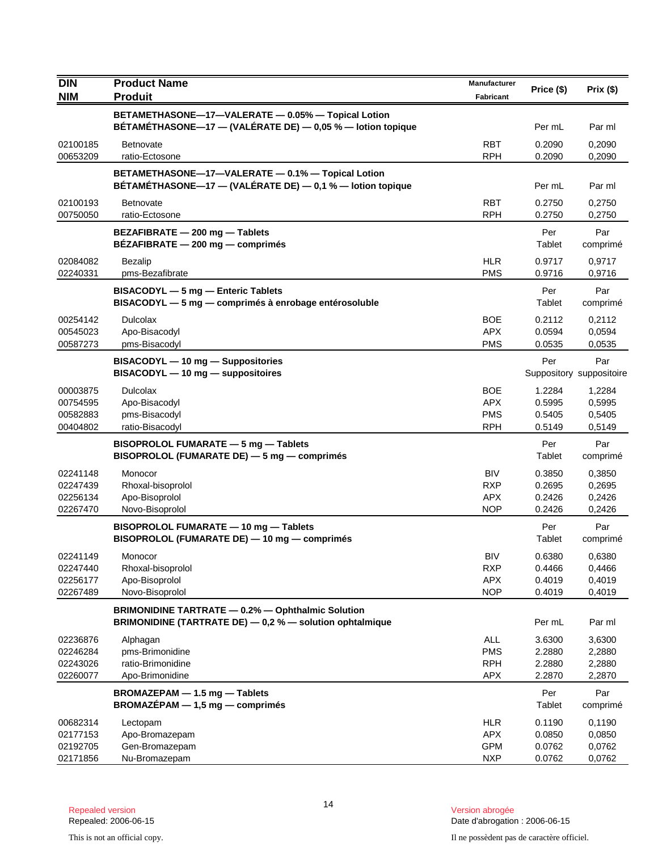| <b>DIN</b>                                   | <b>Product Name</b>                                                                                                  | Manufacturer                                         | Price (\$)                           | Prix(\$)                             |
|----------------------------------------------|----------------------------------------------------------------------------------------------------------------------|------------------------------------------------------|--------------------------------------|--------------------------------------|
| <b>NIM</b>                                   | <b>Produit</b>                                                                                                       | <b>Fabricant</b>                                     |                                      |                                      |
|                                              | BETAMETHASONE-17-VALERATE - 0.05% - Topical Lotion<br>BÉTAMÉTHASONE-17 - (VALÉRATE DE) - 0,05 % - lotion topique     |                                                      | Per mL                               | Par ml                               |
| 02100185<br>00653209                         | Betnovate<br>ratio-Ectosone                                                                                          | <b>RBT</b><br><b>RPH</b>                             | 0.2090<br>0.2090                     | 0,2090<br>0,2090                     |
|                                              | BETAMETHASONE-17-VALERATE - 0.1% - Topical Lotion<br>BÉTAMÉTHASONE-17 - (VALÉRATE DE) - 0,1 % - lotion topique       |                                                      | Per mL                               | Par ml                               |
| 02100193<br>00750050                         | <b>Betnovate</b><br>ratio-Ectosone                                                                                   | <b>RBT</b><br><b>RPH</b>                             | 0.2750<br>0.2750                     | 0,2750<br>0,2750                     |
|                                              | BEZAFIBRATE - 200 mg - Tablets<br>BEZAFIBRATE - 200 mg - comprimés                                                   |                                                      | Per<br>Tablet                        | Par<br>comprimé                      |
| 02084082<br>02240331                         | Bezalip<br>pms-Bezafibrate                                                                                           | <b>HLR</b><br><b>PMS</b>                             | 0.9717<br>0.9716                     | 0,9717<br>0,9716                     |
|                                              | BISACODYL - 5 mg - Enteric Tablets<br>BISACODYL - 5 mg - comprimés à enrobage entérosoluble                          |                                                      | Per<br>Tablet                        | Par<br>comprimé                      |
| 00254142<br>00545023<br>00587273             | <b>Dulcolax</b><br>Apo-Bisacodyl<br>pms-Bisacodyl                                                                    | <b>BOE</b><br><b>APX</b><br><b>PMS</b>               | 0.2112<br>0.0594<br>0.0535           | 0,2112<br>0,0594<br>0,0535           |
|                                              | BISACODYL - 10 mg - Suppositories<br>BISACODYL - 10 mg - suppositoires                                               |                                                      | Per                                  | Par<br>Suppository suppositoire      |
| 00003875<br>00754595<br>00582883<br>00404802 | <b>Dulcolax</b><br>Apo-Bisacodyl<br>pms-Bisacodyl<br>ratio-Bisacodyl                                                 | <b>BOE</b><br><b>APX</b><br><b>PMS</b><br><b>RPH</b> | 1.2284<br>0.5995<br>0.5405<br>0.5149 | 1,2284<br>0,5995<br>0,5405<br>0,5149 |
|                                              | <b>BISOPROLOL FUMARATE - 5 mg - Tablets</b><br>BISOPROLOL (FUMARATE DE) - 5 mg - comprimés                           |                                                      | Per<br>Tablet                        | Par<br>comprimé                      |
| 02241148<br>02247439<br>02256134<br>02267470 | Monocor<br>Rhoxal-bisoprolol<br>Apo-Bisoprolol<br>Novo-Bisoprolol                                                    | <b>BIV</b><br><b>RXP</b><br><b>APX</b><br><b>NOP</b> | 0.3850<br>0.2695<br>0.2426<br>0.2426 | 0,3850<br>0,2695<br>0,2426<br>0,2426 |
|                                              | BISOPROLOL FUMARATE - 10 mg - Tablets<br>BISOPROLOL (FUMARATE DE) - 10 mg - comprimés                                |                                                      | Per<br>Tablet                        | Par<br>comprimé                      |
| 02241149<br>02247440<br>02256177<br>02267489 | Monocor<br>Rhoxal-bisoprolol<br>Apo-Bisoprolol<br>Novo-Bisoprolol                                                    | <b>BIV</b><br><b>RXP</b><br><b>APX</b><br><b>NOP</b> | 0.6380<br>0.4466<br>0.4019<br>0.4019 | 0,6380<br>0,4466<br>0,4019<br>0,4019 |
|                                              | <b>BRIMONIDINE TARTRATE - 0.2% - Ophthalmic Solution</b><br>BRIMONIDINE (TARTRATE DE) - 0,2 % - solution ophtalmique |                                                      | Per mL                               | Par ml                               |
| 02236876<br>02246284<br>02243026<br>02260077 | Alphagan<br>pms-Brimonidine<br>ratio-Brimonidine<br>Apo-Brimonidine                                                  | ALL<br><b>PMS</b><br><b>RPH</b><br><b>APX</b>        | 3.6300<br>2.2880<br>2.2880<br>2.2870 | 3,6300<br>2,2880<br>2,2880<br>2,2870 |
|                                              | BROMAZEPAM - 1.5 mg - Tablets<br>$BROMAZÉPAM - 1,5 mg - comprimés$                                                   |                                                      | Per<br>Tablet                        | Par<br>comprimé                      |
| 00682314<br>02177153<br>02192705<br>02171856 | Lectopam<br>Apo-Bromazepam<br>Gen-Bromazepam<br>Nu-Bromazepam                                                        | <b>HLR</b><br><b>APX</b><br><b>GPM</b><br><b>NXP</b> | 0.1190<br>0.0850<br>0.0762<br>0.0762 | 0,1190<br>0,0850<br>0,0762<br>0,0762 |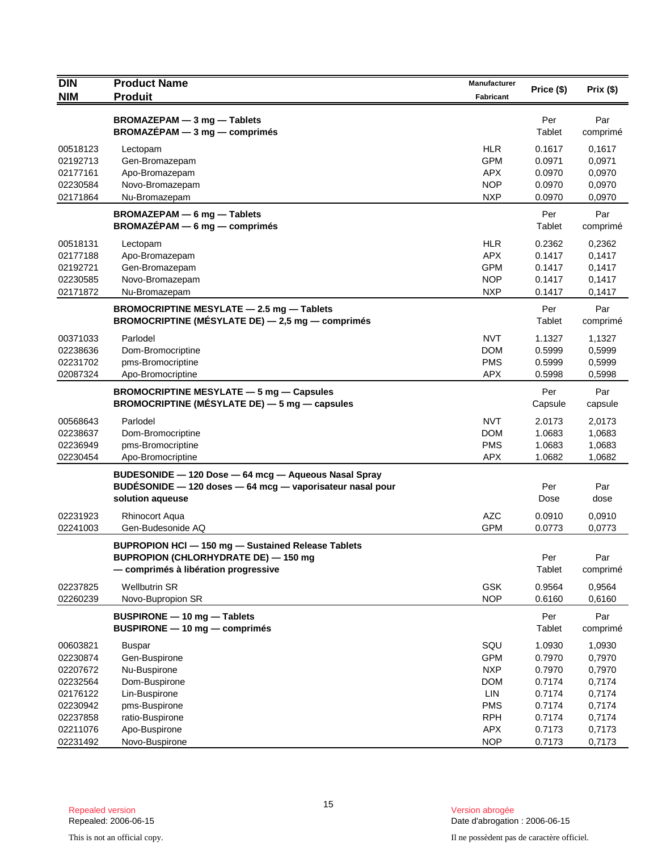| <b>DIN</b>                                                           | <b>Product Name</b>                                                                                                                       | Manufacturer<br>Fabricant                                          | Price (\$)                                               | Prix(\$)                                                 |
|----------------------------------------------------------------------|-------------------------------------------------------------------------------------------------------------------------------------------|--------------------------------------------------------------------|----------------------------------------------------------|----------------------------------------------------------|
| <b>NIM</b>                                                           | <b>Produit</b>                                                                                                                            |                                                                    |                                                          |                                                          |
|                                                                      | BROMAZEPAM - 3 mg - Tablets<br>$BROMAZÉPAM - 3 mg - comprimés$                                                                            |                                                                    | Per<br>Tablet                                            | Par<br>comprimé                                          |
| 00518123<br>02192713<br>02177161<br>02230584<br>02171864             | Lectopam<br>Gen-Bromazepam<br>Apo-Bromazepam<br>Novo-Bromazepam<br>Nu-Bromazepam                                                          | <b>HLR</b><br><b>GPM</b><br><b>APX</b><br><b>NOP</b><br><b>NXP</b> | 0.1617<br>0.0971<br>0.0970<br>0.0970<br>0.0970           | 0,1617<br>0,0971<br>0,0970<br>0,0970<br>0,0970           |
|                                                                      | BROMAZEPAM - 6 mg - Tablets<br>$BROMAZÉPAM - 6 mg - comprimés$                                                                            |                                                                    | Per<br>Tablet                                            | Par<br>comprimé                                          |
| 00518131<br>02177188<br>02192721<br>02230585<br>02171872             | Lectopam<br>Apo-Bromazepam<br>Gen-Bromazepam<br>Novo-Bromazepam<br>Nu-Bromazepam                                                          | <b>HLR</b><br><b>APX</b><br><b>GPM</b><br><b>NOP</b><br><b>NXP</b> | 0.2362<br>0.1417<br>0.1417<br>0.1417<br>0.1417           | 0,2362<br>0,1417<br>0,1417<br>0,1417<br>0,1417           |
|                                                                      | BROMOCRIPTINE MESYLATE - 2.5 mg - Tablets<br>BROMOCRIPTINE (MÉSYLATE DE) - 2,5 mg - comprimés                                             |                                                                    | Per<br>Tablet                                            | Par<br>comprimé                                          |
| 00371033<br>02238636<br>02231702<br>02087324                         | Parlodel<br>Dom-Bromocriptine<br>pms-Bromocriptine<br>Apo-Bromocriptine                                                                   | <b>NVT</b><br><b>DOM</b><br><b>PMS</b><br><b>APX</b>               | 1.1327<br>0.5999<br>0.5999<br>0.5998                     | 1,1327<br>0,5999<br>0,5999<br>0,5998                     |
|                                                                      | <b>BROMOCRIPTINE MESYLATE - 5 mg - Capsules</b><br>BROMOCRIPTINE (MÉSYLATE DE) - 5 mg - capsules                                          |                                                                    | Per<br>Capsule                                           | Par<br>capsule                                           |
| 00568643<br>02238637<br>02236949<br>02230454                         | Parlodel<br>Dom-Bromocriptine<br>pms-Bromocriptine<br>Apo-Bromocriptine                                                                   | <b>NVT</b><br><b>DOM</b><br><b>PMS</b><br><b>APX</b>               | 2.0173<br>1.0683<br>1.0683<br>1.0682                     | 2,0173<br>1,0683<br>1,0683<br>1,0682                     |
|                                                                      | BUDESONIDE - 120 Dose - 64 mcg - Aqueous Nasal Spray<br>BUDESONIDE - 120 doses - 64 mcg - vaporisateur nasal pour<br>solution aqueuse     |                                                                    | Per<br>Dose                                              | Par<br>dose                                              |
| 02231923<br>02241003                                                 | <b>Rhinocort Aqua</b><br>Gen-Budesonide AQ                                                                                                | <b>AZC</b><br><b>GPM</b>                                           | 0.0910<br>0.0773                                         | 0,0910<br>0,0773                                         |
|                                                                      | BUPROPION HCI - 150 mg - Sustained Release Tablets<br><b>BUPROPION (CHLORHYDRATE DE) - 150 mg</b><br>- comprimés à libération progressive |                                                                    | Per<br>Tablet                                            | Par<br>comprimé                                          |
| 02237825<br>02260239                                                 | <b>Wellbutrin SR</b><br>Novo-Bupropion SR                                                                                                 | <b>GSK</b><br><b>NOP</b>                                           | 0.9564<br>0.6160                                         | 0,9564<br>0,6160                                         |
|                                                                      | BUSPIRONE - 10 mg - Tablets<br>BUSPIRONE - 10 mg - comprimés                                                                              |                                                                    | Per<br>Tablet                                            | Par<br>comprimé                                          |
| 00603821<br>02230874<br>02207672<br>02232564<br>02176122<br>02230942 | <b>Buspar</b><br>Gen-Buspirone<br>Nu-Buspirone<br>Dom-Buspirone<br>Lin-Buspirone<br>pms-Buspirone                                         | SQU<br><b>GPM</b><br><b>NXP</b><br><b>DOM</b><br>LIN<br><b>PMS</b> | 1.0930<br>0.7970<br>0.7970<br>0.7174<br>0.7174<br>0.7174 | 1,0930<br>0,7970<br>0,7970<br>0,7174<br>0,7174<br>0,7174 |
| 02237858<br>02211076<br>02231492                                     | ratio-Buspirone<br>Apo-Buspirone<br>Novo-Buspirone                                                                                        | <b>RPH</b><br><b>APX</b><br><b>NOP</b>                             | 0.7174<br>0.7173<br>0.7173                               | 0,7174<br>0,7173<br>0,7173                               |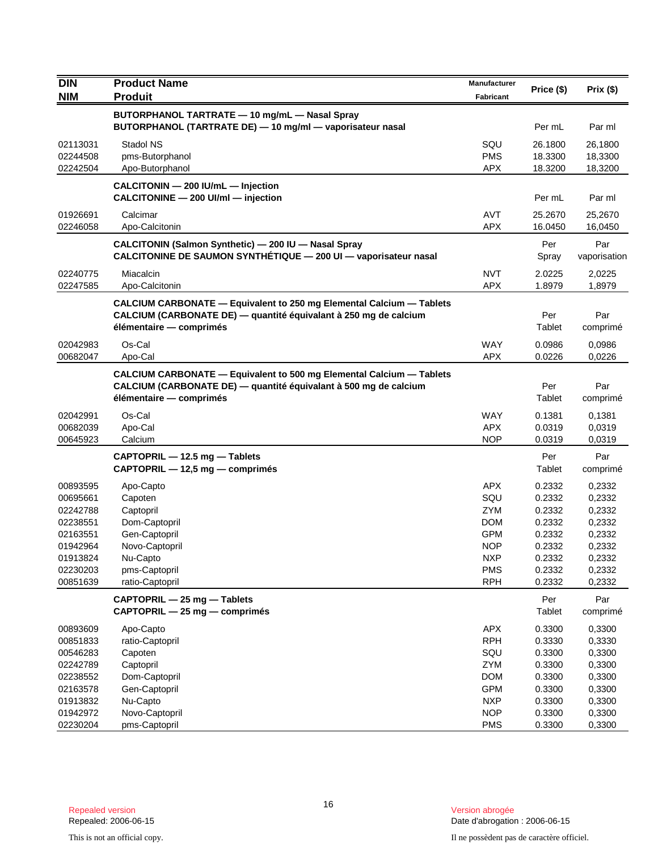| <b>DIN</b>                                                                                               | <b>Product Name</b>                                                                                                                                                        | Manufacturer                                                                                                        | Price (\$)                                                                             | Prix (\$)                                                                              |
|----------------------------------------------------------------------------------------------------------|----------------------------------------------------------------------------------------------------------------------------------------------------------------------------|---------------------------------------------------------------------------------------------------------------------|----------------------------------------------------------------------------------------|----------------------------------------------------------------------------------------|
| <b>NIM</b>                                                                                               | <b>Produit</b>                                                                                                                                                             | Fabricant                                                                                                           |                                                                                        |                                                                                        |
|                                                                                                          | BUTORPHANOL TARTRATE - 10 mg/mL - Nasal Spray<br>BUTORPHANOL (TARTRATE DE) - 10 mg/ml - vaporisateur nasal                                                                 |                                                                                                                     | Per mL                                                                                 | Par ml                                                                                 |
| 02113031<br>02244508<br>02242504                                                                         | Stadol NS<br>pms-Butorphanol<br>Apo-Butorphanol                                                                                                                            | SQU<br><b>PMS</b><br><b>APX</b>                                                                                     | 26.1800<br>18.3300<br>18.3200                                                          | 26,1800<br>18,3300<br>18,3200                                                          |
|                                                                                                          | CALCITONIN - 200 IU/mL - Injection<br>CALCITONINE - 200 UI/ml - injection                                                                                                  |                                                                                                                     | Per mL                                                                                 | Par ml                                                                                 |
| 01926691<br>02246058                                                                                     | Calcimar<br>Apo-Calcitonin                                                                                                                                                 | <b>AVT</b><br><b>APX</b>                                                                                            | 25.2670<br>16.0450                                                                     | 25,2670<br>16,0450                                                                     |
|                                                                                                          | CALCITONIN (Salmon Synthetic) - 200 IU - Nasal Spray<br>CALCITONINE DE SAUMON SYNTHETIQUE - 200 UI - vaporisateur nasal                                                    |                                                                                                                     | Per<br>Spray                                                                           | Par<br>vaporisation                                                                    |
| 02240775<br>02247585                                                                                     | Miacalcin<br>Apo-Calcitonin                                                                                                                                                | <b>NVT</b><br><b>APX</b>                                                                                            | 2.0225<br>1.8979                                                                       | 2,0225<br>1,8979                                                                       |
|                                                                                                          | CALCIUM CARBONATE - Equivalent to 250 mg Elemental Calcium - Tablets<br>CALCIUM (CARBONATE DE) — quantité équivalant à 250 mg de calcium<br>élémentaire — comprimés        |                                                                                                                     | Per<br>Tablet                                                                          | Par<br>comprimé                                                                        |
| 02042983<br>00682047                                                                                     | Os-Cal<br>Apo-Cal                                                                                                                                                          | <b>WAY</b><br><b>APX</b>                                                                                            | 0.0986<br>0.0226                                                                       | 0,0986<br>0,0226                                                                       |
|                                                                                                          | <b>CALCIUM CARBONATE - Equivalent to 500 mg Elemental Calcium - Tablets</b><br>CALCIUM (CARBONATE DE) - quantité équivalant à 500 mg de calcium<br>élémentaire - comprimés |                                                                                                                     | Per<br>Tablet                                                                          | Par<br>comprimé                                                                        |
| 02042991<br>00682039<br>00645923                                                                         | Os-Cal<br>Apo-Cal<br>Calcium                                                                                                                                               | <b>WAY</b><br><b>APX</b><br><b>NOP</b>                                                                              | 0.1381<br>0.0319<br>0.0319                                                             | 0,1381<br>0,0319<br>0,0319                                                             |
|                                                                                                          | CAPTOPRIL - 12.5 mg - Tablets<br>CAPTOPRIL - 12,5 mg - comprimés                                                                                                           |                                                                                                                     | Per<br>Tablet                                                                          | Par<br>comprimé                                                                        |
| 00893595<br>00695661<br>02242788<br>02238551<br>02163551<br>01942964<br>01913824<br>02230203<br>00851639 | Apo-Capto<br>Capoten<br>Captopril<br>Dom-Captopril<br>Gen-Captopril<br>Novo-Captopril<br>Nu-Capto<br>pms-Captopril<br>ratio-Captopril                                      | <b>APX</b><br>SQU<br><b>ZYM</b><br><b>DOM</b><br><b>GPM</b><br><b>NOP</b><br><b>NXP</b><br><b>PMS</b><br><b>RPH</b> | 0.2332<br>0.2332<br>0.2332<br>0.2332<br>0.2332<br>0.2332<br>0.2332<br>0.2332<br>0.2332 | 0,2332<br>0,2332<br>0,2332<br>0,2332<br>0,2332<br>0,2332<br>0,2332<br>0,2332<br>0,2332 |
|                                                                                                          | CAPTOPRIL - 25 mg - Tablets<br>CAPTOPRIL - 25 mg - comprimés                                                                                                               |                                                                                                                     | Per<br>Tablet                                                                          | Par<br>comprimé                                                                        |
| 00893609<br>00851833<br>00546283<br>02242789<br>02238552<br>02163578<br>01913832                         | Apo-Capto<br>ratio-Captopril<br>Capoten<br>Captopril<br>Dom-Captopril<br>Gen-Captopril<br>Nu-Capto                                                                         | <b>APX</b><br><b>RPH</b><br>SQU<br>ZYM<br><b>DOM</b><br><b>GPM</b><br><b>NXP</b>                                    | 0.3300<br>0.3330<br>0.3300<br>0.3300<br>0.3300<br>0.3300<br>0.3300                     | 0,3300<br>0,3330<br>0,3300<br>0,3300<br>0,3300<br>0,3300<br>0,3300                     |
| 01942972<br>02230204                                                                                     | Novo-Captopril<br>pms-Captopril                                                                                                                                            | <b>NOP</b><br><b>PMS</b>                                                                                            | 0.3300<br>0.3300                                                                       | 0,3300<br>0,3300                                                                       |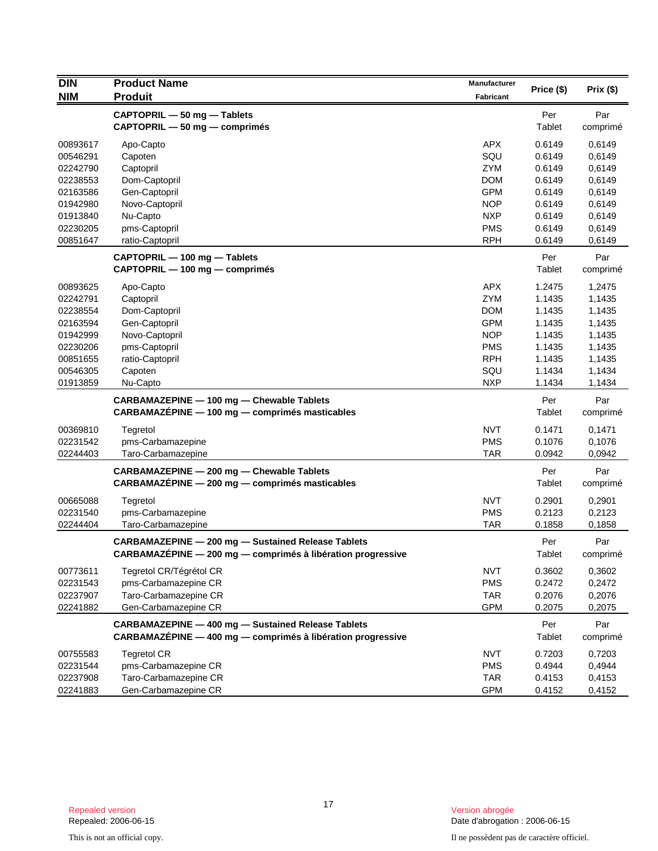| <b>DIN</b> | <b>Product Name</b>                                           | Manufacturer     |            |          |
|------------|---------------------------------------------------------------|------------------|------------|----------|
| <b>NIM</b> | <b>Produit</b>                                                | <b>Fabricant</b> | Price (\$) | Prix(\$) |
|            | CAPTOPRIL - 50 mg - Tablets                                   |                  | Per        | Par      |
|            | CAPTOPRIL - 50 mg - comprimés                                 |                  | Tablet     | comprimé |
| 00893617   | Apo-Capto                                                     | <b>APX</b>       | 0.6149     | 0,6149   |
| 00546291   | Capoten                                                       | SQU              | 0.6149     | 0,6149   |
| 02242790   | Captopril                                                     | <b>ZYM</b>       | 0.6149     | 0,6149   |
| 02238553   | Dom-Captopril                                                 | <b>DOM</b>       | 0.6149     | 0,6149   |
| 02163586   | Gen-Captopril                                                 | <b>GPM</b>       | 0.6149     | 0,6149   |
| 01942980   | Novo-Captopril                                                | <b>NOP</b>       | 0.6149     | 0,6149   |
| 01913840   | Nu-Capto                                                      | <b>NXP</b>       | 0.6149     | 0,6149   |
| 02230205   | pms-Captopril                                                 | <b>PMS</b>       | 0.6149     | 0,6149   |
| 00851647   | ratio-Captopril                                               | <b>RPH</b>       | 0.6149     | 0,6149   |
|            | CAPTOPRIL - 100 mg - Tablets                                  |                  | Per        | Par      |
|            | CAPTOPRIL — 100 mg — comprimés                                |                  | Tablet     | comprimé |
| 00893625   | Apo-Capto                                                     | <b>APX</b>       | 1.2475     | 1,2475   |
| 02242791   | Captopril                                                     | ZYM              | 1.1435     | 1,1435   |
| 02238554   | Dom-Captopril                                                 | <b>DOM</b>       | 1.1435     | 1,1435   |
| 02163594   | Gen-Captopril                                                 | <b>GPM</b>       | 1.1435     | 1,1435   |
| 01942999   | Novo-Captopril                                                | <b>NOP</b>       | 1.1435     | 1,1435   |
| 02230206   | pms-Captopril                                                 | <b>PMS</b>       | 1.1435     | 1,1435   |
| 00851655   | ratio-Captopril                                               | <b>RPH</b>       | 1.1435     | 1,1435   |
| 00546305   | Capoten                                                       | SQU              | 1.1434     | 1,1434   |
| 01913859   | Nu-Capto                                                      | <b>NXP</b>       | 1.1434     | 1,1434   |
|            | CARBAMAZEPINE - 100 mg - Chewable Tablets                     |                  | Per        | Par      |
|            | CARBAMAZÉPINE - 100 mg - comprimés masticables                |                  | Tablet     | comprimé |
| 00369810   | Tegretol                                                      | <b>NVT</b>       | 0.1471     | 0,1471   |
| 02231542   | pms-Carbamazepine                                             | <b>PMS</b>       | 0.1076     | 0,1076   |
| 02244403   | Taro-Carbamazepine                                            | <b>TAR</b>       | 0.0942     | 0,0942   |
|            | CARBAMAZEPINE - 200 mg - Chewable Tablets                     |                  | Per        | Par      |
|            | CARBAMAZÉPINE - 200 mg - comprimés masticables                |                  | Tablet     | comprimé |
| 00665088   | Tegretol                                                      | <b>NVT</b>       | 0.2901     | 0,2901   |
| 02231540   | pms-Carbamazepine                                             | <b>PMS</b>       | 0.2123     | 0,2123   |
| 02244404   | Taro-Carbamazepine                                            | <b>TAR</b>       | 0.1858     | 0,1858   |
|            | <b>CARBAMAZEPINE - 200 mg - Sustained Release Tablets</b>     |                  | Per        | Par      |
|            | $CARBAMAZEPINE - 200 mg - comprimés à libération progressive$ |                  | Tablet     | comprimé |
| 00773611   | Tegretol CR/Tégrétol CR                                       | <b>NVT</b>       | 0.3602     | 0,3602   |
| 02231543   | pms-Carbamazepine CR                                          | <b>PMS</b>       | 0.2472     | 0,2472   |
| 02237907   | Taro-Carbamazepine CR                                         | <b>TAR</b>       | 0.2076     | 0,2076   |
| 02241882   | Gen-Carbamazepine CR                                          | <b>GPM</b>       | 0.2075     | 0,2075   |
|            | <b>CARBAMAZEPINE - 400 mg - Sustained Release Tablets</b>     |                  | Per        | Par      |
|            | CARBAMAZÉPINE - 400 mg - comprimés à libération progressive   |                  | Tablet     | comprimé |
| 00755583   | <b>Tegretol CR</b>                                            | <b>NVT</b>       | 0.7203     | 0,7203   |
| 02231544   | pms-Carbamazepine CR                                          | <b>PMS</b>       | 0.4944     | 0,4944   |
| 02237908   | Taro-Carbamazepine CR                                         | <b>TAR</b>       | 0.4153     | 0,4153   |
| 02241883   | Gen-Carbamazepine CR                                          | <b>GPM</b>       | 0.4152     | 0,4152   |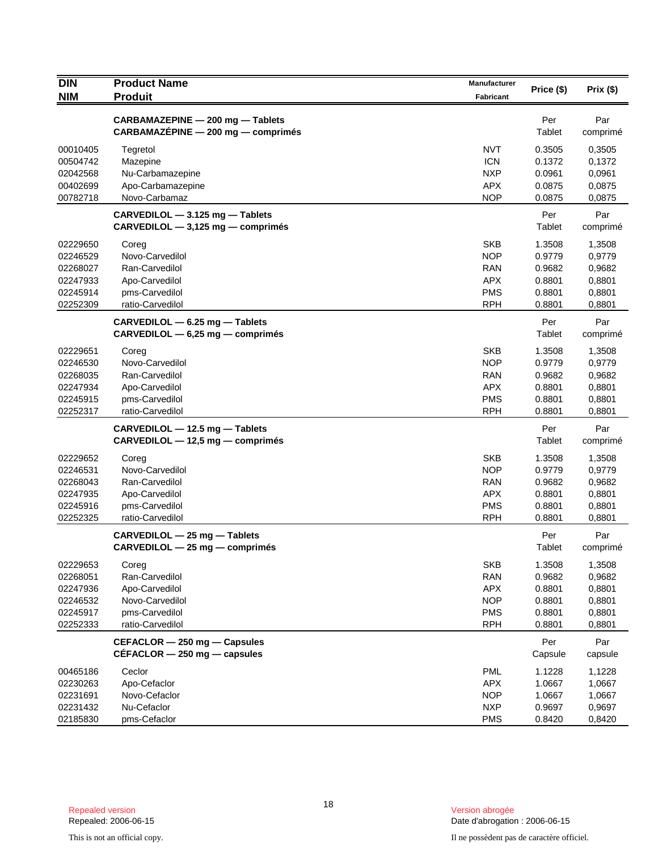| <b>DIN</b>                                                           | <b>Product Name</b>                                                                                | Manufacturer                                                                     | Price (\$)                                               | Prix(\$)                                                 |
|----------------------------------------------------------------------|----------------------------------------------------------------------------------------------------|----------------------------------------------------------------------------------|----------------------------------------------------------|----------------------------------------------------------|
| <b>NIM</b>                                                           | <b>Produit</b>                                                                                     | <b>Fabricant</b>                                                                 |                                                          |                                                          |
|                                                                      | CARBAMAZEPINE - 200 mg - Tablets<br>CARBAMAZÉPINE - 200 mg - comprimés                             |                                                                                  | Per<br>Tablet                                            | Par<br>comprimé                                          |
| 00010405<br>00504742<br>02042568<br>00402699                         | Tegretol<br>Mazepine<br>Nu-Carbamazepine<br>Apo-Carbamazepine                                      | <b>NVT</b><br><b>ICN</b><br><b>NXP</b><br><b>APX</b>                             | 0.3505<br>0.1372<br>0.0961<br>0.0875                     | 0,3505<br>0,1372<br>0,0961<br>0,0875                     |
| 00782718                                                             | Novo-Carbamaz                                                                                      | <b>NOP</b>                                                                       | 0.0875                                                   | 0,0875                                                   |
|                                                                      | CARVEDILOL - 3.125 mg - Tablets<br>$CARVEDILOL - 3,125 mg - comprimés$                             |                                                                                  | Per<br>Tablet                                            | Par<br>comprimé                                          |
| 02229650<br>02246529<br>02268027<br>02247933<br>02245914<br>02252309 | Coreg<br>Novo-Carvedilol<br>Ran-Carvedilol<br>Apo-Carvedilol<br>pms-Carvedilol<br>ratio-Carvedilol | <b>SKB</b><br><b>NOP</b><br>RAN<br><b>APX</b><br><b>PMS</b><br><b>RPH</b>        | 1.3508<br>0.9779<br>0.9682<br>0.8801<br>0.8801<br>0.8801 | 1,3508<br>0,9779<br>0,9682<br>0,8801<br>0,8801<br>0,8801 |
|                                                                      | CARVEDILOL - 6.25 mg - Tablets<br>CARVEDILOL - 6,25 mg - comprimés                                 |                                                                                  | Per<br>Tablet                                            | Par<br>comprimé                                          |
| 02229651<br>02246530<br>02268035<br>02247934<br>02245915<br>02252317 | Coreg<br>Novo-Carvedilol<br>Ran-Carvedilol<br>Apo-Carvedilol<br>pms-Carvedilol<br>ratio-Carvedilol | <b>SKB</b><br><b>NOP</b><br><b>RAN</b><br><b>APX</b><br><b>PMS</b><br><b>RPH</b> | 1.3508<br>0.9779<br>0.9682<br>0.8801<br>0.8801<br>0.8801 | 1,3508<br>0,9779<br>0,9682<br>0,8801<br>0,8801<br>0,8801 |
|                                                                      | CARVEDILOL - 12.5 mg - Tablets<br>CARVEDILOL - 12,5 mg - comprimés                                 |                                                                                  | Per<br>Tablet                                            | Par<br>comprimé                                          |
| 02229652<br>02246531<br>02268043<br>02247935<br>02245916<br>02252325 | Coreg<br>Novo-Carvedilol<br>Ran-Carvedilol<br>Apo-Carvedilol<br>pms-Carvedilol<br>ratio-Carvedilol | <b>SKB</b><br><b>NOP</b><br>RAN<br><b>APX</b><br><b>PMS</b><br><b>RPH</b>        | 1.3508<br>0.9779<br>0.9682<br>0.8801<br>0.8801<br>0.8801 | 1,3508<br>0,9779<br>0,9682<br>0,8801<br>0,8801<br>0,8801 |
|                                                                      | CARVEDILOL - 25 mg - Tablets<br>CARVEDILOL - 25 mg - comprimés                                     |                                                                                  | Per<br>Tablet                                            | Par<br>comprimé                                          |
| 02229653<br>02268051<br>02247936<br>02246532<br>02245917<br>02252333 | Coreg<br>Ran-Carvedilol<br>Apo-Carvedilol<br>Novo-Carvedilol<br>pms-Carvedilol<br>ratio-Carvedilol | <b>SKB</b><br><b>RAN</b><br><b>APX</b><br><b>NOP</b><br><b>PMS</b><br><b>RPH</b> | 1.3508<br>0.9682<br>0.8801<br>0.8801<br>0.8801<br>0.8801 | 1,3508<br>0,9682<br>0,8801<br>0,8801<br>0,8801<br>0,8801 |
|                                                                      | CEFACLOR - 250 mg - Capsules<br>$CEFACLOR - 250$ mg $-$ capsules                                   |                                                                                  | Per<br>Capsule                                           | Par<br>capsule                                           |
| 00465186<br>02230263<br>02231691<br>02231432<br>02185830             | Ceclor<br>Apo-Cefaclor<br>Novo-Cefaclor<br>Nu-Cefaclor<br>pms-Cefaclor                             | <b>PML</b><br><b>APX</b><br><b>NOP</b><br><b>NXP</b><br><b>PMS</b>               | 1.1228<br>1.0667<br>1.0667<br>0.9697<br>0.8420           | 1,1228<br>1,0667<br>1,0667<br>0,9697<br>0,8420           |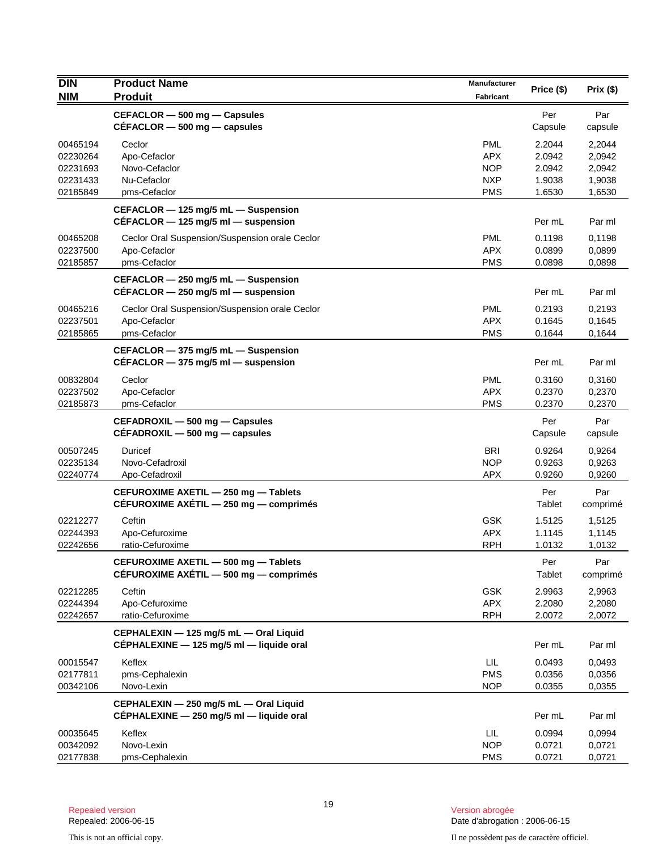| <b>DIN</b> | <b>Product Name</b>                                                                | Manufacturer |                |                 |
|------------|------------------------------------------------------------------------------------|--------------|----------------|-----------------|
| <b>NIM</b> | <b>Produit</b>                                                                     | Fabricant    | Price (\$)     | Prix(\$)        |
|            | CEFACLOR - 500 mg - Capsules                                                       |              | Per            | Par             |
|            | $CEFACLOR - 500$ mg $-$ capsules                                                   |              | Capsule        | capsule         |
| 00465194   | Ceclor                                                                             | <b>PML</b>   | 2.2044         | 2,2044          |
| 02230264   | Apo-Cefaclor                                                                       | <b>APX</b>   | 2.0942         | 2,0942          |
| 02231693   | Novo-Cefaclor                                                                      | <b>NOP</b>   | 2.0942         | 2,0942          |
| 02231433   | Nu-Cefaclor                                                                        | <b>NXP</b>   | 1.9038         | 1,9038          |
| 02185849   | pms-Cefaclor                                                                       | <b>PMS</b>   | 1.6530         | 1,6530          |
|            | CEFACLOR - 125 mg/5 mL - Suspension<br>$CÉFACLOR - 125$ mg/5 ml - suspension       |              | Per mL         | Par ml          |
| 00465208   | Ceclor Oral Suspension/Suspension orale Ceclor                                     | <b>PML</b>   | 0.1198         | 0,1198          |
| 02237500   | Apo-Cefaclor                                                                       | <b>APX</b>   | 0.0899         | 0,0899          |
| 02185857   | pms-Cefaclor                                                                       | <b>PMS</b>   | 0.0898         | 0,0898          |
|            | CEFACLOR - 250 mg/5 mL - Suspension                                                |              |                |                 |
|            | $CEFACLOR - 250$ mg/5 ml - suspension                                              |              | Per mL         | Par ml          |
| 00465216   |                                                                                    | <b>PML</b>   | 0.2193         | 0,2193          |
| 02237501   | Ceclor Oral Suspension/Suspension orale Ceclor<br>Apo-Cefaclor                     | APX.         | 0.1645         | 0,1645          |
| 02185865   | pms-Cefaclor                                                                       | <b>PMS</b>   | 0.1644         | 0,1644          |
|            |                                                                                    |              |                |                 |
|            | CEFACLOR - 375 mg/5 mL - Suspension<br>CÉFACLOR $-$ 375 mg/5 ml $-$ suspension     |              | Per mL         | Par ml          |
| 00832804   | Ceclor                                                                             | <b>PML</b>   | 0.3160         | 0,3160          |
| 02237502   | Apo-Cefaclor                                                                       | <b>APX</b>   | 0.2370         | 0,2370          |
| 02185873   | pms-Cefaclor                                                                       | <b>PMS</b>   | 0.2370         | 0,2370          |
|            | CEFADROXIL - 500 mg - Capsules<br>$CEFADROXIL - 500 mg - capsules$                 |              | Per<br>Capsule | Par<br>capsule  |
| 00507245   | Duricef                                                                            | <b>BRI</b>   | 0.9264         | 0,9264          |
| 02235134   | Novo-Cefadroxil                                                                    | <b>NOP</b>   | 0.9263         | 0,9263          |
| 02240774   | Apo-Cefadroxil                                                                     | <b>APX</b>   | 0.9260         | 0,9260          |
|            | CEFUROXIME AXETIL - 250 mg - Tablets<br>CÉFUROXIME AXÉTIL - 250 mg - comprimés     |              | Per<br>Tablet  | Par<br>comprimé |
| 02212277   | Ceftin                                                                             | <b>GSK</b>   | 1.5125         | 1,5125          |
| 02244393   | Apo-Cefuroxime                                                                     | <b>APX</b>   | 1.1145         | 1,1145          |
| 02242656   | ratio-Cefuroxime                                                                   | <b>RPH</b>   | 1.0132         | 1,0132          |
|            | CEFUROXIME AXETIL - 500 mg - Tablets<br>CÉFUROXIME AXÉTIL - 500 mg - comprimés     |              | Per<br>Tablet  | Par<br>comprimé |
| 02212285   | Ceftin                                                                             | <b>GSK</b>   | 2.9963         | 2,9963          |
| 02244394   | Apo-Cefuroxime                                                                     | <b>APX</b>   | 2.2080         | 2,2080          |
| 02242657   | ratio-Cefuroxime                                                                   | <b>RPH</b>   | 2.0072         | 2,0072          |
|            | CEPHALEXIN - 125 mg/5 mL - Oral Liquid<br>CEPHALEXINE - 125 mg/5 ml - liquide oral |              | Per mL         | Par ml          |
| 00015547   | Keflex                                                                             | LIL          | 0.0493         | 0,0493          |
| 02177811   | pms-Cephalexin                                                                     | <b>PMS</b>   | 0.0356         | 0,0356          |
| 00342106   | Novo-Lexin                                                                         | <b>NOP</b>   | 0.0355         | 0,0355          |
|            | CEPHALEXIN - 250 mg/5 mL - Oral Liquid                                             |              |                |                 |
|            | CÉPHALEXINE - 250 mg/5 ml - liquide oral                                           |              | Per mL         | Par ml          |
| 00035645   | Keflex                                                                             | LIL          | 0.0994         | 0,0994          |
| 00342092   | Novo-Lexin                                                                         | <b>NOP</b>   | 0.0721         | 0,0721          |
| 02177838   | pms-Cephalexin                                                                     | <b>PMS</b>   | 0.0721         | 0,0721          |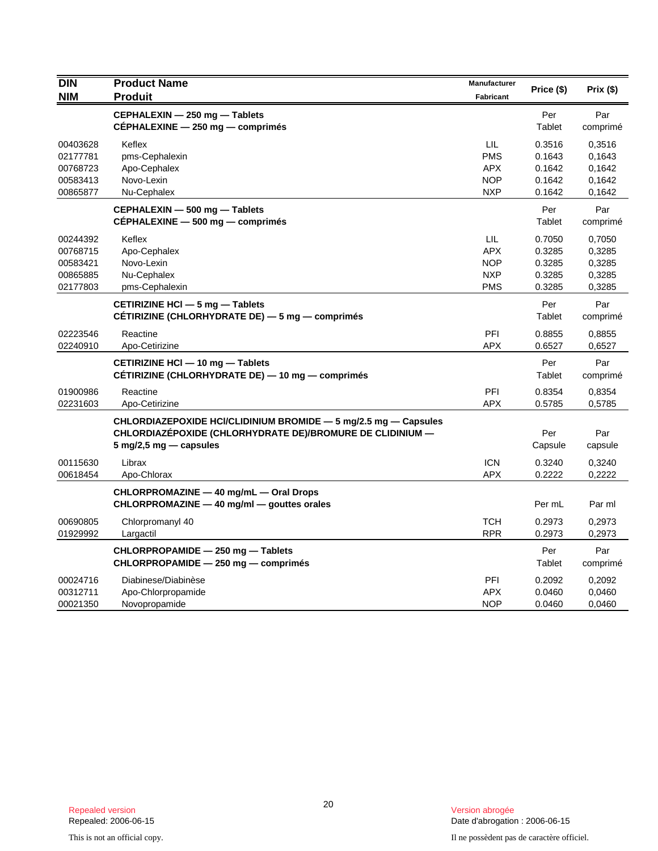| <b>DIN</b>                                               | <b>Product Name</b>                                                                                                                                                       | Manufacturer                                                | Price (\$)                                     | Prix(\$)                                       |
|----------------------------------------------------------|---------------------------------------------------------------------------------------------------------------------------------------------------------------------------|-------------------------------------------------------------|------------------------------------------------|------------------------------------------------|
| <b>NIM</b>                                               | <b>Produit</b>                                                                                                                                                            | <b>Fabricant</b>                                            |                                                |                                                |
|                                                          | CEPHALEXIN - 250 mg - Tablets<br>CÉPHALEXINE - 250 mg - comprimés                                                                                                         |                                                             | Per<br>Tablet                                  | Par<br>comprimé                                |
| 00403628<br>02177781<br>00768723<br>00583413<br>00865877 | Keflex<br>pms-Cephalexin<br>Apo-Cephalex<br>Novo-Lexin<br>Nu-Cephalex                                                                                                     | LIL<br><b>PMS</b><br><b>APX</b><br><b>NOP</b><br><b>NXP</b> | 0.3516<br>0.1643<br>0.1642<br>0.1642<br>0.1642 | 0,3516<br>0.1643<br>0,1642<br>0,1642<br>0,1642 |
|                                                          | CEPHALEXIN - 500 mg - Tablets<br>CÉPHALEXINE - 500 mg - comprimés                                                                                                         |                                                             | Per<br>Tablet                                  | Par<br>comprimé                                |
| 00244392<br>00768715<br>00583421<br>00865885<br>02177803 | Keflex<br>Apo-Cephalex<br>Novo-Lexin<br>Nu-Cephalex<br>pms-Cephalexin                                                                                                     | LIL<br><b>APX</b><br><b>NOP</b><br><b>NXP</b><br><b>PMS</b> | 0.7050<br>0.3285<br>0.3285<br>0.3285<br>0.3285 | 0,7050<br>0,3285<br>0,3285<br>0,3285<br>0,3285 |
|                                                          | CETIRIZINE HCI - 5 mg - Tablets<br>CÉTIRIZINE (CHLORHYDRATE DE) - 5 mg - comprimés                                                                                        |                                                             | Per<br>Tablet                                  | Par<br>comprimé                                |
| 02223546<br>02240910                                     | Reactine<br>Apo-Cetirizine                                                                                                                                                | PFI<br><b>APX</b>                                           | 0.8855<br>0.6527                               | 0,8855<br>0,6527                               |
|                                                          | CETIRIZINE HCI - 10 mg - Tablets<br>CÉTIRIZINE (CHLORHYDRATE DE) — 10 mg — comprimés                                                                                      |                                                             | Per<br>Tablet                                  | Par<br>comprimé                                |
| 01900986<br>02231603                                     | Reactine<br>Apo-Cetirizine                                                                                                                                                | PFI<br><b>APX</b>                                           | 0.8354<br>0.5785                               | 0,8354<br>0,5785                               |
|                                                          | CHLORDIAZEPOXIDE HCI/CLIDINIUM BROMIDE - 5 mg/2.5 mg - Capsules<br>CHLORDIAZÉPOXIDE (CHLORHYDRATE DE)/BROMURE DE CLIDINIUM -<br>$5 \text{ mg}/2, 5 \text{ mg}$ - capsules |                                                             | Per<br>Capsule                                 | Par<br>capsule                                 |
| 00115630<br>00618454                                     | Librax<br>Apo-Chlorax                                                                                                                                                     | <b>ICN</b><br><b>APX</b>                                    | 0.3240<br>0.2222                               | 0,3240<br>0,2222                               |
|                                                          | CHLORPROMAZINE - 40 mg/mL - Oral Drops<br>CHLORPROMAZINE - 40 mg/ml - gouttes orales                                                                                      |                                                             | Per mL                                         | Par ml                                         |
| 00690805<br>01929992                                     | Chlorpromanyl 40<br>Largactil                                                                                                                                             | <b>TCH</b><br><b>RPR</b>                                    | 0.2973<br>0.2973                               | 0,2973<br>0,2973                               |
|                                                          | CHLORPROPAMIDE - 250 mg - Tablets<br>CHLORPROPAMIDE - 250 mg - comprimés                                                                                                  |                                                             | Per<br>Tablet                                  | Par<br>comprimé                                |
| 00024716<br>00312711<br>00021350                         | Diabinese/Diabinèse<br>Apo-Chlorpropamide<br>Novopropamide                                                                                                                | PFI<br><b>APX</b><br><b>NOP</b>                             | 0.2092<br>0.0460<br>0.0460                     | 0,2092<br>0,0460<br>0,0460                     |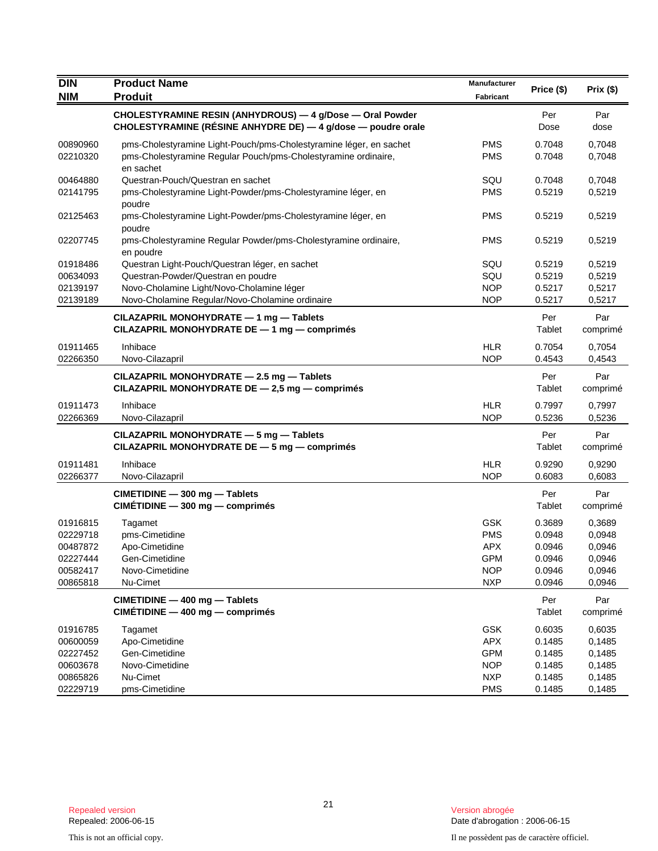| <b>DIN</b>                                                           | <b>Product Name</b>                                                                                                                                                                  | Manufacturer                                                              | Price (\$)                                               | Prix (\$)                                                |
|----------------------------------------------------------------------|--------------------------------------------------------------------------------------------------------------------------------------------------------------------------------------|---------------------------------------------------------------------------|----------------------------------------------------------|----------------------------------------------------------|
| <b>NIM</b>                                                           | <b>Produit</b>                                                                                                                                                                       | <b>Fabricant</b>                                                          |                                                          |                                                          |
|                                                                      | CHOLESTYRAMINE RESIN (ANHYDROUS) - 4 g/Dose - Oral Powder<br>CHOLESTYRAMINE (RÉSINE ANHYDRE DE) — 4 g/dose — poudre orale                                                            |                                                                           | Per<br>Dose                                              | Par<br>dose                                              |
| 00890960<br>02210320                                                 | pms-Cholestyramine Light-Pouch/pms-Cholestyramine léger, en sachet<br>pms-Cholestyramine Regular Pouch/pms-Cholestyramine ordinaire,<br>en sachet                                    | <b>PMS</b><br><b>PMS</b>                                                  | 0.7048<br>0.7048                                         | 0,7048<br>0,7048                                         |
| 00464880<br>02141795                                                 | Questran-Pouch/Questran en sachet<br>pms-Cholestyramine Light-Powder/pms-Cholestyramine léger, en<br>poudre                                                                          | SQU<br><b>PMS</b>                                                         | 0.7048<br>0.5219                                         | 0,7048<br>0,5219                                         |
| 02125463                                                             | pms-Cholestyramine Light-Powder/pms-Cholestyramine léger, en<br>poudre                                                                                                               | PMS                                                                       | 0.5219                                                   | 0,5219                                                   |
| 02207745                                                             | pms-Cholestyramine Regular Powder/pms-Cholestyramine ordinaire,<br>en poudre                                                                                                         | <b>PMS</b>                                                                | 0.5219                                                   | 0,5219                                                   |
| 01918486<br>00634093<br>02139197<br>02139189                         | Questran Light-Pouch/Questran léger, en sachet<br>Questran-Powder/Questran en poudre<br>Novo-Cholamine Light/Novo-Cholamine léger<br>Novo-Cholamine Regular/Novo-Cholamine ordinaire | SQU<br>SQU<br><b>NOP</b><br><b>NOP</b>                                    | 0.5219<br>0.5219<br>0.5217<br>0.5217                     | 0,5219<br>0,5219<br>0,5217<br>0,5217                     |
|                                                                      | CILAZAPRIL MONOHYDRATE - 1 mg - Tablets<br>CILAZAPRIL MONOHYDRATE DE - 1 mg - comprimés                                                                                              |                                                                           | Per<br>Tablet                                            | Par<br>comprimé                                          |
| 01911465<br>02266350                                                 | Inhibace<br>Novo-Cilazapril                                                                                                                                                          | <b>HLR</b><br><b>NOP</b>                                                  | 0.7054<br>0.4543                                         | 0,7054<br>0,4543                                         |
|                                                                      | CILAZAPRIL MONOHYDRATE - 2.5 mg - Tablets<br>CILAZAPRIL MONOHYDRATE DE - 2,5 mg - comprimés                                                                                          |                                                                           | Per<br>Tablet                                            | Par<br>comprimé                                          |
| 01911473<br>02266369                                                 | Inhibace<br>Novo-Cilazapril                                                                                                                                                          | <b>HLR</b><br><b>NOP</b>                                                  | 0.7997<br>0.5236                                         | 0,7997<br>0,5236                                         |
|                                                                      | CILAZAPRIL MONOHYDRATE - 5 mg - Tablets<br>CILAZAPRIL MONOHYDRATE DE - 5 mg - comprimés                                                                                              |                                                                           | Per<br>Tablet                                            | Par<br>comprimé                                          |
| 01911481<br>02266377                                                 | Inhibace<br>Novo-Cilazapril                                                                                                                                                          | <b>HLR</b><br><b>NOP</b>                                                  | 0.9290<br>0.6083                                         | 0,9290<br>0,6083                                         |
|                                                                      | CIMETIDINE - 300 mg - Tablets<br>$CIMÉTIDINE - 300 mg - comprimés$                                                                                                                   |                                                                           | Per<br><b>Tablet</b>                                     | Par<br>comprimé                                          |
| 01916815<br>02229718<br>00487872<br>02227444<br>00582417<br>00865818 | Tagamet<br>pms-Cimetidine<br>Apo-Cimetidine<br>Gen-Cimetidine<br>Novo-Cimetidine<br>Nu-Cimet                                                                                         | <b>GSK</b><br><b>PMS</b><br><b>APX</b><br>GPM<br><b>NOP</b><br><b>NXP</b> | 0.3689<br>0.0948<br>0.0946<br>0.0946<br>0.0946<br>0.0946 | 0,3689<br>0,0948<br>0,0946<br>0,0946<br>0,0946<br>0,0946 |
|                                                                      | CIMETIDINE - 400 mg - Tablets<br>$CIMÉTIDINE - 400 mg - comprimés$                                                                                                                   |                                                                           | Per<br>Tablet                                            | Par<br>comprimé                                          |
| 01916785<br>00600059<br>02227452<br>00603678<br>00865826             | Tagamet<br>Apo-Cimetidine<br>Gen-Cimetidine<br>Novo-Cimetidine<br>Nu-Cimet                                                                                                           | GSK<br><b>APX</b><br><b>GPM</b><br><b>NOP</b><br><b>NXP</b>               | 0.6035<br>0.1485<br>0.1485<br>0.1485<br>0.1485           | 0,6035<br>0,1485<br>0,1485<br>0,1485<br>0,1485           |
| 02229719                                                             | pms-Cimetidine                                                                                                                                                                       | <b>PMS</b>                                                                | 0.1485                                                   | 0,1485                                                   |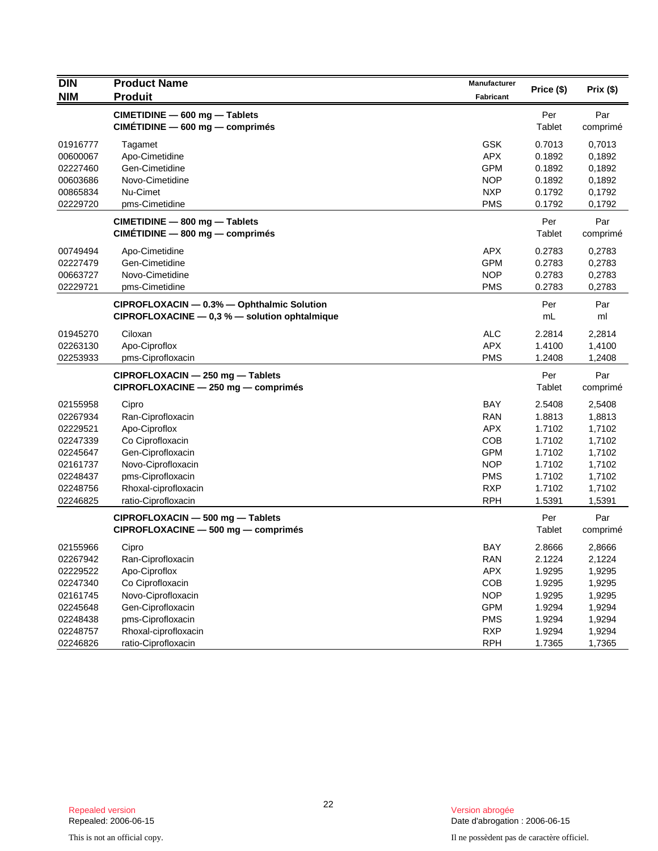| <b>DIN</b>                       | <b>Product Name</b>                                                                         | Manufacturer                           | Price (\$)                 | Prix(\$)                   |
|----------------------------------|---------------------------------------------------------------------------------------------|----------------------------------------|----------------------------|----------------------------|
| <b>NIM</b>                       | <b>Produit</b>                                                                              | Fabricant                              |                            |                            |
|                                  | CIMETIDINE - 600 mg - Tablets<br>CIMETIDINE - 600 mg - comprimés                            |                                        | Per<br>Tablet              | Par<br>comprimé            |
| 01916777<br>00600067             | Tagamet<br>Apo-Cimetidine                                                                   | <b>GSK</b><br><b>APX</b>               | 0.7013<br>0.1892           | 0,7013<br>0,1892           |
| 02227460<br>00603686<br>00865834 | Gen-Cimetidine<br>Novo-Cimetidine<br>Nu-Cimet                                               | <b>GPM</b><br><b>NOP</b><br><b>NXP</b> | 0.1892<br>0.1892<br>0.1792 | 0,1892<br>0,1892<br>0,1792 |
| 02229720                         | pms-Cimetidine                                                                              | <b>PMS</b>                             | 0.1792                     | 0,1792                     |
|                                  | CIMETIDINE - 800 mg - Tablets<br>CIMETIDINE - 800 mg - comprimés                            |                                        | Per<br>Tablet              | Par<br>comprimé            |
| 00749494<br>02227479             | Apo-Cimetidine<br>Gen-Cimetidine                                                            | <b>APX</b><br><b>GPM</b>               | 0.2783<br>0.2783           | 0,2783<br>0,2783           |
| 00663727<br>02229721             | Novo-Cimetidine<br>pms-Cimetidine                                                           | <b>NOP</b><br><b>PMS</b>               | 0.2783<br>0.2783           | 0,2783<br>0,2783           |
|                                  | CIPROFLOXACIN - 0.3% - Ophthalmic Solution<br>CIPROFLOXACINE - 0,3 % - solution ophtalmique |                                        | Per<br>mL                  | Par<br>ml                  |
| 01945270<br>02263130<br>02253933 | Ciloxan<br>Apo-Ciproflox<br>pms-Ciprofloxacin                                               | <b>ALC</b><br><b>APX</b><br><b>PMS</b> | 2.2814<br>1.4100<br>1.2408 | 2,2814<br>1,4100<br>1,2408 |
|                                  | CIPROFLOXACIN - 250 mg - Tablets<br>CIPROFLOXACINE - 250 mg - comprimés                     |                                        | Per<br>Tablet              | Par<br>comprimé            |
| 02155958                         | Cipro                                                                                       | <b>BAY</b>                             | 2.5408                     | 2,5408                     |
| 02267934                         | Ran-Ciprofloxacin                                                                           | <b>RAN</b>                             | 1.8813                     | 1,8813                     |
| 02229521                         | Apo-Ciproflox                                                                               | <b>APX</b>                             | 1.7102                     | 1,7102                     |
| 02247339                         | Co Ciprofloxacin                                                                            | COB                                    | 1.7102                     | 1,7102                     |
| 02245647                         | Gen-Ciprofloxacin                                                                           | <b>GPM</b>                             | 1.7102                     | 1,7102                     |
| 02161737                         | Novo-Ciprofloxacin                                                                          | <b>NOP</b>                             | 1.7102                     | 1,7102                     |
| 02248437<br>02248756             | pms-Ciprofloxacin<br>Rhoxal-ciprofloxacin                                                   | <b>PMS</b><br><b>RXP</b>               | 1.7102<br>1.7102           | 1,7102<br>1,7102           |
| 02246825                         | ratio-Ciprofloxacin                                                                         | <b>RPH</b>                             | 1.5391                     | 1,5391                     |
|                                  | CIPROFLOXACIN - 500 mg - Tablets<br>CIPROFLOXACINE - 500 mg - comprimés                     |                                        | Per<br>Tablet              | Par<br>comprimé            |
| 02155966                         | Cipro                                                                                       | <b>BAY</b>                             | 2.8666                     | 2,8666                     |
| 02267942                         | Ran-Ciprofloxacin                                                                           | <b>RAN</b>                             | 2.1224                     | 2,1224                     |
| 02229522                         | Apo-Ciproflox                                                                               | APX                                    | 1.9295                     | 1,9295                     |
| 02247340                         | Co Ciprofloxacin                                                                            | COB                                    | 1.9295                     | 1,9295                     |
| 02161745                         | Novo-Ciprofloxacin                                                                          | <b>NOP</b>                             | 1.9295                     | 1,9295                     |
| 02245648                         | Gen-Ciprofloxacin                                                                           | <b>GPM</b>                             | 1.9294                     | 1,9294                     |
| 02248438                         | pms-Ciprofloxacin                                                                           | <b>PMS</b>                             | 1.9294                     | 1,9294                     |
| 02248757                         | Rhoxal-ciprofloxacin                                                                        | <b>RXP</b>                             | 1.9294                     | 1,9294                     |
| 02246826                         | ratio-Ciprofloxacin                                                                         | <b>RPH</b>                             | 1.7365                     | 1,7365                     |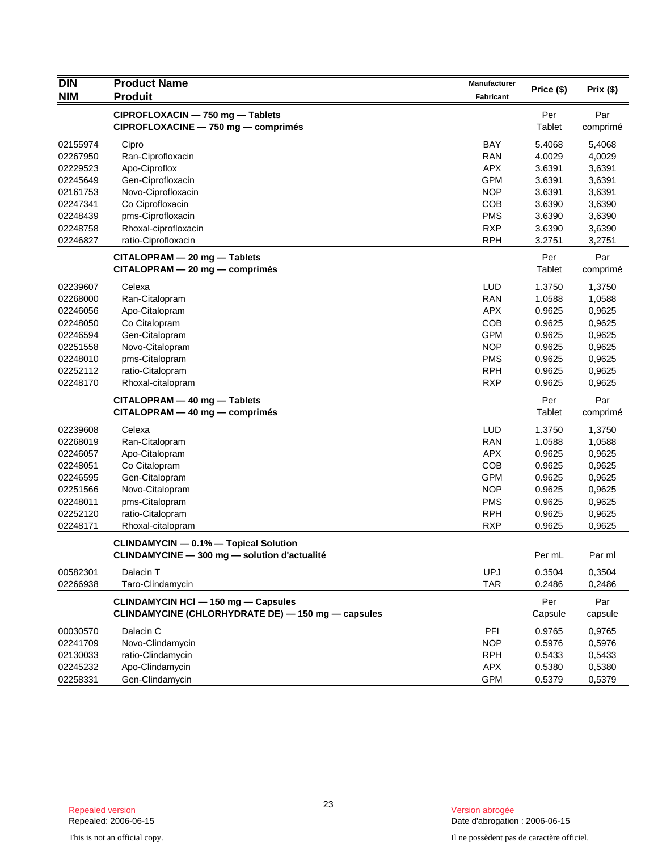| <b>DIN</b> | <b>Product Name</b>                                | Manufacturer |            |          |
|------------|----------------------------------------------------|--------------|------------|----------|
| <b>NIM</b> | <b>Produit</b>                                     | Fabricant    | Price (\$) | Prix(\$) |
|            | CIPROFLOXACIN - 750 mg - Tablets                   |              | Per        | Par      |
|            | CIPROFLOXACINE - 750 mg - comprimés                |              | Tablet     | comprimé |
| 02155974   | Cipro                                              | <b>BAY</b>   | 5.4068     | 5,4068   |
| 02267950   | Ran-Ciprofloxacin                                  | <b>RAN</b>   | 4.0029     | 4,0029   |
| 02229523   | Apo-Ciproflox                                      | <b>APX</b>   | 3.6391     | 3,6391   |
| 02245649   | Gen-Ciprofloxacin                                  | <b>GPM</b>   | 3.6391     | 3,6391   |
| 02161753   | Novo-Ciprofloxacin                                 | <b>NOP</b>   | 3.6391     | 3,6391   |
| 02247341   | Co Ciprofloxacin                                   | COB          | 3.6390     | 3,6390   |
| 02248439   | pms-Ciprofloxacin                                  | <b>PMS</b>   | 3.6390     | 3,6390   |
| 02248758   | Rhoxal-ciprofloxacin                               | <b>RXP</b>   | 3.6390     | 3,6390   |
| 02246827   | ratio-Ciprofloxacin                                | <b>RPH</b>   | 3.2751     | 3,2751   |
|            | CITALOPRAM - 20 mg - Tablets                       |              | Per        | Par      |
|            | $CITALOPRAM - 20 mg - comprimés$                   |              | Tablet     | comprimé |
| 02239607   | Celexa                                             | <b>LUD</b>   | 1.3750     | 1,3750   |
| 02268000   | Ran-Citalopram                                     | <b>RAN</b>   | 1.0588     | 1,0588   |
| 02246056   | Apo-Citalopram                                     | <b>APX</b>   | 0.9625     | 0,9625   |
| 02248050   | Co Citalopram                                      | COB          | 0.9625     | 0,9625   |
| 02246594   | Gen-Citalopram                                     | <b>GPM</b>   | 0.9625     | 0,9625   |
| 02251558   | Novo-Citalopram                                    | <b>NOP</b>   | 0.9625     | 0,9625   |
| 02248010   | pms-Citalopram                                     | <b>PMS</b>   | 0.9625     | 0,9625   |
| 02252112   | ratio-Citalopram                                   | <b>RPH</b>   | 0.9625     | 0,9625   |
| 02248170   | Rhoxal-citalopram                                  | <b>RXP</b>   | 0.9625     | 0,9625   |
|            | CITALOPRAM - 40 mg - Tablets                       |              | Per        | Par      |
|            | $CITALOPRAM - 40 mg - comprimés$                   |              | Tablet     | comprimé |
| 02239608   | Celexa                                             | <b>LUD</b>   | 1.3750     | 1,3750   |
| 02268019   | Ran-Citalopram                                     | <b>RAN</b>   | 1.0588     | 1,0588   |
| 02246057   | Apo-Citalopram                                     | <b>APX</b>   | 0.9625     | 0,9625   |
| 02248051   | Co Citalopram                                      | COB          | 0.9625     | 0,9625   |
| 02246595   | Gen-Citalopram                                     | <b>GPM</b>   | 0.9625     | 0,9625   |
| 02251566   | Novo-Citalopram                                    | <b>NOP</b>   | 0.9625     | 0,9625   |
| 02248011   | pms-Citalopram                                     | <b>PMS</b>   | 0.9625     | 0,9625   |
| 02252120   | ratio-Citalopram                                   | <b>RPH</b>   | 0.9625     | 0,9625   |
| 02248171   | Rhoxal-citalopram                                  | <b>RXP</b>   | 0.9625     | 0,9625   |
|            | <b>CLINDAMYCIN - 0.1% - Topical Solution</b>       |              |            |          |
|            | CLINDAMYCINE - 300 mg - solution d'actualité       |              | Per mL     | Par ml   |
| 00582301   | Dalacin T                                          | <b>UPJ</b>   | 0.3504     | 0,3504   |
| 02266938   | Taro-Clindamycin                                   | <b>TAR</b>   | 0.2486     | 0,2486   |
|            | <b>CLINDAMYCIN HCI - 150 mg - Capsules</b>         |              | Per        | Par      |
|            | CLINDAMYCINE (CHLORHYDRATE DE) - 150 mg - capsules |              | Capsule    | capsule  |
| 00030570   | Dalacin C                                          | PFI          | 0.9765     | 0,9765   |
| 02241709   | Novo-Clindamycin                                   | <b>NOP</b>   | 0.5976     | 0,5976   |
| 02130033   | ratio-Clindamycin                                  | <b>RPH</b>   | 0.5433     | 0,5433   |
| 02245232   | Apo-Clindamycin                                    | APX          | 0.5380     | 0,5380   |
| 02258331   | Gen-Clindamycin                                    | <b>GPM</b>   | 0.5379     | 0,5379   |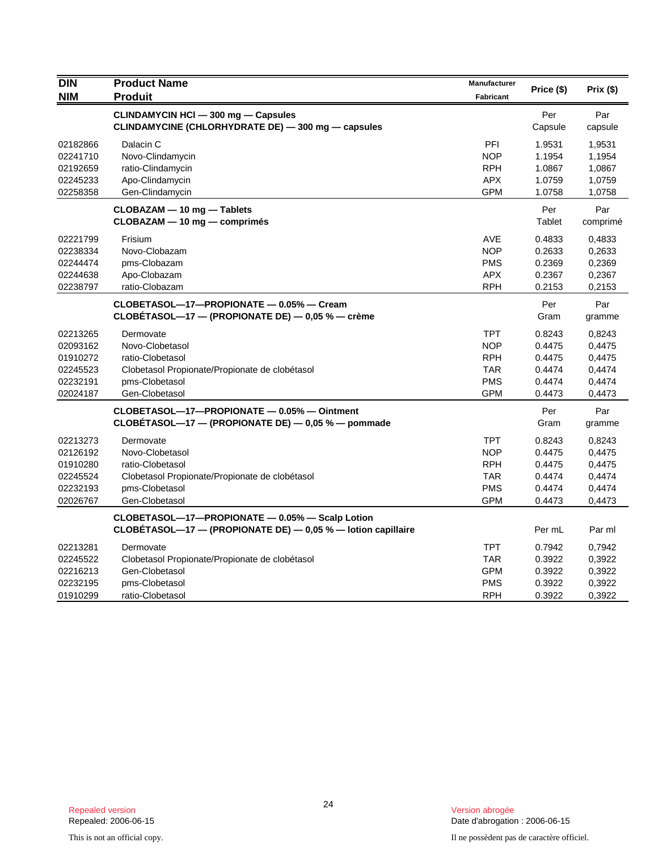| <b>DIN</b><br><b>NIM</b>                                             | <b>Product Name</b><br><b>Produit</b>                                                                                                  | Manufacturer<br><b>Fabricant</b>                                                 | Price (\$)                                               | Prix(\$)                                                 |
|----------------------------------------------------------------------|----------------------------------------------------------------------------------------------------------------------------------------|----------------------------------------------------------------------------------|----------------------------------------------------------|----------------------------------------------------------|
|                                                                      | CLINDAMYCIN HCI - 300 mg - Capsules<br>CLINDAMYCINE (CHLORHYDRATE DE) - 300 mg - capsules                                              |                                                                                  | Per<br>Capsule                                           | Par<br>capsule                                           |
| 02182866<br>02241710<br>02192659<br>02245233<br>02258358             | Dalacin C<br>Novo-Clindamycin<br>ratio-Clindamycin<br>Apo-Clindamycin<br>Gen-Clindamycin                                               | PFI<br><b>NOP</b><br><b>RPH</b><br><b>APX</b><br><b>GPM</b>                      | 1.9531<br>1.1954<br>1.0867<br>1.0759<br>1.0758           | 1,9531<br>1,1954<br>1,0867<br>1,0759<br>1,0758           |
|                                                                      | CLOBAZAM - 10 mg - Tablets<br>CLOBAZAM - 10 mg - comprimés                                                                             |                                                                                  | Per<br>Tablet                                            | Par<br>comprimé                                          |
| 02221799<br>02238334<br>02244474<br>02244638<br>02238797             | Frisium<br>Novo-Clobazam<br>pms-Clobazam<br>Apo-Clobazam<br>ratio-Clobazam                                                             | AVE<br><b>NOP</b><br><b>PMS</b><br><b>APX</b><br><b>RPH</b>                      | 0.4833<br>0.2633<br>0.2369<br>0.2367<br>0.2153           | 0,4833<br>0,2633<br>0,2369<br>0,2367<br>0,2153           |
|                                                                      | CLOBETASOL-17-PROPIONATE - 0.05% - Cream<br>CLOBÉTASOL—17 — (PROPIONATE DE) — 0,05 % — crème                                           |                                                                                  | Per<br>Gram                                              | Par<br>gramme                                            |
| 02213265<br>02093162<br>01910272<br>02245523<br>02232191<br>02024187 | Dermovate<br>Novo-Clobetasol<br>ratio-Clobetasol<br>Clobetasol Propionate/Propionate de clobétasol<br>pms-Clobetasol<br>Gen-Clobetasol | <b>TPT</b><br><b>NOP</b><br><b>RPH</b><br><b>TAR</b><br><b>PMS</b><br><b>GPM</b> | 0.8243<br>0.4475<br>0.4475<br>0.4474<br>0.4474<br>0.4473 | 0,8243<br>0,4475<br>0,4475<br>0,4474<br>0,4474<br>0,4473 |
|                                                                      | CLOBETASOL-17-PROPIONATE - 0.05% - Ointment<br>CLOBÉTASOL-17 - (PROPIONATE DE) - 0,05 % - pommade                                      |                                                                                  | Per<br>Gram                                              | Par<br>gramme                                            |
| 02213273<br>02126192<br>01910280<br>02245524<br>02232193<br>02026767 | Dermovate<br>Novo-Clobetasol<br>ratio-Clobetasol<br>Clobetasol Propionate/Propionate de clobétasol<br>pms-Clobetasol<br>Gen-Clobetasol | <b>TPT</b><br><b>NOP</b><br><b>RPH</b><br><b>TAR</b><br><b>PMS</b><br><b>GPM</b> | 0.8243<br>0.4475<br>0.4475<br>0.4474<br>0.4474<br>0.4473 | 0,8243<br>0,4475<br>0,4475<br>0,4474<br>0,4474<br>0,4473 |
|                                                                      | CLOBETASOL-17-PROPIONATE - 0.05% - Scalp Lotion<br>CLOBÉTASOL-17 - (PROPIONATE DE) - 0,05 % - lotion capillaire                        |                                                                                  | Per mL                                                   | Par ml                                                   |
| 02213281<br>02245522<br>02216213<br>02232195<br>01910299             | Dermovate<br>Clobetasol Propionate/Propionate de clobétasol<br>Gen-Clobetasol<br>pms-Clobetasol<br>ratio-Clobetasol                    | <b>TPT</b><br><b>TAR</b><br><b>GPM</b><br><b>PMS</b><br><b>RPH</b>               | 0.7942<br>0.3922<br>0.3922<br>0.3922<br>0.3922           | 0,7942<br>0,3922<br>0,3922<br>0,3922<br>0,3922           |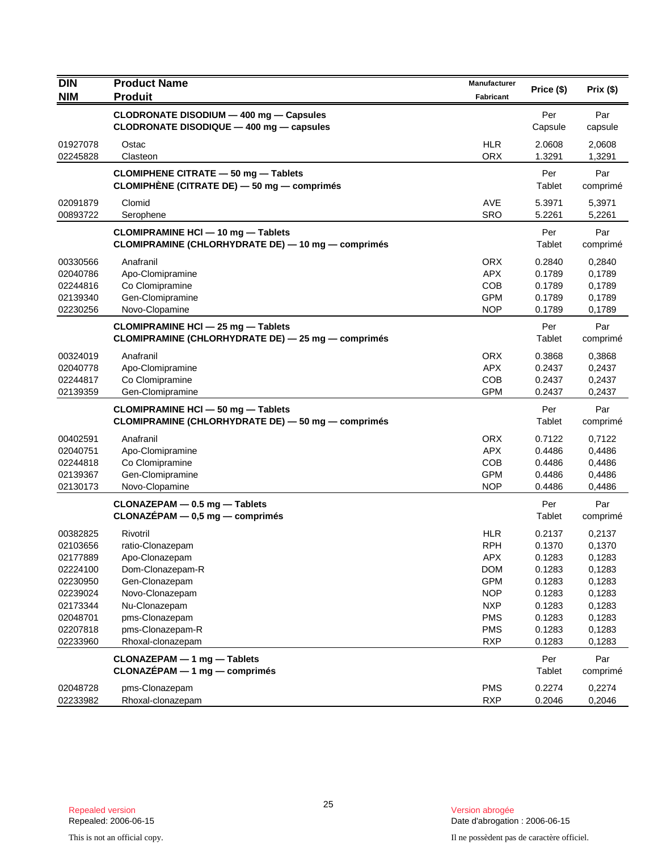| <b>DIN</b><br><b>NIM</b> | <b>Product Name</b><br><b>Produit</b>                                                    | Manufacturer<br>Fabricant | Price (\$)       | Prix(\$)         |
|--------------------------|------------------------------------------------------------------------------------------|---------------------------|------------------|------------------|
|                          | CLODRONATE DISODIUM - 400 mg - Capsules                                                  |                           | Per              | Par              |
|                          | CLODRONATE DISODIQUE - 400 mg - capsules                                                 |                           | Capsule          | capsule          |
| 01927078                 | Ostac                                                                                    | <b>HLR</b>                | 2.0608           | 2,0608           |
| 02245828                 | Clasteon                                                                                 | <b>ORX</b>                | 1.3291           | 1,3291           |
|                          | <b>CLOMIPHENE CITRATE - 50 mg - Tablets</b>                                              |                           | Per              | Par              |
|                          | CLOMIPHENE (CITRATE DE) - 50 mg - comprimés                                              |                           | Tablet           | comprimé         |
| 02091879                 | Clomid                                                                                   | AVE                       | 5.3971           | 5,3971           |
| 00893722                 | Serophene                                                                                | <b>SRO</b>                | 5.2261           | 5,2261           |
|                          | <b>CLOMIPRAMINE HCI - 10 mg - Tablets</b>                                                |                           | Per              | Par              |
|                          | CLOMIPRAMINE (CHLORHYDRATE DE) - 10 mg - comprimés                                       |                           | Tablet           | comprimé         |
| 00330566                 | Anafranil                                                                                | <b>ORX</b>                | 0.2840           | 0,2840           |
| 02040786                 | Apo-Clomipramine                                                                         | <b>APX</b>                | 0.1789           | 0,1789           |
| 02244816                 | Co Clomipramine                                                                          | <b>COB</b>                | 0.1789           | 0,1789           |
| 02139340<br>02230256     | Gen-Clomipramine<br>Novo-Clopamine                                                       | <b>GPM</b><br><b>NOP</b>  | 0.1789<br>0.1789 | 0,1789<br>0,1789 |
|                          |                                                                                          |                           |                  |                  |
|                          | CLOMIPRAMINE HCI - 25 mg - Tablets<br>CLOMIPRAMINE (CHLORHYDRATE DE) - 25 mg - comprimés |                           | Per<br>Tablet    | Par<br>comprimé  |
| 00324019                 | Anafranil                                                                                | <b>ORX</b>                | 0.3868           | 0,3868           |
| 02040778                 | Apo-Clomipramine                                                                         | <b>APX</b>                | 0.2437           | 0,2437           |
| 02244817                 | Co Clomipramine                                                                          | <b>COB</b>                | 0.2437           | 0,2437           |
| 02139359                 | Gen-Clomipramine                                                                         | <b>GPM</b>                | 0.2437           | 0,2437           |
|                          | CLOMIPRAMINE HCI - 50 mg - Tablets                                                       |                           | Per              | Par              |
|                          | CLOMIPRAMINE (CHLORHYDRATE DE) - 50 mg - comprimés                                       |                           | Tablet           | comprimé         |
| 00402591                 | Anafranil                                                                                | <b>ORX</b>                | 0.7122           | 0,7122           |
| 02040751                 | Apo-Clomipramine                                                                         | <b>APX</b>                | 0.4486           | 0,4486           |
| 02244818                 | Co Clomipramine                                                                          | <b>COB</b>                | 0.4486           | 0,4486           |
| 02139367                 | Gen-Clomipramine                                                                         | <b>GPM</b>                | 0.4486           | 0,4486           |
| 02130173                 | Novo-Clopamine                                                                           | <b>NOP</b>                | 0.4486           | 0,4486           |
|                          | CLONAZEPAM - 0.5 mg - Tablets                                                            |                           | Per              | Par              |
|                          | $CLONAZÉPAM - 0.5 mg - comprimés$                                                        |                           | Tablet           | comprimé         |
| 00382825                 | Rivotril                                                                                 | <b>HLR</b>                | 0.2137           | 0,2137           |
| 02103656                 | ratio-Clonazepam                                                                         | <b>RPH</b>                | 0.1370           | 0,1370           |
| 02177889                 | Apo-Clonazepam                                                                           | <b>APX</b>                | 0.1283           | 0,1283           |
| 02224100                 | Dom-Clonazepam-R                                                                         | <b>DOM</b>                | 0.1283           | 0,1283           |
| 02230950                 | Gen-Clonazepam                                                                           | <b>GPM</b>                | 0.1283           | 0,1283           |
| 02239024                 | Novo-Clonazepam                                                                          | <b>NOP</b>                | 0.1283           | 0,1283           |
| 02173344                 | Nu-Clonazepam                                                                            | <b>NXP</b>                | 0.1283           | 0,1283           |
| 02048701                 | pms-Clonazepam                                                                           | <b>PMS</b>                | 0.1283           | 0,1283           |
| 02207818<br>02233960     | pms-Clonazepam-R<br>Rhoxal-clonazepam                                                    | <b>PMS</b><br><b>RXP</b>  | 0.1283<br>0.1283 | 0,1283<br>0,1283 |
|                          |                                                                                          |                           |                  |                  |
|                          | CLONAZEPAM - 1 mg - Tablets<br>CLONAZÉPAM - 1 mg - comprimés                             |                           | Per<br>Tablet    | Par<br>comprimé  |
|                          |                                                                                          |                           |                  |                  |
| 02048728                 | pms-Clonazepam                                                                           | <b>PMS</b>                | 0.2274           | 0,2274           |
| 02233982                 | Rhoxal-clonazepam                                                                        | <b>RXP</b>                | 0.2046           | 0,2046           |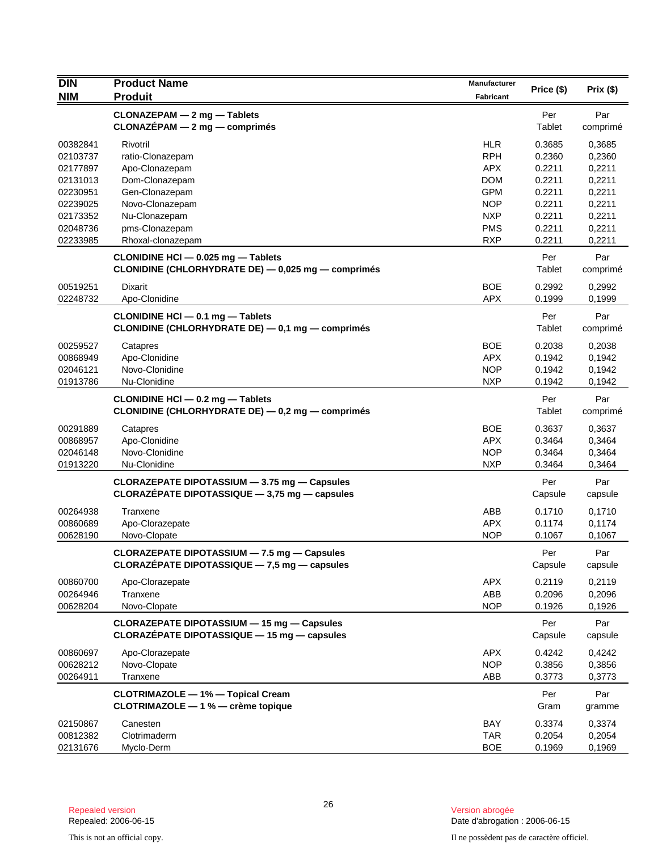| <b>DIN</b>           | <b>Product Name</b>                                                                              | <b>Manufacturer</b>      | Price (\$)       | Prix(\$)         |
|----------------------|--------------------------------------------------------------------------------------------------|--------------------------|------------------|------------------|
| <b>NIM</b>           | <b>Produit</b>                                                                                   | <b>Fabricant</b>         |                  |                  |
|                      | CLONAZEPAM - 2 mg - Tablets                                                                      |                          | Per              | Par              |
|                      | $CLONAZÉPAM - 2 mg - comprimés$                                                                  |                          | Tablet           | comprimé         |
| 00382841             | Rivotril                                                                                         | <b>HLR</b>               | 0.3685           | 0,3685           |
| 02103737             | ratio-Clonazepam                                                                                 | <b>RPH</b>               | 0.2360           | 0,2360           |
| 02177897             | Apo-Clonazepam                                                                                   | <b>APX</b>               | 0.2211           | 0,2211           |
| 02131013             | Dom-Clonazepam                                                                                   | <b>DOM</b>               | 0.2211           | 0,2211           |
| 02230951             | Gen-Clonazepam                                                                                   | <b>GPM</b>               | 0.2211           | 0,2211           |
| 02239025             | Novo-Clonazepam                                                                                  | <b>NOP</b><br><b>NXP</b> | 0.2211<br>0.2211 | 0,2211           |
| 02173352<br>02048736 | Nu-Clonazepam<br>pms-Clonazepam                                                                  | <b>PMS</b>               | 0.2211           | 0,2211<br>0,2211 |
| 02233985             | Rhoxal-clonazepam                                                                                | <b>RXP</b>               | 0.2211           | 0,2211           |
|                      | CLONIDINE HCI - 0.025 mg - Tablets                                                               |                          | Per<br>Tablet    | Par              |
|                      | CLONIDINE (CHLORHYDRATE DE) - 0,025 mg - comprimés                                               |                          |                  | comprimé         |
| 00519251             | <b>Dixarit</b>                                                                                   | <b>BOE</b>               | 0.2992           | 0,2992           |
| 02248732             | Apo-Clonidine                                                                                    | <b>APX</b>               | 0.1999           | 0,1999           |
|                      | CLONIDINE HCI - 0.1 mg - Tablets                                                                 |                          | Per              | Par              |
|                      | CLONIDINE (CHLORHYDRATE DE) - 0,1 mg - comprimés                                                 |                          | Tablet           | comprimé         |
| 00259527             | Catapres                                                                                         | BOE                      | 0.2038           | 0,2038           |
| 00868949             | Apo-Clonidine                                                                                    | <b>APX</b>               | 0.1942           | 0,1942           |
| 02046121             | Novo-Clonidine                                                                                   | <b>NOP</b>               | 0.1942           | 0,1942           |
| 01913786             | Nu-Clonidine                                                                                     | <b>NXP</b>               | 0.1942           | 0,1942           |
|                      | CLONIDINE HCI - 0.2 mg - Tablets<br>CLONIDINE (CHLORHYDRATE DE) - 0,2 mg - comprimés             |                          | Per<br>Tablet    | Par<br>comprimé  |
| 00291889             | Catapres                                                                                         | <b>BOE</b>               | 0.3637           | 0,3637           |
| 00868957             | Apo-Clonidine                                                                                    | <b>APX</b>               | 0.3464           | 0,3464           |
| 02046148             | Novo-Clonidine                                                                                   | <b>NOP</b>               | 0.3464           | 0,3464           |
| 01913220             | Nu-Clonidine                                                                                     | <b>NXP</b>               | 0.3464           | 0,3464           |
|                      | CLORAZEPATE DIPOTASSIUM - 3.75 mg - Capsules                                                     |                          | Per              | Par              |
|                      | CLORAZEPATE DIPOTASSIQUE - 3,75 mg - capsules                                                    |                          | Capsule          | capsule          |
| 00264938             | Tranxene                                                                                         | ABB                      | 0.1710           | 0,1710           |
| 00860689             | Apo-Clorazepate                                                                                  | <b>APX</b>               | 0.1174           | 0,1174           |
| 00628190             | Novo-Clopate                                                                                     | <b>NOP</b>               | 0.1067           | 0,1067           |
|                      | CLORAZEPATE DIPOTASSIUM - 7.5 mg - Capsules                                                      |                          | Per              | Par              |
|                      | CLORAZÉPATE DIPOTASSIQUE - 7,5 mg - capsules                                                     |                          | Capsule          | capsule          |
| 00860700             | Apo-Clorazepate                                                                                  | <b>APX</b>               | 0.2119           | 0,2119           |
| 00264946             | Tranxene                                                                                         | ABB                      | 0.2096           | 0,2096           |
| 00628204             | Novo-Clopate                                                                                     | <b>NOP</b>               | 0.1926           | 0,1926           |
|                      | <b>CLORAZEPATE DIPOTASSIUM - 15 mg - Capsules</b><br>CLORAZÉPATE DIPOTASSIQUE - 15 mg - capsules |                          | Per<br>Capsule   | Par<br>capsule   |
| 00860697             | Apo-Clorazepate                                                                                  | <b>APX</b>               | 0.4242           | 0,4242           |
| 00628212             | Novo-Clopate                                                                                     | <b>NOP</b>               | 0.3856           | 0,3856           |
| 00264911             | Tranxene                                                                                         | ABB                      | 0.3773           | 0,3773           |
|                      | <b>CLOTRIMAZOLE - 1% - Topical Cream</b>                                                         |                          | Per              | Par              |
|                      | CLOTRIMAZOLE - 1 % - crème topique                                                               |                          | Gram             | gramme           |
| 02150867             | Canesten                                                                                         | <b>BAY</b>               | 0.3374           | 0,3374           |
| 00812382             | Clotrimaderm                                                                                     | <b>TAR</b>               | 0.2054           | 0,2054           |
| 02131676             | Myclo-Derm                                                                                       | <b>BOE</b>               | 0.1969           | 0,1969           |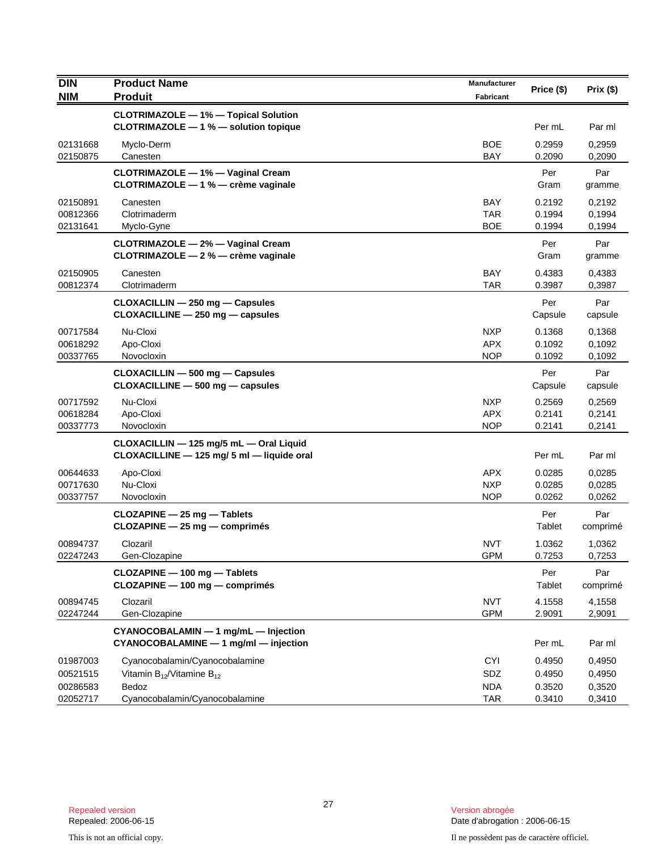| <b>DIN</b>                       | <b>Product Name</b>                                                                   | Manufacturer                           | Price (\$)                 | Prix(\$)                   |
|----------------------------------|---------------------------------------------------------------------------------------|----------------------------------------|----------------------------|----------------------------|
| <b>NIM</b>                       | <b>Produit</b>                                                                        | Fabricant                              |                            |                            |
|                                  | <b>CLOTRIMAZOLE - 1% - Topical Solution</b><br>CLOTRIMAZOLE - 1 % - solution topique  |                                        | Per mL                     | Par ml                     |
| 02131668<br>02150875             | Myclo-Derm<br>Canesten                                                                | <b>BOE</b><br><b>BAY</b>               | 0.2959<br>0.2090           | 0,2959<br>0,2090           |
|                                  | <b>CLOTRIMAZOLE - 1% - Vaginal Cream</b><br>CLOTRIMAZOLE - 1 % - crème vaginale       |                                        | Per<br>Gram                | Par<br>gramme              |
| 02150891<br>00812366<br>02131641 | Canesten<br>Clotrimaderm<br>Myclo-Gyne                                                | <b>BAY</b><br><b>TAR</b><br><b>BOE</b> | 0.2192<br>0.1994<br>0.1994 | 0,2192<br>0,1994<br>0,1994 |
|                                  | CLOTRIMAZOLE - 2% - Vaginal Cream<br>CLOTRIMAZOLE - 2 % - crème vaginale              |                                        | Per<br>Gram                | Par<br>gramme              |
| 02150905<br>00812374             | Canesten<br>Clotrimaderm                                                              | <b>BAY</b><br><b>TAR</b>               | 0.4383<br>0.3987           | 0,4383<br>0,3987           |
|                                  | CLOXACILLIN - 250 mg - Capsules<br>CLOXACILLINE - 250 mg - capsules                   |                                        | Per<br>Capsule             | Par<br>capsule             |
| 00717584<br>00618292<br>00337765 | Nu-Cloxi<br>Apo-Cloxi<br>Novocloxin                                                   | <b>NXP</b><br><b>APX</b><br><b>NOP</b> | 0.1368<br>0.1092<br>0.1092 | 0,1368<br>0,1092<br>0,1092 |
|                                  | CLOXACILLIN - 500 mg - Capsules<br>CLOXACILLINE - 500 mg - capsules                   |                                        | Per<br>Capsule             | Par<br>capsule             |
| 00717592<br>00618284<br>00337773 | Nu-Cloxi<br>Apo-Cloxi<br>Novocloxin                                                   | <b>NXP</b><br><b>APX</b><br><b>NOP</b> | 0.2569<br>0.2141<br>0.2141 | 0,2569<br>0,2141<br>0,2141 |
|                                  | CLOXACILLIN - 125 mg/5 mL - Oral Liquid<br>CLOXACILLINE - 125 mg/ 5 ml - liquide oral |                                        | Per mL                     | Par ml                     |
| 00644633<br>00717630<br>00337757 | Apo-Cloxi<br>Nu-Cloxi<br>Novocloxin                                                   | <b>APX</b><br><b>NXP</b><br><b>NOP</b> | 0.0285<br>0.0285<br>0.0262 | 0,0285<br>0,0285<br>0,0262 |
|                                  | $CLOZAPINE - 25 mg - Tables$<br>CLOZAPINE - 25 mg - comprimés                         |                                        | Per<br>Tablet              | Par<br>comprimé            |
| 00894737<br>02247243             | Clozaril<br>Gen-Clozapine                                                             | <b>NVT</b><br><b>GPM</b>               | 1.0362<br>0.7253           | 1,0362<br>0,7253           |
|                                  | CLOZAPINE - 100 mg - Tablets<br>CLOZAPINE - 100 mg - comprimés                        |                                        | Per<br>Tablet              | Par<br>comprimé            |
| 00894745<br>02247244             | Clozaril<br>Gen-Clozapine                                                             | <b>NVT</b><br><b>GPM</b>               | 4.1558<br>2.9091           | 4,1558<br>2,9091           |
|                                  | CYANOCOBALAMIN - 1 mg/mL - Injection<br>CYANOCOBALAMINE - 1 mg/ml - injection         |                                        | Per mL                     | Par ml                     |
| 01987003<br>00521515<br>00286583 | Cyanocobalamin/Cyanocobalamine<br>Vitamin $B_{12}$ /Vitamine $B_{12}$<br>Bedoz        | <b>CYI</b><br>SDZ<br><b>NDA</b>        | 0.4950<br>0.4950<br>0.3520 | 0,4950<br>0,4950<br>0,3520 |
| 02052717                         | Cyanocobalamin/Cyanocobalamine                                                        | <b>TAR</b>                             | 0.3410                     | 0,3410                     |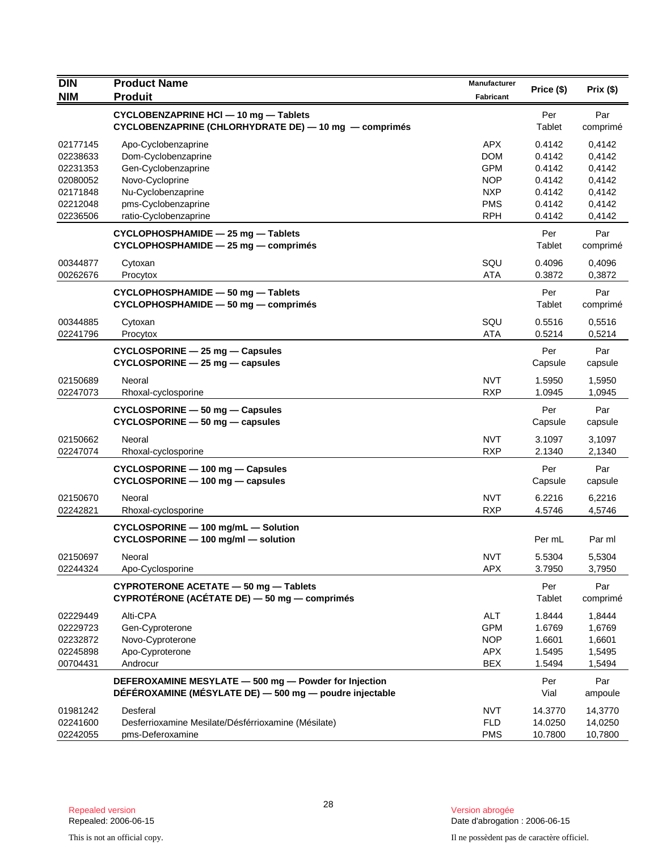| <b>DIN</b>           | <b>Product Name</b>                                                                                              | Manufacturer             | Price (\$)       | Prix(\$)         |
|----------------------|------------------------------------------------------------------------------------------------------------------|--------------------------|------------------|------------------|
| <b>NIM</b>           | <b>Produit</b>                                                                                                   | Fabricant                |                  |                  |
|                      | CYCLOBENZAPRINE HCI - 10 mg - Tablets<br>CYCLOBENZAPRINE (CHLORHYDRATE DE) - 10 mg - comprimés                   |                          | Per<br>Tablet    | Par<br>comprimé  |
| 02177145             | Apo-Cyclobenzaprine                                                                                              | <b>APX</b>               | 0.4142           | 0,4142           |
| 02238633             | Dom-Cyclobenzaprine                                                                                              | <b>DOM</b>               | 0.4142           | 0,4142           |
| 02231353             | Gen-Cyclobenzaprine                                                                                              | <b>GPM</b>               | 0.4142           | 0,4142           |
| 02080052             | Novo-Cycloprine                                                                                                  | NOP                      | 0.4142           | 0,4142           |
| 02171848             | Nu-Cyclobenzaprine                                                                                               | <b>NXP</b>               | 0.4142           | 0,4142           |
| 02212048             | pms-Cyclobenzaprine                                                                                              | <b>PMS</b>               | 0.4142           | 0,4142           |
| 02236506             | ratio-Cyclobenzaprine                                                                                            | <b>RPH</b>               | 0.4142           | 0,4142           |
|                      | CYCLOPHOSPHAMIDE - 25 mg - Tablets<br>CYCLOPHOSPHAMIDE - 25 mg - comprimés                                       |                          | Per<br>Tablet    | Par<br>comprimé  |
| 00344877             | Cytoxan                                                                                                          | SQU                      | 0.4096           | 0,4096           |
| 00262676             | Procytox                                                                                                         | <b>ATA</b>               | 0.3872           | 0,3872           |
|                      | CYCLOPHOSPHAMIDE - 50 mg - Tablets<br>CYCLOPHOSPHAMIDE - 50 mg - comprimés                                       |                          | Per<br>Tablet    | Par<br>comprimé  |
| 00344885             | Cytoxan                                                                                                          | SQU                      | 0.5516           | 0,5516           |
| 02241796             | Procytox                                                                                                         | <b>ATA</b>               | 0.5214           | 0,5214           |
|                      | CYCLOSPORINE - 25 mg - Capsules<br>CYCLOSPORINE - 25 mg - capsules                                               |                          | Per<br>Capsule   | Par<br>capsule   |
| 02150689             | Neoral                                                                                                           | <b>NVT</b>               | 1.5950           | 1,5950           |
| 02247073             | Rhoxal-cyclosporine                                                                                              | <b>RXP</b>               | 1.0945           | 1,0945           |
|                      | $CYCLOSPORINE - 50 mg - Capsules$<br>$CYCLOSPORINE - 50 mg - capsules$                                           |                          | Per<br>Capsule   | Par<br>capsule   |
| 02150662             | Neoral                                                                                                           | <b>NVT</b>               | 3.1097           | 3,1097           |
| 02247074             | Rhoxal-cyclosporine                                                                                              | <b>RXP</b>               | 2.1340           | 2,1340           |
|                      | CYCLOSPORINE - 100 mg - Capsules<br>$CYCLOSPORTNE - 100 mg - capsules$                                           |                          | Per<br>Capsule   | Par<br>capsule   |
| 02150670             | Neoral                                                                                                           | <b>NVT</b>               | 6.2216           | 6,2216           |
| 02242821             | Rhoxal-cyclosporine                                                                                              | <b>RXP</b>               | 4.5746           | 4,5746           |
|                      | CYCLOSPORINE - 100 mg/mL - Solution<br>CYCLOSPORINE - 100 mg/ml - solution                                       |                          | Per mL           | Par ml           |
| 02150697<br>02244324 | Neoral<br>Apo-Cyclosporine                                                                                       | <b>NVT</b><br><b>APX</b> | 5.5304<br>3.7950 | 5,5304<br>3,7950 |
|                      | CYPROTERONE ACETATE - 50 mg - Tablets<br>CYPROTÉRONE (ACÉTATE DE) - 50 mg - comprimés                            |                          | Per<br>Tablet    | Par<br>comprimé  |
| 02229449             | Alti-CPA                                                                                                         | ALT                      | 1.8444           | 1,8444           |
| 02229723             | Gen-Cyproterone                                                                                                  | <b>GPM</b>               | 1.6769           | 1,6769           |
| 02232872             | Novo-Cyproterone                                                                                                 | <b>NOP</b>               | 1.6601           | 1,6601           |
| 02245898             | Apo-Cyproterone                                                                                                  | <b>APX</b>               | 1.5495           | 1,5495           |
| 00704431             | Androcur                                                                                                         | <b>BEX</b>               | 1.5494           | 1,5494           |
|                      | DEFEROXAMINE MESYLATE - 500 mg - Powder for Injection<br>DÉFÉROXAMINE (MÉSYLATE DE) - 500 mg - poudre injectable |                          | Per<br>Vial      | Par<br>ampoule   |
| 01981242             | Desferal                                                                                                         | <b>NVT</b>               | 14.3770          | 14,3770          |
| 02241600             | Desferrioxamine Mesilate/Désférrioxamine (Mésilate)                                                              | <b>FLD</b>               | 14.0250          | 14,0250          |
| 02242055             | pms-Deferoxamine                                                                                                 | <b>PMS</b>               | 10.7800          | 10,7800          |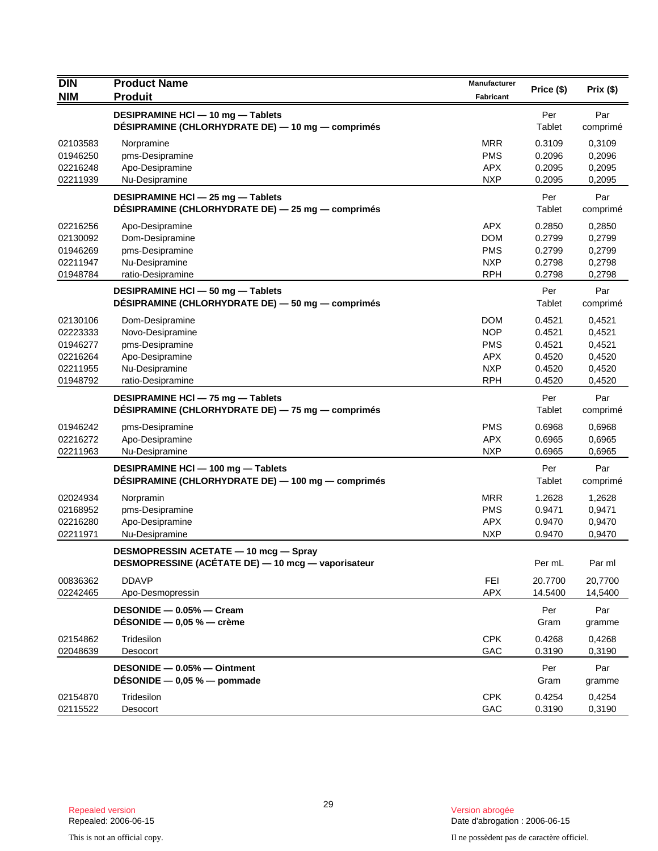| <b>DIN</b>                                                           | <b>Product Name</b>                                                                                              | Manufacturer                                                                     |                                                          |                                                          |
|----------------------------------------------------------------------|------------------------------------------------------------------------------------------------------------------|----------------------------------------------------------------------------------|----------------------------------------------------------|----------------------------------------------------------|
| <b>NIM</b>                                                           | <b>Produit</b>                                                                                                   | Fabricant                                                                        | Price (\$)                                               | Prix(\$)                                                 |
|                                                                      | DESIPRAMINE HCI - 10 mg - Tablets<br>DÉSIPRAMINE (CHLORHYDRATE DE) — 10 mg — comprimés                           |                                                                                  | Per<br>Tablet                                            | Par<br>comprimé                                          |
| 02103583<br>01946250<br>02216248<br>02211939                         | Norpramine<br>pms-Desipramine<br>Apo-Desipramine<br>Nu-Desipramine                                               | <b>MRR</b><br><b>PMS</b><br><b>APX</b><br><b>NXP</b>                             | 0.3109<br>0.2096<br>0.2095<br>0.2095                     | 0,3109<br>0,2096<br>0,2095<br>0,2095                     |
|                                                                      | DESIPRAMINE HCI - 25 mg - Tablets<br>DÉSIPRAMINE (CHLORHYDRATE DE) - 25 mg - comprimés                           |                                                                                  | Per<br>Tablet                                            | Par<br>comprimé                                          |
| 02216256<br>02130092<br>01946269<br>02211947<br>01948784             | Apo-Desipramine<br>Dom-Desipramine<br>pms-Desipramine<br>Nu-Desipramine<br>ratio-Desipramine                     | APX.<br><b>DOM</b><br><b>PMS</b><br><b>NXP</b><br><b>RPH</b>                     | 0.2850<br>0.2799<br>0.2799<br>0.2798<br>0.2798           | 0,2850<br>0,2799<br>0,2799<br>0,2798<br>0,2798           |
|                                                                      | DESIPRAMINE HCI - 50 mg - Tablets<br>DÉSIPRAMINE (CHLORHYDRATE DE) — 50 mg — comprimés                           |                                                                                  | Per<br>Tablet                                            | Par<br>comprimé                                          |
| 02130106<br>02223333<br>01946277<br>02216264<br>02211955<br>01948792 | Dom-Desipramine<br>Novo-Desipramine<br>pms-Desipramine<br>Apo-Desipramine<br>Nu-Desipramine<br>ratio-Desipramine | <b>DOM</b><br><b>NOP</b><br><b>PMS</b><br><b>APX</b><br><b>NXP</b><br><b>RPH</b> | 0.4521<br>0.4521<br>0.4521<br>0.4520<br>0.4520<br>0.4520 | 0,4521<br>0,4521<br>0,4521<br>0,4520<br>0,4520<br>0,4520 |
|                                                                      | DESIPRAMINE HCI - 75 mg - Tablets<br>DÉSIPRAMINE (CHLORHYDRATE DE) - 75 mg - comprimés                           |                                                                                  | Per<br>Tablet                                            | Par<br>comprimé                                          |
| 01946242<br>02216272<br>02211963                                     | pms-Desipramine<br>Apo-Desipramine<br>Nu-Desipramine                                                             | <b>PMS</b><br><b>APX</b><br><b>NXP</b>                                           | 0.6968<br>0.6965<br>0.6965                               | 0,6968<br>0,6965<br>0,6965                               |
|                                                                      | DESIPRAMINE HCI - 100 mg - Tablets<br>DÉSIPRAMINE (CHLORHYDRATE DE) — 100 mg — comprimés                         |                                                                                  | Per<br>Tablet                                            | Par<br>comprimé                                          |
| 02024934<br>02168952<br>02216280<br>02211971                         | Norpramin<br>pms-Desipramine<br>Apo-Desipramine<br>Nu-Desipramine                                                | <b>MRR</b><br><b>PMS</b><br><b>APX</b><br><b>NXP</b>                             | 1.2628<br>0.9471<br>0.9470<br>0.9470                     | 1,2628<br>0,9471<br>0,9470<br>0,9470                     |
|                                                                      | <b>DESMOPRESSIN ACETATE - 10 mcg - Spray</b><br>DESMOPRESSINE (ACETATE DE) - 10 mcg - vaporisateur               |                                                                                  | Per mL                                                   | Par ml                                                   |
| 00836362<br>02242465                                                 | <b>DDAVP</b><br>Apo-Desmopressin                                                                                 | <b>FEI</b><br><b>APX</b>                                                         | 20.7700<br>14.5400                                       | 20,7700<br>14,5400                                       |
|                                                                      | DESONIDE - 0.05% - Cream<br>DÉSONIDE $-$ 0,05 % $-$ crème                                                        |                                                                                  | Per<br>Gram                                              | Par<br>gramme                                            |
| 02154862<br>02048639                                                 | Tridesilon<br>Desocort                                                                                           | <b>CPK</b><br>GAC                                                                | 0.4268<br>0.3190                                         | 0,4268<br>0,3190                                         |
|                                                                      | DESONIDE - 0.05% - Ointment<br>DESONIDE $-$ 0,05 % $-$ pommade                                                   |                                                                                  | Per<br>Gram                                              | Par<br>gramme                                            |
| 02154870<br>02115522                                                 | Tridesilon<br>Desocort                                                                                           | <b>CPK</b><br>GAC                                                                | 0.4254<br>0.3190                                         | 0,4254<br>0,3190                                         |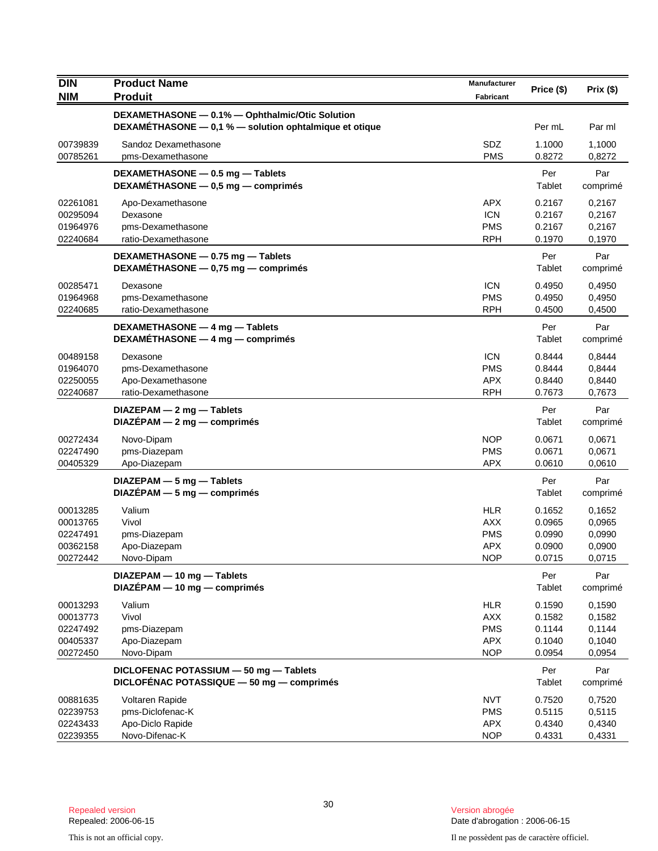| <b>DIN</b>           | <b>Product Name</b>                                        | Manufacturer             |                  |                  |
|----------------------|------------------------------------------------------------|--------------------------|------------------|------------------|
| <b>NIM</b>           | <b>Produit</b>                                             | Fabricant                | Price (\$)       | Prix(\$)         |
|                      | DEXAMETHASONE - 0.1% - Ophthalmic/Otic Solution            |                          |                  |                  |
|                      | DEXAMETHASONE - 0,1 % - solution ophtalmique et otique     |                          | Per mL           | Par ml           |
| 00739839             | Sandoz Dexamethasone                                       | SDZ                      | 1.1000           | 1,1000           |
| 00785261             | pms-Dexamethasone                                          | <b>PMS</b>               | 0.8272           | 0,8272           |
|                      | DEXAMETHASONE - 0.5 mg - Tablets                           |                          | Per              | Par              |
|                      | DEXAMÉTHASONE - 0,5 mg - comprimés                         |                          | Tablet           | comprimé         |
| 02261081             | Apo-Dexamethasone                                          | <b>APX</b>               | 0.2167           | 0,2167           |
| 00295094             | Dexasone                                                   | <b>ICN</b>               | 0.2167           | 0,2167           |
| 01964976             | pms-Dexamethasone                                          | <b>PMS</b>               | 0.2167           | 0,2167           |
| 02240684             | ratio-Dexamethasone                                        | <b>RPH</b>               | 0.1970           | 0,1970           |
|                      | DEXAMETHASONE - 0.75 mg - Tablets                          |                          | Per              | Par              |
|                      | DEXAMÉTHASONE - 0,75 mg - comprimés                        |                          | Tablet           | comprimé         |
| 00285471             | Dexasone                                                   | <b>ICN</b>               | 0.4950           | 0,4950           |
| 01964968             | pms-Dexamethasone                                          | <b>PMS</b>               | 0.4950           | 0,4950           |
| 02240685             | ratio-Dexamethasone                                        | <b>RPH</b>               | 0.4500           | 0,4500           |
|                      | DEXAMETHASONE - 4 mg - Tablets                             |                          | Per              | Par              |
|                      | DEXAMÉTHASONE $-4$ mg $-$ comprimes                        |                          | Tablet           | comprimé         |
| 00489158             | Dexasone                                                   | <b>ICN</b>               | 0.8444           | 0,8444           |
| 01964070             | pms-Dexamethasone                                          | PMS                      | 0.8444           | 0,8444           |
| 02250055             | Apo-Dexamethasone                                          | <b>APX</b>               | 0.8440           | 0,8440           |
| 02240687             | ratio-Dexamethasone                                        | <b>RPH</b>               | 0.7673           | 0,7673           |
|                      | $DIAZEPAM - 2 mg - Tables$                                 |                          | Per              | Par              |
|                      | $DIAZÉPAM - 2 mg - comprimés$                              |                          | Tablet           | comprimé         |
| 00272434             | Novo-Dipam                                                 | <b>NOP</b>               | 0.0671           | 0,0671           |
| 02247490             | pms-Diazepam                                               | <b>PMS</b>               | 0.0671           | 0,0671           |
| 00405329             | Apo-Diazepam                                               | <b>APX</b>               | 0.0610           | 0,0610           |
|                      | DIAZEPAM - 5 mg - Tablets                                  |                          | Per              | Par              |
|                      | $DIAZÉPAM - 5 mg - comprimés$                              |                          | Tablet           | comprimé         |
|                      |                                                            |                          |                  |                  |
| 00013285             | Valium                                                     | <b>HLR</b>               | 0.1652           | 0,1652           |
| 00013765<br>02247491 | Vivol                                                      | <b>AXX</b><br><b>PMS</b> | 0.0965<br>0.0990 | 0,0965           |
| 00362158             | pms-Diazepam<br>Apo-Diazepam                               | <b>APX</b>               | 0.0900           | 0,0990<br>0,0900 |
| 00272442             | Novo-Dipam                                                 | <b>NOP</b>               | 0.0715           | 0,0715           |
|                      |                                                            |                          |                  |                  |
|                      | DIAZEPAM - 10 mg - Tablets<br>DIAZÉPAM - 10 mg - comprimés |                          | Per<br>Tablet    | Par<br>comprimé  |
|                      |                                                            |                          |                  |                  |
| 00013293             | Valium<br>Vivol                                            | <b>HLR</b>               | 0.1590           | 0,1590           |
| 00013773<br>02247492 | pms-Diazepam                                               | <b>AXX</b><br><b>PMS</b> | 0.1582<br>0.1144 | 0,1582<br>0,1144 |
| 00405337             | Apo-Diazepam                                               | <b>APX</b>               | 0.1040           | 0,1040           |
| 00272450             | Novo-Dipam                                                 | <b>NOP</b>               | 0.0954           | 0,0954           |
|                      | DICLOFENAC POTASSIUM - 50 mg - Tablets                     |                          |                  | Par              |
|                      | DICLOFÉNAC POTASSIQUE - 50 mg - comprimés                  |                          | Per<br>Tablet    | comprimé         |
| 00881635             | Voltaren Rapide                                            | <b>NVT</b>               | 0.7520           | 0,7520           |
| 02239753             | pms-Diclofenac-K                                           | <b>PMS</b>               | 0.5115           | 0,5115           |
| 02243433             | Apo-Diclo Rapide                                           | <b>APX</b>               | 0.4340           | 0,4340           |
| 02239355             | Novo-Difenac-K                                             | <b>NOP</b>               | 0.4331           | 0,4331           |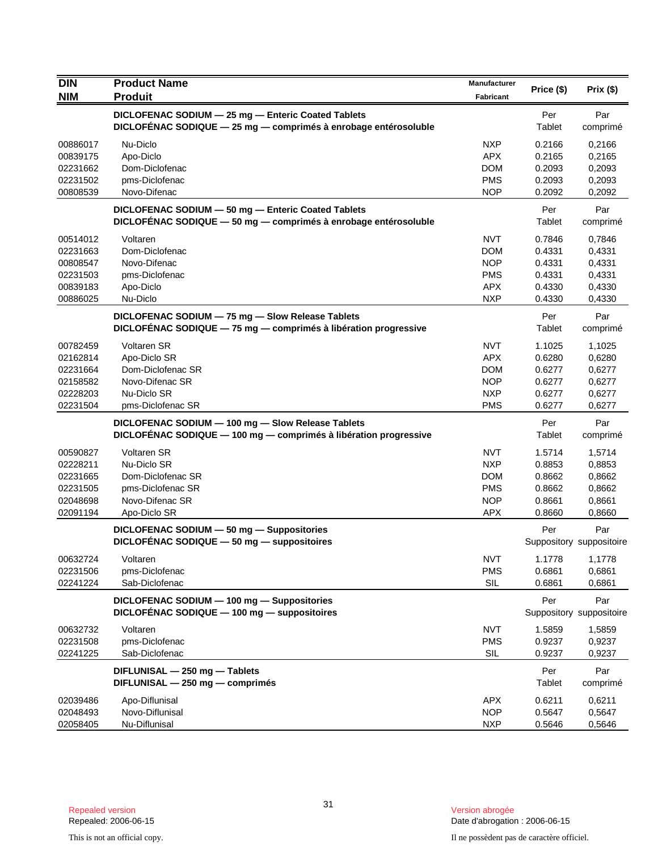| <b>DIN</b>           | <b>Product Name</b>                                                                                                 | Manufacturer             | Price (\$)       | Prix(\$)                 |
|----------------------|---------------------------------------------------------------------------------------------------------------------|--------------------------|------------------|--------------------------|
| <b>NIM</b>           | <b>Produit</b>                                                                                                      | Fabricant                |                  |                          |
|                      | DICLOFENAC SODIUM - 25 mg - Enteric Coated Tablets                                                                  |                          | Per              | Par                      |
|                      | DICLOFENAC SODIQUE - 25 mg - comprimés à enrobage entérosoluble                                                     |                          | Tablet           | comprimé                 |
| 00886017             | Nu-Diclo                                                                                                            | <b>NXP</b>               | 0.2166           | 0,2166                   |
| 00839175             | Apo-Diclo                                                                                                           | <b>APX</b>               | 0.2165           | 0,2165                   |
| 02231662             | Dom-Diclofenac                                                                                                      | <b>DOM</b>               | 0.2093           | 0,2093                   |
| 02231502             | pms-Diclofenac                                                                                                      | <b>PMS</b>               | 0.2093           | 0,2093                   |
| 00808539             | Novo-Difenac                                                                                                        | <b>NOP</b>               | 0.2092           | 0,2092                   |
|                      | DICLOFENAC SODIUM - 50 mg - Enteric Coated Tablets                                                                  |                          | Per              | Par                      |
|                      | DICLOFÉNAC SODIQUE - 50 mg - comprimés à enrobage entérosoluble                                                     |                          | Tablet           | comprimé                 |
| 00514012             | Voltaren                                                                                                            | <b>NVT</b>               | 0.7846           | 0,7846                   |
| 02231663             | Dom-Diclofenac                                                                                                      | <b>DOM</b>               | 0.4331           | 0,4331                   |
| 00808547             | Novo-Difenac                                                                                                        | <b>NOP</b>               | 0.4331           | 0,4331                   |
| 02231503             | pms-Diclofenac                                                                                                      | <b>PMS</b>               | 0.4331           | 0,4331                   |
| 00839183<br>00886025 | Apo-Diclo<br>Nu-Diclo                                                                                               | <b>APX</b><br><b>NXP</b> | 0.4330<br>0.4330 | 0,4330                   |
|                      |                                                                                                                     |                          |                  | 0,4330                   |
|                      | DICLOFENAC SODIUM - 75 mg - Slow Release Tablets<br>DICLOFÉNAC SODIQUE - 75 mg - comprimés à libération progressive |                          | Per<br>Tablet    | Par<br>comprimé          |
| 00782459             | <b>Voltaren SR</b>                                                                                                  | <b>NVT</b>               | 1.1025           | 1,1025                   |
| 02162814             | Apo-Diclo SR                                                                                                        | <b>APX</b>               | 0.6280           | 0,6280                   |
| 02231664             | Dom-Diclofenac SR                                                                                                   | <b>DOM</b>               | 0.6277           | 0,6277                   |
| 02158582             | Novo-Difenac SR                                                                                                     | <b>NOP</b>               | 0.6277           | 0,6277                   |
| 02228203             | Nu-Diclo SR                                                                                                         | <b>NXP</b>               | 0.6277           | 0,6277                   |
| 02231504             | pms-Diclofenac SR                                                                                                   | <b>PMS</b>               | 0.6277           | 0,6277                   |
|                      | DICLOFENAC SODIUM - 100 mg - Slow Release Tablets                                                                   |                          | Per              | Par                      |
|                      | DICLOFENAC SODIQUE - 100 mg - comprimés à libération progressive                                                    |                          | Tablet           | comprimé                 |
| 00590827             | <b>Voltaren SR</b>                                                                                                  | <b>NVT</b>               | 1.5714           | 1,5714                   |
| 02228211             | Nu-Diclo SR                                                                                                         | <b>NXP</b>               | 0.8853           | 0,8853                   |
| 02231665             | Dom-Diclofenac SR                                                                                                   | <b>DOM</b>               | 0.8662           | 0,8662                   |
| 02231505             | pms-Diclofenac SR                                                                                                   | <b>PMS</b>               | 0.8662           | 0,8662                   |
| 02048698             | Novo-Difenac SR                                                                                                     | <b>NOP</b>               | 0.8661           | 0,8661                   |
| 02091194             | Apo-Diclo SR                                                                                                        | <b>APX</b>               | 0.8660           | 0,8660                   |
|                      | DICLOFENAC SODIUM - 50 mg - Suppositories                                                                           |                          | Per              | Par                      |
|                      | DICLOFÉNAC SODIQUE - 50 mg - suppositoires                                                                          |                          |                  | Suppository suppositoire |
| 00632724             | Voltaren                                                                                                            | <b>NVT</b>               | 1.1778           | 1,1778                   |
| 02231506             | pms-Diclofenac                                                                                                      | <b>PMS</b>               | 0.6861           | 0,6861                   |
| 02241224             | Sab-Diclofenac                                                                                                      | SIL                      | 0.6861           | 0,6861                   |
|                      | DICLOFENAC SODIUM - 100 mg - Suppositories                                                                          |                          | Per              | Par                      |
|                      | DICLOFÉNAC SODIQUE - 100 mg - suppositoires                                                                         |                          |                  | Suppository suppositoire |
| 00632732             | Voltaren                                                                                                            | <b>NVT</b>               | 1.5859           | 1,5859                   |
| 02231508             | pms-Diclofenac                                                                                                      | <b>PMS</b>               | 0.9237           | 0,9237                   |
| 02241225             | Sab-Diclofenac                                                                                                      | SIL                      | 0.9237           | 0,9237                   |
|                      | DIFLUNISAL - 250 mg - Tablets                                                                                       |                          | Per              | Par                      |
|                      | DIFLUNISAL - 250 mg - comprimés                                                                                     |                          | Tablet           | comprimé                 |
| 02039486             | Apo-Diflunisal                                                                                                      | <b>APX</b>               | 0.6211           | 0,6211                   |
| 02048493             | Novo-Diflunisal                                                                                                     | <b>NOP</b>               | 0.5647           | 0,5647                   |
| 02058405             | Nu-Diflunisal                                                                                                       | <b>NXP</b>               | 0.5646           | 0,5646                   |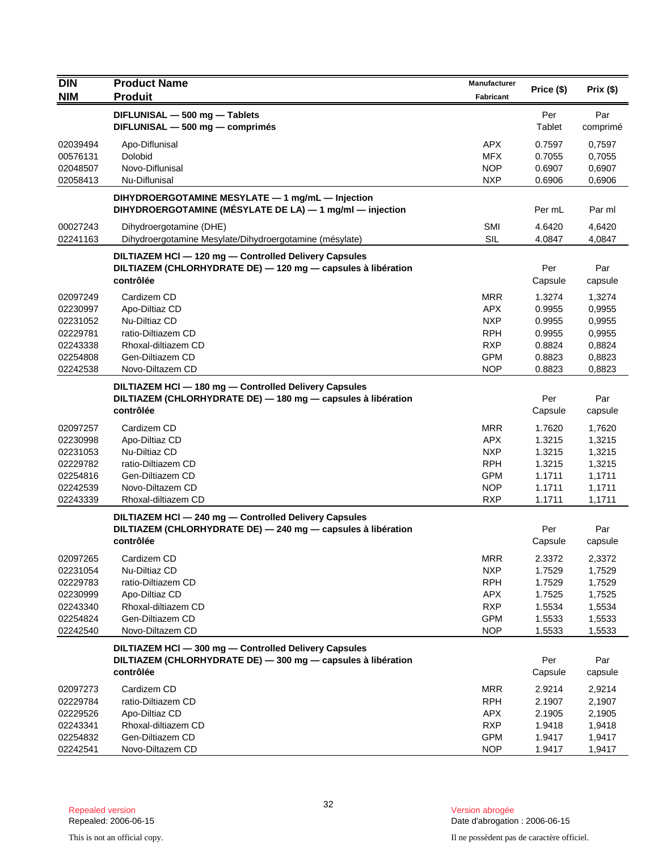| <b>DIN</b>                                                                       | <b>Product Name</b>                                                                                                                 | Manufacturer                                                                                   |                                                                    |                                                                    |
|----------------------------------------------------------------------------------|-------------------------------------------------------------------------------------------------------------------------------------|------------------------------------------------------------------------------------------------|--------------------------------------------------------------------|--------------------------------------------------------------------|
| <b>NIM</b>                                                                       | <b>Produit</b>                                                                                                                      | <b>Fabricant</b>                                                                               | Price (\$)                                                         | Prix(\$)                                                           |
|                                                                                  | DIFLUNISAL - 500 mg - Tablets<br>DIFLUNISAL - 500 mg - comprimés                                                                    |                                                                                                | Per<br>Tablet                                                      | Par<br>comprimé                                                    |
| 02039494<br>00576131<br>02048507<br>02058413                                     | Apo-Diflunisal<br>Dolobid<br>Novo-Diflunisal<br>Nu-Diflunisal                                                                       | <b>APX</b><br><b>MFX</b><br><b>NOP</b><br><b>NXP</b>                                           | 0.7597<br>0.7055<br>0.6907<br>0.6906                               | 0,7597<br>0,7055<br>0,6907<br>0,6906                               |
|                                                                                  | DIHYDROERGOTAMINE MESYLATE - 1 mg/mL - Injection<br>DIHYDROERGOTAMINE (MÉSYLATE DE LA) - 1 mg/ml - injection                        |                                                                                                | Per mL                                                             | Par ml                                                             |
| 00027243<br>02241163                                                             | Dihydroergotamine (DHE)<br>Dihydroergotamine Mesylate/Dihydroergotamine (mésylate)                                                  | <b>SMI</b><br><b>SIL</b>                                                                       | 4.6420<br>4.0847                                                   | 4,6420<br>4,0847                                                   |
|                                                                                  | DILTIAZEM HCI - 120 mg - Controlled Delivery Capsules<br>DILTIAZEM (CHLORHYDRATE DE) - 120 mg - capsules à libération<br>contrôlée  |                                                                                                | Per<br>Capsule                                                     | Par<br>capsule                                                     |
| 02097249<br>02230997<br>02231052<br>02229781<br>02243338<br>02254808<br>02242538 | Cardizem CD<br>Apo-Diltiaz CD<br>Nu-Diltiaz CD<br>ratio-Diltiazem CD<br>Rhoxal-diltiazem CD<br>Gen-Diltiazem CD<br>Novo-Diltazem CD | <b>MRR</b><br><b>APX</b><br><b>NXP</b><br><b>RPH</b><br><b>RXP</b><br><b>GPM</b><br><b>NOP</b> | 1.3274<br>0.9955<br>0.9955<br>0.9955<br>0.8824<br>0.8823<br>0.8823 | 1,3274<br>0,9955<br>0,9955<br>0,9955<br>0,8824<br>0,8823<br>0,8823 |
|                                                                                  | DILTIAZEM HCI-180 mg-Controlled Delivery Capsules<br>DILTIAZEM (CHLORHYDRATE DE) - 180 mg - capsules à libération<br>contrôlée      |                                                                                                | Per<br>Capsule                                                     | Par<br>capsule                                                     |
| 02097257<br>02230998<br>02231053<br>02229782<br>02254816<br>02242539<br>02243339 | Cardizem CD<br>Apo-Diltiaz CD<br>Nu-Diltiaz CD<br>ratio-Diltiazem CD<br>Gen-Diltiazem CD<br>Novo-Diltazem CD<br>Rhoxal-diltiazem CD | <b>MRR</b><br>APX.<br><b>NXP</b><br><b>RPH</b><br><b>GPM</b><br><b>NOP</b><br><b>RXP</b>       | 1.7620<br>1.3215<br>1.3215<br>1.3215<br>1.1711<br>1.1711<br>1.1711 | 1,7620<br>1,3215<br>1,3215<br>1,3215<br>1,1711<br>1,1711<br>1,1711 |
|                                                                                  | DILTIAZEM HCI - 240 mg - Controlled Delivery Capsules<br>DILTIAZEM (CHLORHYDRATE DE) - 240 mg - capsules à libération<br>contrôlée  |                                                                                                | Per<br>Capsule                                                     | Par<br>capsule                                                     |
| 02097265<br>02231054<br>02229783<br>02230999<br>02243340<br>02254824<br>02242540 | Cardizem CD<br>Nu-Diltiaz CD<br>ratio-Diltiazem CD<br>Apo-Diltiaz CD<br>Rhoxal-diltiazem CD<br>Gen-Diltiazem CD<br>Novo-Diltazem CD | MRR<br><b>NXP</b><br><b>RPH</b><br><b>APX</b><br><b>RXP</b><br><b>GPM</b><br><b>NOP</b>        | 2.3372<br>1.7529<br>1.7529<br>1.7525<br>1.5534<br>1.5533<br>1.5533 | 2,3372<br>1,7529<br>1,7529<br>1,7525<br>1,5534<br>1,5533<br>1,5533 |
|                                                                                  | DILTIAZEM HCl - 300 mg - Controlled Delivery Capsules<br>DILTIAZEM (CHLORHYDRATE DE) - 300 mg - capsules à libération<br>contrôlée  |                                                                                                | Per<br>Capsule                                                     | Par<br>capsule                                                     |
| 02097273<br>02229784<br>02229526<br>02243341<br>02254832<br>02242541             | Cardizem CD<br>ratio-Diltiazem CD<br>Apo-Diltiaz CD<br>Rhoxal-diltiazem CD<br>Gen-Diltiazem CD<br>Novo-Diltazem CD                  | <b>MRR</b><br><b>RPH</b><br><b>APX</b><br><b>RXP</b><br><b>GPM</b><br><b>NOP</b>               | 2.9214<br>2.1907<br>2.1905<br>1.9418<br>1.9417<br>1.9417           | 2,9214<br>2,1907<br>2,1905<br>1,9418<br>1,9417<br>1,9417           |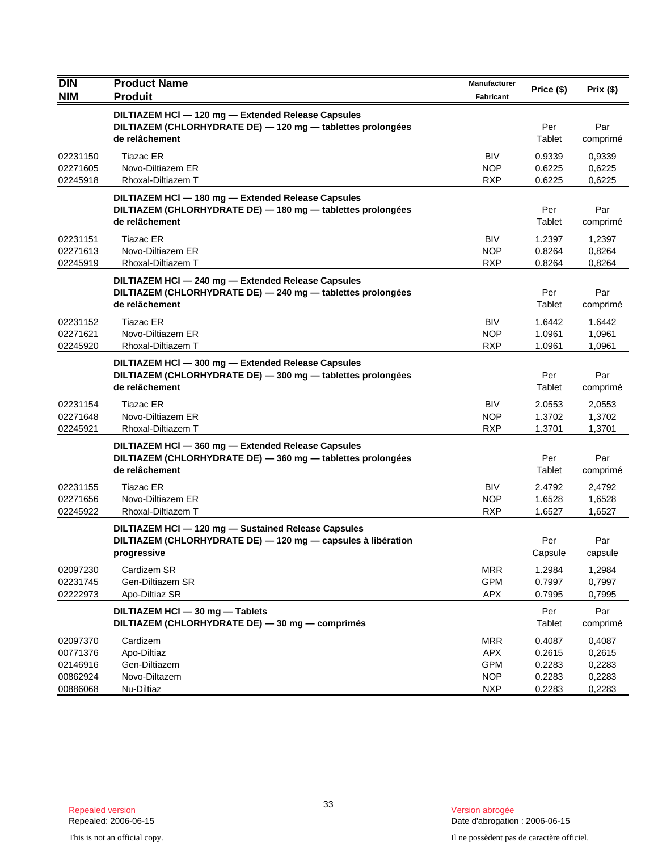| <b>DIN</b><br><b>NIM</b>                                 | <b>Product Name</b><br><b>Produit</b>                                                                                               | Manufacturer<br><b>Fabricant</b>                                   | Price (\$)                                     | Prix(\$)                                       |
|----------------------------------------------------------|-------------------------------------------------------------------------------------------------------------------------------------|--------------------------------------------------------------------|------------------------------------------------|------------------------------------------------|
|                                                          | DILTIAZEM HCI - 120 mg - Extended Release Capsules<br>DILTIAZEM (CHLORHYDRATE DE) - 120 mg - tablettes prolongées<br>de relâchement |                                                                    | Per<br>Tablet                                  | Par<br>comprimé                                |
| 02231150<br>02271605<br>02245918                         | Tiazac ER<br>Novo-Diltiazem ER<br>Rhoxal-Diltiazem T                                                                                | <b>BIV</b><br>NOP<br><b>RXP</b>                                    | 0.9339<br>0.6225<br>0.6225                     | 0,9339<br>0,6225<br>0,6225                     |
|                                                          | DILTIAZEM HCI - 180 mg - Extended Release Capsules<br>DILTIAZEM (CHLORHYDRATE DE) - 180 mg - tablettes prolongées<br>de relâchement |                                                                    | Per<br>Tablet                                  | Par<br>comprimé                                |
| 02231151<br>02271613<br>02245919                         | <b>Tiazac ER</b><br>Novo-Diltiazem ER<br>Rhoxal-Diltiazem T                                                                         | <b>BIV</b><br><b>NOP</b><br><b>RXP</b>                             | 1.2397<br>0.8264<br>0.8264                     | 1,2397<br>0,8264<br>0,8264                     |
|                                                          | DILTIAZEM HCI - 240 mg - Extended Release Capsules<br>DILTIAZEM (CHLORHYDRATE DE) - 240 mg - tablettes prolongées<br>de relâchement |                                                                    | Per<br>Tablet                                  | Par<br>comprimé                                |
| 02231152<br>02271621<br>02245920                         | Tiazac ER<br>Novo-Diltiazem ER<br>Rhoxal-Diltiazem T                                                                                | <b>BIV</b><br><b>NOP</b><br><b>RXP</b>                             | 1.6442<br>1.0961<br>1.0961                     | 1.6442<br>1,0961<br>1,0961                     |
|                                                          | DILTIAZEM HCI - 300 mg - Extended Release Capsules<br>DILTIAZEM (CHLORHYDRATE DE) - 300 mg - tablettes prolongées<br>de relâchement |                                                                    | Per<br>Tablet                                  | Par<br>comprimé                                |
| 02231154<br>02271648<br>02245921                         | <b>Tiazac ER</b><br>Novo-Diltiazem ER<br>Rhoxal-Diltiazem T                                                                         | <b>BIV</b><br><b>NOP</b><br><b>RXP</b>                             | 2.0553<br>1.3702<br>1.3701                     | 2,0553<br>1,3702<br>1,3701                     |
|                                                          | DILTIAZEM HCI - 360 mg - Extended Release Capsules<br>DILTIAZEM (CHLORHYDRATE DE) - 360 mg - tablettes prolongées<br>de relâchement |                                                                    | Per<br>Tablet                                  | Par<br>comprimé                                |
| 02231155<br>02271656<br>02245922                         | Tiazac ER<br>Novo-Diltiazem ER<br>Rhoxal-Diltiazem T                                                                                | <b>BIV</b><br><b>NOP</b><br><b>RXP</b>                             | 2.4792<br>1.6528<br>1.6527                     | 2,4792<br>1,6528<br>1,6527                     |
|                                                          | DILTIAZEM HCl - 120 mg - Sustained Release Capsules<br>DILTIAZEM (CHLORHYDRATE DE) - 120 mg - capsules à libération<br>progressive  |                                                                    | Per<br>Capsule                                 | Par<br>capsule                                 |
| 02097230<br>02231745<br>02222973                         | Cardizem SR<br>Gen-Diltiazem SR<br>Apo-Diltiaz SR                                                                                   | <b>MRR</b><br><b>GPM</b><br><b>APX</b>                             | 1.2984<br>0.7997<br>0.7995                     | 1,2984<br>0,7997<br>0,7995                     |
|                                                          | DILTIAZEM HCI - 30 mg - Tablets<br>DILTIAZEM (CHLORHYDRATE DE) - 30 mg - comprimés                                                  |                                                                    | Per<br>Tablet                                  | Par<br>comprimé                                |
| 02097370<br>00771376<br>02146916<br>00862924<br>00886068 | Cardizem<br>Apo-Diltiaz<br>Gen-Diltiazem<br>Novo-Diltazem<br>Nu-Diltiaz                                                             | <b>MRR</b><br><b>APX</b><br><b>GPM</b><br><b>NOP</b><br><b>NXP</b> | 0.4087<br>0.2615<br>0.2283<br>0.2283<br>0.2283 | 0,4087<br>0,2615<br>0,2283<br>0,2283<br>0,2283 |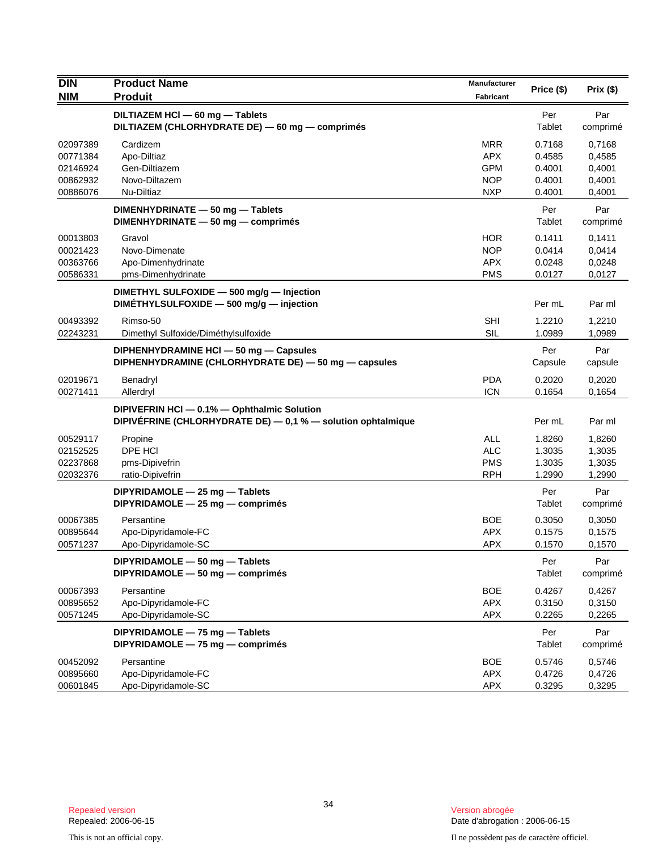| <b>DIN</b>           | <b>Product Name</b>                                                                                         | Manufacturer             | Price (\$)       | Prix(\$)         |
|----------------------|-------------------------------------------------------------------------------------------------------------|--------------------------|------------------|------------------|
| <b>NIM</b>           | <b>Produit</b>                                                                                              | <b>Fabricant</b>         |                  |                  |
|                      | DILTIAZEM HCI - 60 mg - Tablets<br>DILTIAZEM (CHLORHYDRATE DE) - 60 mg - comprimés                          |                          | Per<br>Tablet    | Par<br>comprimé  |
| 02097389             | Cardizem                                                                                                    | <b>MRR</b>               | 0.7168           | 0,7168           |
| 00771384             | Apo-Diltiaz                                                                                                 | <b>APX</b>               | 0.4585           | 0,4585           |
| 02146924             | Gen-Diltiazem                                                                                               | <b>GPM</b>               | 0.4001           | 0,4001           |
| 00862932<br>00886076 | Novo-Diltazem<br>Nu-Diltiaz                                                                                 | <b>NOP</b><br><b>NXP</b> | 0.4001<br>0.4001 | 0,4001<br>0,4001 |
|                      | DIMENHYDRINATE - 50 mg - Tablets                                                                            |                          | Per              | Par              |
|                      | DIMENHYDRINATE - 50 mg - comprimés                                                                          |                          | Tablet           | comprimé         |
| 00013803             | Gravol                                                                                                      | <b>HOR</b>               | 0.1411           | 0,1411           |
| 00021423             | Novo-Dimenate                                                                                               | <b>NOP</b>               | 0.0414           | 0,0414           |
| 00363766             | Apo-Dimenhydrinate                                                                                          | <b>APX</b>               | 0.0248           | 0,0248           |
| 00586331             | pms-Dimenhydrinate                                                                                          | <b>PMS</b>               | 0.0127           | 0,0127           |
|                      | DIMETHYL SULFOXIDE - 500 mg/g - Injection<br>DIMETHYLSULFOXIDE - 500 mg/g - injection                       |                          | Per mL           | Par ml           |
| 00493392             | Rimso-50                                                                                                    | <b>SHI</b>               | 1.2210           | 1,2210           |
| 02243231             | Dimethyl Sulfoxide/Diméthylsulfoxide                                                                        | <b>SIL</b>               | 1.0989           | 1,0989           |
|                      | DIPHENHYDRAMINE HCI - 50 mg - Capsules                                                                      |                          | Per              | Par              |
|                      | DIPHENHYDRAMINE (CHLORHYDRATE DE) - 50 mg - capsules                                                        |                          | Capsule          | capsule          |
| 02019671             | Benadryl                                                                                                    | <b>PDA</b>               | 0.2020           | 0.2020           |
| 00271411             | Allerdryl                                                                                                   | <b>ICN</b>               | 0.1654           | 0,1654           |
|                      | DIPIVEFRIN HCI - 0.1% - Ophthalmic Solution<br>DIPIVEFRINE (CHLORHYDRATE DE) - 0,1 % - solution ophtalmique |                          | Per mL           | Par ml           |
| 00529117             | Propine                                                                                                     | <b>ALL</b>               | 1.8260           | 1,8260           |
| 02152525             | DPE HCI                                                                                                     | <b>ALC</b>               | 1.3035           | 1,3035           |
| 02237868             | pms-Dipivefrin                                                                                              | <b>PMS</b>               | 1.3035           | 1,3035           |
| 02032376             | ratio-Dipivefrin                                                                                            | <b>RPH</b>               | 1.2990           | 1,2990           |
|                      | DIPYRIDAMOLE - 25 mg - Tablets<br>DIPYRIDAMOLE - 25 mg - comprimés                                          |                          | Per<br>Tablet    | Par<br>comprimé  |
| 00067385             | Persantine                                                                                                  | <b>BOE</b>               | 0.3050           | 0,3050           |
| 00895644             | Apo-Dipyridamole-FC                                                                                         | <b>APX</b>               | 0.1575           | 0,1575           |
| 00571237             | Apo-Dipyridamole-SC                                                                                         | APX                      | 0.1570           | 0,1570           |
|                      | DIPYRIDAMOLE - 50 mg - Tablets<br>DIPYRIDAMOLE - 50 mg - comprimés                                          |                          | Per<br>Tablet    | Par<br>comprimé  |
| 00067393             | Persantine                                                                                                  | <b>BOE</b>               | 0.4267           | 0,4267           |
| 00895652             | Apo-Dipyridamole-FC                                                                                         | <b>APX</b>               | 0.3150           | 0,3150           |
| 00571245             | Apo-Dipyridamole-SC                                                                                         | APX                      | 0.2265           | 0,2265           |
|                      | DIPYRIDAMOLE - 75 mg - Tablets<br>DIPYRIDAMOLE - 75 mg - comprimés                                          |                          | Per<br>Tablet    | Par<br>comprimé  |
| 00452092             | Persantine                                                                                                  | <b>BOE</b>               | 0.5746           | 0,5746           |
| 00895660             | Apo-Dipyridamole-FC                                                                                         | <b>APX</b>               | 0.4726           | 0,4726           |
| 00601845             | Apo-Dipyridamole-SC                                                                                         | APX                      | 0.3295           | 0,3295           |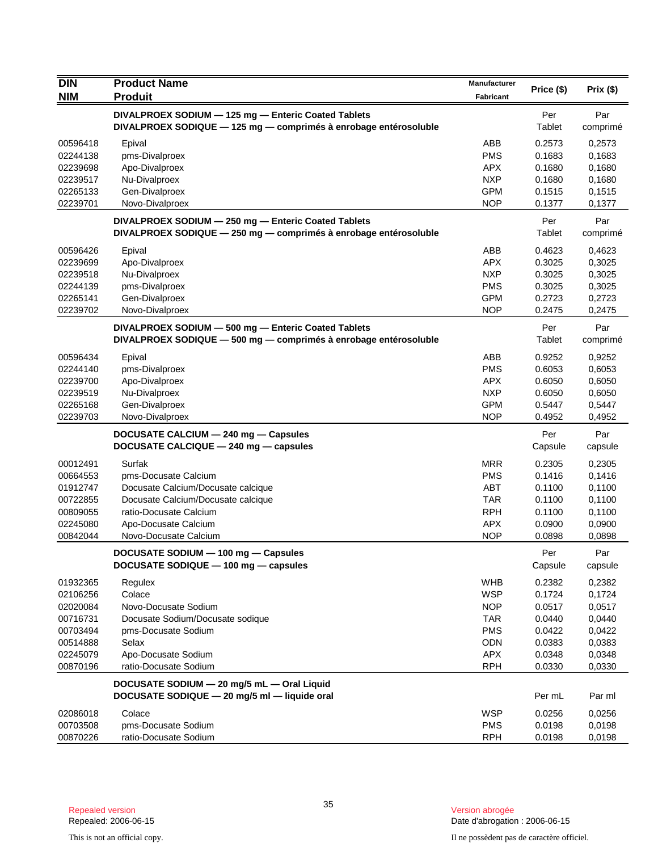| <b>DIN</b>           | <b>Product Name</b>                                                                                                     | Manufacturer             |                      |                  |
|----------------------|-------------------------------------------------------------------------------------------------------------------------|--------------------------|----------------------|------------------|
| <b>NIM</b>           | <b>Produit</b>                                                                                                          | Fabricant                | Price (\$)           | Prix(\$)         |
|                      | DIVALPROEX SODIUM - 125 mg - Enteric Coated Tablets                                                                     |                          | Per                  | Par              |
|                      | DIVALPROEX SODIQUE - 125 mg - comprimés à enrobage entérosoluble                                                        |                          | Tablet               | comprimé         |
| 00596418             | Epival                                                                                                                  | ABB                      | 0.2573               | 0,2573           |
| 02244138             | pms-Divalproex                                                                                                          | <b>PMS</b>               | 0.1683               | 0,1683           |
| 02239698             | Apo-Divalproex                                                                                                          | APX.                     | 0.1680               | 0,1680           |
| 02239517             | Nu-Divalproex                                                                                                           | <b>NXP</b>               | 0.1680               | 0,1680           |
| 02265133             | Gen-Divalproex                                                                                                          | <b>GPM</b>               | 0.1515               | 0,1515           |
| 02239701             | Novo-Divalproex                                                                                                         | <b>NOP</b>               | 0.1377               | 0,1377           |
|                      | DIVALPROEX SODIUM - 250 mg - Enteric Coated Tablets<br>DIVALPROEX SODIQUE - 250 mg - comprimés à enrobage entérosoluble |                          | Per<br>Tablet        | Par<br>comprimé  |
|                      |                                                                                                                         |                          |                      |                  |
| 00596426             | Epival                                                                                                                  | ABB                      | 0.4623               | 0,4623           |
| 02239699             | Apo-Divalproex                                                                                                          | <b>APX</b><br><b>NXP</b> | 0.3025<br>0.3025     | 0,3025           |
| 02239518<br>02244139 | Nu-Divalproex<br>pms-Divalproex                                                                                         | <b>PMS</b>               | 0.3025               | 0,3025<br>0,3025 |
| 02265141             | Gen-Divalproex                                                                                                          | <b>GPM</b>               | 0.2723               | 0,2723           |
| 02239702             | Novo-Divalproex                                                                                                         | <b>NOP</b>               | 0.2475               | 0,2475           |
|                      |                                                                                                                         |                          |                      |                  |
|                      | DIVALPROEX SODIUM - 500 mg - Enteric Coated Tablets<br>DIVALPROEX SODIQUE - 500 mg - comprimés à enrobage entérosoluble |                          | Per<br><b>Tablet</b> | Par              |
|                      |                                                                                                                         |                          |                      | comprimé         |
| 00596434             | Epival                                                                                                                  | ABB                      | 0.9252               | 0,9252           |
| 02244140             | pms-Divalproex                                                                                                          | <b>PMS</b>               | 0.6053               | 0,6053           |
| 02239700             | Apo-Divalproex                                                                                                          | <b>APX</b>               | 0.6050               | 0,6050           |
| 02239519             | Nu-Divalproex                                                                                                           | <b>NXP</b>               | 0.6050               | 0,6050           |
| 02265168<br>02239703 | Gen-Divalproex<br>Novo-Divalproex                                                                                       | <b>GPM</b><br><b>NOP</b> | 0.5447<br>0.4952     | 0,5447<br>0,4952 |
|                      |                                                                                                                         |                          |                      |                  |
|                      | DOCUSATE CALCIUM - 240 mg - Capsules<br>DOCUSATE CALCIQUE - 240 mg - capsules                                           |                          | Per<br>Capsule       | Par<br>capsule   |
| 00012491             | Surfak                                                                                                                  | <b>MRR</b>               | 0.2305               | 0,2305           |
| 00664553             | pms-Docusate Calcium                                                                                                    | <b>PMS</b>               | 0.1416               | 0,1416           |
| 01912747             | Docusate Calcium/Docusate calcique                                                                                      | <b>ABT</b>               | 0.1100               | 0,1100           |
| 00722855             | Docusate Calcium/Docusate calcique                                                                                      | <b>TAR</b>               | 0.1100               | 0,1100           |
| 00809055             | ratio-Docusate Calcium                                                                                                  | <b>RPH</b>               | 0.1100               | 0,1100           |
| 02245080             | Apo-Docusate Calcium                                                                                                    | <b>APX</b>               | 0.0900               | 0,0900           |
| 00842044             | Novo-Docusate Calcium                                                                                                   | <b>NOP</b>               | 0.0898               | 0,0898           |
|                      | DOCUSATE SODIUM - 100 mg - Capsules                                                                                     |                          | Per                  | Par              |
|                      | DOCUSATE SODIQUE - 100 mg - capsules                                                                                    |                          | Capsule              | capsule          |
| 01932365             | Regulex                                                                                                                 | <b>WHB</b>               | 0.2382               | 0,2382           |
| 02106256             | Colace                                                                                                                  | <b>WSP</b>               | 0.1724               | 0,1724           |
| 02020084             | Novo-Docusate Sodium                                                                                                    | <b>NOP</b>               | 0.0517               | 0,0517           |
| 00716731             | Docusate Sodium/Docusate sodique                                                                                        | <b>TAR</b>               | 0.0440               | 0,0440           |
| 00703494             | pms-Docusate Sodium                                                                                                     | <b>PMS</b>               | 0.0422               | 0,0422           |
| 00514888             | Selax                                                                                                                   | <b>ODN</b>               | 0.0383               | 0,0383           |
| 02245079             | Apo-Docusate Sodium                                                                                                     | APX                      | 0.0348               | 0,0348           |
| 00870196             | ratio-Docusate Sodium                                                                                                   | <b>RPH</b>               | 0.0330               | 0,0330           |
|                      | DOCUSATE SODIUM - 20 mg/5 mL - Oral Liquid                                                                              |                          |                      |                  |
|                      | DOCUSATE SODIQUE - 20 mg/5 ml - liquide oral                                                                            |                          | Per mL               | Par ml           |
| 02086018             | Colace                                                                                                                  | <b>WSP</b>               | 0.0256               | 0,0256           |
| 00703508             | pms-Docusate Sodium                                                                                                     | <b>PMS</b>               | 0.0198               | 0,0198           |
| 00870226             | ratio-Docusate Sodium                                                                                                   | <b>RPH</b>               | 0.0198               | 0,0198           |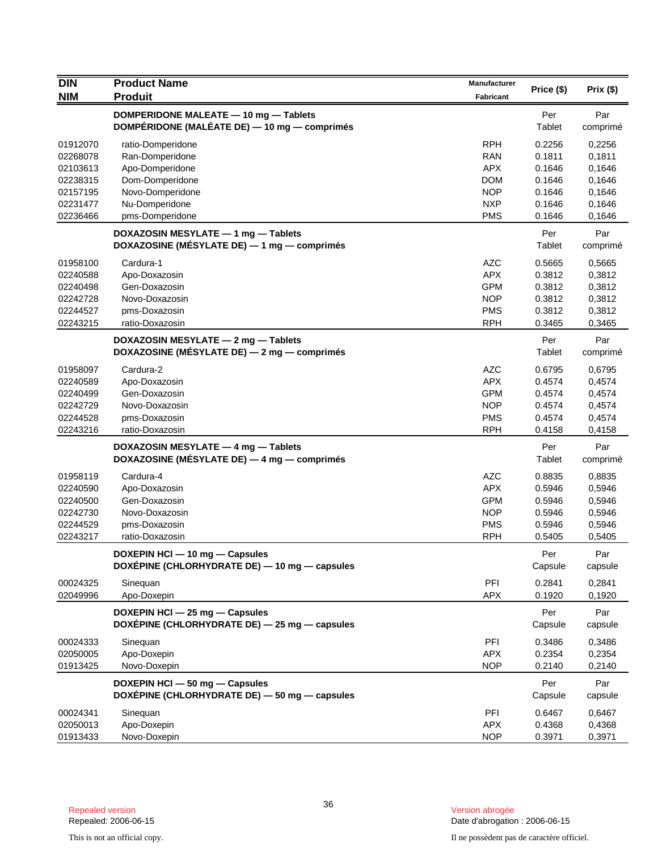| Price (\$)<br>Prix (\$)<br><b>NIM</b><br><b>Produit</b><br><b>Fabricant</b><br>DOMPERIDONE MALEATE - 10 mg - Tablets<br>Per<br>Par<br>DOMPÉRIDONE (MALÉATE DE) - 10 mg - comprimés<br>Tablet<br>comprimé<br><b>RPH</b><br>01912070<br>0.2256<br>ratio-Domperidone<br>0,2256<br>02268078<br>Ran-Domperidone<br><b>RAN</b><br>0.1811<br>0,1811<br>02103613<br>Apo-Domperidone<br><b>APX</b><br>0.1646<br>0,1646<br><b>DOM</b><br>02238315<br>Dom-Domperidone<br>0.1646<br>0,1646<br>Novo-Domperidone<br><b>NOP</b><br>02157195<br>0.1646<br>0,1646<br>02231477<br>Nu-Domperidone<br><b>NXP</b><br>0.1646<br>0,1646<br>02236466<br>pms-Domperidone<br><b>PMS</b><br>0.1646<br>0,1646<br>DOXAZOSIN MESYLATE - 1 mg - Tablets<br>Per<br>Par<br>DOXAZOSINE (MÉSYLATE DE) - 1 mg - comprimés<br>Tablet<br>comprimé<br>01958100<br>Cardura-1<br><b>AZC</b><br>0.5665<br>0,5665<br><b>APX</b><br>Apo-Doxazosin<br>0.3812<br>02240588<br>0,3812<br>Gen-Doxazosin<br><b>GPM</b><br>0.3812<br>0,3812<br>02240498<br><b>NOP</b><br>Novo-Doxazosin<br>0.3812<br>0,3812<br>02242728<br>02244527<br>pms-Doxazosin<br><b>PMS</b><br>0.3812<br>0,3812<br>02243215<br><b>RPH</b><br>0.3465<br>ratio-Doxazosin<br>0,3465<br>DOXAZOSIN MESYLATE - 2 mg - Tablets<br>Per<br>Par<br>DOXAZOSINE (MÉSYLATE DE) - 2 mg - comprimés<br>Tablet<br>comprimé<br><b>AZC</b><br>01958097<br>0.6795<br>Cardura-2<br>0,6795<br><b>APX</b><br>02240589<br>Apo-Doxazosin<br>0.4574<br>0,4574<br><b>GPM</b><br>0.4574<br>02240499<br>Gen-Doxazosin<br>0,4574<br><b>NOP</b><br>Novo-Doxazosin<br>02242729<br>0.4574<br>0,4574<br>02244528<br>pms-Doxazosin<br><b>PMS</b><br>0.4574<br>0,4574<br><b>RPH</b><br>02243216<br>ratio-Doxazosin<br>0.4158<br>0,4158<br>DOXAZOSIN MESYLATE - 4 mg - Tablets<br>Per<br>Par<br>DOXAZOSINE (MÉSYLATE DE) — 4 mg — comprimés<br>Tablet<br>comprimé<br>Cardura-4<br><b>AZC</b><br>01958119<br>0.8835<br>0,8835<br><b>APX</b><br>0.5946<br>0,5946<br>02240590<br>Apo-Doxazosin<br>Gen-Doxazosin<br><b>GPM</b><br>02240500<br>0.5946<br>0,5946<br>Novo-Doxazosin<br><b>NOP</b><br>0.5946<br>0,5946<br>02242730<br><b>PMS</b><br>pms-Doxazosin<br>0.5946<br>02244529<br>0,5946<br><b>RPH</b><br>02243217<br>ratio-Doxazosin<br>0.5405<br>0,5405<br>Par<br>DOXEPIN HCI - 10 mg - Capsules<br>Per<br>DOXÉPINE (CHLORHYDRATE DE) - 10 mg - capsules<br>Capsule<br>capsule<br>PFI<br>00024325<br>0.2841<br>0,2841<br>Sineguan<br>APX<br>02049996<br>Apo-Doxepin<br>0.1920<br>0,1920<br>Par<br>DOXEPIN HCI - 25 mg - Capsules<br>Per<br>DOXÉPINE (CHLORHYDRATE DE) - 25 mg - capsules<br>Capsule<br>capsule<br>PFI<br>Sinequan<br>0.3486<br>0,3486<br>00024333<br>Apo-Doxepin<br>02050005<br><b>APX</b><br>0.2354<br>0,2354<br><b>NOP</b><br>01913425<br>Novo-Doxepin<br>0.2140<br>0,2140<br>DOXEPIN HCI - 50 mg - Capsules<br>Per<br>Par<br>DOXÉPINE (CHLORHYDRATE DE) - 50 mg - capsules<br>Capsule<br>capsule<br>PFI<br>00024341<br>0.6467<br>Sinequan<br>0,6467<br>02050013<br>Apo-Doxepin<br><b>APX</b><br>0.4368<br>0,4368<br><b>NOP</b><br>01913433<br>Novo-Doxepin<br>0.3971<br>0,3971 | <b>DIN</b> | <b>Product Name</b> | <b>Manufacturer</b> |  |
|--------------------------------------------------------------------------------------------------------------------------------------------------------------------------------------------------------------------------------------------------------------------------------------------------------------------------------------------------------------------------------------------------------------------------------------------------------------------------------------------------------------------------------------------------------------------------------------------------------------------------------------------------------------------------------------------------------------------------------------------------------------------------------------------------------------------------------------------------------------------------------------------------------------------------------------------------------------------------------------------------------------------------------------------------------------------------------------------------------------------------------------------------------------------------------------------------------------------------------------------------------------------------------------------------------------------------------------------------------------------------------------------------------------------------------------------------------------------------------------------------------------------------------------------------------------------------------------------------------------------------------------------------------------------------------------------------------------------------------------------------------------------------------------------------------------------------------------------------------------------------------------------------------------------------------------------------------------------------------------------------------------------------------------------------------------------------------------------------------------------------------------------------------------------------------------------------------------------------------------------------------------------------------------------------------------------------------------------------------------------------------------------------------------------------------------------------------------------------------------------------------------------------------------------------------------------------------------------------------------------------------------------------------------------------------------------------------------------------------------------------------------------------------------------------------------------------------------------------------------------------------------------------------------------------------------------------------------------------------------------------------------------------------------------------------------------------------------|------------|---------------------|---------------------|--|
|                                                                                                                                                                                                                                                                                                                                                                                                                                                                                                                                                                                                                                                                                                                                                                                                                                                                                                                                                                                                                                                                                                                                                                                                                                                                                                                                                                                                                                                                                                                                                                                                                                                                                                                                                                                                                                                                                                                                                                                                                                                                                                                                                                                                                                                                                                                                                                                                                                                                                                                                                                                                                                                                                                                                                                                                                                                                                                                                                                                                                                                                                      |            |                     |                     |  |
|                                                                                                                                                                                                                                                                                                                                                                                                                                                                                                                                                                                                                                                                                                                                                                                                                                                                                                                                                                                                                                                                                                                                                                                                                                                                                                                                                                                                                                                                                                                                                                                                                                                                                                                                                                                                                                                                                                                                                                                                                                                                                                                                                                                                                                                                                                                                                                                                                                                                                                                                                                                                                                                                                                                                                                                                                                                                                                                                                                                                                                                                                      |            |                     |                     |  |
|                                                                                                                                                                                                                                                                                                                                                                                                                                                                                                                                                                                                                                                                                                                                                                                                                                                                                                                                                                                                                                                                                                                                                                                                                                                                                                                                                                                                                                                                                                                                                                                                                                                                                                                                                                                                                                                                                                                                                                                                                                                                                                                                                                                                                                                                                                                                                                                                                                                                                                                                                                                                                                                                                                                                                                                                                                                                                                                                                                                                                                                                                      |            |                     |                     |  |
|                                                                                                                                                                                                                                                                                                                                                                                                                                                                                                                                                                                                                                                                                                                                                                                                                                                                                                                                                                                                                                                                                                                                                                                                                                                                                                                                                                                                                                                                                                                                                                                                                                                                                                                                                                                                                                                                                                                                                                                                                                                                                                                                                                                                                                                                                                                                                                                                                                                                                                                                                                                                                                                                                                                                                                                                                                                                                                                                                                                                                                                                                      |            |                     |                     |  |
|                                                                                                                                                                                                                                                                                                                                                                                                                                                                                                                                                                                                                                                                                                                                                                                                                                                                                                                                                                                                                                                                                                                                                                                                                                                                                                                                                                                                                                                                                                                                                                                                                                                                                                                                                                                                                                                                                                                                                                                                                                                                                                                                                                                                                                                                                                                                                                                                                                                                                                                                                                                                                                                                                                                                                                                                                                                                                                                                                                                                                                                                                      |            |                     |                     |  |
|                                                                                                                                                                                                                                                                                                                                                                                                                                                                                                                                                                                                                                                                                                                                                                                                                                                                                                                                                                                                                                                                                                                                                                                                                                                                                                                                                                                                                                                                                                                                                                                                                                                                                                                                                                                                                                                                                                                                                                                                                                                                                                                                                                                                                                                                                                                                                                                                                                                                                                                                                                                                                                                                                                                                                                                                                                                                                                                                                                                                                                                                                      |            |                     |                     |  |
|                                                                                                                                                                                                                                                                                                                                                                                                                                                                                                                                                                                                                                                                                                                                                                                                                                                                                                                                                                                                                                                                                                                                                                                                                                                                                                                                                                                                                                                                                                                                                                                                                                                                                                                                                                                                                                                                                                                                                                                                                                                                                                                                                                                                                                                                                                                                                                                                                                                                                                                                                                                                                                                                                                                                                                                                                                                                                                                                                                                                                                                                                      |            |                     |                     |  |
|                                                                                                                                                                                                                                                                                                                                                                                                                                                                                                                                                                                                                                                                                                                                                                                                                                                                                                                                                                                                                                                                                                                                                                                                                                                                                                                                                                                                                                                                                                                                                                                                                                                                                                                                                                                                                                                                                                                                                                                                                                                                                                                                                                                                                                                                                                                                                                                                                                                                                                                                                                                                                                                                                                                                                                                                                                                                                                                                                                                                                                                                                      |            |                     |                     |  |
|                                                                                                                                                                                                                                                                                                                                                                                                                                                                                                                                                                                                                                                                                                                                                                                                                                                                                                                                                                                                                                                                                                                                                                                                                                                                                                                                                                                                                                                                                                                                                                                                                                                                                                                                                                                                                                                                                                                                                                                                                                                                                                                                                                                                                                                                                                                                                                                                                                                                                                                                                                                                                                                                                                                                                                                                                                                                                                                                                                                                                                                                                      |            |                     |                     |  |
|                                                                                                                                                                                                                                                                                                                                                                                                                                                                                                                                                                                                                                                                                                                                                                                                                                                                                                                                                                                                                                                                                                                                                                                                                                                                                                                                                                                                                                                                                                                                                                                                                                                                                                                                                                                                                                                                                                                                                                                                                                                                                                                                                                                                                                                                                                                                                                                                                                                                                                                                                                                                                                                                                                                                                                                                                                                                                                                                                                                                                                                                                      |            |                     |                     |  |
|                                                                                                                                                                                                                                                                                                                                                                                                                                                                                                                                                                                                                                                                                                                                                                                                                                                                                                                                                                                                                                                                                                                                                                                                                                                                                                                                                                                                                                                                                                                                                                                                                                                                                                                                                                                                                                                                                                                                                                                                                                                                                                                                                                                                                                                                                                                                                                                                                                                                                                                                                                                                                                                                                                                                                                                                                                                                                                                                                                                                                                                                                      |            |                     |                     |  |
|                                                                                                                                                                                                                                                                                                                                                                                                                                                                                                                                                                                                                                                                                                                                                                                                                                                                                                                                                                                                                                                                                                                                                                                                                                                                                                                                                                                                                                                                                                                                                                                                                                                                                                                                                                                                                                                                                                                                                                                                                                                                                                                                                                                                                                                                                                                                                                                                                                                                                                                                                                                                                                                                                                                                                                                                                                                                                                                                                                                                                                                                                      |            |                     |                     |  |
|                                                                                                                                                                                                                                                                                                                                                                                                                                                                                                                                                                                                                                                                                                                                                                                                                                                                                                                                                                                                                                                                                                                                                                                                                                                                                                                                                                                                                                                                                                                                                                                                                                                                                                                                                                                                                                                                                                                                                                                                                                                                                                                                                                                                                                                                                                                                                                                                                                                                                                                                                                                                                                                                                                                                                                                                                                                                                                                                                                                                                                                                                      |            |                     |                     |  |
|                                                                                                                                                                                                                                                                                                                                                                                                                                                                                                                                                                                                                                                                                                                                                                                                                                                                                                                                                                                                                                                                                                                                                                                                                                                                                                                                                                                                                                                                                                                                                                                                                                                                                                                                                                                                                                                                                                                                                                                                                                                                                                                                                                                                                                                                                                                                                                                                                                                                                                                                                                                                                                                                                                                                                                                                                                                                                                                                                                                                                                                                                      |            |                     |                     |  |
|                                                                                                                                                                                                                                                                                                                                                                                                                                                                                                                                                                                                                                                                                                                                                                                                                                                                                                                                                                                                                                                                                                                                                                                                                                                                                                                                                                                                                                                                                                                                                                                                                                                                                                                                                                                                                                                                                                                                                                                                                                                                                                                                                                                                                                                                                                                                                                                                                                                                                                                                                                                                                                                                                                                                                                                                                                                                                                                                                                                                                                                                                      |            |                     |                     |  |
|                                                                                                                                                                                                                                                                                                                                                                                                                                                                                                                                                                                                                                                                                                                                                                                                                                                                                                                                                                                                                                                                                                                                                                                                                                                                                                                                                                                                                                                                                                                                                                                                                                                                                                                                                                                                                                                                                                                                                                                                                                                                                                                                                                                                                                                                                                                                                                                                                                                                                                                                                                                                                                                                                                                                                                                                                                                                                                                                                                                                                                                                                      |            |                     |                     |  |
|                                                                                                                                                                                                                                                                                                                                                                                                                                                                                                                                                                                                                                                                                                                                                                                                                                                                                                                                                                                                                                                                                                                                                                                                                                                                                                                                                                                                                                                                                                                                                                                                                                                                                                                                                                                                                                                                                                                                                                                                                                                                                                                                                                                                                                                                                                                                                                                                                                                                                                                                                                                                                                                                                                                                                                                                                                                                                                                                                                                                                                                                                      |            |                     |                     |  |
|                                                                                                                                                                                                                                                                                                                                                                                                                                                                                                                                                                                                                                                                                                                                                                                                                                                                                                                                                                                                                                                                                                                                                                                                                                                                                                                                                                                                                                                                                                                                                                                                                                                                                                                                                                                                                                                                                                                                                                                                                                                                                                                                                                                                                                                                                                                                                                                                                                                                                                                                                                                                                                                                                                                                                                                                                                                                                                                                                                                                                                                                                      |            |                     |                     |  |
|                                                                                                                                                                                                                                                                                                                                                                                                                                                                                                                                                                                                                                                                                                                                                                                                                                                                                                                                                                                                                                                                                                                                                                                                                                                                                                                                                                                                                                                                                                                                                                                                                                                                                                                                                                                                                                                                                                                                                                                                                                                                                                                                                                                                                                                                                                                                                                                                                                                                                                                                                                                                                                                                                                                                                                                                                                                                                                                                                                                                                                                                                      |            |                     |                     |  |
|                                                                                                                                                                                                                                                                                                                                                                                                                                                                                                                                                                                                                                                                                                                                                                                                                                                                                                                                                                                                                                                                                                                                                                                                                                                                                                                                                                                                                                                                                                                                                                                                                                                                                                                                                                                                                                                                                                                                                                                                                                                                                                                                                                                                                                                                                                                                                                                                                                                                                                                                                                                                                                                                                                                                                                                                                                                                                                                                                                                                                                                                                      |            |                     |                     |  |
|                                                                                                                                                                                                                                                                                                                                                                                                                                                                                                                                                                                                                                                                                                                                                                                                                                                                                                                                                                                                                                                                                                                                                                                                                                                                                                                                                                                                                                                                                                                                                                                                                                                                                                                                                                                                                                                                                                                                                                                                                                                                                                                                                                                                                                                                                                                                                                                                                                                                                                                                                                                                                                                                                                                                                                                                                                                                                                                                                                                                                                                                                      |            |                     |                     |  |
|                                                                                                                                                                                                                                                                                                                                                                                                                                                                                                                                                                                                                                                                                                                                                                                                                                                                                                                                                                                                                                                                                                                                                                                                                                                                                                                                                                                                                                                                                                                                                                                                                                                                                                                                                                                                                                                                                                                                                                                                                                                                                                                                                                                                                                                                                                                                                                                                                                                                                                                                                                                                                                                                                                                                                                                                                                                                                                                                                                                                                                                                                      |            |                     |                     |  |
|                                                                                                                                                                                                                                                                                                                                                                                                                                                                                                                                                                                                                                                                                                                                                                                                                                                                                                                                                                                                                                                                                                                                                                                                                                                                                                                                                                                                                                                                                                                                                                                                                                                                                                                                                                                                                                                                                                                                                                                                                                                                                                                                                                                                                                                                                                                                                                                                                                                                                                                                                                                                                                                                                                                                                                                                                                                                                                                                                                                                                                                                                      |            |                     |                     |  |
|                                                                                                                                                                                                                                                                                                                                                                                                                                                                                                                                                                                                                                                                                                                                                                                                                                                                                                                                                                                                                                                                                                                                                                                                                                                                                                                                                                                                                                                                                                                                                                                                                                                                                                                                                                                                                                                                                                                                                                                                                                                                                                                                                                                                                                                                                                                                                                                                                                                                                                                                                                                                                                                                                                                                                                                                                                                                                                                                                                                                                                                                                      |            |                     |                     |  |
|                                                                                                                                                                                                                                                                                                                                                                                                                                                                                                                                                                                                                                                                                                                                                                                                                                                                                                                                                                                                                                                                                                                                                                                                                                                                                                                                                                                                                                                                                                                                                                                                                                                                                                                                                                                                                                                                                                                                                                                                                                                                                                                                                                                                                                                                                                                                                                                                                                                                                                                                                                                                                                                                                                                                                                                                                                                                                                                                                                                                                                                                                      |            |                     |                     |  |
|                                                                                                                                                                                                                                                                                                                                                                                                                                                                                                                                                                                                                                                                                                                                                                                                                                                                                                                                                                                                                                                                                                                                                                                                                                                                                                                                                                                                                                                                                                                                                                                                                                                                                                                                                                                                                                                                                                                                                                                                                                                                                                                                                                                                                                                                                                                                                                                                                                                                                                                                                                                                                                                                                                                                                                                                                                                                                                                                                                                                                                                                                      |            |                     |                     |  |
|                                                                                                                                                                                                                                                                                                                                                                                                                                                                                                                                                                                                                                                                                                                                                                                                                                                                                                                                                                                                                                                                                                                                                                                                                                                                                                                                                                                                                                                                                                                                                                                                                                                                                                                                                                                                                                                                                                                                                                                                                                                                                                                                                                                                                                                                                                                                                                                                                                                                                                                                                                                                                                                                                                                                                                                                                                                                                                                                                                                                                                                                                      |            |                     |                     |  |
|                                                                                                                                                                                                                                                                                                                                                                                                                                                                                                                                                                                                                                                                                                                                                                                                                                                                                                                                                                                                                                                                                                                                                                                                                                                                                                                                                                                                                                                                                                                                                                                                                                                                                                                                                                                                                                                                                                                                                                                                                                                                                                                                                                                                                                                                                                                                                                                                                                                                                                                                                                                                                                                                                                                                                                                                                                                                                                                                                                                                                                                                                      |            |                     |                     |  |
|                                                                                                                                                                                                                                                                                                                                                                                                                                                                                                                                                                                                                                                                                                                                                                                                                                                                                                                                                                                                                                                                                                                                                                                                                                                                                                                                                                                                                                                                                                                                                                                                                                                                                                                                                                                                                                                                                                                                                                                                                                                                                                                                                                                                                                                                                                                                                                                                                                                                                                                                                                                                                                                                                                                                                                                                                                                                                                                                                                                                                                                                                      |            |                     |                     |  |
|                                                                                                                                                                                                                                                                                                                                                                                                                                                                                                                                                                                                                                                                                                                                                                                                                                                                                                                                                                                                                                                                                                                                                                                                                                                                                                                                                                                                                                                                                                                                                                                                                                                                                                                                                                                                                                                                                                                                                                                                                                                                                                                                                                                                                                                                                                                                                                                                                                                                                                                                                                                                                                                                                                                                                                                                                                                                                                                                                                                                                                                                                      |            |                     |                     |  |
|                                                                                                                                                                                                                                                                                                                                                                                                                                                                                                                                                                                                                                                                                                                                                                                                                                                                                                                                                                                                                                                                                                                                                                                                                                                                                                                                                                                                                                                                                                                                                                                                                                                                                                                                                                                                                                                                                                                                                                                                                                                                                                                                                                                                                                                                                                                                                                                                                                                                                                                                                                                                                                                                                                                                                                                                                                                                                                                                                                                                                                                                                      |            |                     |                     |  |
|                                                                                                                                                                                                                                                                                                                                                                                                                                                                                                                                                                                                                                                                                                                                                                                                                                                                                                                                                                                                                                                                                                                                                                                                                                                                                                                                                                                                                                                                                                                                                                                                                                                                                                                                                                                                                                                                                                                                                                                                                                                                                                                                                                                                                                                                                                                                                                                                                                                                                                                                                                                                                                                                                                                                                                                                                                                                                                                                                                                                                                                                                      |            |                     |                     |  |
|                                                                                                                                                                                                                                                                                                                                                                                                                                                                                                                                                                                                                                                                                                                                                                                                                                                                                                                                                                                                                                                                                                                                                                                                                                                                                                                                                                                                                                                                                                                                                                                                                                                                                                                                                                                                                                                                                                                                                                                                                                                                                                                                                                                                                                                                                                                                                                                                                                                                                                                                                                                                                                                                                                                                                                                                                                                                                                                                                                                                                                                                                      |            |                     |                     |  |
|                                                                                                                                                                                                                                                                                                                                                                                                                                                                                                                                                                                                                                                                                                                                                                                                                                                                                                                                                                                                                                                                                                                                                                                                                                                                                                                                                                                                                                                                                                                                                                                                                                                                                                                                                                                                                                                                                                                                                                                                                                                                                                                                                                                                                                                                                                                                                                                                                                                                                                                                                                                                                                                                                                                                                                                                                                                                                                                                                                                                                                                                                      |            |                     |                     |  |
|                                                                                                                                                                                                                                                                                                                                                                                                                                                                                                                                                                                                                                                                                                                                                                                                                                                                                                                                                                                                                                                                                                                                                                                                                                                                                                                                                                                                                                                                                                                                                                                                                                                                                                                                                                                                                                                                                                                                                                                                                                                                                                                                                                                                                                                                                                                                                                                                                                                                                                                                                                                                                                                                                                                                                                                                                                                                                                                                                                                                                                                                                      |            |                     |                     |  |
|                                                                                                                                                                                                                                                                                                                                                                                                                                                                                                                                                                                                                                                                                                                                                                                                                                                                                                                                                                                                                                                                                                                                                                                                                                                                                                                                                                                                                                                                                                                                                                                                                                                                                                                                                                                                                                                                                                                                                                                                                                                                                                                                                                                                                                                                                                                                                                                                                                                                                                                                                                                                                                                                                                                                                                                                                                                                                                                                                                                                                                                                                      |            |                     |                     |  |
|                                                                                                                                                                                                                                                                                                                                                                                                                                                                                                                                                                                                                                                                                                                                                                                                                                                                                                                                                                                                                                                                                                                                                                                                                                                                                                                                                                                                                                                                                                                                                                                                                                                                                                                                                                                                                                                                                                                                                                                                                                                                                                                                                                                                                                                                                                                                                                                                                                                                                                                                                                                                                                                                                                                                                                                                                                                                                                                                                                                                                                                                                      |            |                     |                     |  |
|                                                                                                                                                                                                                                                                                                                                                                                                                                                                                                                                                                                                                                                                                                                                                                                                                                                                                                                                                                                                                                                                                                                                                                                                                                                                                                                                                                                                                                                                                                                                                                                                                                                                                                                                                                                                                                                                                                                                                                                                                                                                                                                                                                                                                                                                                                                                                                                                                                                                                                                                                                                                                                                                                                                                                                                                                                                                                                                                                                                                                                                                                      |            |                     |                     |  |
|                                                                                                                                                                                                                                                                                                                                                                                                                                                                                                                                                                                                                                                                                                                                                                                                                                                                                                                                                                                                                                                                                                                                                                                                                                                                                                                                                                                                                                                                                                                                                                                                                                                                                                                                                                                                                                                                                                                                                                                                                                                                                                                                                                                                                                                                                                                                                                                                                                                                                                                                                                                                                                                                                                                                                                                                                                                                                                                                                                                                                                                                                      |            |                     |                     |  |
|                                                                                                                                                                                                                                                                                                                                                                                                                                                                                                                                                                                                                                                                                                                                                                                                                                                                                                                                                                                                                                                                                                                                                                                                                                                                                                                                                                                                                                                                                                                                                                                                                                                                                                                                                                                                                                                                                                                                                                                                                                                                                                                                                                                                                                                                                                                                                                                                                                                                                                                                                                                                                                                                                                                                                                                                                                                                                                                                                                                                                                                                                      |            |                     |                     |  |
|                                                                                                                                                                                                                                                                                                                                                                                                                                                                                                                                                                                                                                                                                                                                                                                                                                                                                                                                                                                                                                                                                                                                                                                                                                                                                                                                                                                                                                                                                                                                                                                                                                                                                                                                                                                                                                                                                                                                                                                                                                                                                                                                                                                                                                                                                                                                                                                                                                                                                                                                                                                                                                                                                                                                                                                                                                                                                                                                                                                                                                                                                      |            |                     |                     |  |
|                                                                                                                                                                                                                                                                                                                                                                                                                                                                                                                                                                                                                                                                                                                                                                                                                                                                                                                                                                                                                                                                                                                                                                                                                                                                                                                                                                                                                                                                                                                                                                                                                                                                                                                                                                                                                                                                                                                                                                                                                                                                                                                                                                                                                                                                                                                                                                                                                                                                                                                                                                                                                                                                                                                                                                                                                                                                                                                                                                                                                                                                                      |            |                     |                     |  |
|                                                                                                                                                                                                                                                                                                                                                                                                                                                                                                                                                                                                                                                                                                                                                                                                                                                                                                                                                                                                                                                                                                                                                                                                                                                                                                                                                                                                                                                                                                                                                                                                                                                                                                                                                                                                                                                                                                                                                                                                                                                                                                                                                                                                                                                                                                                                                                                                                                                                                                                                                                                                                                                                                                                                                                                                                                                                                                                                                                                                                                                                                      |            |                     |                     |  |
|                                                                                                                                                                                                                                                                                                                                                                                                                                                                                                                                                                                                                                                                                                                                                                                                                                                                                                                                                                                                                                                                                                                                                                                                                                                                                                                                                                                                                                                                                                                                                                                                                                                                                                                                                                                                                                                                                                                                                                                                                                                                                                                                                                                                                                                                                                                                                                                                                                                                                                                                                                                                                                                                                                                                                                                                                                                                                                                                                                                                                                                                                      |            |                     |                     |  |
|                                                                                                                                                                                                                                                                                                                                                                                                                                                                                                                                                                                                                                                                                                                                                                                                                                                                                                                                                                                                                                                                                                                                                                                                                                                                                                                                                                                                                                                                                                                                                                                                                                                                                                                                                                                                                                                                                                                                                                                                                                                                                                                                                                                                                                                                                                                                                                                                                                                                                                                                                                                                                                                                                                                                                                                                                                                                                                                                                                                                                                                                                      |            |                     |                     |  |
|                                                                                                                                                                                                                                                                                                                                                                                                                                                                                                                                                                                                                                                                                                                                                                                                                                                                                                                                                                                                                                                                                                                                                                                                                                                                                                                                                                                                                                                                                                                                                                                                                                                                                                                                                                                                                                                                                                                                                                                                                                                                                                                                                                                                                                                                                                                                                                                                                                                                                                                                                                                                                                                                                                                                                                                                                                                                                                                                                                                                                                                                                      |            |                     |                     |  |
|                                                                                                                                                                                                                                                                                                                                                                                                                                                                                                                                                                                                                                                                                                                                                                                                                                                                                                                                                                                                                                                                                                                                                                                                                                                                                                                                                                                                                                                                                                                                                                                                                                                                                                                                                                                                                                                                                                                                                                                                                                                                                                                                                                                                                                                                                                                                                                                                                                                                                                                                                                                                                                                                                                                                                                                                                                                                                                                                                                                                                                                                                      |            |                     |                     |  |
|                                                                                                                                                                                                                                                                                                                                                                                                                                                                                                                                                                                                                                                                                                                                                                                                                                                                                                                                                                                                                                                                                                                                                                                                                                                                                                                                                                                                                                                                                                                                                                                                                                                                                                                                                                                                                                                                                                                                                                                                                                                                                                                                                                                                                                                                                                                                                                                                                                                                                                                                                                                                                                                                                                                                                                                                                                                                                                                                                                                                                                                                                      |            |                     |                     |  |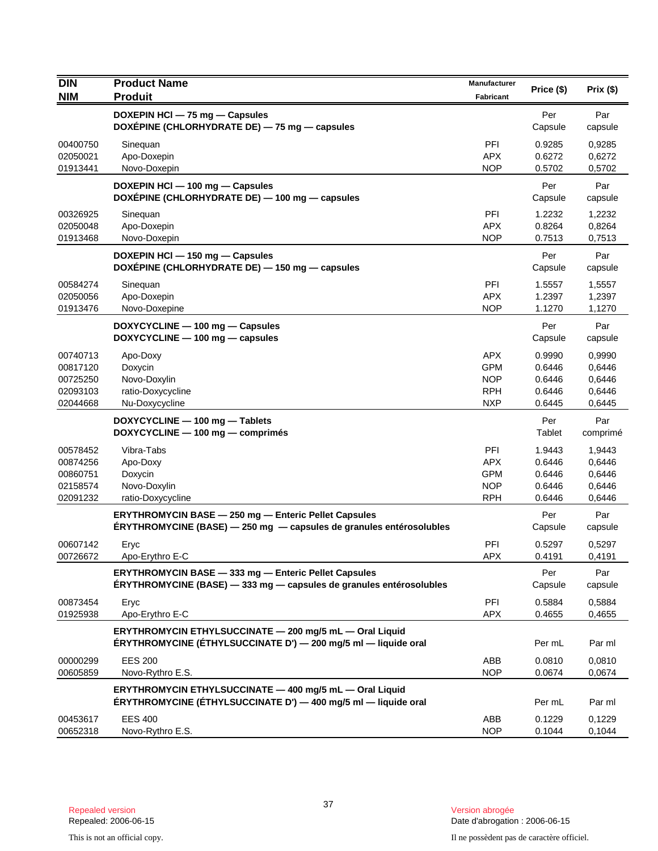| <b>DIN</b>                                               | <b>Product Name</b>                                                                                                                | Manufacturer                                                       | Price (\$)                                     | Prix(\$)                                       |
|----------------------------------------------------------|------------------------------------------------------------------------------------------------------------------------------------|--------------------------------------------------------------------|------------------------------------------------|------------------------------------------------|
| <b>NIM</b>                                               | <b>Produit</b>                                                                                                                     | Fabricant                                                          |                                                |                                                |
|                                                          | DOXEPIN HCI - 75 mg - Capsules<br>DOXEPINE (CHLORHYDRATE DE) - 75 mg - capsules                                                    |                                                                    | Per<br>Capsule                                 | Par<br>capsule                                 |
| 00400750<br>02050021<br>01913441                         | Sinequan<br>Apo-Doxepin<br>Novo-Doxepin                                                                                            | PFI<br><b>APX</b><br><b>NOP</b>                                    | 0.9285<br>0.6272<br>0.5702                     | 0,9285<br>0,6272<br>0,5702                     |
|                                                          | DOXEPIN HCI - 100 mg - Capsules<br>DOXÉPINE (CHLORHYDRATE DE) - 100 mg - capsules                                                  |                                                                    | Per<br>Capsule                                 | Par<br>capsule                                 |
| 00326925<br>02050048<br>01913468                         | Sinequan<br>Apo-Doxepin<br>Novo-Doxepin                                                                                            | PFI<br><b>APX</b><br><b>NOP</b>                                    | 1.2232<br>0.8264<br>0.7513                     | 1,2232<br>0,8264<br>0,7513                     |
|                                                          | DOXEPIN HCI - 150 mg - Capsules<br>DOXEPINE (CHLORHYDRATE DE) - 150 mg - capsules                                                  |                                                                    | Per<br>Capsule                                 | Par<br>capsule                                 |
| 00584274<br>02050056<br>01913476                         | Sinequan<br>Apo-Doxepin<br>Novo-Doxepine                                                                                           | <b>PFI</b><br><b>APX</b><br><b>NOP</b>                             | 1.5557<br>1.2397<br>1.1270                     | 1,5557<br>1,2397<br>1,1270                     |
|                                                          | DOXYCYCLINE - 100 mg - Capsules<br>DOXYCYCLINE - 100 mg - capsules                                                                 |                                                                    | Per<br>Capsule                                 | Par<br>capsule                                 |
| 00740713<br>00817120<br>00725250<br>02093103<br>02044668 | Apo-Doxy<br>Doxycin<br>Novo-Doxylin<br>ratio-Doxycycline<br>Nu-Doxycycline                                                         | <b>APX</b><br><b>GPM</b><br><b>NOP</b><br><b>RPH</b><br><b>NXP</b> | 0.9990<br>0.6446<br>0.6446<br>0.6446<br>0.6445 | 0,9990<br>0,6446<br>0.6446<br>0,6446<br>0,6445 |
|                                                          | DOXYCYCLINE - 100 mg - Tablets<br>DOXYCYCLINE - 100 mg - comprimés                                                                 |                                                                    | Per<br>Tablet                                  | Par<br>comprimé                                |
| 00578452<br>00874256<br>00860751<br>02158574<br>02091232 | Vibra-Tabs<br>Apo-Doxy<br>Doxycin<br>Novo-Doxylin<br>ratio-Doxycycline                                                             | PFI<br><b>APX</b><br><b>GPM</b><br><b>NOP</b><br><b>RPH</b>        | 1.9443<br>0.6446<br>0.6446<br>0.6446<br>0.6446 | 1,9443<br>0,6446<br>0,6446<br>0,6446<br>0,6446 |
|                                                          | <b>ERYTHROMYCIN BASE - 250 mg - Enteric Pellet Capsules</b><br>ÉRYTHROMYCINE (BASE) - 250 mg - capsules de granules entérosolubles |                                                                    | Per<br>Capsule                                 | Par<br>capsule                                 |
| 00607142<br>00726672                                     | Eryc<br>Apo-Erythro E-C                                                                                                            | <b>PFI</b><br>APX                                                  | 0.5297<br>0.4191                               | 0,5297<br>0,4191                               |
|                                                          | ERYTHROMYCIN BASE - 333 mg - Enteric Pellet Capsules<br>ERYTHROMYCINE (BASE) - 333 mg - capsules de granules entérosolubles        |                                                                    | Per<br>Capsule                                 | Par<br>capsule                                 |
| 00873454<br>01925938                                     | Eryc<br>Apo-Erythro E-C                                                                                                            | PFI<br><b>APX</b>                                                  | 0.5884<br>0.4655                               | 0,5884<br>0,4655                               |
|                                                          | ERYTHROMYCIN ETHYLSUCCINATE - 200 mg/5 mL - Oral Liquid<br>ÉRYTHROMYCINE (ÉTHYLSUCCINATE D') — 200 mg/5 ml — liquide oral          |                                                                    | Per mL                                         | Par ml                                         |
| 00000299<br>00605859                                     | <b>EES 200</b><br>Novo-Rythro E.S.                                                                                                 | ABB<br><b>NOP</b>                                                  | 0.0810<br>0.0674                               | 0,0810<br>0,0674                               |
|                                                          | ERYTHROMYCIN ETHYLSUCCINATE - 400 mg/5 mL - Oral Liquid<br>ÉRYTHROMYCINE (ÉTHYLSUCCINATE D') — 400 mg/5 ml — liquide oral          |                                                                    | Per mL                                         | Par ml                                         |
| 00453617<br>00652318                                     | <b>EES 400</b><br>Novo-Rythro E.S.                                                                                                 | ABB<br><b>NOP</b>                                                  | 0.1229<br>0.1044                               | 0,1229<br>0,1044                               |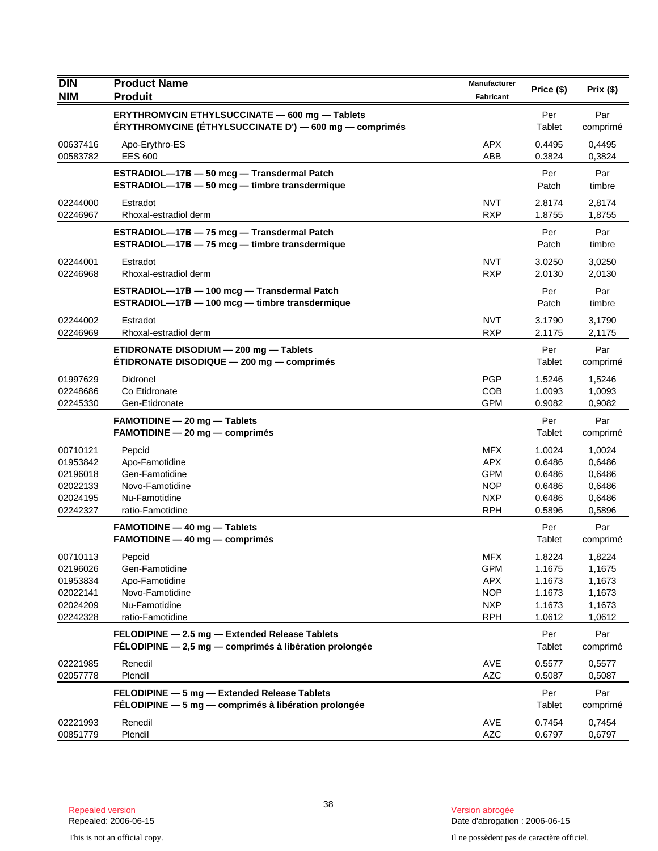| <b>DIN</b><br><b>NIM</b>                                             | <b>Product Name</b><br><b>Produit</b>                                                                       | Manufacturer<br>Fabricant                                                        | Price (\$)                                               | Prix(\$)                                                 |
|----------------------------------------------------------------------|-------------------------------------------------------------------------------------------------------------|----------------------------------------------------------------------------------|----------------------------------------------------------|----------------------------------------------------------|
|                                                                      | ERYTHROMYCIN ETHYLSUCCINATE - 600 mg - Tablets<br>ÉRYTHROMYCINE (ÉTHYLSUCCINATE D') — 600 mg — comprimés    |                                                                                  | Per<br>Tablet                                            | Par<br>comprimé                                          |
| 00637416<br>00583782                                                 | Apo-Erythro-ES<br><b>EES 600</b>                                                                            | <b>APX</b><br>ABB                                                                | 0.4495<br>0.3824                                         | 0,4495<br>0,3824                                         |
|                                                                      | ESTRADIOL-17B - 50 mcg - Transdermal Patch<br>ESTRADIOL-17B - 50 mcg - timbre transdermique                 |                                                                                  | Per<br>Patch                                             | Par<br>timbre                                            |
| 02244000<br>02246967                                                 | Estradot<br>Rhoxal-estradiol derm                                                                           | <b>NVT</b><br><b>RXP</b>                                                         | 2.8174<br>1.8755                                         | 2,8174<br>1,8755                                         |
|                                                                      | ESTRADIOL-17B - 75 mcg - Transdermal Patch<br>ESTRADIOL-17B - 75 mcg - timbre transdermique                 |                                                                                  | Per<br>Patch                                             | Par<br>timbre                                            |
| 02244001<br>02246968                                                 | Estradot<br>Rhoxal-estradiol derm                                                                           | <b>NVT</b><br><b>RXP</b>                                                         | 3.0250<br>2.0130                                         | 3,0250<br>2,0130                                         |
|                                                                      | ESTRADIOL-17B - 100 mcg - Transdermal Patch<br>ESTRADIOL-17B - 100 mcg - timbre transdermique               |                                                                                  | Per<br>Patch                                             | Par<br>timbre                                            |
| 02244002<br>02246969                                                 | Estradot<br>Rhoxal-estradiol derm                                                                           | <b>NVT</b><br><b>RXP</b>                                                         | 3.1790<br>2.1175                                         | 3,1790<br>2,1175                                         |
|                                                                      | ETIDRONATE DISODIUM - 200 mg - Tablets<br>ETIDRONATE DISODIQUE - 200 mg - comprimés                         |                                                                                  | Per<br>Tablet                                            | Par<br>comprimé                                          |
| 01997629<br>02248686<br>02245330                                     | Didronel<br>Co Etidronate<br>Gen-Etidronate                                                                 | <b>PGP</b><br><b>COB</b><br><b>GPM</b>                                           | 1.5246<br>1.0093<br>0.9082                               | 1,5246<br>1,0093<br>0,9082                               |
|                                                                      | FAMOTIDINE - 20 mg - Tablets<br>$FAMOTIDINE - 20 mg - comprimés$                                            |                                                                                  | Per<br>Tablet                                            | Par<br>comprimé                                          |
| 00710121<br>01953842<br>02196018<br>02022133<br>02024195<br>02242327 | Pepcid<br>Apo-Famotidine<br>Gen-Famotidine<br>Novo-Famotidine<br>Nu-Famotidine<br>ratio-Famotidine          | <b>MFX</b><br><b>APX</b><br><b>GPM</b><br><b>NOP</b><br><b>NXP</b><br><b>RPH</b> | 1.0024<br>0.6486<br>0.6486<br>0.6486<br>0.6486<br>0.5896 | 1,0024<br>0,6486<br>0,6486<br>0,6486<br>0,6486<br>0,5896 |
|                                                                      | <b>FAMOTIDINE - 40 mg - Tablets</b><br>$FAMOTIDINE - 40 mg - comprimés$                                     |                                                                                  | Per<br>Tablet                                            | Par<br>comprimé                                          |
| 00710113<br>02196026<br>01953834<br>02022141<br>02024209<br>02242328 | Pepcid<br>Gen-Famotidine<br>Apo-Famotidine<br>Novo-Famotidine<br>Nu-Famotidine<br>ratio-Famotidine          | <b>MFX</b><br><b>GPM</b><br><b>APX</b><br><b>NOP</b><br><b>NXP</b><br><b>RPH</b> | 1.8224<br>1.1675<br>1.1673<br>1.1673<br>1.1673<br>1.0612 | 1,8224<br>1,1675<br>1,1673<br>1,1673<br>1,1673<br>1,0612 |
|                                                                      | FELODIPINE - 2.5 mg - Extended Release Tablets<br>FÉLODIPINE $-2,5$ mg $-$ comprimés à libération prolongée |                                                                                  | Per<br>Tablet                                            | Par<br>comprimé                                          |
| 02221985<br>02057778                                                 | Renedil<br>Plendil                                                                                          | AVE<br><b>AZC</b>                                                                | 0.5577<br>0.5087                                         | 0,5577<br>0,5087                                         |
|                                                                      | FELODIPINE - 5 mg - Extended Release Tablets<br>FÉLODIPINE - 5 mg - comprimés à libération prolongée        |                                                                                  | Per<br>Tablet                                            | Par<br>comprimé                                          |
| 02221993<br>00851779                                                 | Renedil<br>Plendil                                                                                          | AVE<br><b>AZC</b>                                                                | 0.7454<br>0.6797                                         | 0,7454<br>0,6797                                         |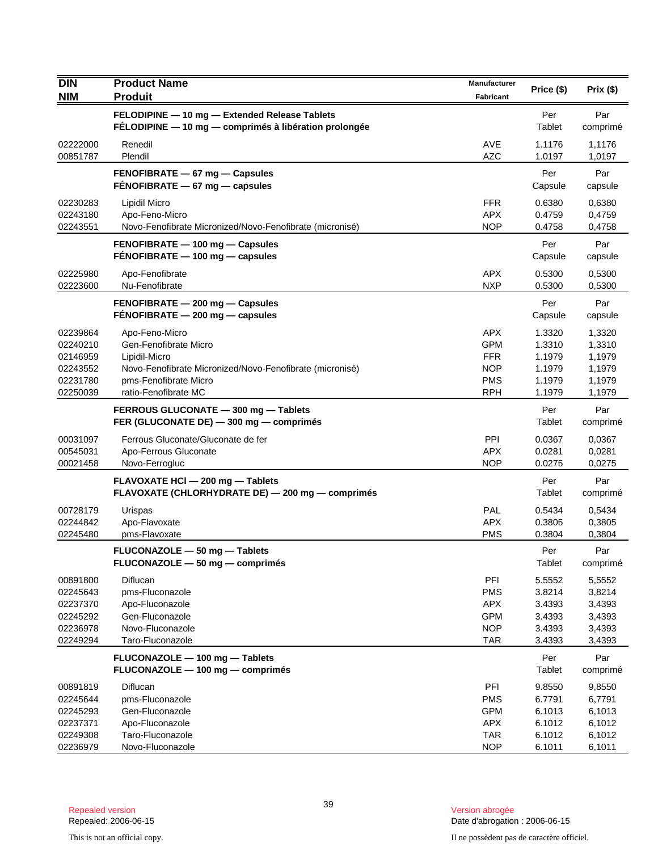| <b>DIN</b> | <b>Product Name</b>                                      | Manufacturer | Price (\$) | Prix(\$) |
|------------|----------------------------------------------------------|--------------|------------|----------|
| <b>NIM</b> | <b>Produit</b>                                           | Fabricant    |            |          |
|            | FELODIPINE - 10 mg - Extended Release Tablets            |              | Per        | Par      |
|            | FÉLODIPINE - 10 mg - comprimés à libération prolongée    |              | Tablet     | comprimé |
| 02222000   | Renedil                                                  | <b>AVE</b>   | 1.1176     | 1,1176   |
| 00851787   | Plendil                                                  | <b>AZC</b>   | 1.0197     | 1,0197   |
|            | FENOFIBRATE - 67 mg - Capsules                           |              | Per        | Par      |
|            | FENOFIBRATE - 67 mg - capsules                           |              | Capsule    | capsule  |
| 02230283   | Lipidil Micro                                            | <b>FFR</b>   | 0.6380     | 0,6380   |
| 02243180   | Apo-Feno-Micro                                           | <b>APX</b>   | 0.4759     | 0,4759   |
| 02243551   | Novo-Fenofibrate Micronized/Novo-Fenofibrate (micronisé) | <b>NOP</b>   | 0.4758     | 0,4758   |
|            | FENOFIBRATE - 100 mg - Capsules                          |              | Per        | Par      |
|            | FENOFIBRATE - 100 mg - capsules                          |              | Capsule    | capsule  |
| 02225980   | Apo-Fenofibrate                                          | <b>APX</b>   | 0.5300     | 0,5300   |
| 02223600   | Nu-Fenofibrate                                           | <b>NXP</b>   | 0.5300     | 0,5300   |
|            | FENOFIBRATE - 200 mg - Capsules                          |              | Per        | Par      |
|            | $FENOFIBRATE - 200 mg - \text{capsules}$                 |              | Capsule    | capsule  |
| 02239864   | Apo-Feno-Micro                                           | <b>APX</b>   | 1.3320     | 1,3320   |
| 02240210   | Gen-Fenofibrate Micro                                    | <b>GPM</b>   | 1.3310     | 1,3310   |
| 02146959   | Lipidil-Micro                                            | <b>FFR</b>   | 1.1979     | 1,1979   |
| 02243552   | Novo-Fenofibrate Micronized/Novo-Fenofibrate (micronisé) | <b>NOP</b>   | 1.1979     | 1,1979   |
| 02231780   | pms-Fenofibrate Micro                                    | <b>PMS</b>   | 1.1979     | 1,1979   |
| 02250039   | ratio-Fenofibrate MC                                     | <b>RPH</b>   | 1.1979     | 1,1979   |
|            | FERROUS GLUCONATE - 300 mg - Tablets                     |              | Per        | Par      |
|            | FER (GLUCONATE DE) - 300 mg - comprimés                  |              | Tablet     | comprimé |
| 00031097   | Ferrous Gluconate/Gluconate de fer                       | PPI          | 0.0367     | 0,0367   |
| 00545031   | Apo-Ferrous Gluconate                                    | <b>APX</b>   | 0.0281     | 0,0281   |
| 00021458   | Novo-Ferrogluc                                           | <b>NOP</b>   | 0.0275     | 0,0275   |
|            | FLAVOXATE HCI - 200 mg - Tablets                         |              | Per        | Par      |
|            | FLAVOXATE (CHLORHYDRATE DE) - 200 mg - comprimés         |              | Tablet     | comprimé |
| 00728179   | Urispas                                                  | PAL          | 0.5434     | 0,5434   |
| 02244842   | Apo-Flavoxate                                            | <b>APX</b>   | 0.3805     | 0,3805   |
| 02245480   | pms-Flavoxate                                            | <b>PMS</b>   | 0.3804     | 0,3804   |
|            | FLUCONAZOLE - 50 mg - Tablets                            |              | Per        | Par      |
|            | FLUCONAZOLE - 50 mg - comprimés                          |              | Tablet     | comprimé |
| 00891800   | Diflucan                                                 | PFI          | 5.5552     | 5,5552   |
| 02245643   | pms-Fluconazole                                          | <b>PMS</b>   | 3.8214     | 3,8214   |
| 02237370   | Apo-Fluconazole                                          | <b>APX</b>   | 3.4393     | 3,4393   |
| 02245292   | Gen-Fluconazole                                          | <b>GPM</b>   | 3.4393     | 3,4393   |
| 02236978   | Novo-Fluconazole                                         | <b>NOP</b>   | 3.4393     | 3,4393   |
| 02249294   | Taro-Fluconazole                                         | <b>TAR</b>   | 3.4393     | 3,4393   |
|            | FLUCONAZOLE - 100 mg - Tablets                           |              | Per        | Par      |
|            | FLUCONAZOLE - 100 mg - comprimés                         |              | Tablet     | comprimé |
| 00891819   | Diflucan                                                 | PFI          | 9.8550     | 9,8550   |
| 02245644   | pms-Fluconazole                                          | <b>PMS</b>   | 6.7791     | 6,7791   |
| 02245293   | Gen-Fluconazole                                          | <b>GPM</b>   | 6.1013     | 6,1013   |
| 02237371   | Apo-Fluconazole                                          | <b>APX</b>   | 6.1012     | 6,1012   |
| 02249308   | Taro-Fluconazole                                         | <b>TAR</b>   | 6.1012     | 6,1012   |
| 02236979   | Novo-Fluconazole                                         | <b>NOP</b>   | 6.1011     | 6,1011   |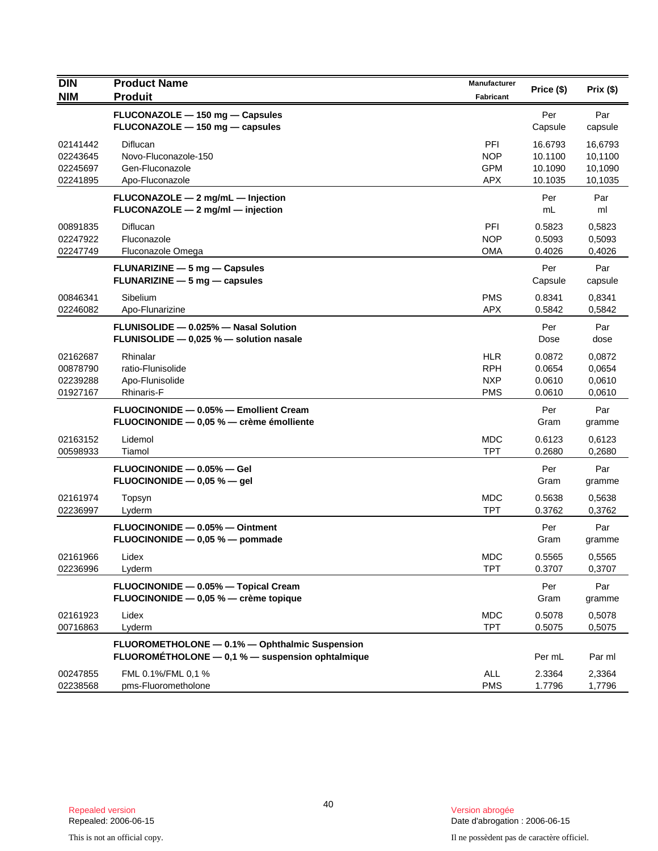| <b>DIN</b>                                   | <b>Product Name</b>                                                                                | Manufacturer                                         | Price (\$)                               | Prix(\$)                                 |
|----------------------------------------------|----------------------------------------------------------------------------------------------------|------------------------------------------------------|------------------------------------------|------------------------------------------|
| <b>NIM</b>                                   | <b>Produit</b>                                                                                     | <b>Fabricant</b>                                     |                                          |                                          |
|                                              | FLUCONAZOLE - 150 mg - Capsules<br>FLUCONAZOLE - 150 mg - capsules                                 |                                                      | Per<br>Capsule                           | Par<br>capsule                           |
| 02141442<br>02243645<br>02245697<br>02241895 | Diflucan<br>Novo-Fluconazole-150<br>Gen-Fluconazole<br>Apo-Fluconazole                             | PFI<br><b>NOP</b><br><b>GPM</b><br><b>APX</b>        | 16.6793<br>10.1100<br>10.1090<br>10.1035 | 16,6793<br>10,1100<br>10,1090<br>10,1035 |
|                                              | FLUCONAZOLE - 2 mg/mL - Injection<br>FLUCONAZOLE - 2 mg/ml - injection                             |                                                      | Per<br>mL                                | Par<br>ml                                |
| 00891835<br>02247922<br>02247749             | Diflucan<br>Fluconazole<br>Fluconazole Omega                                                       | <b>PFI</b><br><b>NOP</b><br><b>OMA</b>               | 0.5823<br>0.5093<br>0.4026               | 0,5823<br>0,5093<br>0,4026               |
|                                              | FLUNARIZINE - 5 mg - Capsules<br><b>FLUNARIZINE <math>-5</math> mg <math>-</math> capsules</b>     |                                                      | Per<br>Capsule                           | Par<br>capsule                           |
| 00846341<br>02246082                         | Sibelium<br>Apo-Flunarizine                                                                        | <b>PMS</b><br><b>APX</b>                             | 0.8341<br>0.5842                         | 0,8341<br>0,5842                         |
|                                              | FLUNISOLIDE - 0.025% - Nasal Solution<br>FLUNISOLIDE - 0,025 % - solution nasale                   |                                                      | Per<br>Dose                              | Par<br>dose                              |
| 02162687<br>00878790<br>02239288<br>01927167 | Rhinalar<br>ratio-Flunisolide<br>Apo-Flunisolide<br><b>Rhinaris-F</b>                              | <b>HLR</b><br><b>RPH</b><br><b>NXP</b><br><b>PMS</b> | 0.0872<br>0.0654<br>0.0610<br>0.0610     | 0,0872<br>0,0654<br>0,0610<br>0,0610     |
|                                              | FLUOCINONIDE - 0.05% - Emollient Cream<br>FLUOCINONIDE - 0,05 % - crème émolliente                 |                                                      | Per<br>Gram                              | Par<br>gramme                            |
| 02163152<br>00598933                         | Lidemol<br>Tiamol                                                                                  | <b>MDC</b><br><b>TPT</b>                             | 0.6123<br>0.2680                         | 0,6123<br>0,2680                         |
|                                              | FLUOCINONIDE - 0.05% - Gel<br>FLUOCINONIDE $-$ 0,05 % $-$ gel                                      |                                                      | Per<br>Gram                              | Par<br>gramme                            |
| 02161974<br>02236997                         | Topsyn<br>Lyderm                                                                                   | <b>MDC</b><br><b>TPT</b>                             | 0.5638<br>0.3762                         | 0,5638<br>0,3762                         |
|                                              | FLUOCINONIDE - 0.05% - Ointment<br>FLUOCINONIDE - 0,05 % - pommade                                 |                                                      | Per<br>Gram                              | Par<br>gramme                            |
| 02161966<br>02236996                         | Lidex<br>Lyderm                                                                                    | <b>MDC</b><br><b>TPT</b>                             | 0.5565<br>0.3707                         | 0,5565<br>0,3707                         |
|                                              | FLUOCINONIDE - 0.05% - Topical Cream<br>FLUOCINONIDE - 0,05 % - crème topique                      |                                                      | Per<br>Gram                              | Par<br>gramme                            |
| 02161923<br>00716863                         | Lidex<br>Lyderm                                                                                    | <b>MDC</b><br><b>TPT</b>                             | 0.5078<br>0.5075                         | 0,5078<br>0,5075                         |
|                                              | FLUOROMETHOLONE - 0.1% - Ophthalmic Suspension<br>FLUOROMÉTHOLONE - 0,1 % - suspension ophtalmique |                                                      | Per mL                                   | Par ml                                   |
| 00247855<br>02238568                         | FML 0.1%/FML 0,1 %<br>pms-Fluorometholone                                                          | ALL<br><b>PMS</b>                                    | 2.3364<br>1.7796                         | 2,3364<br>1,7796                         |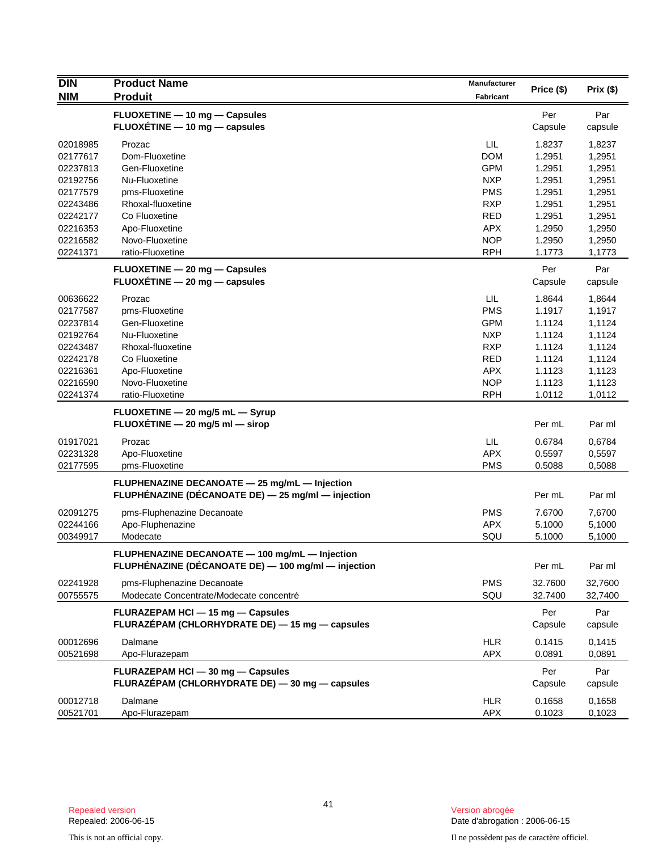| <b>DIN</b> | <b>Product Name</b>                                 | Manufacturer     |            |          |
|------------|-----------------------------------------------------|------------------|------------|----------|
| <b>NIM</b> | <b>Produit</b>                                      | <b>Fabricant</b> | Price (\$) | Prix(\$) |
|            | FLUOXETINE - 10 mg - Capsules                       |                  | Per        | Par      |
|            | FLUOXÉTINE - 10 mg - capsules                       |                  | Capsule    | capsule  |
| 02018985   | Prozac                                              | LIL.             | 1.8237     | 1,8237   |
| 02177617   | Dom-Fluoxetine                                      | <b>DOM</b>       | 1.2951     | 1,2951   |
| 02237813   | Gen-Fluoxetine                                      | <b>GPM</b>       | 1.2951     | 1,2951   |
| 02192756   | Nu-Fluoxetine                                       | <b>NXP</b>       | 1.2951     | 1,2951   |
| 02177579   | pms-Fluoxetine                                      | <b>PMS</b>       | 1.2951     | 1,2951   |
| 02243486   | Rhoxal-fluoxetine                                   | <b>RXP</b>       | 1.2951     | 1,2951   |
| 02242177   | Co Fluoxetine                                       | <b>RED</b>       | 1.2951     | 1,2951   |
| 02216353   | Apo-Fluoxetine                                      | <b>APX</b>       | 1.2950     | 1,2950   |
| 02216582   | Novo-Fluoxetine                                     | <b>NOP</b>       | 1.2950     | 1,2950   |
| 02241371   | ratio-Fluoxetine                                    | <b>RPH</b>       | 1.1773     | 1,1773   |
|            | FLUOXETINE - 20 mg - Capsules                       |                  | Per        | Par      |
|            | $FLUOXETINE - 20 mg - capsules$                     |                  | Capsule    | capsule  |
| 00636622   | Prozac                                              | LIL.             | 1.8644     | 1,8644   |
| 02177587   | pms-Fluoxetine                                      | <b>PMS</b>       | 1.1917     | 1,1917   |
| 02237814   | Gen-Fluoxetine                                      | <b>GPM</b>       | 1.1124     | 1,1124   |
| 02192764   | Nu-Fluoxetine                                       | <b>NXP</b>       | 1.1124     | 1,1124   |
| 02243487   | Rhoxal-fluoxetine                                   | <b>RXP</b>       | 1.1124     | 1,1124   |
| 02242178   | Co Fluoxetine                                       | <b>RED</b>       | 1.1124     | 1,1124   |
| 02216361   | Apo-Fluoxetine                                      | <b>APX</b>       | 1.1123     | 1,1123   |
| 02216590   | Novo-Fluoxetine                                     | <b>NOP</b>       | 1.1123     | 1,1123   |
| 02241374   | ratio-Fluoxetine                                    | <b>RPH</b>       | 1.0112     | 1,0112   |
|            | FLUOXETINE - 20 mg/5 mL - Syrup                     |                  |            |          |
|            | FLUOXETINE - 20 mg/5 ml - sirop                     |                  | Per mL     | Par ml   |
| 01917021   | Prozac                                              | LIL.             | 0.6784     | 0,6784   |
| 02231328   | Apo-Fluoxetine                                      | <b>APX</b>       | 0.5597     | 0,5597   |
| 02177595   | pms-Fluoxetine                                      | <b>PMS</b>       | 0.5088     | 0,5088   |
|            | FLUPHENAZINE DECANOATE - 25 mg/mL - Injection       |                  |            |          |
|            | FLUPHÉNAZINE (DÉCANOATE DE) - 25 mg/ml - injection  |                  | Per mL     | Par ml   |
| 02091275   | pms-Fluphenazine Decanoate                          | <b>PMS</b>       | 7.6700     | 7,6700   |
| 02244166   | Apo-Fluphenazine                                    | <b>APX</b>       | 5.1000     | 5,1000   |
| 00349917   | Modecate                                            | SQU              | 5.1000     | 5,1000   |
|            | FLUPHENAZINE DECANOATE - 100 mg/mL - Injection      |                  |            |          |
|            | FLUPHÉNAZINE (DÉCANOATE DE) - 100 mg/ml - injection |                  | Per mL     | Par ml   |
| 02241928   | pms-Fluphenazine Decanoate                          | <b>PMS</b>       | 32.7600    | 32,7600  |
| 00755575   | Modecate Concentrate/Modecate concentré             | SQU              | 32.7400    | 32,7400  |
|            | FLURAZEPAM HCI - 15 mg - Capsules                   |                  | Per        | Par      |
|            | FLURAZÉPAM (CHLORHYDRATE DE) — 15 mg — capsules     |                  | Capsule    | capsule  |
| 00012696   | Dalmane                                             | <b>HLR</b>       | 0.1415     | 0,1415   |
| 00521698   | Apo-Flurazepam                                      | <b>APX</b>       | 0.0891     | 0,0891   |
|            | FLURAZEPAM HCI - 30 mg - Capsules                   |                  | Per        | Par      |
|            | FLURAZÉPAM (CHLORHYDRATE DE) - 30 mg - capsules     |                  | Capsule    | capsule  |
| 00012718   | Dalmane                                             | <b>HLR</b>       | 0.1658     | 0,1658   |
| 00521701   | Apo-Flurazepam                                      | APX              | 0.1023     | 0,1023   |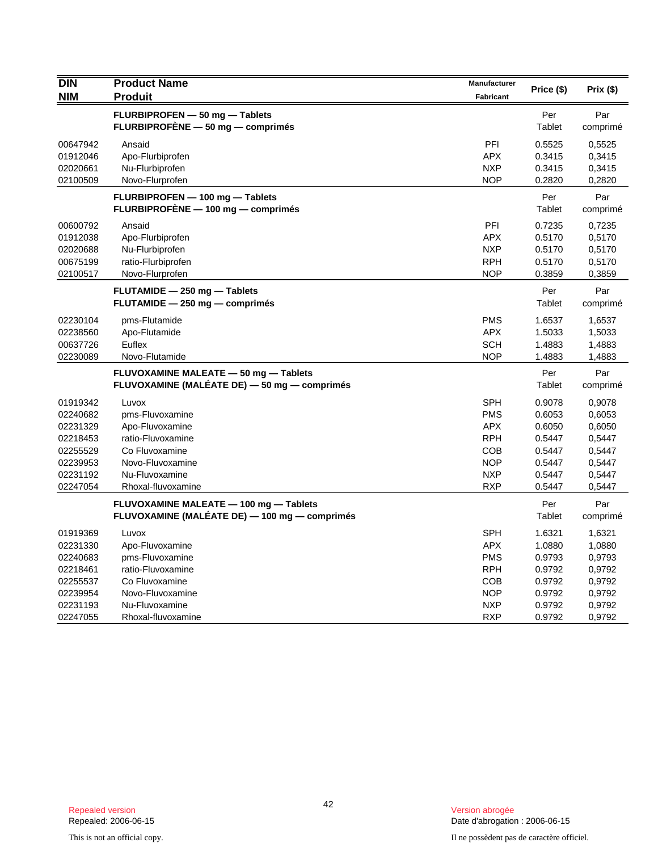| <b>DIN</b><br><b>NIM</b> | <b>Product Name</b><br><b>Produit</b>                                 | Manufacturer             | Price (\$)       | Prix (\$)        |
|--------------------------|-----------------------------------------------------------------------|--------------------------|------------------|------------------|
|                          | FLURBIPROFEN - 50 mg - Tablets                                        | Fabricant                | Per              | Par              |
|                          | FLURBIPROFÈNE - 50 mg - comprimés                                     |                          | Tablet           | comprimé         |
| 00647942                 | Ansaid                                                                | PFI                      | 0.5525           | 0,5525           |
| 01912046                 | Apo-Flurbiprofen                                                      | <b>APX</b>               | 0.3415           | 0,3415           |
| 02020661                 | Nu-Flurbiprofen                                                       | <b>NXP</b>               | 0.3415           | 0,3415           |
| 02100509                 | Novo-Flurprofen                                                       | <b>NOP</b>               | 0.2820           | 0,2820           |
|                          | FLURBIPROFEN - 100 mg - Tablets<br>FLURBIPROFÈNE - 100 mg - comprimés |                          | Per<br>Tablet    | Par<br>comprimé  |
| 00600792                 | Ansaid                                                                | PFI                      | 0.7235           | 0,7235           |
| 01912038                 | Apo-Flurbiprofen                                                      | <b>APX</b>               | 0.5170           | 0,5170           |
| 02020688                 | Nu-Flurbiprofen                                                       | <b>NXP</b>               | 0.5170           | 0,5170           |
| 00675199                 | ratio-Flurbiprofen                                                    | <b>RPH</b>               | 0.5170           | 0,5170           |
| 02100517                 | Novo-Flurprofen                                                       | <b>NOP</b>               | 0.3859           | 0,3859           |
|                          | FLUTAMIDE - 250 mg - Tablets                                          |                          | Per              | Par              |
|                          | FLUTAMIDE - 250 mg - comprimés                                        |                          | Tablet           | comprimé         |
| 02230104                 | pms-Flutamide                                                         | <b>PMS</b>               | 1.6537           | 1,6537           |
| 02238560                 | Apo-Flutamide                                                         | <b>APX</b>               | 1.5033           | 1,5033           |
| 00637726                 | Euflex                                                                | <b>SCH</b>               | 1.4883           | 1,4883           |
| 02230089                 | Novo-Flutamide                                                        | <b>NOP</b>               | 1.4883           | 1,4883           |
|                          | FLUVOXAMINE MALEATE - 50 mg - Tablets                                 |                          | Per              | Par              |
|                          | FLUVOXAMINE (MALÉATE DE) - 50 mg - comprimés                          |                          | Tablet           | comprimé         |
| 01919342                 | Luvox                                                                 | <b>SPH</b>               | 0.9078           | 0,9078           |
| 02240682                 | pms-Fluvoxamine                                                       | <b>PMS</b>               | 0.6053           | 0,6053           |
| 02231329                 | Apo-Fluvoxamine                                                       | <b>APX</b>               | 0.6050           | 0,6050           |
| 02218453                 | ratio-Fluvoxamine                                                     | <b>RPH</b>               | 0.5447           | 0,5447           |
| 02255529                 | Co Fluvoxamine                                                        | COB                      | 0.5447           | 0,5447           |
| 02239953                 | Novo-Fluvoxamine                                                      | <b>NOP</b>               | 0.5447           | 0,5447           |
| 02231192                 | Nu-Fluvoxamine                                                        | <b>NXP</b>               | 0.5447           | 0,5447           |
| 02247054                 | Rhoxal-fluvoxamine                                                    | <b>RXP</b>               | 0.5447           | 0,5447           |
|                          | FLUVOXAMINE MALEATE - 100 mg - Tablets                                |                          | Per              | Par              |
|                          | FLUVOXAMINE (MALÉATE DE) — 100 mg — comprimés                         |                          | Tablet           | comprimé         |
| 01919369                 | Luvox                                                                 | <b>SPH</b>               | 1.6321           | 1,6321           |
| 02231330                 | Apo-Fluvoxamine                                                       | <b>APX</b>               | 1.0880           | 1,0880           |
| 02240683                 | pms-Fluvoxamine                                                       | <b>PMS</b>               | 0.9793           | 0,9793           |
| 02218461                 | ratio-Fluvoxamine                                                     | <b>RPH</b>               | 0.9792           | 0,9792           |
| 02255537                 | Co Fluvoxamine                                                        | COB                      | 0.9792           | 0,9792           |
| 02239954                 | Novo-Fluvoxamine                                                      | <b>NOP</b>               | 0.9792           | 0,9792           |
| 02231193<br>02247055     | Nu-Fluvoxamine<br>Rhoxal-fluvoxamine                                  | <b>NXP</b><br><b>RXP</b> | 0.9792<br>0.9792 | 0,9792<br>0,9792 |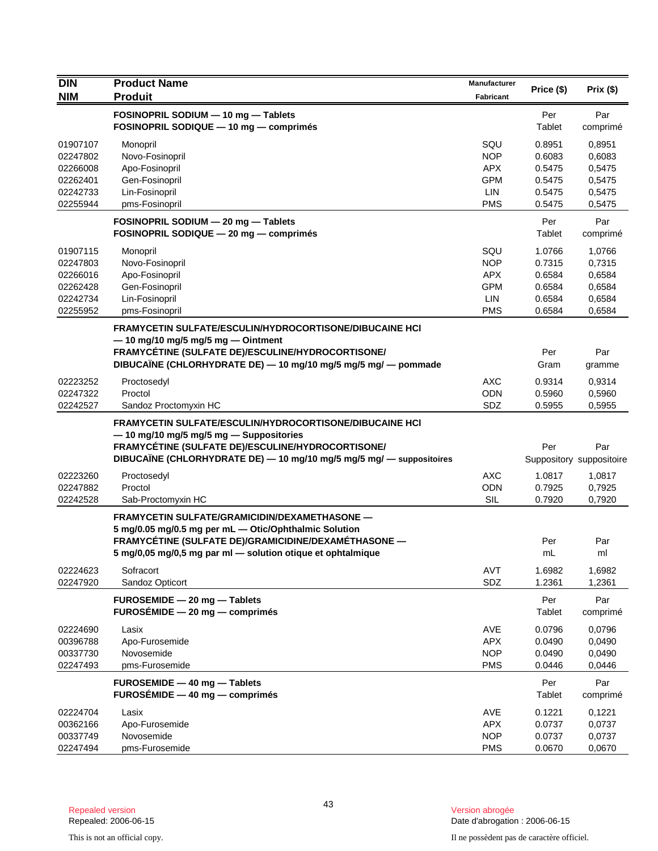| <b>NIM</b><br><b>Produit</b><br>Fabricant<br>FOSINOPRIL SODIUM - 10 mg - Tablets<br>Per<br>Par<br>FOSINOPRIL SODIQUE - 10 mg - comprimés<br>Tablet<br>comprimé<br>01907107<br>SQU<br>0.8951<br>Monopril<br>0,8951<br><b>NOP</b><br>0.6083<br>0,6083<br>02247802<br>Novo-Fosinopril<br>0,5475<br>Apo-Fosinopril<br>APX<br>0.5475<br>02266008<br>Gen-Fosinopril<br><b>GPM</b><br>0,5475<br>02262401<br>0.5475<br>Lin-Fosinopril<br>LIN<br>02242733<br>0.5475<br>0,5475<br>02255944<br>pms-Fosinopril<br><b>PMS</b><br>0.5475<br>0,5475<br>Par<br>FOSINOPRIL SODIUM - 20 mg - Tablets<br>Per<br>FOSINOPRIL SODIQUE - 20 mg - comprimés<br>Tablet<br>comprimé<br>01907115<br>SQU<br>1.0766<br>Monopril<br>1,0766<br><b>NOP</b><br>0.7315<br>02247803<br>Novo-Fosinopril<br>0,7315<br>Apo-Fosinopril<br><b>APX</b><br>0.6584<br>0,6584<br>02266016<br>02262428<br>Gen-Fosinopril<br><b>GPM</b><br>0.6584<br>0,6584<br>02242734<br>Lin-Fosinopril<br><b>LIN</b><br>0.6584<br>0,6584<br>02255952<br>pms-Fosinopril<br><b>PMS</b><br>0.6584<br>0,6584<br>FRAMYCETIN SULFATE/ESCULIN/HYDROCORTISONE/DIBUCAINE HCI<br>$-$ 10 mg/10 mg/5 mg/5 mg $-$ Ointment<br>FRAMYCÉTINE (SULFATE DE)/ESCULINE/HYDROCORTISONE/<br>Per<br>Par<br>DIBUCAÏNE (CHLORHYDRATE DE) - 10 mg/10 mg/5 mg/5 mg/ - pommade<br>Gram<br>gramme<br><b>AXC</b><br>02223252<br>0.9314<br>Proctosedyl<br>0,9314<br><b>ODN</b><br>02247322<br>Proctol<br>0.5960<br>0,5960<br>02242527<br>SDZ<br>0,5955<br>Sandoz Proctomyxin HC<br>0.5955<br><b>FRAMYCETIN SULFATE/ESCULIN/HYDROCORTISONE/DIBUCAINE HCI</b><br>- 10 mg/10 mg/5 mg/5 mg - Suppositories<br>FRAMYCÉTINE (SULFATE DE)/ESCULINE/HYDROCORTISONE/<br>Per<br>Par<br>DIBUCAÏNE (CHLORHYDRATE DE) - 10 mg/10 mg/5 mg/5 mg/ - suppositoires<br>Suppository suppositoire<br>Proctosedyl<br><b>AXC</b><br>1.0817<br>02223260<br>1,0817<br>02247882<br>Proctol<br><b>ODN</b><br>0.7925<br>0,7925<br><b>SIL</b><br>02242528<br>0.7920<br>Sab-Proctomyxin HC<br>0,7920<br><b>FRAMYCETIN SULFATE/GRAMICIDIN/DEXAMETHASONE -</b><br>5 mg/0.05 mg/0.5 mg per mL - Otic/Ophthalmic Solution<br>FRAMYCÉTINE (SULFATE DE)/GRAMICIDINE/DEXAMÉTHASONE -<br>Per<br>Par<br>5 mg/0,05 mg/0,5 mg par ml - solution otique et ophtalmique<br>mL<br>ml<br><b>AVT</b><br>1.6982<br>1,6982<br>02224623<br>Sofracort<br>SDZ<br>02247920<br>1.2361<br>1,2361<br>Sandoz Opticort<br>FUROSEMIDE - 20 mg - Tablets<br>Per<br>Par<br>$FUROSÉMIDE - 20 mg - comprimés$<br>Tablet<br>comprimé<br>AVE<br>0.0796<br>0,0796<br>02224690<br>Lasix<br><b>APX</b><br>00396788<br>Apo-Furosemide<br>0.0490<br>0,0490<br>Novosemide<br><b>NOP</b><br>00337730<br>0.0490<br>0,0490<br><b>PMS</b><br>02247493<br>pms-Furosemide<br>0.0446<br>0,0446<br>FUROSEMIDE - 40 mg - Tablets<br>Per<br>Par<br>FUROSÉMIDE $-40$ mg $-$ comprimés<br>Tablet<br>comprimé<br>AVE<br>0.1221<br>02224704<br>Lasix<br>0,1221<br>00362166<br>Apo-Furosemide<br><b>APX</b><br>0.0737<br>0,0737<br><b>NOP</b><br>00337749<br>Novosemide<br>0.0737<br>0,0737<br>02247494<br>pms-Furosemide<br><b>PMS</b><br>0.0670<br>0,0670 | <b>DIN</b> | <b>Product Name</b> | Manufacturer | Price (\$) | Prix(\$) |
|-------------------------------------------------------------------------------------------------------------------------------------------------------------------------------------------------------------------------------------------------------------------------------------------------------------------------------------------------------------------------------------------------------------------------------------------------------------------------------------------------------------------------------------------------------------------------------------------------------------------------------------------------------------------------------------------------------------------------------------------------------------------------------------------------------------------------------------------------------------------------------------------------------------------------------------------------------------------------------------------------------------------------------------------------------------------------------------------------------------------------------------------------------------------------------------------------------------------------------------------------------------------------------------------------------------------------------------------------------------------------------------------------------------------------------------------------------------------------------------------------------------------------------------------------------------------------------------------------------------------------------------------------------------------------------------------------------------------------------------------------------------------------------------------------------------------------------------------------------------------------------------------------------------------------------------------------------------------------------------------------------------------------------------------------------------------------------------------------------------------------------------------------------------------------------------------------------------------------------------------------------------------------------------------------------------------------------------------------------------------------------------------------------------------------------------------------------------------------------------------------------------------------------------------------------------------------------------------------------------------------------------------------------------------------------------------------------------------------------------------------------------------------------------------------------------------------------------------------------------------------------------------------------------------------------------------------------------------------------------------------------------------------------------------------------------------------------|------------|---------------------|--------------|------------|----------|
|                                                                                                                                                                                                                                                                                                                                                                                                                                                                                                                                                                                                                                                                                                                                                                                                                                                                                                                                                                                                                                                                                                                                                                                                                                                                                                                                                                                                                                                                                                                                                                                                                                                                                                                                                                                                                                                                                                                                                                                                                                                                                                                                                                                                                                                                                                                                                                                                                                                                                                                                                                                                                                                                                                                                                                                                                                                                                                                                                                                                                                                                               |            |                     |              |            |          |
|                                                                                                                                                                                                                                                                                                                                                                                                                                                                                                                                                                                                                                                                                                                                                                                                                                                                                                                                                                                                                                                                                                                                                                                                                                                                                                                                                                                                                                                                                                                                                                                                                                                                                                                                                                                                                                                                                                                                                                                                                                                                                                                                                                                                                                                                                                                                                                                                                                                                                                                                                                                                                                                                                                                                                                                                                                                                                                                                                                                                                                                                               |            |                     |              |            |          |
|                                                                                                                                                                                                                                                                                                                                                                                                                                                                                                                                                                                                                                                                                                                                                                                                                                                                                                                                                                                                                                                                                                                                                                                                                                                                                                                                                                                                                                                                                                                                                                                                                                                                                                                                                                                                                                                                                                                                                                                                                                                                                                                                                                                                                                                                                                                                                                                                                                                                                                                                                                                                                                                                                                                                                                                                                                                                                                                                                                                                                                                                               |            |                     |              |            |          |
|                                                                                                                                                                                                                                                                                                                                                                                                                                                                                                                                                                                                                                                                                                                                                                                                                                                                                                                                                                                                                                                                                                                                                                                                                                                                                                                                                                                                                                                                                                                                                                                                                                                                                                                                                                                                                                                                                                                                                                                                                                                                                                                                                                                                                                                                                                                                                                                                                                                                                                                                                                                                                                                                                                                                                                                                                                                                                                                                                                                                                                                                               |            |                     |              |            |          |
|                                                                                                                                                                                                                                                                                                                                                                                                                                                                                                                                                                                                                                                                                                                                                                                                                                                                                                                                                                                                                                                                                                                                                                                                                                                                                                                                                                                                                                                                                                                                                                                                                                                                                                                                                                                                                                                                                                                                                                                                                                                                                                                                                                                                                                                                                                                                                                                                                                                                                                                                                                                                                                                                                                                                                                                                                                                                                                                                                                                                                                                                               |            |                     |              |            |          |
|                                                                                                                                                                                                                                                                                                                                                                                                                                                                                                                                                                                                                                                                                                                                                                                                                                                                                                                                                                                                                                                                                                                                                                                                                                                                                                                                                                                                                                                                                                                                                                                                                                                                                                                                                                                                                                                                                                                                                                                                                                                                                                                                                                                                                                                                                                                                                                                                                                                                                                                                                                                                                                                                                                                                                                                                                                                                                                                                                                                                                                                                               |            |                     |              |            |          |
|                                                                                                                                                                                                                                                                                                                                                                                                                                                                                                                                                                                                                                                                                                                                                                                                                                                                                                                                                                                                                                                                                                                                                                                                                                                                                                                                                                                                                                                                                                                                                                                                                                                                                                                                                                                                                                                                                                                                                                                                                                                                                                                                                                                                                                                                                                                                                                                                                                                                                                                                                                                                                                                                                                                                                                                                                                                                                                                                                                                                                                                                               |            |                     |              |            |          |
|                                                                                                                                                                                                                                                                                                                                                                                                                                                                                                                                                                                                                                                                                                                                                                                                                                                                                                                                                                                                                                                                                                                                                                                                                                                                                                                                                                                                                                                                                                                                                                                                                                                                                                                                                                                                                                                                                                                                                                                                                                                                                                                                                                                                                                                                                                                                                                                                                                                                                                                                                                                                                                                                                                                                                                                                                                                                                                                                                                                                                                                                               |            |                     |              |            |          |
|                                                                                                                                                                                                                                                                                                                                                                                                                                                                                                                                                                                                                                                                                                                                                                                                                                                                                                                                                                                                                                                                                                                                                                                                                                                                                                                                                                                                                                                                                                                                                                                                                                                                                                                                                                                                                                                                                                                                                                                                                                                                                                                                                                                                                                                                                                                                                                                                                                                                                                                                                                                                                                                                                                                                                                                                                                                                                                                                                                                                                                                                               |            |                     |              |            |          |
|                                                                                                                                                                                                                                                                                                                                                                                                                                                                                                                                                                                                                                                                                                                                                                                                                                                                                                                                                                                                                                                                                                                                                                                                                                                                                                                                                                                                                                                                                                                                                                                                                                                                                                                                                                                                                                                                                                                                                                                                                                                                                                                                                                                                                                                                                                                                                                                                                                                                                                                                                                                                                                                                                                                                                                                                                                                                                                                                                                                                                                                                               |            |                     |              |            |          |
|                                                                                                                                                                                                                                                                                                                                                                                                                                                                                                                                                                                                                                                                                                                                                                                                                                                                                                                                                                                                                                                                                                                                                                                                                                                                                                                                                                                                                                                                                                                                                                                                                                                                                                                                                                                                                                                                                                                                                                                                                                                                                                                                                                                                                                                                                                                                                                                                                                                                                                                                                                                                                                                                                                                                                                                                                                                                                                                                                                                                                                                                               |            |                     |              |            |          |
|                                                                                                                                                                                                                                                                                                                                                                                                                                                                                                                                                                                                                                                                                                                                                                                                                                                                                                                                                                                                                                                                                                                                                                                                                                                                                                                                                                                                                                                                                                                                                                                                                                                                                                                                                                                                                                                                                                                                                                                                                                                                                                                                                                                                                                                                                                                                                                                                                                                                                                                                                                                                                                                                                                                                                                                                                                                                                                                                                                                                                                                                               |            |                     |              |            |          |
|                                                                                                                                                                                                                                                                                                                                                                                                                                                                                                                                                                                                                                                                                                                                                                                                                                                                                                                                                                                                                                                                                                                                                                                                                                                                                                                                                                                                                                                                                                                                                                                                                                                                                                                                                                                                                                                                                                                                                                                                                                                                                                                                                                                                                                                                                                                                                                                                                                                                                                                                                                                                                                                                                                                                                                                                                                                                                                                                                                                                                                                                               |            |                     |              |            |          |
|                                                                                                                                                                                                                                                                                                                                                                                                                                                                                                                                                                                                                                                                                                                                                                                                                                                                                                                                                                                                                                                                                                                                                                                                                                                                                                                                                                                                                                                                                                                                                                                                                                                                                                                                                                                                                                                                                                                                                                                                                                                                                                                                                                                                                                                                                                                                                                                                                                                                                                                                                                                                                                                                                                                                                                                                                                                                                                                                                                                                                                                                               |            |                     |              |            |          |
|                                                                                                                                                                                                                                                                                                                                                                                                                                                                                                                                                                                                                                                                                                                                                                                                                                                                                                                                                                                                                                                                                                                                                                                                                                                                                                                                                                                                                                                                                                                                                                                                                                                                                                                                                                                                                                                                                                                                                                                                                                                                                                                                                                                                                                                                                                                                                                                                                                                                                                                                                                                                                                                                                                                                                                                                                                                                                                                                                                                                                                                                               |            |                     |              |            |          |
|                                                                                                                                                                                                                                                                                                                                                                                                                                                                                                                                                                                                                                                                                                                                                                                                                                                                                                                                                                                                                                                                                                                                                                                                                                                                                                                                                                                                                                                                                                                                                                                                                                                                                                                                                                                                                                                                                                                                                                                                                                                                                                                                                                                                                                                                                                                                                                                                                                                                                                                                                                                                                                                                                                                                                                                                                                                                                                                                                                                                                                                                               |            |                     |              |            |          |
|                                                                                                                                                                                                                                                                                                                                                                                                                                                                                                                                                                                                                                                                                                                                                                                                                                                                                                                                                                                                                                                                                                                                                                                                                                                                                                                                                                                                                                                                                                                                                                                                                                                                                                                                                                                                                                                                                                                                                                                                                                                                                                                                                                                                                                                                                                                                                                                                                                                                                                                                                                                                                                                                                                                                                                                                                                                                                                                                                                                                                                                                               |            |                     |              |            |          |
|                                                                                                                                                                                                                                                                                                                                                                                                                                                                                                                                                                                                                                                                                                                                                                                                                                                                                                                                                                                                                                                                                                                                                                                                                                                                                                                                                                                                                                                                                                                                                                                                                                                                                                                                                                                                                                                                                                                                                                                                                                                                                                                                                                                                                                                                                                                                                                                                                                                                                                                                                                                                                                                                                                                                                                                                                                                                                                                                                                                                                                                                               |            |                     |              |            |          |
|                                                                                                                                                                                                                                                                                                                                                                                                                                                                                                                                                                                                                                                                                                                                                                                                                                                                                                                                                                                                                                                                                                                                                                                                                                                                                                                                                                                                                                                                                                                                                                                                                                                                                                                                                                                                                                                                                                                                                                                                                                                                                                                                                                                                                                                                                                                                                                                                                                                                                                                                                                                                                                                                                                                                                                                                                                                                                                                                                                                                                                                                               |            |                     |              |            |          |
|                                                                                                                                                                                                                                                                                                                                                                                                                                                                                                                                                                                                                                                                                                                                                                                                                                                                                                                                                                                                                                                                                                                                                                                                                                                                                                                                                                                                                                                                                                                                                                                                                                                                                                                                                                                                                                                                                                                                                                                                                                                                                                                                                                                                                                                                                                                                                                                                                                                                                                                                                                                                                                                                                                                                                                                                                                                                                                                                                                                                                                                                               |            |                     |              |            |          |
|                                                                                                                                                                                                                                                                                                                                                                                                                                                                                                                                                                                                                                                                                                                                                                                                                                                                                                                                                                                                                                                                                                                                                                                                                                                                                                                                                                                                                                                                                                                                                                                                                                                                                                                                                                                                                                                                                                                                                                                                                                                                                                                                                                                                                                                                                                                                                                                                                                                                                                                                                                                                                                                                                                                                                                                                                                                                                                                                                                                                                                                                               |            |                     |              |            |          |
|                                                                                                                                                                                                                                                                                                                                                                                                                                                                                                                                                                                                                                                                                                                                                                                                                                                                                                                                                                                                                                                                                                                                                                                                                                                                                                                                                                                                                                                                                                                                                                                                                                                                                                                                                                                                                                                                                                                                                                                                                                                                                                                                                                                                                                                                                                                                                                                                                                                                                                                                                                                                                                                                                                                                                                                                                                                                                                                                                                                                                                                                               |            |                     |              |            |          |
|                                                                                                                                                                                                                                                                                                                                                                                                                                                                                                                                                                                                                                                                                                                                                                                                                                                                                                                                                                                                                                                                                                                                                                                                                                                                                                                                                                                                                                                                                                                                                                                                                                                                                                                                                                                                                                                                                                                                                                                                                                                                                                                                                                                                                                                                                                                                                                                                                                                                                                                                                                                                                                                                                                                                                                                                                                                                                                                                                                                                                                                                               |            |                     |              |            |          |
|                                                                                                                                                                                                                                                                                                                                                                                                                                                                                                                                                                                                                                                                                                                                                                                                                                                                                                                                                                                                                                                                                                                                                                                                                                                                                                                                                                                                                                                                                                                                                                                                                                                                                                                                                                                                                                                                                                                                                                                                                                                                                                                                                                                                                                                                                                                                                                                                                                                                                                                                                                                                                                                                                                                                                                                                                                                                                                                                                                                                                                                                               |            |                     |              |            |          |
|                                                                                                                                                                                                                                                                                                                                                                                                                                                                                                                                                                                                                                                                                                                                                                                                                                                                                                                                                                                                                                                                                                                                                                                                                                                                                                                                                                                                                                                                                                                                                                                                                                                                                                                                                                                                                                                                                                                                                                                                                                                                                                                                                                                                                                                                                                                                                                                                                                                                                                                                                                                                                                                                                                                                                                                                                                                                                                                                                                                                                                                                               |            |                     |              |            |          |
|                                                                                                                                                                                                                                                                                                                                                                                                                                                                                                                                                                                                                                                                                                                                                                                                                                                                                                                                                                                                                                                                                                                                                                                                                                                                                                                                                                                                                                                                                                                                                                                                                                                                                                                                                                                                                                                                                                                                                                                                                                                                                                                                                                                                                                                                                                                                                                                                                                                                                                                                                                                                                                                                                                                                                                                                                                                                                                                                                                                                                                                                               |            |                     |              |            |          |
|                                                                                                                                                                                                                                                                                                                                                                                                                                                                                                                                                                                                                                                                                                                                                                                                                                                                                                                                                                                                                                                                                                                                                                                                                                                                                                                                                                                                                                                                                                                                                                                                                                                                                                                                                                                                                                                                                                                                                                                                                                                                                                                                                                                                                                                                                                                                                                                                                                                                                                                                                                                                                                                                                                                                                                                                                                                                                                                                                                                                                                                                               |            |                     |              |            |          |
|                                                                                                                                                                                                                                                                                                                                                                                                                                                                                                                                                                                                                                                                                                                                                                                                                                                                                                                                                                                                                                                                                                                                                                                                                                                                                                                                                                                                                                                                                                                                                                                                                                                                                                                                                                                                                                                                                                                                                                                                                                                                                                                                                                                                                                                                                                                                                                                                                                                                                                                                                                                                                                                                                                                                                                                                                                                                                                                                                                                                                                                                               |            |                     |              |            |          |
|                                                                                                                                                                                                                                                                                                                                                                                                                                                                                                                                                                                                                                                                                                                                                                                                                                                                                                                                                                                                                                                                                                                                                                                                                                                                                                                                                                                                                                                                                                                                                                                                                                                                                                                                                                                                                                                                                                                                                                                                                                                                                                                                                                                                                                                                                                                                                                                                                                                                                                                                                                                                                                                                                                                                                                                                                                                                                                                                                                                                                                                                               |            |                     |              |            |          |
|                                                                                                                                                                                                                                                                                                                                                                                                                                                                                                                                                                                                                                                                                                                                                                                                                                                                                                                                                                                                                                                                                                                                                                                                                                                                                                                                                                                                                                                                                                                                                                                                                                                                                                                                                                                                                                                                                                                                                                                                                                                                                                                                                                                                                                                                                                                                                                                                                                                                                                                                                                                                                                                                                                                                                                                                                                                                                                                                                                                                                                                                               |            |                     |              |            |          |
|                                                                                                                                                                                                                                                                                                                                                                                                                                                                                                                                                                                                                                                                                                                                                                                                                                                                                                                                                                                                                                                                                                                                                                                                                                                                                                                                                                                                                                                                                                                                                                                                                                                                                                                                                                                                                                                                                                                                                                                                                                                                                                                                                                                                                                                                                                                                                                                                                                                                                                                                                                                                                                                                                                                                                                                                                                                                                                                                                                                                                                                                               |            |                     |              |            |          |
|                                                                                                                                                                                                                                                                                                                                                                                                                                                                                                                                                                                                                                                                                                                                                                                                                                                                                                                                                                                                                                                                                                                                                                                                                                                                                                                                                                                                                                                                                                                                                                                                                                                                                                                                                                                                                                                                                                                                                                                                                                                                                                                                                                                                                                                                                                                                                                                                                                                                                                                                                                                                                                                                                                                                                                                                                                                                                                                                                                                                                                                                               |            |                     |              |            |          |
|                                                                                                                                                                                                                                                                                                                                                                                                                                                                                                                                                                                                                                                                                                                                                                                                                                                                                                                                                                                                                                                                                                                                                                                                                                                                                                                                                                                                                                                                                                                                                                                                                                                                                                                                                                                                                                                                                                                                                                                                                                                                                                                                                                                                                                                                                                                                                                                                                                                                                                                                                                                                                                                                                                                                                                                                                                                                                                                                                                                                                                                                               |            |                     |              |            |          |
|                                                                                                                                                                                                                                                                                                                                                                                                                                                                                                                                                                                                                                                                                                                                                                                                                                                                                                                                                                                                                                                                                                                                                                                                                                                                                                                                                                                                                                                                                                                                                                                                                                                                                                                                                                                                                                                                                                                                                                                                                                                                                                                                                                                                                                                                                                                                                                                                                                                                                                                                                                                                                                                                                                                                                                                                                                                                                                                                                                                                                                                                               |            |                     |              |            |          |
|                                                                                                                                                                                                                                                                                                                                                                                                                                                                                                                                                                                                                                                                                                                                                                                                                                                                                                                                                                                                                                                                                                                                                                                                                                                                                                                                                                                                                                                                                                                                                                                                                                                                                                                                                                                                                                                                                                                                                                                                                                                                                                                                                                                                                                                                                                                                                                                                                                                                                                                                                                                                                                                                                                                                                                                                                                                                                                                                                                                                                                                                               |            |                     |              |            |          |
|                                                                                                                                                                                                                                                                                                                                                                                                                                                                                                                                                                                                                                                                                                                                                                                                                                                                                                                                                                                                                                                                                                                                                                                                                                                                                                                                                                                                                                                                                                                                                                                                                                                                                                                                                                                                                                                                                                                                                                                                                                                                                                                                                                                                                                                                                                                                                                                                                                                                                                                                                                                                                                                                                                                                                                                                                                                                                                                                                                                                                                                                               |            |                     |              |            |          |
|                                                                                                                                                                                                                                                                                                                                                                                                                                                                                                                                                                                                                                                                                                                                                                                                                                                                                                                                                                                                                                                                                                                                                                                                                                                                                                                                                                                                                                                                                                                                                                                                                                                                                                                                                                                                                                                                                                                                                                                                                                                                                                                                                                                                                                                                                                                                                                                                                                                                                                                                                                                                                                                                                                                                                                                                                                                                                                                                                                                                                                                                               |            |                     |              |            |          |
|                                                                                                                                                                                                                                                                                                                                                                                                                                                                                                                                                                                                                                                                                                                                                                                                                                                                                                                                                                                                                                                                                                                                                                                                                                                                                                                                                                                                                                                                                                                                                                                                                                                                                                                                                                                                                                                                                                                                                                                                                                                                                                                                                                                                                                                                                                                                                                                                                                                                                                                                                                                                                                                                                                                                                                                                                                                                                                                                                                                                                                                                               |            |                     |              |            |          |
|                                                                                                                                                                                                                                                                                                                                                                                                                                                                                                                                                                                                                                                                                                                                                                                                                                                                                                                                                                                                                                                                                                                                                                                                                                                                                                                                                                                                                                                                                                                                                                                                                                                                                                                                                                                                                                                                                                                                                                                                                                                                                                                                                                                                                                                                                                                                                                                                                                                                                                                                                                                                                                                                                                                                                                                                                                                                                                                                                                                                                                                                               |            |                     |              |            |          |
|                                                                                                                                                                                                                                                                                                                                                                                                                                                                                                                                                                                                                                                                                                                                                                                                                                                                                                                                                                                                                                                                                                                                                                                                                                                                                                                                                                                                                                                                                                                                                                                                                                                                                                                                                                                                                                                                                                                                                                                                                                                                                                                                                                                                                                                                                                                                                                                                                                                                                                                                                                                                                                                                                                                                                                                                                                                                                                                                                                                                                                                                               |            |                     |              |            |          |
|                                                                                                                                                                                                                                                                                                                                                                                                                                                                                                                                                                                                                                                                                                                                                                                                                                                                                                                                                                                                                                                                                                                                                                                                                                                                                                                                                                                                                                                                                                                                                                                                                                                                                                                                                                                                                                                                                                                                                                                                                                                                                                                                                                                                                                                                                                                                                                                                                                                                                                                                                                                                                                                                                                                                                                                                                                                                                                                                                                                                                                                                               |            |                     |              |            |          |
|                                                                                                                                                                                                                                                                                                                                                                                                                                                                                                                                                                                                                                                                                                                                                                                                                                                                                                                                                                                                                                                                                                                                                                                                                                                                                                                                                                                                                                                                                                                                                                                                                                                                                                                                                                                                                                                                                                                                                                                                                                                                                                                                                                                                                                                                                                                                                                                                                                                                                                                                                                                                                                                                                                                                                                                                                                                                                                                                                                                                                                                                               |            |                     |              |            |          |
|                                                                                                                                                                                                                                                                                                                                                                                                                                                                                                                                                                                                                                                                                                                                                                                                                                                                                                                                                                                                                                                                                                                                                                                                                                                                                                                                                                                                                                                                                                                                                                                                                                                                                                                                                                                                                                                                                                                                                                                                                                                                                                                                                                                                                                                                                                                                                                                                                                                                                                                                                                                                                                                                                                                                                                                                                                                                                                                                                                                                                                                                               |            |                     |              |            |          |
|                                                                                                                                                                                                                                                                                                                                                                                                                                                                                                                                                                                                                                                                                                                                                                                                                                                                                                                                                                                                                                                                                                                                                                                                                                                                                                                                                                                                                                                                                                                                                                                                                                                                                                                                                                                                                                                                                                                                                                                                                                                                                                                                                                                                                                                                                                                                                                                                                                                                                                                                                                                                                                                                                                                                                                                                                                                                                                                                                                                                                                                                               |            |                     |              |            |          |
|                                                                                                                                                                                                                                                                                                                                                                                                                                                                                                                                                                                                                                                                                                                                                                                                                                                                                                                                                                                                                                                                                                                                                                                                                                                                                                                                                                                                                                                                                                                                                                                                                                                                                                                                                                                                                                                                                                                                                                                                                                                                                                                                                                                                                                                                                                                                                                                                                                                                                                                                                                                                                                                                                                                                                                                                                                                                                                                                                                                                                                                                               |            |                     |              |            |          |
|                                                                                                                                                                                                                                                                                                                                                                                                                                                                                                                                                                                                                                                                                                                                                                                                                                                                                                                                                                                                                                                                                                                                                                                                                                                                                                                                                                                                                                                                                                                                                                                                                                                                                                                                                                                                                                                                                                                                                                                                                                                                                                                                                                                                                                                                                                                                                                                                                                                                                                                                                                                                                                                                                                                                                                                                                                                                                                                                                                                                                                                                               |            |                     |              |            |          |
|                                                                                                                                                                                                                                                                                                                                                                                                                                                                                                                                                                                                                                                                                                                                                                                                                                                                                                                                                                                                                                                                                                                                                                                                                                                                                                                                                                                                                                                                                                                                                                                                                                                                                                                                                                                                                                                                                                                                                                                                                                                                                                                                                                                                                                                                                                                                                                                                                                                                                                                                                                                                                                                                                                                                                                                                                                                                                                                                                                                                                                                                               |            |                     |              |            |          |
|                                                                                                                                                                                                                                                                                                                                                                                                                                                                                                                                                                                                                                                                                                                                                                                                                                                                                                                                                                                                                                                                                                                                                                                                                                                                                                                                                                                                                                                                                                                                                                                                                                                                                                                                                                                                                                                                                                                                                                                                                                                                                                                                                                                                                                                                                                                                                                                                                                                                                                                                                                                                                                                                                                                                                                                                                                                                                                                                                                                                                                                                               |            |                     |              |            |          |
|                                                                                                                                                                                                                                                                                                                                                                                                                                                                                                                                                                                                                                                                                                                                                                                                                                                                                                                                                                                                                                                                                                                                                                                                                                                                                                                                                                                                                                                                                                                                                                                                                                                                                                                                                                                                                                                                                                                                                                                                                                                                                                                                                                                                                                                                                                                                                                                                                                                                                                                                                                                                                                                                                                                                                                                                                                                                                                                                                                                                                                                                               |            |                     |              |            |          |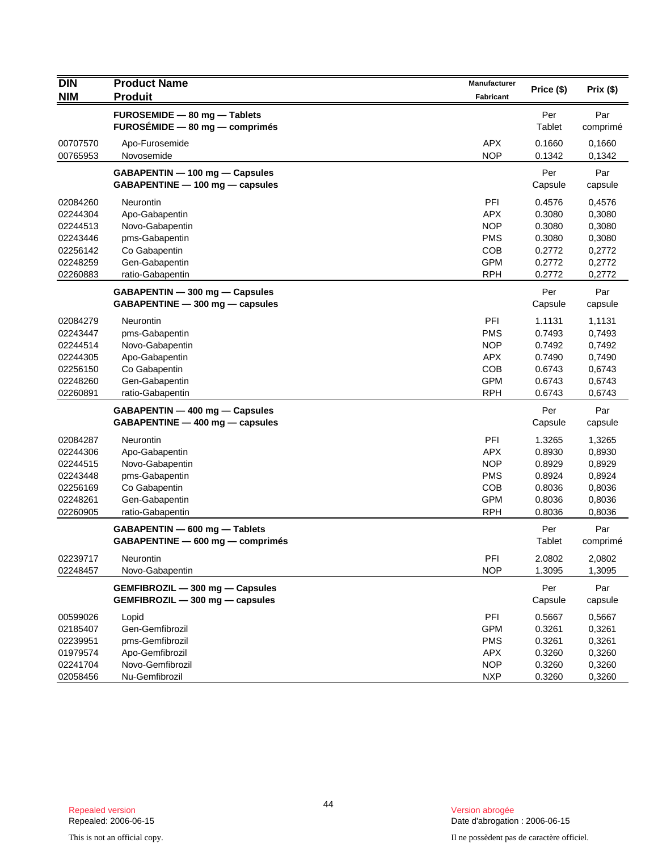| <b>DIN</b> | <b>Product Name</b>              | Manufacturer     | Price (\$) | Prix(\$) |
|------------|----------------------------------|------------------|------------|----------|
| <b>NIM</b> | <b>Produit</b>                   | <b>Fabricant</b> |            |          |
|            | FUROSEMIDE - 80 mg - Tablets     |                  | Per        | Par      |
|            | FUROSÉMIDE - 80 mg - comprimés   |                  | Tablet     | comprimé |
| 00707570   | Apo-Furosemide                   | <b>APX</b>       | 0.1660     | 0,1660   |
| 00765953   | Novosemide                       | <b>NOP</b>       | 0.1342     | 0,1342   |
|            | GABAPENTIN - 100 mg - Capsules   |                  | Per        | Par      |
|            | GABAPENTINE - 100 mg - capsules  |                  | Capsule    | capsule  |
| 02084260   | <b>Neurontin</b>                 | PFI              | 0.4576     | 0,4576   |
| 02244304   | Apo-Gabapentin                   | <b>APX</b>       | 0.3080     | 0,3080   |
| 02244513   | Novo-Gabapentin                  | <b>NOP</b>       | 0.3080     | 0,3080   |
| 02243446   | pms-Gabapentin                   | <b>PMS</b>       | 0.3080     | 0,3080   |
| 02256142   | Co Gabapentin                    | <b>COB</b>       | 0.2772     | 0,2772   |
| 02248259   | Gen-Gabapentin                   | <b>GPM</b>       | 0.2772     | 0,2772   |
| 02260883   | ratio-Gabapentin                 | <b>RPH</b>       | 0.2772     | 0,2772   |
|            | GABAPENTIN - 300 mg - Capsules   |                  | Per        | Par      |
|            | GABAPENTINE - 300 mg - capsules  |                  | Capsule    | capsule  |
| 02084279   | Neurontin                        | PFI              | 1.1131     | 1,1131   |
| 02243447   | pms-Gabapentin                   | <b>PMS</b>       | 0.7493     | 0,7493   |
| 02244514   | Novo-Gabapentin                  | <b>NOP</b>       | 0.7492     | 0,7492   |
| 02244305   | Apo-Gabapentin                   | APX.             | 0.7490     | 0,7490   |
| 02256150   | Co Gabapentin                    | <b>COB</b>       | 0.6743     | 0,6743   |
| 02248260   | Gen-Gabapentin                   | <b>GPM</b>       | 0.6743     | 0,6743   |
| 02260891   | ratio-Gabapentin                 | <b>RPH</b>       | 0.6743     | 0,6743   |
|            | GABAPENTIN - 400 mg - Capsules   |                  | Per        | Par      |
|            | GABAPENTINE - 400 mg - capsules  |                  | Capsule    | capsule  |
| 02084287   | Neurontin                        | PFI              | 1.3265     | 1,3265   |
| 02244306   | Apo-Gabapentin                   | <b>APX</b>       | 0.8930     | 0,8930   |
| 02244515   | Novo-Gabapentin                  | <b>NOP</b>       | 0.8929     | 0,8929   |
| 02243448   | pms-Gabapentin                   | <b>PMS</b>       | 0.8924     | 0,8924   |
| 02256169   | Co Gabapentin                    | <b>COB</b>       | 0.8036     | 0,8036   |
| 02248261   | Gen-Gabapentin                   | <b>GPM</b>       | 0.8036     | 0,8036   |
| 02260905   | ratio-Gabapentin                 | <b>RPH</b>       | 0.8036     | 0,8036   |
|            | GABAPENTIN - 600 mg - Tablets    |                  | Per        | Par      |
|            | GABAPENTINE - 600 mg - comprimés |                  | Tablet     | comprimé |
| 02239717   | Neurontin                        | PFI              | 2.0802     | 2,0802   |
| 02248457   | Novo-Gabapentin                  | <b>NOP</b>       | 1.3095     | 1,3095   |
|            | GEMFIBROZIL - 300 mg - Capsules  |                  | Per        | Par      |
|            | GEMFIBROZIL - 300 mg - capsules  |                  | Capsule    | capsule  |
| 00599026   | Lopid                            | PFI              | 0.5667     | 0,5667   |
| 02185407   | Gen-Gemfibrozil                  | <b>GPM</b>       | 0.3261     | 0,3261   |
| 02239951   | pms-Gemfibrozil                  | <b>PMS</b>       | 0.3261     | 0,3261   |
| 01979574   | Apo-Gemfibrozil                  | <b>APX</b>       | 0.3260     | 0,3260   |
| 02241704   | Novo-Gemfibrozil                 | <b>NOP</b>       | 0.3260     | 0,3260   |
| 02058456   | Nu-Gemfibrozil                   | <b>NXP</b>       | 0.3260     | 0,3260   |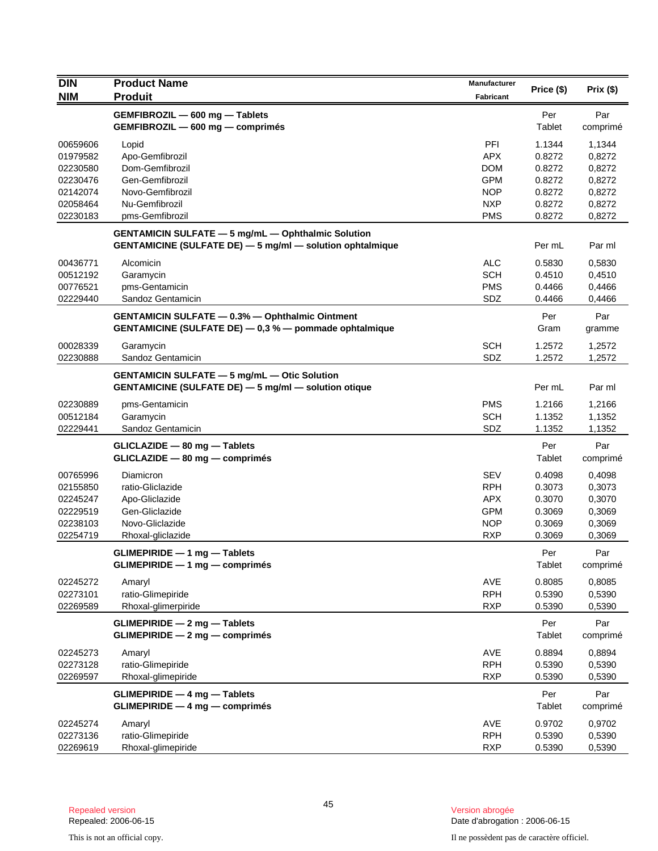| <b>DIN</b> | <b>Product Name</b>                                              | <b>Manufacturer</b> | Price (\$) | Prix(\$) |
|------------|------------------------------------------------------------------|---------------------|------------|----------|
| <b>NIM</b> | <b>Produit</b>                                                   | Fabricant           |            |          |
|            | GEMFIBROZIL - 600 mg - Tablets                                   |                     | Per        | Par      |
|            | GEMFIBROZIL - 600 mg - comprimés                                 |                     | Tablet     | comprimé |
| 00659606   | Lopid                                                            | PFI                 | 1.1344     | 1,1344   |
| 01979582   | Apo-Gemfibrozil                                                  | <b>APX</b>          | 0.8272     | 0,8272   |
| 02230580   | Dom-Gemfibrozil                                                  | <b>DOM</b>          | 0.8272     | 0,8272   |
| 02230476   | Gen-Gemfibrozil                                                  | <b>GPM</b>          | 0.8272     | 0,8272   |
| 02142074   | Novo-Gemfibrozil                                                 | <b>NOP</b>          | 0.8272     | 0,8272   |
| 02058464   | Nu-Gemfibrozil                                                   | <b>NXP</b>          | 0.8272     | 0,8272   |
| 02230183   | pms-Gemfibrozil                                                  | <b>PMS</b>          | 0.8272     | 0,8272   |
|            | <b>GENTAMICIN SULFATE - 5 mg/mL - Ophthalmic Solution</b>        |                     |            |          |
|            | <b>GENTAMICINE (SULFATE DE) - 5 mg/ml - solution ophtalmique</b> |                     | Per mL     | Par ml   |
| 00436771   | Alcomicin                                                        | <b>ALC</b>          | 0.5830     | 0,5830   |
| 00512192   | Garamycin                                                        | <b>SCH</b>          | 0.4510     | 0,4510   |
| 00776521   | pms-Gentamicin                                                   | <b>PMS</b>          | 0.4466     | 0,4466   |
| 02229440   | Sandoz Gentamicin                                                | SDZ                 | 0.4466     | 0,4466   |
|            | GENTAMICIN SULFATE - 0.3% - Ophthalmic Ointment                  |                     | Per        | Par      |
|            | GENTAMICINE (SULFATE DE) - 0,3 % - pommade ophtalmique           |                     | Gram       | gramme   |
| 00028339   | Garamycin                                                        | <b>SCH</b>          | 1.2572     | 1,2572   |
| 02230888   | Sandoz Gentamicin                                                | SDZ                 | 1.2572     | 1,2572   |
|            | <b>GENTAMICIN SULFATE - 5 mg/mL - Otic Solution</b>              |                     |            |          |
|            | <b>GENTAMICINE (SULFATE DE) - 5 mg/ml - solution otique</b>      |                     | Per mL     | Par ml   |
| 02230889   | pms-Gentamicin                                                   | <b>PMS</b>          | 1.2166     | 1,2166   |
| 00512184   | Garamycin                                                        | <b>SCH</b>          | 1.1352     | 1,1352   |
| 02229441   | Sandoz Gentamicin                                                | SDZ                 | 1.1352     | 1,1352   |
|            | GLICLAZIDE - 80 mg - Tablets                                     |                     | Per        | Par      |
|            | $GLICLAZIDE - 80 mg - comprimés$                                 |                     | Tablet     | comprimé |
| 00765996   | Diamicron                                                        | <b>SEV</b>          | 0.4098     | 0,4098   |
| 02155850   | ratio-Gliclazide                                                 | <b>RPH</b>          | 0.3073     | 0,3073   |
| 02245247   | Apo-Gliclazide                                                   | <b>APX</b>          | 0.3070     | 0,3070   |
| 02229519   | Gen-Gliclazide                                                   | <b>GPM</b>          | 0.3069     | 0,3069   |
| 02238103   | Novo-Gliclazide                                                  | <b>NOP</b>          | 0.3069     | 0,3069   |
| 02254719   | Rhoxal-gliclazide                                                | <b>RXP</b>          | 0.3069     | 0,3069   |
|            | GLIMEPIRIDE - 1 mg - Tablets                                     |                     | Per        | Par      |
|            | $GLIMEPIRIDE - 1 mg - comprimés$                                 |                     | Tablet     | comprimé |
|            |                                                                  |                     |            |          |
| 02245272   | Amaryl                                                           | AVE                 | 0.8085     | 0,8085   |
| 02273101   | ratio-Glimepiride                                                | <b>RPH</b>          | 0.5390     | 0,5390   |
| 02269589   | Rhoxal-glimerpiride                                              | <b>RXP</b>          | 0.5390     | 0,5390   |
|            | GLIMEPIRIDE - 2 mg - Tablets                                     |                     | Per        | Par      |
|            | GLIMEPIRIDE - 2 mg - comprimés                                   |                     | Tablet     | comprimé |
| 02245273   | Amaryl                                                           | AVE                 | 0.8894     | 0,8894   |
| 02273128   | ratio-Glimepiride                                                | <b>RPH</b>          | 0.5390     | 0,5390   |
| 02269597   | Rhoxal-glimepiride                                               | <b>RXP</b>          | 0.5390     | 0,5390   |
|            | $GLIMEPIRIDE - 4 mg - Tables$                                    |                     | Per        | Par      |
|            | GLIMEPIRIDE - 4 mg - comprimés                                   |                     | Tablet     | comprimé |
| 02245274   | Amaryl                                                           | AVE                 | 0.9702     | 0,9702   |
| 02273136   | ratio-Glimepiride                                                | <b>RPH</b>          | 0.5390     | 0,5390   |
| 02269619   | Rhoxal-glimepiride                                               | <b>RXP</b>          | 0.5390     | 0,5390   |
|            |                                                                  |                     |            |          |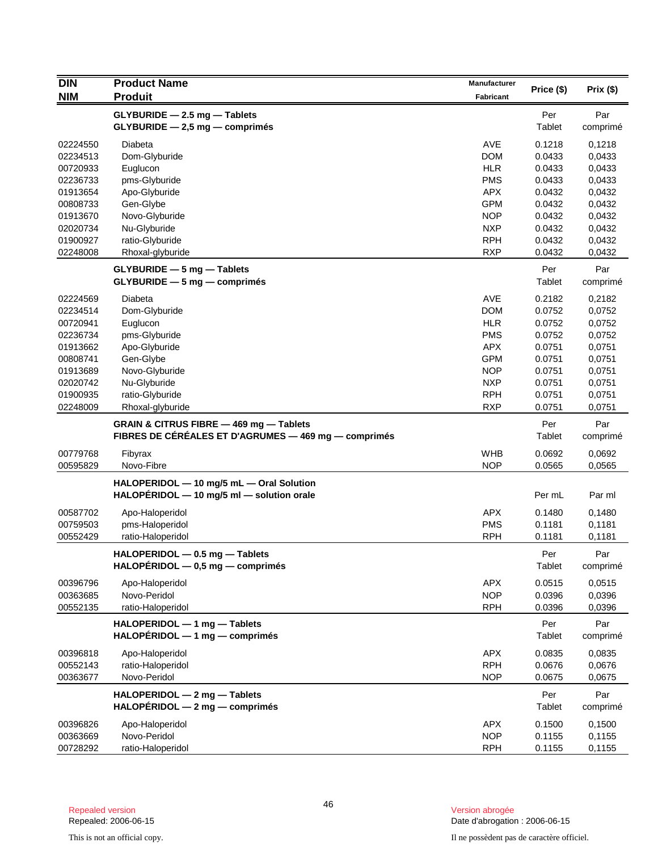| <b>DIN</b> | <b>Product Name</b>                                                                             | <b>Manufacturer</b> | Price (\$)    | Prix(\$)        |
|------------|-------------------------------------------------------------------------------------------------|---------------------|---------------|-----------------|
| <b>NIM</b> | <b>Produit</b>                                                                                  | <b>Fabricant</b>    |               |                 |
|            | GLYBURIDE - 2.5 mg - Tablets                                                                    |                     | Per           | Par             |
|            | $GLYBURIDE - 2,5 mg - comprimés$                                                                |                     | Tablet        | comprimé        |
| 02224550   | Diabeta                                                                                         | AVE                 | 0.1218        | 0,1218          |
| 02234513   | Dom-Glyburide                                                                                   | <b>DOM</b>          | 0.0433        | 0.0433          |
| 00720933   | Euglucon                                                                                        | <b>HLR</b>          | 0.0433        | 0,0433          |
| 02236733   | pms-Glyburide                                                                                   | <b>PMS</b>          | 0.0433        | 0,0433          |
| 01913654   | Apo-Glyburide                                                                                   | <b>APX</b>          | 0.0432        | 0,0432          |
| 00808733   | Gen-Glybe                                                                                       | <b>GPM</b>          | 0.0432        | 0,0432          |
| 01913670   | Novo-Glyburide                                                                                  | <b>NOP</b>          | 0.0432        | 0,0432          |
| 02020734   | Nu-Glyburide                                                                                    | <b>NXP</b>          | 0.0432        | 0,0432          |
| 01900927   | ratio-Glyburide                                                                                 | <b>RPH</b>          | 0.0432        | 0,0432          |
| 02248008   | Rhoxal-glyburide                                                                                | <b>RXP</b>          | 0.0432        | 0,0432          |
|            | GLYBURIDE - 5 mg - Tablets                                                                      |                     | Per           | Par             |
|            | $GLYBURIDE - 5 mg - comprimés$                                                                  |                     | Tablet        | comprimé        |
| 02224569   | Diabeta                                                                                         | <b>AVE</b>          | 0.2182        | 0,2182          |
| 02234514   | Dom-Glyburide                                                                                   | <b>DOM</b>          | 0.0752        | 0,0752          |
| 00720941   | Euglucon                                                                                        | <b>HLR</b>          | 0.0752        | 0,0752          |
| 02236734   | pms-Glyburide                                                                                   | <b>PMS</b>          | 0.0752        | 0,0752          |
| 01913662   | Apo-Glyburide                                                                                   | <b>APX</b>          | 0.0751        | 0,0751          |
| 00808741   | Gen-Glybe                                                                                       | <b>GPM</b>          | 0.0751        | 0,0751          |
| 01913689   | Novo-Glyburide                                                                                  | <b>NOP</b>          | 0.0751        | 0,0751          |
| 02020742   | Nu-Glyburide                                                                                    | <b>NXP</b>          | 0.0751        | 0,0751          |
| 01900935   | ratio-Glyburide                                                                                 | <b>RPH</b>          | 0.0751        | 0,0751          |
| 02248009   | Rhoxal-glyburide                                                                                | <b>RXP</b>          | 0.0751        | 0,0751          |
|            | GRAIN & CITRUS FIBRE - 469 mg - Tablets<br>FIBRES DE CÉRÉALES ET D'AGRUMES — 469 mg — comprimés |                     | Per<br>Tablet | Par<br>comprimé |
| 00779768   | Fibyrax                                                                                         | <b>WHB</b>          | 0.0692        | 0,0692          |
| 00595829   | Novo-Fibre                                                                                      | <b>NOP</b>          | 0.0565        | 0,0565          |
|            | HALOPERIDOL - 10 mg/5 mL - Oral Solution                                                        |                     |               |                 |
|            | HALOPERIDOL - 10 mg/5 ml - solution orale                                                       |                     | Per mL        | Par ml          |
| 00587702   | Apo-Haloperidol                                                                                 | <b>APX</b>          | 0.1480        | 0,1480          |
| 00759503   | pms-Haloperidol                                                                                 | <b>PMS</b>          | 0.1181        | 0,1181          |
| 00552429   | ratio-Haloperidol                                                                               | <b>RPH</b>          | 0.1181        | 0,1181          |
|            | HALOPERIDOL - 0.5 mg - Tablets                                                                  |                     | Per           | Par             |
|            | $HALOPÉRIDOL - 0,5 mg - comprimés$                                                              |                     | Tablet        | comprimé        |
| 00396796   | Apo-Haloperidol                                                                                 | <b>APX</b>          | 0.0515        | 0,0515          |
| 00363685   | Novo-Peridol                                                                                    | <b>NOP</b>          | 0.0396        | 0,0396          |
| 00552135   | ratio-Haloperidol                                                                               | <b>RPH</b>          | 0.0396        | 0,0396          |
|            | HALOPERIDOL - 1 mg - Tablets                                                                    |                     | Per           | Par             |
|            | $HALOPÉRIDOL - 1 mg - comprimés$                                                                |                     | Tablet        | comprimé        |
| 00396818   | Apo-Haloperidol                                                                                 | <b>APX</b>          | 0.0835        | 0,0835          |
| 00552143   | ratio-Haloperidol                                                                               | <b>RPH</b>          | 0.0676        | 0.0676          |
| 00363677   | Novo-Peridol                                                                                    | <b>NOP</b>          | 0.0675        | 0,0675          |
|            | HALOPERIDOL - 2 mg - Tablets                                                                    |                     | Per           | Par             |
|            | $HALOPÉRIDOL - 2 mg - comprimés$                                                                |                     | Tablet        | comprimé        |
| 00396826   | Apo-Haloperidol                                                                                 | <b>APX</b>          | 0.1500        | 0,1500          |
| 00363669   | Novo-Peridol                                                                                    | <b>NOP</b>          | 0.1155        | 0,1155          |
| 00728292   | ratio-Haloperidol                                                                               | <b>RPH</b>          | 0.1155        | 0,1155          |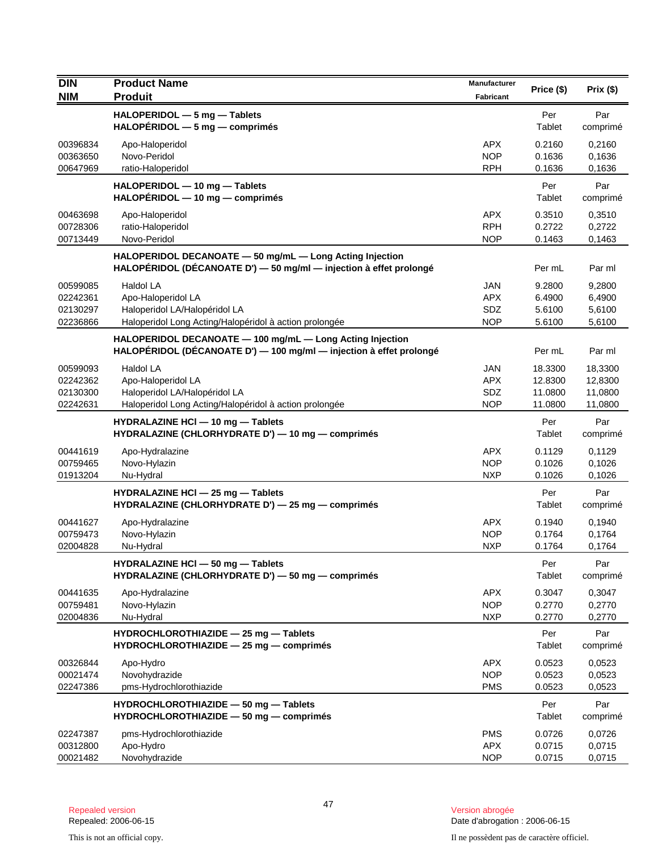| <b>DIN</b><br><b>NIM</b>                     | <b>Product Name</b><br><b>Produit</b>                                                                                            | <b>Manufacturer</b><br><b>Fabricant</b>       | Price (\$)                               | Prix(\$)                                 |
|----------------------------------------------|----------------------------------------------------------------------------------------------------------------------------------|-----------------------------------------------|------------------------------------------|------------------------------------------|
|                                              | HALOPERIDOL - 5 mg - Tablets<br>HALOPÉRIDOL - 5 mg - comprimés                                                                   |                                               | Per<br>Tablet                            | Par<br>comprimé                          |
| 00396834<br>00363650<br>00647969             | Apo-Haloperidol<br>Novo-Peridol<br>ratio-Haloperidol                                                                             | <b>APX</b><br><b>NOP</b><br><b>RPH</b>        | 0.2160<br>0.1636<br>0.1636               | 0,2160<br>0,1636<br>0,1636               |
|                                              | HALOPERIDOL - 10 mg - Tablets<br>$HALOPÉRIDOL - 10 mg - comprimés$                                                               |                                               | Per<br>Tablet                            | Par<br>comprimé                          |
| 00463698<br>00728306<br>00713449             | Apo-Haloperidol<br>ratio-Haloperidol<br>Novo-Peridol                                                                             | <b>APX</b><br><b>RPH</b><br><b>NOP</b>        | 0.3510<br>0.2722<br>0.1463               | 0,3510<br>0,2722<br>0,1463               |
|                                              | HALOPERIDOL DECANOATE - 50 mg/mL - Long Acting Injection<br>HALOPÉRIDOL (DÉCANOATE D') - 50 mg/ml - injection à effet prolongé   |                                               | Per mL                                   | Par ml                                   |
| 00599085<br>02242361<br>02130297<br>02236866 | Haldol LA<br>Apo-Haloperidol LA<br>Haloperidol LA/Halopéridol LA<br>Haloperidol Long Acting/Halopéridol à action prolongée       | <b>JAN</b><br><b>APX</b><br>SDZ<br><b>NOP</b> | 9.2800<br>6.4900<br>5.6100<br>5.6100     | 9,2800<br>6,4900<br>5,6100<br>5,6100     |
|                                              | HALOPERIDOL DECANOATE - 100 mg/mL - Long Acting Injection<br>HALOPÉRIDOL (DÉCANOATE D') - 100 mg/ml - injection à effet prolongé |                                               | Per mL                                   | Par ml                                   |
| 00599093<br>02242362<br>02130300<br>02242631 | Haldol LA<br>Apo-Haloperidol LA<br>Haloperidol LA/Halopéridol LA<br>Haloperidol Long Acting/Halopéridol à action prolongée       | <b>JAN</b><br><b>APX</b><br>SDZ<br><b>NOP</b> | 18.3300<br>12.8300<br>11.0800<br>11.0800 | 18,3300<br>12,8300<br>11,0800<br>11,0800 |
|                                              | HYDRALAZINE HCI - 10 mg - Tablets<br>HYDRALAZINE (CHLORHYDRATE D') - 10 mg - comprimés                                           |                                               | Per<br>Tablet                            | Par<br>comprimé                          |
| 00441619<br>00759465<br>01913204             | Apo-Hydralazine<br>Novo-Hylazin<br>Nu-Hydral                                                                                     | <b>APX</b><br><b>NOP</b><br><b>NXP</b>        | 0.1129<br>0.1026<br>0.1026               | 0,1129<br>0,1026<br>0,1026               |
|                                              | HYDRALAZINE HCI - 25 mg - Tablets<br>HYDRALAZINE (CHLORHYDRATE D') - 25 mg - comprimés                                           |                                               | Per<br>Tablet                            | Par<br>comprimé                          |
| 00441627<br>00759473<br>02004828             | Apo-Hydralazine<br>Novo-Hylazin<br>Nu-Hydral                                                                                     | <b>APX</b><br><b>NOP</b><br><b>NXP</b>        | 0.1940<br>0.1764<br>0.1764               | 0,1940<br>0,1764<br>0,1764               |
|                                              | HYDRALAZINE HCI - 50 mg - Tablets<br>HYDRALAZINE (CHLORHYDRATE D') - 50 mg - comprimés                                           |                                               | Per<br>Tablet                            | Par<br>comprimé                          |
| 00441635<br>00759481<br>02004836             | Apo-Hydralazine<br>Novo-Hylazin<br>Nu-Hydral                                                                                     | <b>APX</b><br><b>NOP</b><br><b>NXP</b>        | 0.3047<br>0.2770<br>0.2770               | 0,3047<br>0,2770<br>0,2770               |
|                                              | HYDROCHLOROTHIAZIDE - 25 mg - Tablets<br>HYDROCHLOROTHIAZIDE - 25 mg - comprimés                                                 |                                               | Per<br>Tablet                            | Par<br>comprimé                          |
| 00326844<br>00021474<br>02247386             | Apo-Hydro<br>Novohydrazide<br>pms-Hydrochlorothiazide                                                                            | <b>APX</b><br><b>NOP</b><br><b>PMS</b>        | 0.0523<br>0.0523<br>0.0523               | 0,0523<br>0,0523<br>0,0523               |
|                                              | HYDROCHLOROTHIAZIDE - 50 mg - Tablets<br>HYDROCHLOROTHIAZIDE - 50 mg - comprimés                                                 |                                               | Per<br>Tablet                            | Par<br>comprimé                          |
| 02247387<br>00312800<br>00021482             | pms-Hydrochlorothiazide<br>Apo-Hydro<br>Novohydrazide                                                                            | <b>PMS</b><br><b>APX</b><br><b>NOP</b>        | 0.0726<br>0.0715<br>0.0715               | 0,0726<br>0,0715<br>0,0715               |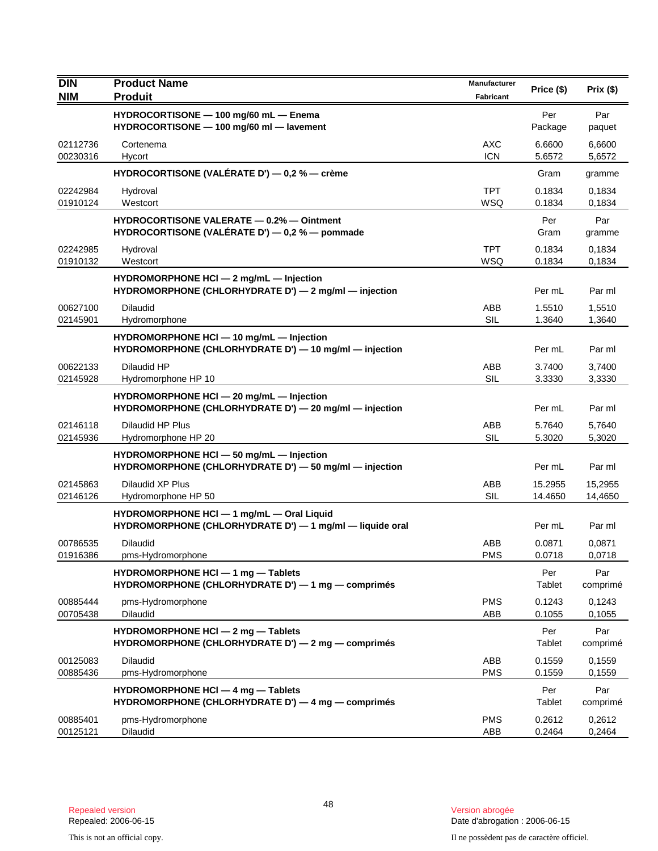| <b>DIN</b>           | <b>Product Name</b>                                                                                   | Manufacturer             | Price (\$)         | Prix(\$)           |
|----------------------|-------------------------------------------------------------------------------------------------------|--------------------------|--------------------|--------------------|
| <b>NIM</b>           | <b>Produit</b>                                                                                        | Fabricant                |                    |                    |
|                      | HYDROCORTISONE - 100 mg/60 mL - Enema<br>HYDROCORTISONE - 100 mg/60 ml - lavement                     |                          | Per<br>Package     | Par<br>paquet      |
| 02112736<br>00230316 | Cortenema<br>Hycort                                                                                   | <b>AXC</b><br><b>ICN</b> | 6.6600<br>5.6572   | 6,6600<br>5,6572   |
|                      | HYDROCORTISONE (VALÉRATE D') — 0,2 % — crème                                                          |                          | Gram               | gramme             |
| 02242984<br>01910124 | Hydroval<br>Westcort                                                                                  | <b>TPT</b><br>WSQ        | 0.1834<br>0.1834   | 0,1834<br>0,1834   |
|                      | <b>HYDROCORTISONE VALERATE - 0.2% - Ointment</b><br>HYDROCORTISONE (VALÉRATE D') — 0,2 % — pommade    |                          | Per<br>Gram        | Par<br>gramme      |
| 02242985<br>01910132 | Hydroval<br>Westcort                                                                                  | <b>TPT</b><br>WSQ        | 0.1834<br>0.1834   | 0,1834<br>0,1834   |
|                      | HYDROMORPHONE HCI - 2 mg/mL - Injection<br>HYDROMORPHONE (CHLORHYDRATE D') - 2 mg/ml - injection      |                          | Per mL             | Par ml             |
| 00627100<br>02145901 | <b>Dilaudid</b><br>Hydromorphone                                                                      | ABB<br><b>SIL</b>        | 1.5510<br>1.3640   | 1,5510<br>1,3640   |
|                      | HYDROMORPHONE HCI - 10 mg/mL - Injection<br>HYDROMORPHONE (CHLORHYDRATE D') — 10 mg/ml — injection    |                          | Per mL             | Par ml             |
| 00622133<br>02145928 | Dilaudid HP<br>Hydromorphone HP 10                                                                    | ABB<br>SIL               | 3.7400<br>3.3330   | 3,7400<br>3,3330   |
|                      | HYDROMORPHONE HCI - 20 mg/mL - Injection<br>HYDROMORPHONE (CHLORHYDRATE D') - 20 mg/ml - injection    |                          | Per mL             | Par ml             |
| 02146118<br>02145936 | Dilaudid HP Plus<br>Hydromorphone HP 20                                                               | ABB<br>SIL               | 5.7640<br>5.3020   | 5,7640<br>5,3020   |
|                      | HYDROMORPHONE HCI - 50 mg/mL - Injection<br>HYDROMORPHONE (CHLORHYDRATE D') - 50 mg/ml - injection    |                          | Per mL             | Par ml             |
| 02145863<br>02146126 | Dilaudid XP Plus<br>Hydromorphone HP 50                                                               | ABB<br><b>SIL</b>        | 15.2955<br>14.4650 | 15,2955<br>14,4650 |
|                      | HYDROMORPHONE HCI - 1 mg/mL - Oral Liquid<br>HYDROMORPHONE (CHLORHYDRATE D') - 1 mg/ml - liquide oral |                          | Per mL             | Par ml             |
| 00786535<br>01916386 | <b>Dilaudid</b><br>pms-Hydromorphone                                                                  | ABB<br><b>PMS</b>        | 0.0871<br>0.0718   | 0,0871<br>0,0718   |
|                      | HYDROMORPHONE HCI $-$ 1 mg $-$ Tablets<br>HYDROMORPHONE (CHLORHYDRATE D') - 1 mg - comprimés          |                          | Per<br>Tablet      | Par<br>comprimé    |
| 00885444<br>00705438 | pms-Hydromorphone<br>Dilaudid                                                                         | <b>PMS</b><br>ABB        | 0.1243<br>0.1055   | 0,1243<br>0,1055   |
|                      | HYDROMORPHONE HCI - 2 mg - Tablets<br>HYDROMORPHONE (CHLORHYDRATE D') - 2 mg - comprimés              |                          | Per<br>Tablet      | Par<br>comprimé    |
| 00125083<br>00885436 | Dilaudid<br>pms-Hydromorphone                                                                         | ABB<br><b>PMS</b>        | 0.1559<br>0.1559   | 0,1559<br>0,1559   |
|                      | HYDROMORPHONE HCI - 4 mg - Tablets<br>HYDROMORPHONE (CHLORHYDRATE D') - 4 mg - comprimés              |                          | Per<br>Tablet      | Par<br>comprimé    |
| 00885401<br>00125121 | pms-Hydromorphone<br>Dilaudid                                                                         | <b>PMS</b><br>ABB        | 0.2612<br>0.2464   | 0,2612<br>0,2464   |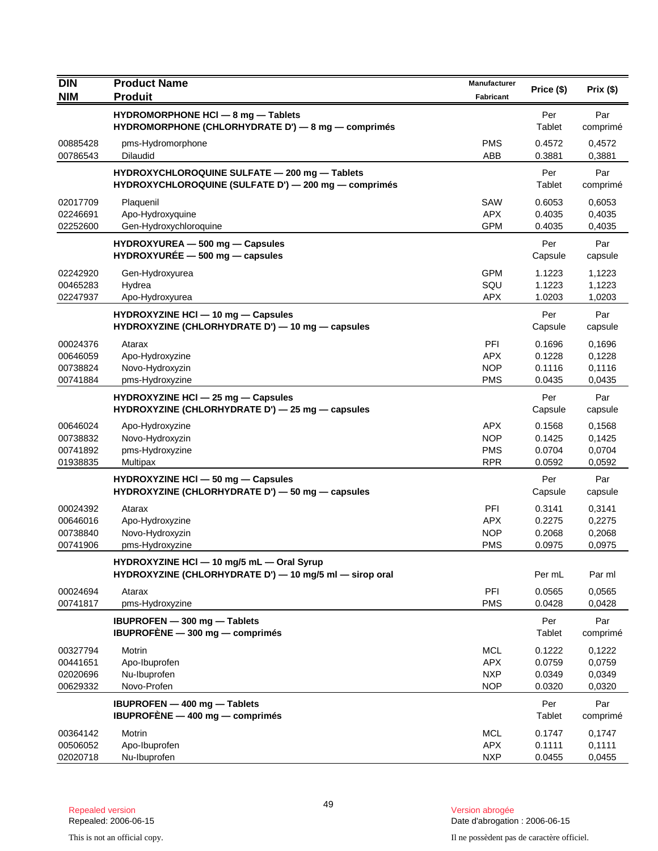| <b>DIN</b><br><b>NIM</b>                     | <b>Product Name</b><br><b>Produit</b>                                                                 | Manufacturer<br><b>Fabricant</b>                     | Price (\$)                           | Prix(\$)                             |
|----------------------------------------------|-------------------------------------------------------------------------------------------------------|------------------------------------------------------|--------------------------------------|--------------------------------------|
|                                              |                                                                                                       |                                                      |                                      |                                      |
|                                              | HYDROMORPHONE HCI - 8 mg - Tablets<br>HYDROMORPHONE (CHLORHYDRATE D') - 8 mg - comprimés              |                                                      | Per<br>Tablet                        | Par<br>comprimé                      |
| 00885428<br>00786543                         | pms-Hydromorphone<br><b>Dilaudid</b>                                                                  | <b>PMS</b><br>ABB                                    | 0.4572<br>0.3881                     | 0,4572<br>0,3881                     |
|                                              | HYDROXYCHLOROQUINE SULFATE - 200 mg - Tablets<br>HYDROXYCHLOROQUINE (SULFATE D') - 200 mg - comprimés |                                                      | Per<br>Tablet                        | Par<br>comprimé                      |
| 02017709<br>02246691<br>02252600             | Plaquenil<br>Apo-Hydroxyquine<br>Gen-Hydroxychloroquine                                               | SAW<br><b>APX</b><br><b>GPM</b>                      | 0.6053<br>0.4035<br>0.4035           | 0,6053<br>0,4035<br>0,4035           |
|                                              | HYDROXYUREA - 500 mg - Capsules<br>$HYDROXYURÉE - 500 mg - capsules$                                  |                                                      | Per<br>Capsule                       | Par<br>capsule                       |
| 02242920<br>00465283<br>02247937             | Gen-Hydroxyurea<br>Hydrea<br>Apo-Hydroxyurea                                                          | <b>GPM</b><br>SQU<br><b>APX</b>                      | 1.1223<br>1.1223<br>1.0203           | 1,1223<br>1,1223<br>1,0203           |
|                                              | HYDROXYZINE HCI - 10 mg - Capsules<br>HYDROXYZINE (CHLORHYDRATE D') - 10 mg - capsules                |                                                      | Per<br>Capsule                       | Par<br>capsule                       |
| 00024376<br>00646059<br>00738824<br>00741884 | Atarax<br>Apo-Hydroxyzine<br>Novo-Hydroxyzin<br>pms-Hydroxyzine                                       | PFI<br><b>APX</b><br><b>NOP</b><br><b>PMS</b>        | 0.1696<br>0.1228<br>0.1116<br>0.0435 | 0,1696<br>0,1228<br>0,1116<br>0,0435 |
|                                              | HYDROXYZINE HCI - 25 mg - Capsules<br>HYDROXYZINE (CHLORHYDRATE D') - 25 mg - capsules                |                                                      | Per<br>Capsule                       | Par<br>capsule                       |
| 00646024<br>00738832<br>00741892<br>01938835 | Apo-Hydroxyzine<br>Novo-Hydroxyzin<br>pms-Hydroxyzine<br>Multipax                                     | <b>APX</b><br><b>NOP</b><br><b>PMS</b><br><b>RPR</b> | 0.1568<br>0.1425<br>0.0704<br>0.0592 | 0,1568<br>0,1425<br>0,0704<br>0,0592 |
|                                              | HYDROXYZINE HCI - 50 mg - Capsules<br>HYDROXYZINE (CHLORHYDRATE D') - 50 mg - capsules                |                                                      | Per<br>Capsule                       | Par<br>capsule                       |
| 00024392<br>00646016<br>00738840<br>00741906 | Atarax<br>Apo-Hydroxyzine<br>Novo-Hydroxyzin<br>pms-Hydroxyzine                                       | <b>PFI</b><br><b>APX</b><br><b>NOP</b><br><b>PMS</b> | 0.3141<br>0.2275<br>0.2068<br>0.0975 | 0,3141<br>0,2275<br>0,2068<br>0,0975 |
|                                              | HYDROXYZINE HCI - 10 mg/5 mL - Oral Syrup<br>HYDROXYZINE (CHLORHYDRATE D') - 10 mg/5 ml - sirop oral  |                                                      | Per mL                               | Par ml                               |
| 00024694<br>00741817                         | Atarax<br>pms-Hydroxyzine                                                                             | PFI<br><b>PMS</b>                                    | 0.0565<br>0.0428                     | 0,0565<br>0,0428                     |
|                                              | IBUPROFEN - 300 mg - Tablets<br>IBUPROFÈNE $-$ 300 mg $-$ comprimes                                   |                                                      | Per<br>Tablet                        | Par<br>comprimé                      |
| 00327794<br>00441651<br>02020696<br>00629332 | Motrin<br>Apo-Ibuprofen<br>Nu-Ibuprofen<br>Novo-Profen                                                | <b>MCL</b><br><b>APX</b><br><b>NXP</b><br><b>NOP</b> | 0.1222<br>0.0759<br>0.0349<br>0.0320 | 0,1222<br>0,0759<br>0,0349<br>0,0320 |
|                                              | <b>IBUPROFEN - 400 mg - Tablets</b><br>IBUPROFÈNE $-$ 400 mg $-$ comprimes                            |                                                      | Per<br>Tablet                        | Par<br>comprimé                      |
| 00364142<br>00506052<br>02020718             | Motrin<br>Apo-Ibuprofen<br>Nu-Ibuprofen                                                               | <b>MCL</b><br><b>APX</b><br><b>NXP</b>               | 0.1747<br>0.1111<br>0.0455           | 0,1747<br>0,1111<br>0,0455           |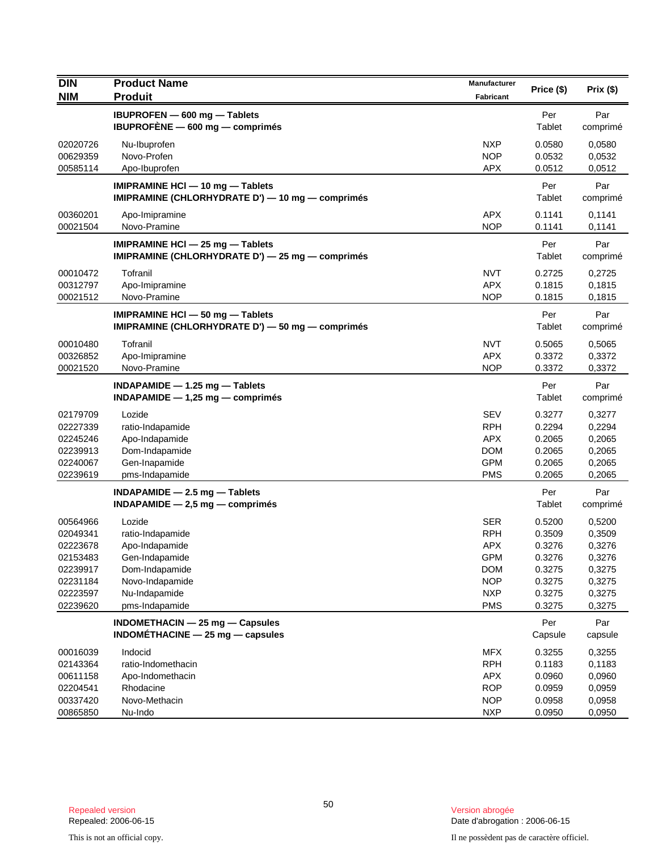| <b>DIN</b>                                                                                   | <b>Product Name</b>                                                                                                                    | <b>Manufacturer</b>                                                                                          | Price (\$)                                                                   | Prix(\$)                                                                     |
|----------------------------------------------------------------------------------------------|----------------------------------------------------------------------------------------------------------------------------------------|--------------------------------------------------------------------------------------------------------------|------------------------------------------------------------------------------|------------------------------------------------------------------------------|
| <b>NIM</b>                                                                                   | <b>Produit</b>                                                                                                                         | Fabricant                                                                                                    |                                                                              |                                                                              |
|                                                                                              | IBUPROFEN - 600 mg - Tablets<br>IBUPROFÈNE $-$ 600 mg $-$ comprimés                                                                    |                                                                                                              | Per<br>Tablet                                                                | Par<br>comprimé                                                              |
| 02020726<br>00629359<br>00585114                                                             | Nu-Ibuprofen<br>Novo-Profen<br>Apo-Ibuprofen                                                                                           | <b>NXP</b><br><b>NOP</b><br><b>APX</b>                                                                       | 0.0580<br>0.0532<br>0.0512                                                   | 0,0580<br>0,0532<br>0,0512                                                   |
|                                                                                              | IMIPRAMINE HCI - 10 mg - Tablets<br>IMIPRAMINE (CHLORHYDRATE D') - 10 mg - comprimés                                                   |                                                                                                              | Per<br>Tablet                                                                | Par<br>comprimé                                                              |
| 00360201<br>00021504                                                                         | Apo-Imipramine<br>Novo-Pramine                                                                                                         | <b>APX</b><br><b>NOP</b>                                                                                     | 0.1141<br>0.1141                                                             | 0,1141<br>0,1141                                                             |
|                                                                                              | IMIPRAMINE HCI $-$ 25 mg $-$ Tablets<br>IMIPRAMINE (CHLORHYDRATE D') - 25 mg - comprimés                                               |                                                                                                              | Per<br>Tablet                                                                | Par<br>comprimé                                                              |
| 00010472<br>00312797<br>00021512                                                             | Tofranil<br>Apo-Imipramine<br>Novo-Pramine                                                                                             | <b>NVT</b><br><b>APX</b><br><b>NOP</b>                                                                       | 0.2725<br>0.1815<br>0.1815                                                   | 0,2725<br>0,1815<br>0,1815                                                   |
|                                                                                              | IMIPRAMINE HCI - 50 mg - Tablets<br>IMIPRAMINE (CHLORHYDRATE D') - 50 mg - comprimés                                                   |                                                                                                              | Per<br>Tablet                                                                | Par<br>comprimé                                                              |
| 00010480<br>00326852<br>00021520                                                             | Tofranil<br>Apo-Imipramine<br>Novo-Pramine                                                                                             | <b>NVT</b><br><b>APX</b><br><b>NOP</b>                                                                       | 0.5065<br>0.3372<br>0.3372                                                   | 0,5065<br>0,3372<br>0,3372                                                   |
|                                                                                              | INDAPAMIDE $-$ 1.25 mg $-$ Tablets<br>$INDAPAMIDE - 1,25 mg - comprimés$                                                               |                                                                                                              | Per<br>Tablet                                                                | Par<br>comprimé                                                              |
| 02179709<br>02227339<br>02245246<br>02239913<br>02240067<br>02239619                         | Lozide<br>ratio-Indapamide<br>Apo-Indapamide<br>Dom-Indapamide<br>Gen-Inapamide<br>pms-Indapamide                                      | <b>SEV</b><br><b>RPH</b><br><b>APX</b><br><b>DOM</b><br><b>GPM</b><br><b>PMS</b>                             | 0.3277<br>0.2294<br>0.2065<br>0.2065<br>0.2065<br>0.2065                     | 0,3277<br>0,2294<br>0,2065<br>0,2065<br>0,2065<br>0,2065                     |
|                                                                                              | INDAPAMIDE - 2.5 mg - Tablets<br>INDAPAMIDE $-2,5$ mg $-$ comprimes                                                                    |                                                                                                              | Per<br>Tablet                                                                | Par<br>comprimé                                                              |
| 00564966<br>02049341<br>02223678<br>02153483<br>02239917<br>02231184<br>02223597<br>02239620 | Lozide<br>ratio-Indapamide<br>Apo-Indapamide<br>Gen-Indapamide<br>Dom-Indapamide<br>Novo-Indapamide<br>Nu-Indapamide<br>pms-Indapamide | <b>SER</b><br><b>RPH</b><br><b>APX</b><br><b>GPM</b><br><b>DOM</b><br><b>NOP</b><br><b>NXP</b><br><b>PMS</b> | 0.5200<br>0.3509<br>0.3276<br>0.3276<br>0.3275<br>0.3275<br>0.3275<br>0.3275 | 0,5200<br>0,3509<br>0,3276<br>0,3276<br>0,3275<br>0,3275<br>0,3275<br>0,3275 |
|                                                                                              | INDOMETHACIN - 25 mg - Capsules<br>INDOMÉTHACINE $-$ 25 mg $-$ capsules                                                                |                                                                                                              | Per<br>Capsule                                                               | Par<br>capsule                                                               |
| 00016039<br>02143364<br>00611158<br>02204541<br>00337420<br>00865850                         | Indocid<br>ratio-Indomethacin<br>Apo-Indomethacin<br>Rhodacine<br>Novo-Methacin<br>Nu-Indo                                             | <b>MFX</b><br><b>RPH</b><br><b>APX</b><br><b>ROP</b><br><b>NOP</b><br><b>NXP</b>                             | 0.3255<br>0.1183<br>0.0960<br>0.0959<br>0.0958<br>0.0950                     | 0,3255<br>0,1183<br>0,0960<br>0.0959<br>0,0958<br>0,0950                     |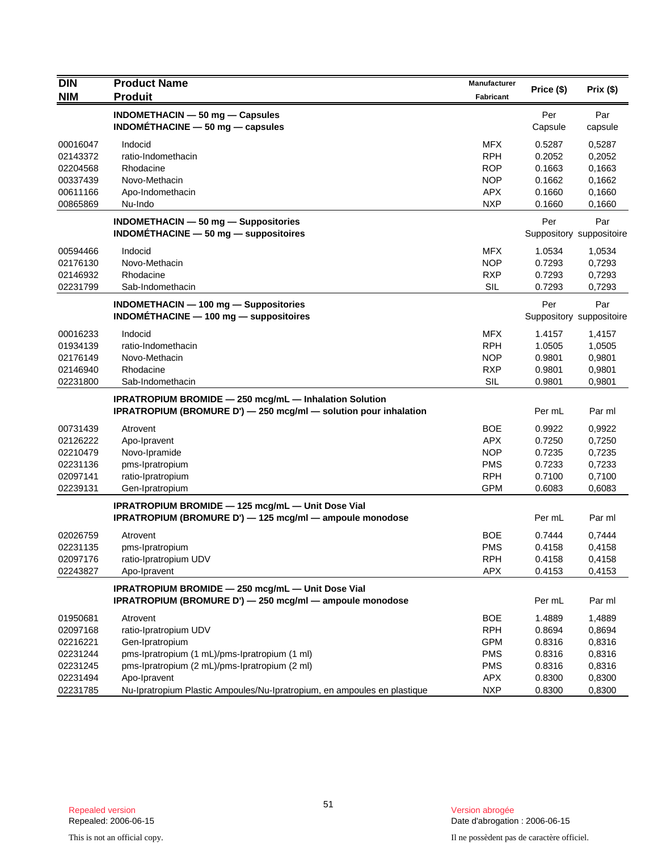| <b>DIN</b> | <b>Product Name</b>                                                      | Manufacturer     |            |                          |
|------------|--------------------------------------------------------------------------|------------------|------------|--------------------------|
| <b>NIM</b> | <b>Produit</b>                                                           | <b>Fabricant</b> | Price (\$) | Prix(\$)                 |
|            | INDOMETHACIN $-$ 50 mg $-$ Capsules                                      |                  | Per        | Par                      |
|            | INDOMETHACINE $-50$ mg $-$ capsules                                      |                  | Capsule    | capsule                  |
| 00016047   | Indocid                                                                  | <b>MFX</b>       | 0.5287     | 0,5287                   |
| 02143372   | ratio-Indomethacin                                                       | <b>RPH</b>       | 0.2052     | 0,2052                   |
| 02204568   | Rhodacine                                                                | <b>ROP</b>       | 0.1663     | 0,1663                   |
| 00337439   | Novo-Methacin                                                            | <b>NOP</b>       | 0.1662     | 0,1662                   |
| 00611166   | Apo-Indomethacin                                                         | <b>APX</b>       | 0.1660     | 0,1660                   |
| 00865869   | Nu-Indo                                                                  | <b>NXP</b>       | 0.1660     | 0,1660                   |
|            | <b>INDOMETHACIN - 50 mg - Suppositories</b>                              |                  | Per        | Par                      |
|            | INDOMÉTHACINE $-50$ mg $-$ suppositoires                                 |                  |            | Suppository suppositoire |
| 00594466   | Indocid                                                                  | <b>MFX</b>       | 1.0534     | 1,0534                   |
| 02176130   | Novo-Methacin                                                            | <b>NOP</b>       | 0.7293     | 0,7293                   |
| 02146932   | Rhodacine                                                                | <b>RXP</b>       | 0.7293     | 0,7293                   |
| 02231799   | Sab-Indomethacin                                                         | <b>SIL</b>       | 0.7293     | 0,7293                   |
|            | INDOMETHACIN - 100 mg - Suppositories                                    |                  | Per        | Par                      |
|            | $INDOMETHACINE - 100 mg - suppositiones$                                 |                  |            | Suppository suppositoire |
| 00016233   | Indocid                                                                  | <b>MFX</b>       | 1.4157     | 1,4157                   |
| 01934139   | ratio-Indomethacin                                                       | <b>RPH</b>       | 1.0505     | 1,0505                   |
| 02176149   | Novo-Methacin                                                            | <b>NOP</b>       | 0.9801     | 0,9801                   |
| 02146940   | Rhodacine                                                                | <b>RXP</b>       | 0.9801     | 0,9801                   |
| 02231800   | Sab-Indomethacin                                                         | <b>SIL</b>       | 0.9801     | 0,9801                   |
|            | <b>IPRATROPIUM BROMIDE - 250 mcg/mL - Inhalation Solution</b>            |                  |            |                          |
|            | IPRATROPIUM (BROMURE D') - 250 mcg/ml - solution pour inhalation         |                  | Per mL     | Par ml                   |
| 00731439   | Atrovent                                                                 | <b>BOE</b>       | 0.9922     | 0,9922                   |
| 02126222   | Apo-Ipravent                                                             | <b>APX</b>       | 0.7250     | 0,7250                   |
| 02210479   | Novo-Ipramide                                                            | <b>NOP</b>       | 0.7235     | 0,7235                   |
| 02231136   | pms-Ipratropium                                                          | <b>PMS</b>       | 0.7233     | 0,7233                   |
| 02097141   | ratio-Ipratropium                                                        | <b>RPH</b>       | 0.7100     | 0,7100                   |
| 02239131   | Gen-Ipratropium                                                          | <b>GPM</b>       | 0.6083     | 0,6083                   |
|            | IPRATROPIUM BROMIDE - 125 mcg/mL - Unit Dose Vial                        |                  |            |                          |
|            | IPRATROPIUM (BROMURE D') - 125 mcg/ml - ampoule monodose                 |                  | Per mL     | Par ml                   |
| 02026759   | Atrovent                                                                 | <b>BOE</b>       | 0.7444     | 0,7444                   |
| 02231135   | pms-Ipratropium                                                          | <b>PMS</b>       | 0.4158     | 0,4158                   |
| 02097176   | ratio-Ipratropium UDV                                                    | <b>RPH</b>       | 0.4158     | 0,4158                   |
| 02243827   | Apo-Ipravent                                                             | <b>APX</b>       | 0.4153     | 0,4153                   |
|            | IPRATROPIUM BROMIDE - 250 mcg/mL - Unit Dose Vial                        |                  |            |                          |
|            | IPRATROPIUM (BROMURE D') - 250 mcg/ml - ampoule monodose                 |                  | Per mL     | Par ml                   |
| 01950681   | Atrovent                                                                 | <b>BOE</b>       | 1.4889     | 1,4889                   |
| 02097168   | ratio-Ipratropium UDV                                                    | <b>RPH</b>       | 0.8694     | 0,8694                   |
| 02216221   | Gen-Ipratropium                                                          | <b>GPM</b>       | 0.8316     | 0,8316                   |
| 02231244   | pms-Ipratropium (1 mL)/pms-Ipratropium (1 ml)                            | <b>PMS</b>       | 0.8316     | 0,8316                   |
| 02231245   | pms-Ipratropium (2 mL)/pms-Ipratropium (2 ml)                            | <b>PMS</b>       | 0.8316     | 0,8316                   |
| 02231494   | Apo-Ipravent                                                             | APX              | 0.8300     | 0,8300                   |
| 02231785   | Nu-Ipratropium Plastic Ampoules/Nu-Ipratropium, en ampoules en plastique | <b>NXP</b>       | 0.8300     | 0,8300                   |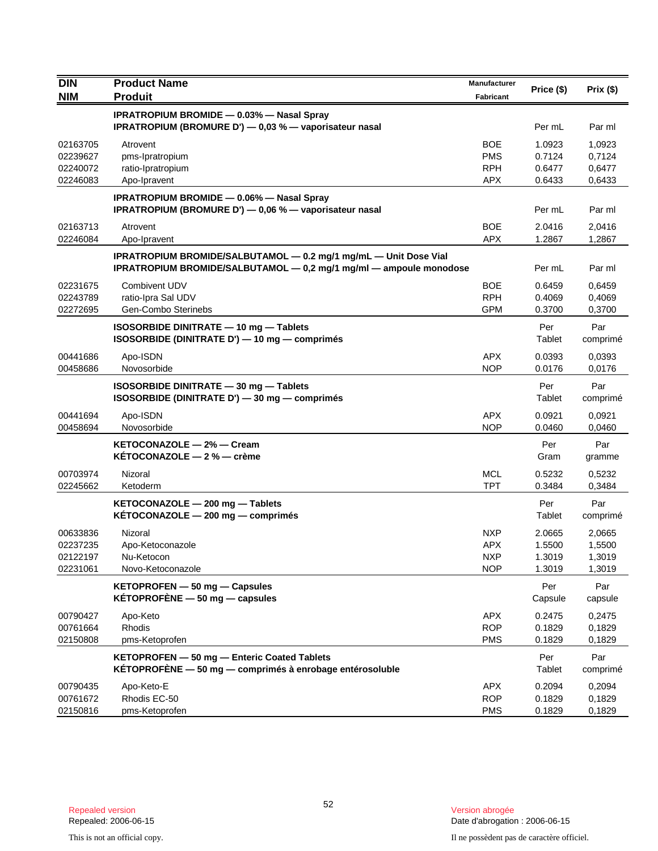| <b>DIN</b>                                   | <b>Product Name</b>                                                                                                                    | Manufacturer                                         | Price (\$)                           | Prix(\$)                             |
|----------------------------------------------|----------------------------------------------------------------------------------------------------------------------------------------|------------------------------------------------------|--------------------------------------|--------------------------------------|
| <b>NIM</b>                                   | <b>Produit</b>                                                                                                                         | <b>Fabricant</b>                                     |                                      |                                      |
|                                              | <b>IPRATROPIUM BROMIDE - 0.03% - Nasal Spray</b><br>IPRATROPIUM (BROMURE D') - 0,03 % - vaporisateur nasal                             |                                                      | Per mL                               | Par ml                               |
| 02163705<br>02239627<br>02240072<br>02246083 | Atrovent<br>pms-Ipratropium<br>ratio-Ipratropium<br>Apo-Ipravent                                                                       | <b>BOE</b><br><b>PMS</b><br><b>RPH</b><br><b>APX</b> | 1.0923<br>0.7124<br>0.6477<br>0.6433 | 1,0923<br>0,7124<br>0,6477<br>0,6433 |
|                                              | <b>IPRATROPIUM BROMIDE - 0.06% - Nasal Spray</b><br>IPRATROPIUM (BROMURE D') - 0,06 % - vaporisateur nasal                             |                                                      | Per mL                               | Par ml                               |
| 02163713<br>02246084                         | Atrovent<br>Apo-Ipravent                                                                                                               | <b>BOE</b><br><b>APX</b>                             | 2.0416<br>1.2867                     | 2,0416<br>1,2867                     |
|                                              | IPRATROPIUM BROMIDE/SALBUTAMOL - 0.2 mg/1 mg/mL - Unit Dose Vial<br>IPRATROPIUM BROMIDE/SALBUTAMOL - 0,2 mg/1 mg/ml - ampoule monodose |                                                      | Per mL                               | Par ml                               |
| 02231675<br>02243789<br>02272695             | Combivent UDV<br>ratio-Ipra Sal UDV<br>Gen-Combo Sterinebs                                                                             | <b>BOE</b><br><b>RPH</b><br><b>GPM</b>               | 0.6459<br>0.4069<br>0.3700           | 0,6459<br>0,4069<br>0,3700           |
|                                              | ISOSORBIDE DINITRATE - 10 mg - Tablets<br>ISOSORBIDE (DINITRATE D') - 10 mg - comprimés                                                |                                                      | Per<br>Tablet                        | Par<br>comprimé                      |
| 00441686<br>00458686                         | Apo-ISDN<br>Novosorbide                                                                                                                | <b>APX</b><br><b>NOP</b>                             | 0.0393<br>0.0176                     | 0,0393<br>0,0176                     |
|                                              | ISOSORBIDE DINITRATE - 30 mg - Tablets<br>ISOSORBIDE (DINITRATE D') - 30 mg - comprimés                                                |                                                      | Per<br>Tablet                        | Par<br>comprimé                      |
| 00441694<br>00458694                         | Apo-ISDN<br>Novosorbide                                                                                                                | <b>APX</b><br><b>NOP</b>                             | 0.0921<br>0.0460                     | 0,0921<br>0,0460                     |
|                                              | KETOCONAZOLE - 2% - Cream<br>KÉTOCONAZOLE - 2 % - crème                                                                                |                                                      | Per<br>Gram                          | Par<br>gramme                        |
| 00703974<br>02245662                         | Nizoral<br>Ketoderm                                                                                                                    | <b>MCL</b><br><b>TPT</b>                             | 0.5232<br>0.3484                     | 0,5232<br>0,3484                     |
|                                              | KETOCONAZOLE - 200 mg - Tablets<br>KETOCONAZOLE - 200 mg - comprimés                                                                   |                                                      | Per<br>Tablet                        | Par<br>comprimé                      |
| 00633836<br>02237235<br>02122197<br>02231061 | Nizoral<br>Apo-Ketoconazole<br>Nu-Ketocon<br>Novo-Ketoconazole                                                                         | <b>NXP</b><br><b>APX</b><br><b>NXP</b><br><b>NOP</b> | 2.0665<br>1.5500<br>1.3019<br>1.3019 | 2,0665<br>1,5500<br>1,3019<br>1,3019 |
|                                              | KETOPROFEN - 50 mg - Capsules<br>KÉTOPROFÈNE $-50$ mg $-$ capsules                                                                     |                                                      | Per<br>Capsule                       | Par<br>capsule                       |
| 00790427<br>00761664<br>02150808             | Apo-Keto<br><b>Rhodis</b><br>pms-Ketoprofen                                                                                            | <b>APX</b><br><b>ROP</b><br><b>PMS</b>               | 0.2475<br>0.1829<br>0.1829           | 0,2475<br>0,1829<br>0,1829           |
|                                              | KETOPROFEN - 50 mg - Enteric Coated Tablets<br>KÉTOPROFÈNE - 50 mg - comprimés à enrobage entérosoluble                                |                                                      | Per<br>Tablet                        | Par<br>comprimé                      |
| 00790435<br>00761672<br>02150816             | Apo-Keto-E<br>Rhodis EC-50<br>pms-Ketoprofen                                                                                           | <b>APX</b><br><b>ROP</b><br><b>PMS</b>               | 0.2094<br>0.1829<br>0.1829           | 0,2094<br>0,1829<br>0,1829           |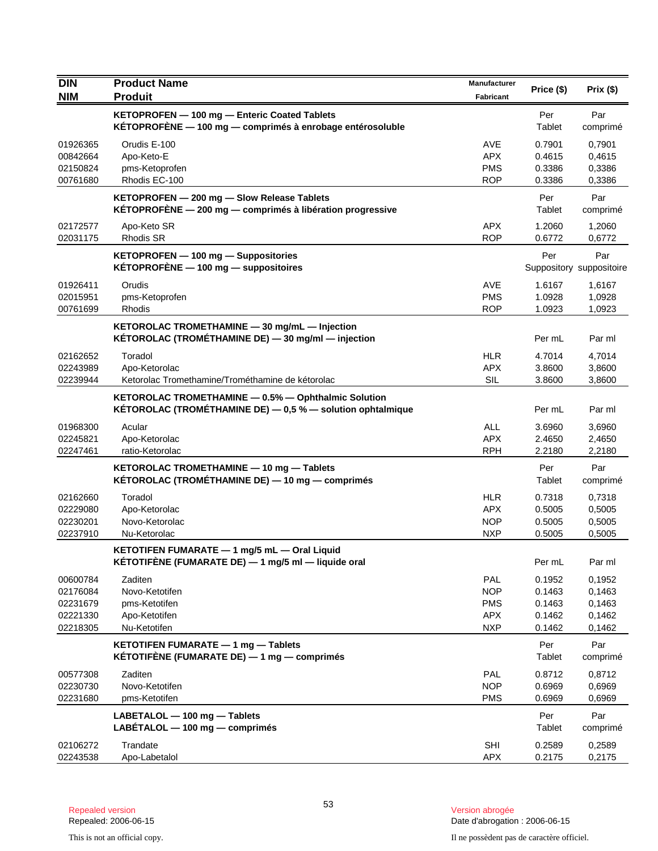| <b>DIN</b>           | <b>Product Name</b>                                                                                                  | Manufacturer             | Price (\$)       | Prix(\$)                        |
|----------------------|----------------------------------------------------------------------------------------------------------------------|--------------------------|------------------|---------------------------------|
| <b>NIM</b>           | <b>Produit</b>                                                                                                       | Fabricant                |                  |                                 |
|                      | KETOPROFEN - 100 mg - Enteric Coated Tablets<br>KÉTOPROFÈNE - 100 mg - comprimés à enrobage entérosoluble            |                          | Per<br>Tablet    | Par<br>comprimé                 |
| 01926365             | Orudis E-100                                                                                                         | AVE                      | 0.7901           | 0,7901                          |
| 00842664             | Apo-Keto-E                                                                                                           | APX.                     | 0.4615           | 0,4615                          |
| 02150824             | pms-Ketoprofen<br>Rhodis EC-100                                                                                      | <b>PMS</b><br><b>ROP</b> | 0.3386           | 0,3386                          |
| 00761680             |                                                                                                                      |                          | 0.3386           | 0,3386                          |
|                      | KETOPROFEN - 200 mg - Slow Release Tablets<br>KÉTOPROFÈNE - 200 mg - comprimés à libération progressive              |                          | Per<br>Tablet    | Par<br>comprimé                 |
| 02172577<br>02031175 | Apo-Keto SR<br><b>Rhodis SR</b>                                                                                      | APX.<br><b>ROP</b>       | 1.2060<br>0.6772 | 1,2060<br>0,6772                |
|                      | KETOPROFEN - 100 mg - Suppositories<br>$KETOPROFENE - 100 mg - suppositiones$                                        |                          | Per              | Par<br>Suppository suppositoire |
| 01926411             | Orudis                                                                                                               | AVE                      | 1.6167           | 1,6167                          |
| 02015951             | pms-Ketoprofen                                                                                                       | <b>PMS</b>               | 1.0928           | 1,0928                          |
| 00761699             | Rhodis                                                                                                               | <b>ROP</b>               | 1.0923           | 1,0923                          |
|                      | KETOROLAC TROMETHAMINE - 30 mg/mL - Injection<br>KÉTOROLAC (TROMÉTHAMINE DE) - 30 mg/ml - injection                  |                          | Per mL           | Par ml                          |
| 02162652             | Toradol                                                                                                              | <b>HLR</b>               | 4.7014           | 4,7014                          |
| 02243989             | Apo-Ketorolac                                                                                                        | APX.                     | 3.8600           | 3,8600                          |
| 02239944             | Ketorolac Tromethamine/Trométhamine de kétorolac                                                                     | SIL                      | 3.8600           | 3,8600                          |
|                      | KETOROLAC TROMETHAMINE - 0.5% - Ophthalmic Solution<br>KÉTOROLAC (TROMÉTHAMINE DE) $-0.5$ % $-$ solution ophtalmique |                          | Per mL           | Par ml                          |
| 01968300             | Acular                                                                                                               | <b>ALL</b>               | 3.6960           | 3,6960                          |
| 02245821             | Apo-Ketorolac                                                                                                        | <b>APX</b>               | 2.4650           | 2,4650                          |
| 02247461             | ratio-Ketorolac                                                                                                      | <b>RPH</b>               | 2.2180           | 2,2180                          |
|                      | KETOROLAC TROMETHAMINE - 10 mg - Tablets<br>KÉTOROLAC (TROMÉTHAMINE DE) — 10 mg — comprimés                          |                          | Per<br>Tablet    | Par<br>comprimé                 |
| 02162660             | Toradol                                                                                                              | <b>HLR</b>               | 0.7318           | 0,7318                          |
| 02229080             | Apo-Ketorolac                                                                                                        | <b>APX</b>               | 0.5005           | 0,5005                          |
| 02230201<br>02237910 | Novo-Ketorolac                                                                                                       | <b>NOP</b><br><b>NXP</b> | 0.5005           | 0,5005                          |
|                      | Nu-Ketorolac                                                                                                         |                          | 0.5005           | 0,5005                          |
|                      | KETOTIFEN FUMARATE - 1 mg/5 mL - Oral Liquid<br>KÉTOTIFÈNE (FUMARATE DE) $-$ 1 mg/5 ml $-$ liquide oral              |                          | Per mL           | Par ml                          |
| 00600784             | Zaditen                                                                                                              | <b>PAL</b>               | 0.1952           | 0,1952                          |
| 02176084             | Novo-Ketotifen                                                                                                       | <b>NOP</b>               | 0.1463           | 0,1463                          |
| 02231679<br>02221330 | pms-Ketotifen<br>Apo-Ketotifen                                                                                       | <b>PMS</b><br><b>APX</b> | 0.1463<br>0.1462 | 0,1463<br>0,1462                |
| 02218305             | Nu-Ketotifen                                                                                                         | <b>NXP</b>               | 0.1462           | 0,1462                          |
|                      | KETOTIFEN FUMARATE - 1 mg - Tablets<br>KÉTOTIFÈNE (FUMARATE DE) $-$ 1 mg $-$ comprimés                               |                          | Per<br>Tablet    | Par<br>comprimé                 |
| 00577308             | Zaditen                                                                                                              | <b>PAL</b>               | 0.8712           | 0,8712                          |
| 02230730             | Novo-Ketotifen                                                                                                       | <b>NOP</b>               | 0.6969           | 0,6969                          |
| 02231680             | pms-Ketotifen                                                                                                        | <b>PMS</b>               | 0.6969           | 0,6969                          |
|                      | LABETALOL - 100 mg - Tablets<br>$L$ ABETALOL $-$ 100 mg $-$ comprimes                                                |                          | Per<br>Tablet    | Par<br>comprimé                 |
| 02106272             | Trandate                                                                                                             | <b>SHI</b>               | 0.2589           | 0,2589                          |
| 02243538             | Apo-Labetalol                                                                                                        | APX                      | 0.2175           | 0,2175                          |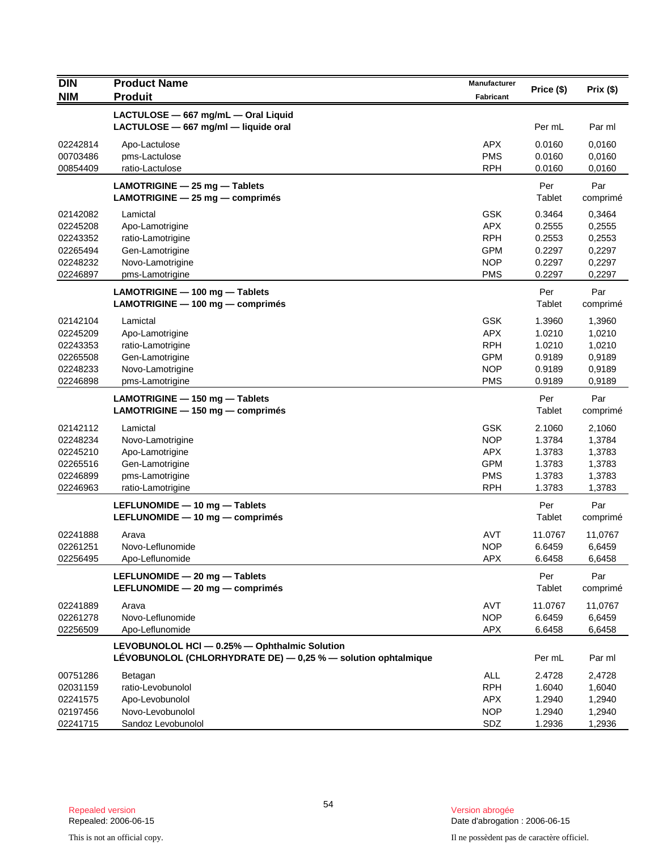| <b>DIN</b>                                                           | <b>Product Name</b>                                                                                            | <b>Manufacturer</b>                                                              | Price (\$)                                               | Prix(\$)                                                 |
|----------------------------------------------------------------------|----------------------------------------------------------------------------------------------------------------|----------------------------------------------------------------------------------|----------------------------------------------------------|----------------------------------------------------------|
| <b>NIM</b>                                                           | <b>Produit</b>                                                                                                 | Fabricant                                                                        |                                                          |                                                          |
|                                                                      | LACTULOSE - 667 mg/mL - Oral Liquid<br>LACTULOSE - 667 mg/ml - liquide oral                                    |                                                                                  | Per mL                                                   | Par ml                                                   |
| 02242814<br>00703486<br>00854409                                     | Apo-Lactulose<br>pms-Lactulose<br>ratio-Lactulose                                                              | <b>APX</b><br><b>PMS</b><br><b>RPH</b>                                           | 0.0160<br>0.0160<br>0.0160                               | 0,0160<br>0,0160<br>0,0160                               |
|                                                                      | LAMOTRIGINE - 25 mg - Tablets<br>LAMOTRIGINE - 25 mg - comprimés                                               |                                                                                  | Per<br>Tablet                                            | Par<br>comprimé                                          |
| 02142082<br>02245208<br>02243352<br>02265494<br>02248232<br>02246897 | Lamictal<br>Apo-Lamotrigine<br>ratio-Lamotrigine<br>Gen-Lamotrigine<br>Novo-Lamotrigine<br>pms-Lamotrigine     | <b>GSK</b><br><b>APX</b><br><b>RPH</b><br><b>GPM</b><br><b>NOP</b><br><b>PMS</b> | 0.3464<br>0.2555<br>0.2553<br>0.2297<br>0.2297<br>0.2297 | 0,3464<br>0,2555<br>0,2553<br>0,2297<br>0,2297<br>0,2297 |
|                                                                      | LAMOTRIGINE - 100 mg - Tablets<br>LAMOTRIGINE - 100 mg - comprimés                                             |                                                                                  | Per<br>Tablet                                            | Par<br>comprimé                                          |
| 02142104<br>02245209<br>02243353<br>02265508<br>02248233<br>02246898 | Lamictal<br>Apo-Lamotrigine<br>ratio-Lamotrigine<br>Gen-Lamotrigine<br>Novo-Lamotrigine<br>pms-Lamotrigine     | <b>GSK</b><br><b>APX</b><br><b>RPH</b><br><b>GPM</b><br><b>NOP</b><br><b>PMS</b> | 1.3960<br>1.0210<br>1.0210<br>0.9189<br>0.9189<br>0.9189 | 1,3960<br>1,0210<br>1,0210<br>0,9189<br>0,9189<br>0,9189 |
|                                                                      | LAMOTRIGINE - 150 mg - Tablets<br>$LAMOTRIGINE - 150 mg - comprimés$                                           |                                                                                  | Per<br>Tablet                                            | Par<br>comprimé                                          |
| 02142112<br>02248234<br>02245210<br>02265516<br>02246899<br>02246963 | Lamictal<br>Novo-Lamotrigine<br>Apo-Lamotrigine<br>Gen-Lamotrigine<br>pms-Lamotrigine<br>ratio-Lamotrigine     | <b>GSK</b><br><b>NOP</b><br><b>APX</b><br><b>GPM</b><br><b>PMS</b><br><b>RPH</b> | 2.1060<br>1.3784<br>1.3783<br>1.3783<br>1.3783<br>1.3783 | 2,1060<br>1,3784<br>1,3783<br>1,3783<br>1,3783<br>1,3783 |
|                                                                      | LEFLUNOMIDE - 10 mg - Tablets<br>LEFLUNOMIDE - 10 mg - comprimés                                               |                                                                                  | Per<br>Tablet                                            | Par<br>comprimé                                          |
| 02241888<br>02261251<br>02256495                                     | Arava<br>Novo-Leflunomide<br>Apo-Leflunomide                                                                   | <b>AVT</b><br><b>NOP</b><br><b>APX</b>                                           | 11.0767<br>6.6459<br>6.6458                              | 11,0767<br>6,6459<br>6,6458                              |
|                                                                      | LEFLUNOMIDE - 20 mg - Tablets<br>LEFLUNOMIDE - 20 mg - comprimés                                               |                                                                                  | Per<br>Tablet                                            | Par<br>comprimé                                          |
| 02241889<br>02261278<br>02256509                                     | Arava<br>Novo-Leflunomide<br>Apo-Leflunomide                                                                   | <b>AVT</b><br><b>NOP</b><br><b>APX</b>                                           | 11.0767<br>6.6459<br>6.6458                              | 11,0767<br>6,6459<br>6,6458                              |
|                                                                      | LEVOBUNOLOL HCI - 0.25% - Ophthalmic Solution<br>LÉVOBUNOLOL (CHLORHYDRATE DE) - 0,25 % - solution ophtalmique |                                                                                  | Per mL                                                   | Par ml                                                   |
| 00751286<br>02031159<br>02241575<br>02197456                         | Betagan<br>ratio-Levobunolol<br>Apo-Levobunolol<br>Novo-Levobunolol                                            | ALL<br><b>RPH</b><br><b>APX</b><br><b>NOP</b>                                    | 2.4728<br>1.6040<br>1.2940<br>1.2940                     | 2,4728<br>1,6040<br>1,2940<br>1,2940                     |
| 02241715                                                             | Sandoz Levobunolol                                                                                             | SDZ                                                                              | 1.2936                                                   | 1,2936                                                   |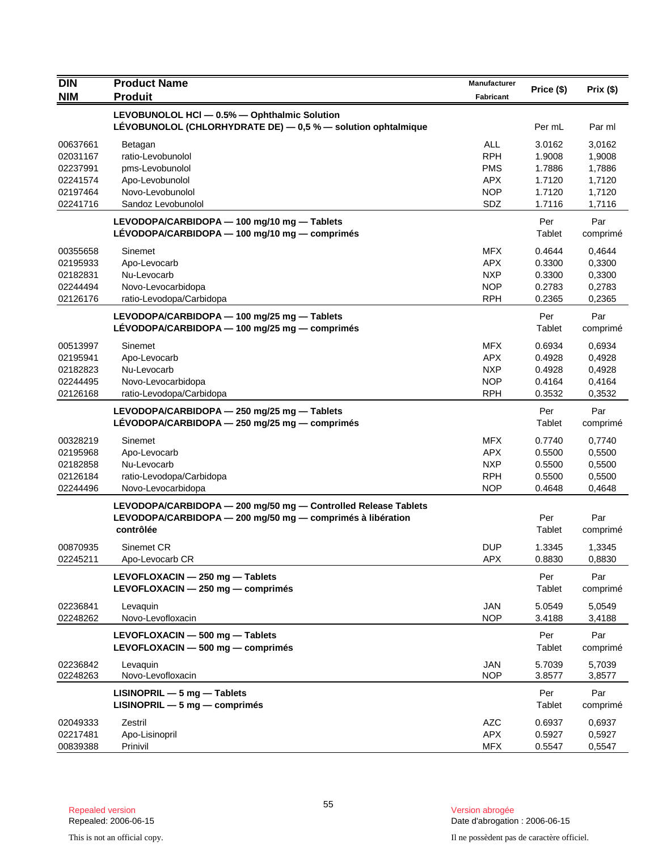| <b>DIN</b>           | <b>Product Name</b>                                                                          | Manufacturer             |                  |                  |
|----------------------|----------------------------------------------------------------------------------------------|--------------------------|------------------|------------------|
| <b>NIM</b>           | <b>Produit</b>                                                                               | Fabricant                | Price (\$)       | Prix(\$)         |
|                      | LEVOBUNOLOL HCI - 0.5% - Ophthalmic Solution                                                 |                          |                  |                  |
|                      | LEVOBUNOLOL (CHLORHYDRATE DE) - 0,5 % - solution ophtalmique                                 |                          | Per mL           | Par ml           |
|                      |                                                                                              |                          |                  |                  |
| 00637661<br>02031167 | Betagan<br>ratio-Levobunolol                                                                 | <b>ALL</b><br><b>RPH</b> | 3.0162<br>1.9008 | 3,0162           |
| 02237991             | pms-Levobunolol                                                                              | <b>PMS</b>               | 1.7886           | 1,9008<br>1,7886 |
| 02241574             | Apo-Levobunolol                                                                              | <b>APX</b>               | 1.7120           | 1,7120           |
| 02197464             | Novo-Levobunolol                                                                             | <b>NOP</b>               | 1.7120           | 1,7120           |
| 02241716             | Sandoz Levobunolol                                                                           | SDZ                      | 1.7116           | 1,7116           |
|                      |                                                                                              |                          |                  |                  |
|                      | LEVODOPA/CARBIDOPA - 100 mg/10 mg - Tablets<br>LÉVODOPA/CARBIDOPA - 100 mg/10 mg - comprimés |                          | Per<br>Tablet    | Par              |
|                      |                                                                                              |                          |                  | comprimé         |
| 00355658             | Sinemet                                                                                      | <b>MFX</b>               | 0.4644           | 0,4644           |
| 02195933             | Apo-Levocarb                                                                                 | <b>APX</b>               | 0.3300           | 0,3300           |
| 02182831             | Nu-Levocarb                                                                                  | <b>NXP</b>               | 0.3300           | 0,3300           |
| 02244494             | Novo-Levocarbidopa                                                                           | <b>NOP</b>               | 0.2783           | 0,2783           |
| 02126176             | ratio-Levodopa/Carbidopa                                                                     | <b>RPH</b>               | 0.2365           | 0,2365           |
|                      | LEVODOPA/CARBIDOPA - 100 mg/25 mg - Tablets                                                  |                          | Per              | Par              |
|                      | LÉVODOPA/CARBIDOPA $-$ 100 mg/25 mg $-$ comprimés                                            |                          | Tablet           | comprimé         |
| 00513997             | Sinemet                                                                                      | <b>MFX</b>               | 0.6934           | 0,6934           |
| 02195941             | Apo-Levocarb                                                                                 | <b>APX</b>               | 0.4928           | 0,4928           |
| 02182823             | Nu-Levocarb                                                                                  | <b>NXP</b>               | 0.4928           | 0,4928           |
| 02244495             | Novo-Levocarbidopa                                                                           | <b>NOP</b>               | 0.4164           | 0,4164           |
| 02126168             | ratio-Levodopa/Carbidopa                                                                     | <b>RPH</b>               | 0.3532           | 0,3532           |
|                      | LEVODOPA/CARBIDOPA - 250 mg/25 mg - Tablets                                                  |                          | Per              | Par              |
|                      | LÉVODOPA/CARBIDOPA - 250 mg/25 mg - comprimés                                                |                          | Tablet           | comprimé         |
| 00328219             | Sinemet                                                                                      | <b>MFX</b>               | 0.7740           | 0,7740           |
| 02195968             | Apo-Levocarb                                                                                 | <b>APX</b>               | 0.5500           | 0,5500           |
| 02182858             | Nu-Levocarb                                                                                  | <b>NXP</b>               | 0.5500           | 0,5500           |
| 02126184             | ratio-Levodopa/Carbidopa                                                                     | <b>RPH</b>               | 0.5500           | 0,5500           |
| 02244496             | Novo-Levocarbidopa                                                                           | <b>NOP</b>               | 0.4648           | 0,4648           |
|                      | LEVODOPA/CARBIDOPA - 200 mg/50 mg - Controlled Release Tablets                               |                          |                  |                  |
|                      | LEVODOPA/CARBIDOPA - 200 mg/50 mg - comprimés à libération                                   |                          | Per              | Par              |
|                      | contrôlée                                                                                    |                          | Tablet           | comprimé         |
| 00870935             | Sinemet CR                                                                                   | <b>DUP</b>               | 1.3345           | 1,3345           |
| 02245211             | Apo-Levocarb CR                                                                              | APX.                     | 0.8830           | 0,8830           |
|                      | LEVOFLOXACIN - 250 mg - Tablets                                                              |                          | Per              | Par              |
|                      | LEVOFLOXACIN - 250 mg - comprimés                                                            |                          | Tablet           | comprimé         |
|                      |                                                                                              |                          |                  |                  |
| 02236841             | Levaquin                                                                                     | <b>JAN</b>               | 5.0549           | 5,0549           |
| 02248262             | Novo-Levofloxacin                                                                            | <b>NOP</b>               | 3.4188           | 3,4188           |
|                      | LEVOFLOXACIN - 500 mg - Tablets                                                              |                          | Per              | Par              |
|                      | LEVOFLOXACIN - 500 mg - comprimés                                                            |                          | Tablet           | comprimé         |
| 02236842             | Levaquin                                                                                     | <b>JAN</b>               | 5.7039           | 5,7039           |
| 02248263             | Novo-Levofloxacin                                                                            | NOP                      | 3.8577           | 3,8577           |
|                      | $LISINOPRIL - 5 mg - Tables$                                                                 |                          | Per              | Par              |
|                      | $LISINOPRIL - 5 mg - comprimés$                                                              |                          | Tablet           | comprimé         |
| 02049333             | Zestril                                                                                      | <b>AZC</b>               | 0.6937           | 0,6937           |
| 02217481             | Apo-Lisinopril                                                                               | <b>APX</b>               | 0.5927           | 0,5927           |
| 00839388             | Prinivil                                                                                     | <b>MFX</b>               | 0.5547           | 0,5547           |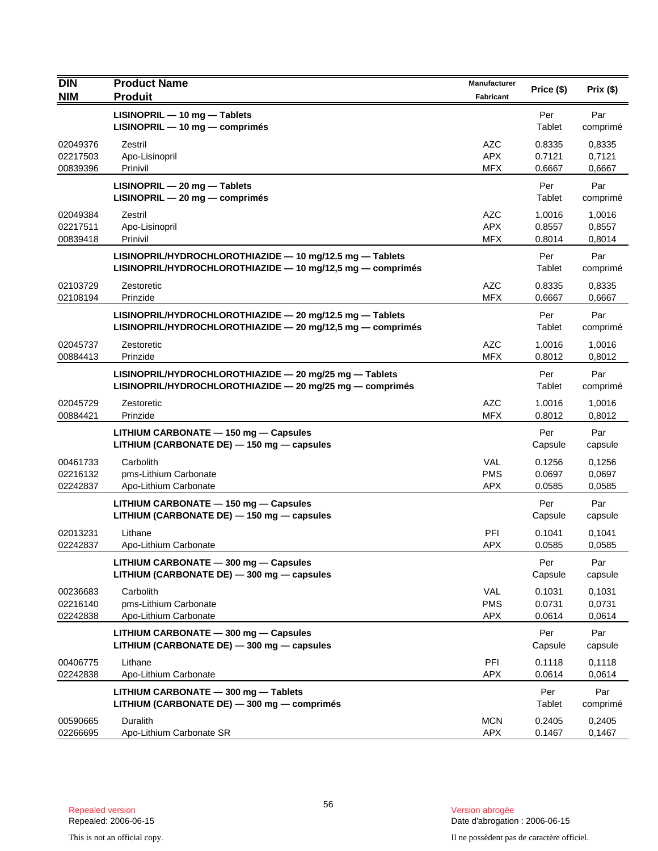| <b>DIN</b>                       | <b>Product Name</b>                                                                                                    | Manufacturer                           | Price (\$)                 | Prix(\$)                   |
|----------------------------------|------------------------------------------------------------------------------------------------------------------------|----------------------------------------|----------------------------|----------------------------|
| <b>NIM</b>                       | <b>Produit</b>                                                                                                         | <b>Fabricant</b>                       |                            |                            |
|                                  | LISINOPRIL - 10 mg - Tablets<br>LISINOPRIL - 10 mg - comprimés                                                         |                                        | Per<br>Tablet              | Par<br>comprimé            |
| 02049376<br>02217503<br>00839396 | Zestril<br>Apo-Lisinopril<br>Prinivil                                                                                  | <b>AZC</b><br><b>APX</b><br><b>MFX</b> | 0.8335<br>0.7121<br>0.6667 | 0,8335<br>0,7121<br>0,6667 |
|                                  | $LISINOPRIL - 20 mg - Tables$<br>LISINOPRIL - 20 mg - comprimés                                                        |                                        | Per<br>Tablet              | Par<br>comprimé            |
| 02049384<br>02217511<br>00839418 | Zestril<br>Apo-Lisinopril<br>Prinivil                                                                                  | <b>AZC</b><br><b>APX</b><br><b>MFX</b> | 1.0016<br>0.8557<br>0.8014 | 1,0016<br>0,8557<br>0,8014 |
|                                  | LISINOPRIL/HYDROCHLOROTHIAZIDE - 10 mg/12.5 mg - Tablets<br>LISINOPRIL/HYDROCHLOROTHIAZIDE - 10 mg/12,5 mg - comprimés |                                        | Per<br>Tablet              | Par<br>comprimé            |
| 02103729<br>02108194             | Zestoretic<br>Prinzide                                                                                                 | <b>AZC</b><br><b>MFX</b>               | 0.8335<br>0.6667           | 0.8335<br>0,6667           |
|                                  | LISINOPRIL/HYDROCHLOROTHIAZIDE - 20 mg/12.5 mg - Tablets<br>LISINOPRIL/HYDROCHLOROTHIAZIDE - 20 mg/12,5 mg - comprimés |                                        | Per<br>Tablet              | Par<br>comprimé            |
| 02045737<br>00884413             | Zestoretic<br>Prinzide                                                                                                 | <b>AZC</b><br><b>MFX</b>               | 1.0016<br>0.8012           | 1,0016<br>0,8012           |
|                                  | LISINOPRIL/HYDROCHLOROTHIAZIDE - 20 mg/25 mg - Tablets<br>LISINOPRIL/HYDROCHLOROTHIAZIDE - 20 mg/25 mg - comprimés     |                                        | Per<br>Tablet              | Par<br>comprimé            |
| 02045729<br>00884421             | Zestoretic<br>Prinzide                                                                                                 | <b>AZC</b><br><b>MFX</b>               | 1.0016<br>0.8012           | 1,0016<br>0,8012           |
|                                  | LITHIUM CARBONATE - 150 mg - Capsules<br>LITHIUM (CARBONATE DE) - 150 mg - capsules                                    |                                        | Per<br>Capsule             | Par<br>capsule             |
| 00461733<br>02216132<br>02242837 | Carbolith<br>pms-Lithium Carbonate<br>Apo-Lithium Carbonate                                                            | <b>VAL</b><br><b>PMS</b><br><b>APX</b> | 0.1256<br>0.0697<br>0.0585 | 0,1256<br>0,0697<br>0,0585 |
|                                  | LITHIUM CARBONATE - 150 mg - Capsules<br>LITHIUM (CARBONATE DE) - 150 mg - capsules                                    |                                        | Per<br>Capsule             | Par<br>capsule             |
| 02013231<br>02242837             | Lithane<br>Apo-Lithium Carbonate                                                                                       | PFI<br><b>APX</b>                      | 0.1041<br>0.0585           | 0,1041<br>0,0585           |
|                                  | LITHIUM CARBONATE - 300 mg - Capsules<br>LITHIUM (CARBONATE DE) - 300 mg - capsules                                    |                                        | Per<br>Capsule             | Par<br>capsule             |
| 00236683<br>02216140<br>02242838 | Carbolith<br>pms-Lithium Carbonate<br>Apo-Lithium Carbonate                                                            | <b>VAL</b><br><b>PMS</b><br><b>APX</b> | 0.1031<br>0.0731<br>0.0614 | 0,1031<br>0,0731<br>0,0614 |
|                                  | LITHIUM CARBONATE - 300 mg - Capsules<br>LITHIUM (CARBONATE DE) - 300 mg - capsules                                    |                                        | Per<br>Capsule             | Par<br>capsule             |
| 00406775<br>02242838             | Lithane<br>Apo-Lithium Carbonate                                                                                       | PFI<br><b>APX</b>                      | 0.1118<br>0.0614           | 0,1118<br>0,0614           |
|                                  | LITHIUM CARBONATE - 300 mg - Tablets<br>LITHIUM (CARBONATE DE) - 300 mg - comprimés                                    |                                        | Per<br>Tablet              | Par<br>comprimé            |
| 00590665<br>02266695             | Duralith<br>Apo-Lithium Carbonate SR                                                                                   | <b>MCN</b><br><b>APX</b>               | 0.2405<br>0.1467           | 0,2405<br>0,1467           |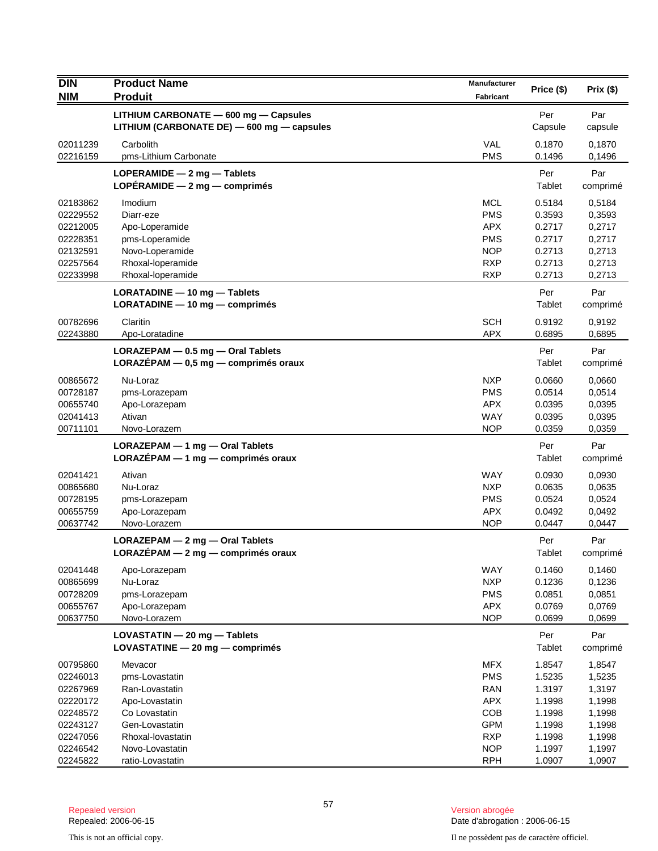| <b>DIN</b>           | <b>Product Name</b>                                            | Manufacturer             | Price (\$)       | Prix(\$)         |
|----------------------|----------------------------------------------------------------|--------------------------|------------------|------------------|
| <b>NIM</b>           | <b>Produit</b>                                                 | <b>Fabricant</b>         |                  |                  |
|                      | LITHIUM CARBONATE - 600 mg - Capsules                          |                          | Per              | Par              |
|                      | LITHIUM (CARBONATE DE) - 600 mg - capsules                     |                          | Capsule          | capsule          |
| 02011239             | Carbolith                                                      | VAL                      | 0.1870           | 0,1870           |
| 02216159             | pms-Lithium Carbonate                                          | <b>PMS</b>               | 0.1496           | 0,1496           |
|                      | LOPERAMIDE $-2$ mg $-$ Tablets                                 |                          | Per              | Par              |
|                      | LOPÉRAMIDE - 2 mg - comprimés                                  |                          | Tablet           | comprimé         |
| 02183862             | Imodium                                                        | <b>MCL</b>               | 0.5184           | 0,5184           |
| 02229552             | Diarr-eze                                                      | <b>PMS</b>               | 0.3593           | 0,3593           |
| 02212005             | Apo-Loperamide                                                 | <b>APX</b>               | 0.2717           | 0,2717           |
| 02228351             | pms-Loperamide                                                 | <b>PMS</b>               | 0.2717           | 0,2717           |
| 02132591<br>02257564 | Novo-Loperamide                                                | <b>NOP</b><br><b>RXP</b> | 0.2713<br>0.2713 | 0,2713           |
| 02233998             | Rhoxal-loperamide<br>Rhoxal-loperamide                         | <b>RXP</b>               | 0.2713           | 0,2713<br>0,2713 |
|                      |                                                                |                          |                  |                  |
|                      | LORATADINE - 10 mg - Tablets<br>LORATADINE - 10 mg - comprimés |                          | Per<br>Tablet    | Par<br>comprimé  |
|                      |                                                                |                          |                  |                  |
| 00782696<br>02243880 | Claritin<br>Apo-Loratadine                                     | <b>SCH</b><br><b>APX</b> | 0.9192<br>0.6895 | 0,9192<br>0,6895 |
|                      |                                                                |                          |                  |                  |
|                      | LORAZEPAM - 0.5 mg - Oral Tablets                              |                          | Per<br>Tablet    | Par              |
|                      | $LORAZÉPAM - 0,5 mg - comprimés oraux$                         |                          |                  | comprimé         |
| 00865672             | Nu-Loraz                                                       | <b>NXP</b>               | 0.0660           | 0,0660           |
| 00728187             | pms-Lorazepam                                                  | <b>PMS</b>               | 0.0514           | 0,0514           |
| 00655740<br>02041413 | Apo-Lorazepam<br>Ativan                                        | <b>APX</b><br><b>WAY</b> | 0.0395<br>0.0395 | 0,0395<br>0,0395 |
| 00711101             | Novo-Lorazem                                                   | <b>NOP</b>               | 0.0359           | 0,0359           |
|                      | LORAZEPAM - 1 mg - Oral Tablets                                |                          | Per              | Par              |
|                      | LORAZÉPAM - 1 mg - comprimés oraux                             |                          | Tablet           | comprimé         |
| 02041421             | Ativan                                                         | <b>WAY</b>               | 0.0930           | 0,0930           |
| 00865680             | Nu-Loraz                                                       | <b>NXP</b>               | 0.0635           | 0,0635           |
| 00728195             | pms-Lorazepam                                                  | <b>PMS</b>               | 0.0524           | 0,0524           |
| 00655759             | Apo-Lorazepam                                                  | <b>APX</b>               | 0.0492           | 0,0492           |
| 00637742             | Novo-Lorazem                                                   | <b>NOP</b>               | 0.0447           | 0,0447           |
|                      | $LORAZEPAM - 2 mg - 0ral Tables$                               |                          | Per              | Par              |
|                      | $LORAZÉPAM - 2 mg - comprimés oraux$                           |                          | Tablet           | comprimé         |
| 02041448             | Apo-Lorazepam                                                  | WAY                      | 0.1460           | 0,1460           |
| 00865699             | Nu-Loraz                                                       | <b>NXP</b>               | 0.1236           | 0,1236           |
| 00728209             | pms-Lorazepam                                                  | <b>PMS</b>               | 0.0851           | 0,0851           |
| 00655767             | Apo-Lorazepam                                                  | <b>APX</b>               | 0.0769           | 0,0769           |
| 00637750             | Novo-Lorazem                                                   | <b>NOP</b>               | 0.0699           | 0.0699           |
|                      | LOVASTATIN - 20 mg - Tablets                                   |                          | Per              | Par              |
|                      | LOVASTATINE - 20 mg - comprimés                                |                          | Tablet           | comprimé         |
| 00795860             | Mevacor                                                        | <b>MFX</b>               | 1.8547           | 1,8547           |
| 02246013             | pms-Lovastatin                                                 | <b>PMS</b>               | 1.5235           | 1,5235           |
| 02267969             | Ran-Lovastatin                                                 | <b>RAN</b>               | 1.3197           | 1,3197           |
| 02220172             | Apo-Lovastatin                                                 | <b>APX</b>               | 1.1998           | 1,1998           |
| 02248572<br>02243127 | Co Lovastatin<br>Gen-Lovastatin                                | COB<br><b>GPM</b>        | 1.1998<br>1.1998 | 1,1998<br>1,1998 |
| 02247056             | Rhoxal-lovastatin                                              | <b>RXP</b>               | 1.1998           | 1,1998           |
| 02246542             | Novo-Lovastatin                                                | <b>NOP</b>               | 1.1997           | 1,1997           |
| 02245822             | ratio-Lovastatin                                               | <b>RPH</b>               | 1.0907           | 1,0907           |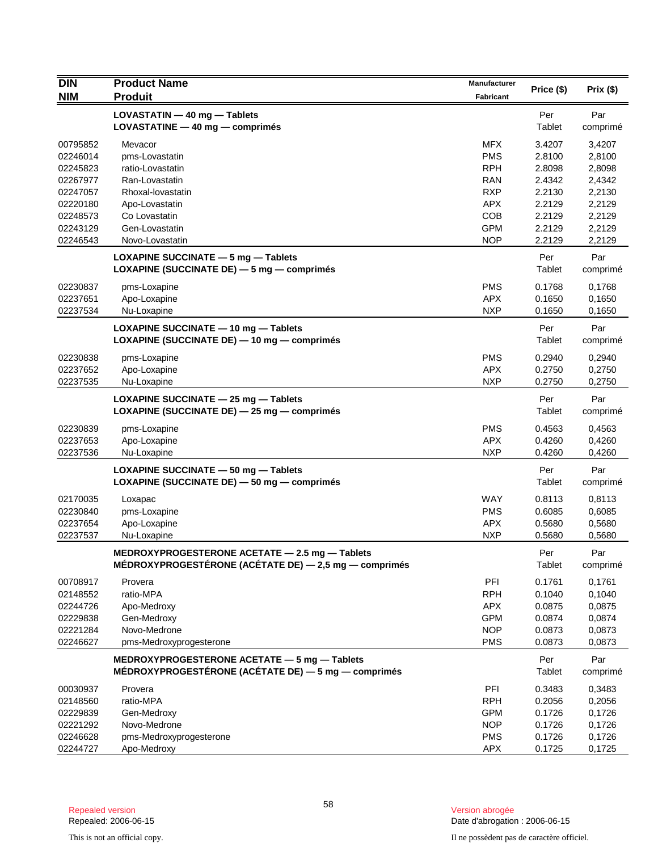| <b>DIN</b> | <b>Product Name</b>                                       | <b>Manufacturer</b> |            |          |
|------------|-----------------------------------------------------------|---------------------|------------|----------|
| <b>NIM</b> | <b>Produit</b>                                            | Fabricant           | Price (\$) | Prix(\$) |
|            | LOVASTATIN - 40 mg - Tablets                              |                     | Per        | Par      |
|            | LOVASTATINE $-$ 40 mg $-$ comprimes                       |                     | Tablet     | comprimé |
| 00795852   | Mevacor                                                   | <b>MFX</b>          | 3.4207     | 3,4207   |
| 02246014   | pms-Lovastatin                                            | <b>PMS</b>          | 2.8100     | 2,8100   |
| 02245823   | ratio-Lovastatin                                          | <b>RPH</b>          | 2.8098     | 2,8098   |
| 02267977   | Ran-Lovastatin                                            | <b>RAN</b>          | 2.4342     | 2,4342   |
| 02247057   | Rhoxal-lovastatin                                         | <b>RXP</b>          | 2.2130     | 2,2130   |
| 02220180   | Apo-Lovastatin                                            | <b>APX</b>          | 2.2129     | 2,2129   |
| 02248573   | Co Lovastatin                                             | COB                 | 2.2129     | 2,2129   |
| 02243129   | Gen-Lovastatin                                            | <b>GPM</b>          | 2.2129     | 2,2129   |
| 02246543   | Novo-Lovastatin                                           | <b>NOP</b>          | 2.2129     | 2,2129   |
|            | LOXAPINE SUCCINATE $-5$ mg $-$ Tablets                    |                     | Per        | Par      |
|            | LOXAPINE (SUCCINATE DE) - 5 mg - comprimés                |                     | Tablet     | comprimé |
| 02230837   | pms-Loxapine                                              | <b>PMS</b>          | 0.1768     | 0,1768   |
| 02237651   | Apo-Loxapine                                              | <b>APX</b>          | 0.1650     | 0,1650   |
| 02237534   | Nu-Loxapine                                               | <b>NXP</b>          | 0.1650     | 0,1650   |
|            | LOXAPINE SUCCINATE - 10 mg - Tablets                      |                     | Per        | Par      |
|            | LOXAPINE (SUCCINATE DE) - 10 mg - comprimés               |                     | Tablet     | comprimé |
| 02230838   | pms-Loxapine                                              | <b>PMS</b>          | 0.2940     | 0,2940   |
| 02237652   | Apo-Loxapine                                              | <b>APX</b>          | 0.2750     | 0,2750   |
| 02237535   | Nu-Loxapine                                               | <b>NXP</b>          | 0.2750     | 0,2750   |
|            | LOXAPINE SUCCINATE $-$ 25 mg $-$ Tablets                  |                     | Per        | Par      |
|            | LOXAPINE (SUCCINATE DE) - 25 mg - comprimés               |                     | Tablet     | comprimé |
| 02230839   | pms-Loxapine                                              | <b>PMS</b>          | 0.4563     | 0,4563   |
| 02237653   | Apo-Loxapine                                              | <b>APX</b>          | 0.4260     | 0,4260   |
| 02237536   | Nu-Loxapine                                               | <b>NXP</b>          | 0.4260     | 0,4260   |
|            | LOXAPINE SUCCINATE - 50 mg - Tablets                      |                     | Per        | Par      |
|            | LOXAPINE (SUCCINATE DE) - 50 mg - comprimés               |                     | Tablet     | comprimé |
| 02170035   | Loxapac                                                   | WAY                 | 0.8113     | 0,8113   |
| 02230840   | pms-Loxapine                                              | <b>PMS</b>          | 0.6085     | 0,6085   |
| 02237654   | Apo-Loxapine                                              | <b>APX</b>          | 0.5680     | 0,5680   |
| 02237537   | Nu-Loxapine                                               | <b>NXP</b>          | 0.5680     | 0,5680   |
|            | MEDROXYPROGESTERONE ACETATE - 2.5 mg - Tablets            |                     | Per        | Par      |
|            | MÉDROXYPROGESTÉRONE (ACÉTATE DE) $-$ 2,5 mg $-$ comprimés |                     | Tablet     | comprimé |
| 00708917   | Provera                                                   | PFI                 | 0.1761     | 0,1761   |
| 02148552   | ratio-MPA                                                 | <b>RPH</b>          | 0.1040     | 0,1040   |
| 02244726   | Apo-Medroxy                                               | <b>APX</b>          | 0.0875     | 0,0875   |
| 02229838   | Gen-Medroxy                                               | <b>GPM</b>          | 0.0874     | 0,0874   |
| 02221284   | Novo-Medrone                                              | <b>NOP</b>          | 0.0873     | 0,0873   |
| 02246627   | pms-Medroxyprogesterone                                   | <b>PMS</b>          | 0.0873     | 0,0873   |
|            | MEDROXYPROGESTERONE ACETATE - 5 mg - Tablets              |                     | Per        | Par      |
|            | MÉDROXYPROGESTÉRONE (ACÉTATE DE) - 5 mg - comprimés       |                     | Tablet     | comprimé |
| 00030937   | Provera                                                   | PFI                 | 0.3483     | 0,3483   |
| 02148560   | ratio-MPA                                                 | <b>RPH</b>          | 0.2056     | 0,2056   |
| 02229839   | Gen-Medroxy                                               | <b>GPM</b>          | 0.1726     | 0,1726   |
| 02221292   | Novo-Medrone                                              | <b>NOP</b>          | 0.1726     | 0,1726   |
| 02246628   | pms-Medroxyprogesterone                                   | <b>PMS</b>          | 0.1726     | 0,1726   |
| 02244727   | Apo-Medroxy                                               | <b>APX</b>          | 0.1725     | 0,1725   |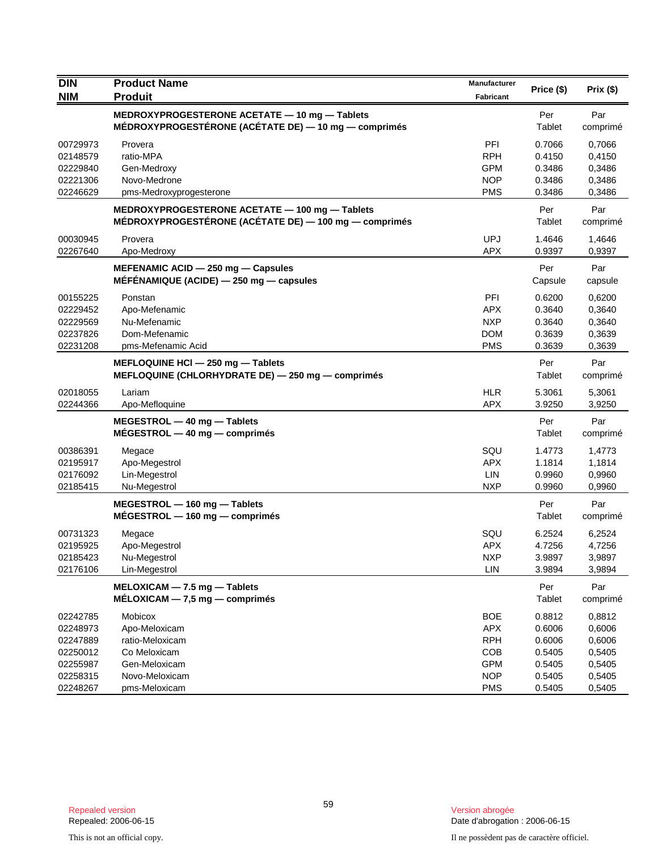| <b>DIN</b> | <b>Product Name</b>                                                                                     | <b>Manufacturer</b> | Price (\$)    | Prix(\$)        |
|------------|---------------------------------------------------------------------------------------------------------|---------------------|---------------|-----------------|
| <b>NIM</b> | <b>Produit</b>                                                                                          | Fabricant           |               |                 |
|            | MEDROXYPROGESTERONE ACETATE - 10 mg - Tablets<br>MÉDROXYPROGESTÉRONE (ACÉTATE DE) — 10 mg — comprimés   |                     | Per<br>Tablet | Par<br>comprimé |
| 00729973   | Provera                                                                                                 | PFI                 | 0.7066        | 0,7066          |
| 02148579   | ratio-MPA                                                                                               | <b>RPH</b>          | 0.4150        | 0,4150          |
| 02229840   | Gen-Medroxy                                                                                             | <b>GPM</b>          | 0.3486        | 0,3486          |
| 02221306   | Novo-Medrone                                                                                            | <b>NOP</b>          | 0.3486        | 0,3486          |
| 02246629   | pms-Medroxyprogesterone                                                                                 | <b>PMS</b>          | 0.3486        | 0,3486          |
|            | MEDROXYPROGESTERONE ACETATE - 100 mg - Tablets<br>MÉDROXYPROGESTÉRONE (ACÉTATE DE) - 100 mg - comprimés |                     | Per<br>Tablet | Par<br>comprimé |
| 00030945   | Provera                                                                                                 | <b>UPJ</b>          | 1.4646        | 1,4646          |
| 02267640   | Apo-Medroxy                                                                                             | <b>APX</b>          | 0.9397        | 0,9397          |
|            | MEFENAMIC ACID - 250 mg - Capsules                                                                      |                     | Per           | Par             |
|            | MÉFÉNAMIQUE (ACIDE) $-$ 250 mg $-$ capsules                                                             |                     | Capsule       | capsule         |
| 00155225   | Ponstan                                                                                                 | PFI                 | 0.6200        | 0,6200          |
| 02229452   | Apo-Mefenamic                                                                                           | <b>APX</b>          | 0.3640        | 0,3640          |
| 02229569   | Nu-Mefenamic                                                                                            | <b>NXP</b>          | 0.3640        | 0,3640          |
| 02237826   | Dom-Mefenamic                                                                                           | <b>DOM</b>          | 0.3639        | 0,3639          |
| 02231208   | pms-Mefenamic Acid                                                                                      | <b>PMS</b>          | 0.3639        | 0,3639          |
|            | MEFLOQUINE HCI - 250 mg - Tablets<br>MEFLOQUINE (CHLORHYDRATE DE) - 250 mg - comprimés                  |                     | Per<br>Tablet | Par<br>comprimé |
| 02018055   | Lariam                                                                                                  | <b>HLR</b>          | 5.3061        | 5,3061          |
| 02244366   | Apo-Mefloquine                                                                                          | <b>APX</b>          | 3.9250        | 3,9250          |
|            | MEGESTROL - 40 mg - Tablets<br>$MÉGESTROL - 40 mg - comprimés$                                          |                     | Per<br>Tablet | Par<br>comprimé |
| 00386391   | Megace                                                                                                  | SQU                 | 1.4773        | 1,4773          |
| 02195917   | Apo-Megestrol                                                                                           | <b>APX</b>          | 1.1814        | 1,1814          |
| 02176092   | Lin-Megestrol                                                                                           | LIN                 | 0.9960        | 0,9960          |
| 02185415   | Nu-Megestrol                                                                                            | <b>NXP</b>          | 0.9960        | 0,9960          |
|            | MEGESTROL - 160 mg - Tablets                                                                            |                     | Per           | Par             |
|            | $MÉGESTROL - 160 mg - comprimés$                                                                        |                     | Tablet        | comprimé        |
| 00731323   | Megace                                                                                                  | SQU                 | 6.2524        | 6,2524          |
| 02195925   | Apo-Megestrol                                                                                           | <b>APX</b>          | 4.7256        | 4,7256          |
| 02185423   | Nu-Megestrol                                                                                            | <b>NXP</b>          | 3.9897        | 3,9897          |
| 02176106   | Lin-Megestrol                                                                                           | LIN                 | 3.9894        | 3,9894          |
|            | $MELOXICAM - 7.5 mg - Tables$                                                                           |                     | Per           | Par             |
|            | $MÉLOXICAM - 7,5 mg - comprimés$                                                                        |                     | Tablet        | comprimé        |
| 02242785   | Mobicox                                                                                                 | <b>BOE</b>          | 0.8812        | 0,8812          |
| 02248973   | Apo-Meloxicam                                                                                           | <b>APX</b>          | 0.6006        | 0,6006          |
| 02247889   | ratio-Meloxicam                                                                                         | <b>RPH</b>          | 0.6006        | 0,6006          |
| 02250012   | Co Meloxicam                                                                                            | COB                 | 0.5405        | 0,5405          |
| 02255987   | Gen-Meloxicam                                                                                           | <b>GPM</b>          | 0.5405        | 0,5405          |
| 02258315   | Novo-Meloxicam                                                                                          | <b>NOP</b>          | 0.5405        | 0,5405          |
| 02248267   | pms-Meloxicam                                                                                           | <b>PMS</b>          | 0.5405        | 0,5405          |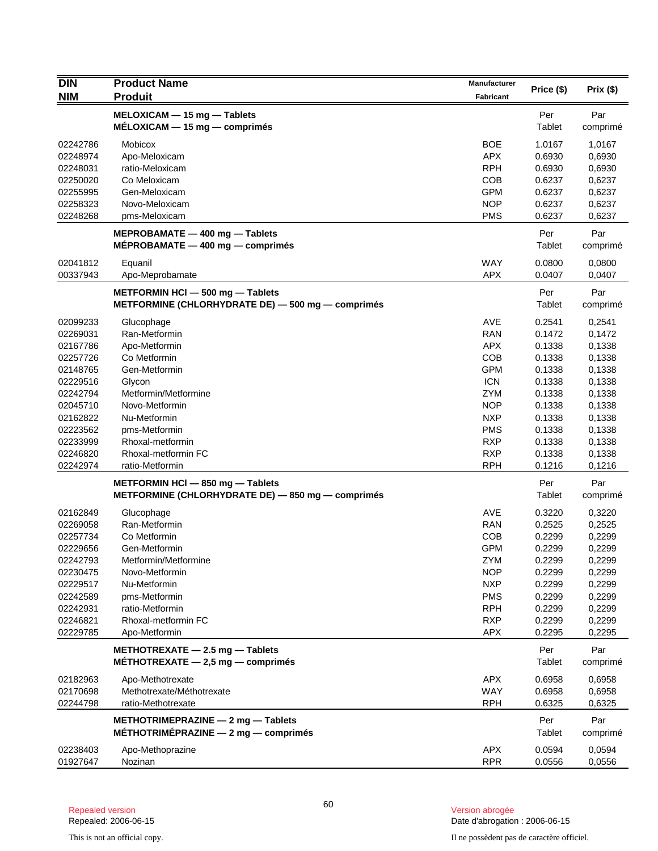| <b>DIN</b>           | <b>Product Name</b>                                                          | Manufacturer             |                  |                  |
|----------------------|------------------------------------------------------------------------------|--------------------------|------------------|------------------|
| <b>NIM</b>           | <b>Produit</b>                                                               | Fabricant                | Price (\$)       | Prix(\$)         |
|                      | MELOXICAM - 15 mg - Tablets                                                  |                          | Per              | Par              |
|                      | $MÉLOXICAM - 15 mg - comprimés$                                              |                          | Tablet           | comprimé         |
| 02242786             | Mobicox                                                                      | <b>BOE</b>               | 1.0167           | 1,0167           |
| 02248974             | Apo-Meloxicam                                                                | <b>APX</b>               | 0.6930           | 0,6930           |
| 02248031             | ratio-Meloxicam                                                              | <b>RPH</b>               | 0.6930           | 0,6930           |
| 02250020             | Co Meloxicam                                                                 | <b>COB</b>               | 0.6237           | 0,6237           |
| 02255995             | Gen-Meloxicam                                                                | <b>GPM</b>               | 0.6237           | 0,6237           |
| 02258323             | Novo-Meloxicam                                                               | <b>NOP</b>               | 0.6237           | 0,6237           |
| 02248268             | pms-Meloxicam                                                                | <b>PMS</b>               | 0.6237           | 0,6237           |
|                      | MEPROBAMATE - 400 mg - Tablets<br>$MÉPROBAMATE - 400 mg - comprising$        |                          | Per<br>Tablet    | Par<br>comprimé  |
| 02041812             | Equanil                                                                      | <b>WAY</b>               | 0.0800           | 0,0800           |
| 00337943             | Apo-Meprobamate                                                              | <b>APX</b>               | 0.0407           | 0,0407           |
|                      | METFORMIN HCI - 500 mg - Tablets                                             |                          | Per              | Par              |
|                      | METFORMINE (CHLORHYDRATE DE) - 500 mg - comprimés                            |                          | Tablet           | comprimé         |
| 02099233             | Glucophage                                                                   | <b>AVE</b>               | 0.2541           | 0,2541           |
| 02269031             | Ran-Metformin                                                                | <b>RAN</b>               | 0.1472           | 0,1472           |
| 02167786             | Apo-Metformin                                                                | <b>APX</b>               | 0.1338           | 0,1338           |
| 02257726             | Co Metformin                                                                 | COB                      | 0.1338           | 0,1338           |
| 02148765             | Gen-Metformin                                                                | <b>GPM</b>               | 0.1338           | 0,1338           |
| 02229516             | Glycon                                                                       | <b>ICN</b>               | 0.1338           | 0,1338           |
| 02242794             | Metformin/Metformine                                                         | <b>ZYM</b>               | 0.1338           | 0,1338           |
| 02045710             | Novo-Metformin                                                               | <b>NOP</b>               | 0.1338           | 0,1338           |
| 02162822<br>02223562 | Nu-Metformin<br>pms-Metformin                                                | <b>NXP</b><br><b>PMS</b> | 0.1338<br>0.1338 | 0,1338<br>0,1338 |
| 02233999             | Rhoxal-metformin                                                             | <b>RXP</b>               | 0.1338           | 0,1338           |
| 02246820             | Rhoxal-metformin FC                                                          | <b>RXP</b>               | 0.1338           | 0,1338           |
| 02242974             | ratio-Metformin                                                              | <b>RPH</b>               | 0.1216           | 0,1216           |
|                      | METFORMIN HCI - 850 mg - Tablets                                             |                          | Per              | Par              |
|                      | METFORMINE (CHLORHYDRATE DE) - 850 mg - comprimés                            |                          | Tablet           | comprimé         |
| 02162849             | Glucophage                                                                   | <b>AVE</b>               | 0.3220           | 0,3220           |
| 02269058             | Ran-Metformin                                                                | <b>RAN</b>               | 0.2525           | 0,2525           |
| 02257734             | Co Metformin                                                                 | <b>COB</b>               | 0.2299           | 0,2299           |
| 02229656             | Gen-Metformin                                                                | <b>GPM</b>               | 0.2299           | 0,2299           |
| 02242793             | Metformin/Metformine                                                         | ZYM                      | 0.2299           | 0,2299           |
| 02230475             | Novo-Metformin                                                               | <b>NOP</b>               | 0.2299           | 0,2299           |
| 02229517             | Nu-Metformin                                                                 | <b>NXP</b>               | 0.2299           | 0,2299           |
| 02242589             | pms-Metformin                                                                | <b>PMS</b>               | 0.2299           | 0,2299           |
| 02242931             | ratio-Metformin                                                              | <b>RPH</b>               | 0.2299           | 0,2299           |
| 02246821             | Rhoxal-metformin FC                                                          | <b>RXP</b>               | 0.2299           | 0,2299           |
| 02229785             | Apo-Metformin                                                                | <b>APX</b>               | 0.2295           | 0,2295           |
|                      | METHOTREXATE $-$ 2.5 mg $-$ Tablets<br>MÉTHOTREXATE $-$ 2,5 mg $-$ comprimes |                          | Per<br>Tablet    | Par<br>comprimé  |
|                      |                                                                              |                          |                  |                  |
| 02182963<br>02170698 | Apo-Methotrexate<br>Methotrexate/Méthotrexate                                | <b>APX</b><br>WAY        | 0.6958<br>0.6958 | 0,6958<br>0,6958 |
| 02244798             | ratio-Methotrexate                                                           | <b>RPH</b>               | 0.6325           | 0,6325           |
|                      | METHOTRIMEPRAZINE $-$ 2 mg $-$ Tablets                                       |                          | Per              | Par              |
|                      | MÉTHOTRIMÉPRAZINE $-$ 2 mg $-$ comprimes                                     |                          | Tablet           | comprimé         |
| 02238403             | Apo-Methoprazine                                                             | <b>APX</b>               | 0.0594           | 0,0594           |
| 01927647             | Nozinan                                                                      | <b>RPR</b>               | 0.0556           | 0,0556           |
|                      |                                                                              |                          |                  |                  |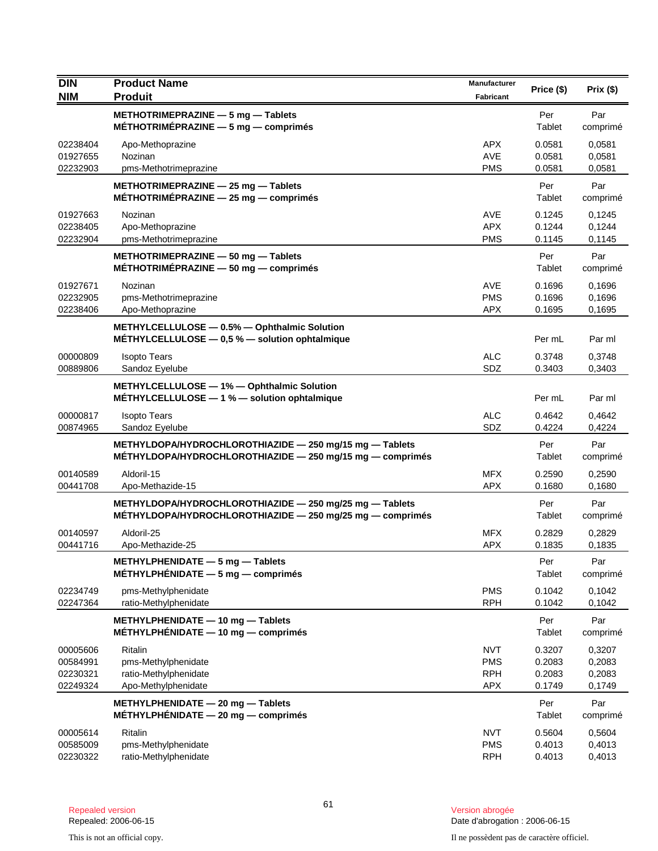| <b>DIN</b><br><b>NIM</b>                     | <b>Product Name</b><br><b>Produit</b>                                                                                       | Manufacturer<br><b>Fabricant</b>                     | Price (\$)                           | Prix(\$)                             |
|----------------------------------------------|-----------------------------------------------------------------------------------------------------------------------------|------------------------------------------------------|--------------------------------------|--------------------------------------|
|                                              | METHOTRIMEPRAZINE - 5 mg - Tablets<br>MÉTHOTRIMÉPRAZINE $-5$ mg $-$ comprimés                                               |                                                      | Per<br>Tablet                        | Par<br>comprimé                      |
| 02238404<br>01927655<br>02232903             | Apo-Methoprazine<br>Nozinan<br>pms-Methotrimeprazine                                                                        | <b>APX</b><br><b>AVE</b><br><b>PMS</b>               | 0.0581<br>0.0581<br>0.0581           | 0,0581<br>0,0581<br>0,0581           |
|                                              | METHOTRIMEPRAZINE - 25 mg - Tablets<br>MÉTHOTRIMÉPRAZINE $-$ 25 mg $-$ comprimés                                            |                                                      | Per<br>Tablet                        | Par<br>comprimé                      |
| 01927663<br>02238405<br>02232904             | Nozinan<br>Apo-Methoprazine<br>pms-Methotrimeprazine                                                                        | <b>AVE</b><br><b>APX</b><br><b>PMS</b>               | 0.1245<br>0.1244<br>0.1145           | 0,1245<br>0,1244<br>0,1145           |
|                                              | METHOTRIMEPRAZINE - 50 mg - Tablets<br>MÉTHOTRIMÉPRAZINE $-50$ mg $-$ comprimés                                             |                                                      | Per<br>Tablet                        | Par<br>comprimé                      |
| 01927671<br>02232905<br>02238406             | Nozinan<br>pms-Methotrimeprazine<br>Apo-Methoprazine                                                                        | AVE<br><b>PMS</b><br><b>APX</b>                      | 0.1696<br>0.1696<br>0.1695           | 0,1696<br>0,1696<br>0,1695           |
|                                              | METHYLCELLULOSE - 0.5% - Ophthalmic Solution<br>MÉTHYLCELLULOSE $-$ 0,5 % $-$ solution ophtalmique                          |                                                      | Per mL                               | Par ml                               |
| 00000809<br>00889806                         | <b>Isopto Tears</b><br>Sandoz Eyelube                                                                                       | <b>ALC</b><br>SDZ                                    | 0.3748<br>0.3403                     | 0,3748<br>0,3403                     |
|                                              | METHYLCELLULOSE - 1% - Ophthalmic Solution<br>MÉTHYLCELLULOSE - 1 % - solution ophtalmique                                  |                                                      | Per mL                               | Par ml                               |
| 00000817<br>00874965                         | <b>Isopto Tears</b><br>Sandoz Eyelube                                                                                       | <b>ALC</b><br>SDZ                                    | 0.4642<br>0.4224                     | 0,4642<br>0,4224                     |
|                                              | METHYLDOPA/HYDROCHLOROTHIAZIDE - 250 mg/15 mg - Tablets<br>$M$ ETHYLDOPA/HYDROCHLOROTHIAZIDE $-$ 250 mg/15 mg $-$ comprimes |                                                      | Per<br>Tablet                        | Par<br>comprimé                      |
| 00140589<br>00441708                         | Aldoril-15<br>Apo-Methazide-15                                                                                              | <b>MFX</b><br><b>APX</b>                             | 0.2590<br>0.1680                     | 0,2590<br>0,1680                     |
|                                              | METHYLDOPA/HYDROCHLOROTHIAZIDE - 250 mg/25 mg - Tablets<br>MÉTHYLDOPA/HYDROCHLOROTHIAZIDE $-$ 250 mg/25 mg $-$ comprimes    |                                                      | Per<br>Tablet                        | Par<br>comprimé                      |
| 00140597<br>00441716                         | Aldoril-25<br>Apo-Methazide-25                                                                                              | <b>MFX</b><br><b>APX</b>                             | 0.2829<br>0.1835                     | 0,2829<br>0,1835                     |
|                                              | METHYLPHENIDATE - 5 mg - Tablets<br>$MÉTHYLPHÉNIDATE - 5 mg - comprimés$                                                    |                                                      | Per<br>Tablet                        | Par<br>comprimé                      |
| 02234749<br>02247364                         | pms-Methylphenidate<br>ratio-Methylphenidate                                                                                | <b>PMS</b><br><b>RPH</b>                             | 0.1042<br>0.1042                     | 0,1042<br>0,1042                     |
|                                              | METHYLPHENIDATE - 10 mg - Tablets<br>$MÉTHYLPHÉNIDATE - 10 mg - comprimés$                                                  |                                                      | Per<br>Tablet                        | Par<br>comprimé                      |
| 00005606<br>00584991<br>02230321<br>02249324 | Ritalin<br>pms-Methylphenidate<br>ratio-Methylphenidate<br>Apo-Methylphenidate                                              | <b>NVT</b><br><b>PMS</b><br><b>RPH</b><br><b>APX</b> | 0.3207<br>0.2083<br>0.2083<br>0.1749 | 0,3207<br>0,2083<br>0,2083<br>0,1749 |
|                                              | METHYLPHENIDATE - 20 mg - Tablets<br>$MÉTHYLPHÉNIDATE - 20 mg - comprimés$                                                  |                                                      | Per<br>Tablet                        | Par<br>comprimé                      |
| 00005614<br>00585009<br>02230322             | <b>Ritalin</b><br>pms-Methylphenidate<br>ratio-Methylphenidate                                                              | <b>NVT</b><br><b>PMS</b><br><b>RPH</b>               | 0.5604<br>0.4013<br>0.4013           | 0,5604<br>0,4013<br>0,4013           |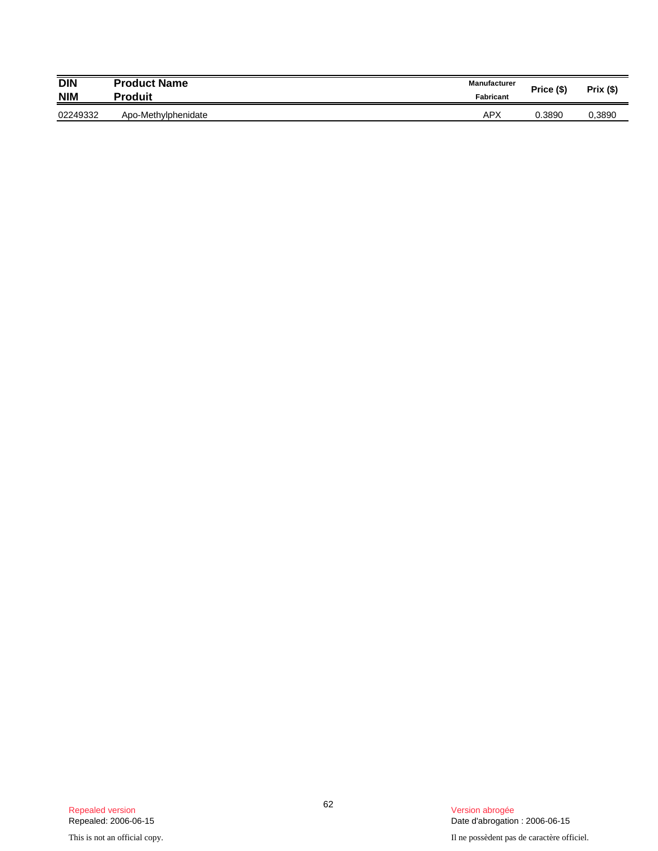| <b>DIN</b><br><b>NIM</b> | <b>Product Name</b><br><b>Produit</b> | <b>Manufacturer</b><br><b>Fabricant</b> | Price (\$) | $Prix($ \$) |
|--------------------------|---------------------------------------|-----------------------------------------|------------|-------------|
| 02249332                 | Apo-Methylphenidate                   | APX                                     | 0.3890     | 0,3890      |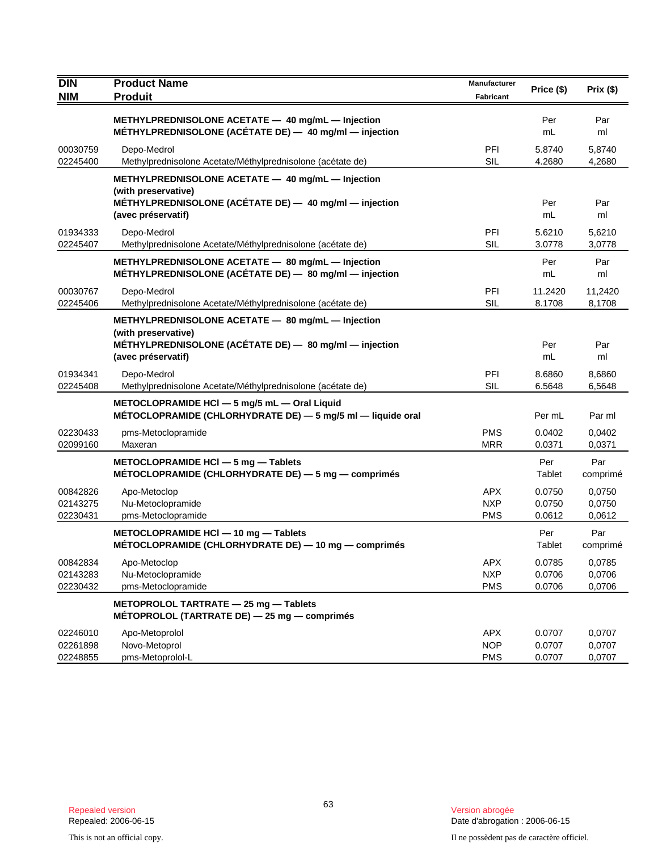| DIN<br><b>NIM</b>                | <b>Product Name</b><br><b>Produit</b>                                                                                                                    | <b>Manufacturer</b><br><b>Fabricant</b> | Price (\$)                 | Prix (\$)                  |
|----------------------------------|----------------------------------------------------------------------------------------------------------------------------------------------------------|-----------------------------------------|----------------------------|----------------------------|
|                                  | METHYLPREDNISOLONE ACETATE - 40 mg/mL - Injection<br>MÉTHYLPREDNISOLONE (ACÉTATE DE) - 40 mg/ml - injection                                              |                                         | Per<br>mL                  | Par<br>ml                  |
| 00030759<br>02245400             | Depo-Medrol<br>Methylprednisolone Acetate/Méthylprednisolone (acétate de)                                                                                | PFI<br><b>SIL</b>                       | 5.8740<br>4.2680           | 5,8740<br>4,2680           |
|                                  | METHYLPREDNISOLONE ACETATE - 40 mg/mL - Injection<br>(with preservative)<br>MÉTHYLPREDNISOLONE (ACÉTATE DE) - 40 mg/ml - injection<br>(avec préservatif) |                                         | Per<br>mL                  | Par<br>ml                  |
| 01934333<br>02245407             | Depo-Medrol<br>Methylprednisolone Acetate/Méthylprednisolone (acétate de)                                                                                | PFI<br><b>SIL</b>                       | 5.6210<br>3.0778           | 5,6210<br>3,0778           |
|                                  | METHYLPREDNISOLONE ACETATE - 80 mg/mL - Injection<br>MÉTHYLPREDNISOLONE (ACÉTATE DE) - 80 mg/ml - injection                                              |                                         | Per<br>mL                  | Par<br>ml                  |
| 00030767<br>02245406             | Depo-Medrol<br>Methylprednisolone Acetate/Méthylprednisolone (acétate de)                                                                                | PFI<br><b>SIL</b>                       | 11.2420<br>8.1708          | 11,2420<br>8,1708          |
|                                  | METHYLPREDNISOLONE ACETATE - 80 mg/mL - Injection<br>(with preservative)<br>MÉTHYLPREDNISOLONE (ACÉTATE DE) - 80 mg/ml - injection<br>(avec préservatif) |                                         | Per<br>mL                  | Par<br>ml                  |
| 01934341<br>02245408             | Depo-Medrol<br>Methylprednisolone Acetate/Méthylprednisolone (acétate de)                                                                                | PFI<br><b>SIL</b>                       | 8.6860<br>6.5648           | 8,6860<br>6,5648           |
|                                  | METOCLOPRAMIDE HCI - 5 mg/5 mL - Oral Liquid<br>MÉTOCLOPRAMIDE (CHLORHYDRATE DE) - 5 mg/5 ml - liquide oral                                              |                                         | Per mL                     | Par ml                     |
| 02230433<br>02099160             | pms-Metoclopramide<br>Maxeran                                                                                                                            | <b>PMS</b><br><b>MRR</b>                | 0.0402<br>0.0371           | 0,0402<br>0,0371           |
|                                  | METOCLOPRAMIDE HCI - 5 mg - Tablets<br>MÉTOCLOPRAMIDE (CHLORHYDRATE DE) $-5$ mg $-$ comprimés                                                            |                                         | Per<br>Tablet              | Par<br>comprimé            |
| 00842826<br>02143275<br>02230431 | Apo-Metoclop<br>Nu-Metoclopramide<br>pms-Metoclopramide                                                                                                  | <b>APX</b><br><b>NXP</b><br><b>PMS</b>  | 0.0750<br>0.0750<br>0.0612 | 0.0750<br>0,0750<br>0,0612 |
|                                  | METOCLOPRAMIDE HCI - 10 mg - Tablets<br>MÉTOCLOPRAMIDE (CHLORHYDRATE DE) - 10 mg - comprimés                                                             |                                         | Per<br>Tablet              | Par<br>comprimé            |
| 00842834<br>02143283<br>02230432 | Apo-Metoclop<br>Nu-Metoclopramide<br>pms-Metoclopramide                                                                                                  | <b>APX</b><br><b>NXP</b><br><b>PMS</b>  | 0.0785<br>0.0706<br>0.0706 | 0,0785<br>0,0706<br>0,0706 |
|                                  | METOPROLOL TARTRATE - 25 mg - Tablets<br>MÉTOPROLOL (TARTRATE DE) $-$ 25 mg $-$ comprimés                                                                |                                         |                            |                            |
| 02246010<br>02261898<br>02248855 | Apo-Metoprolol<br>Novo-Metoprol<br>pms-Metoprolol-L                                                                                                      | <b>APX</b><br><b>NOP</b><br><b>PMS</b>  | 0.0707<br>0.0707<br>0.0707 | 0,0707<br>0,0707<br>0,0707 |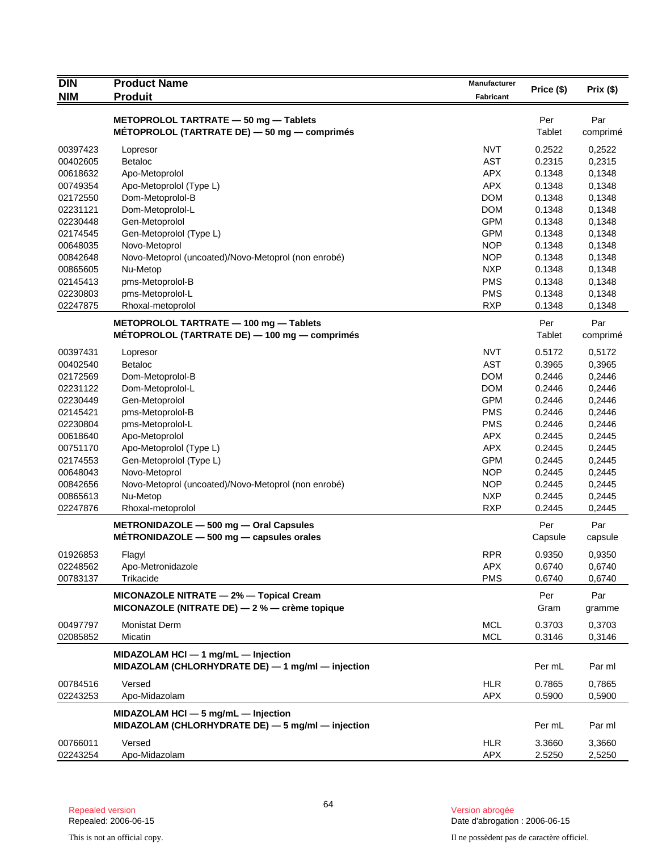| <b>DIN</b> | <b>Product Name</b>                                                                      | Manufacturer | Price (\$) | Prix (\$) |
|------------|------------------------------------------------------------------------------------------|--------------|------------|-----------|
| <b>NIM</b> | <b>Produit</b>                                                                           | Fabricant    |            |           |
|            | METOPROLOL TARTRATE - 50 mg - Tablets                                                    |              | Per        | Par       |
|            | MÉTOPROLOL (TARTRATE DE) - 50 mg - comprimés                                             |              | Tablet     | comprimé  |
| 00397423   | Lopresor                                                                                 | <b>NVT</b>   | 0.2522     | 0,2522    |
| 00402605   | <b>Betaloc</b>                                                                           | <b>AST</b>   | 0.2315     | 0,2315    |
| 00618632   | Apo-Metoprolol                                                                           | <b>APX</b>   | 0.1348     | 0,1348    |
| 00749354   | Apo-Metoprolol (Type L)                                                                  | <b>APX</b>   | 0.1348     | 0,1348    |
| 02172550   | Dom-Metoprolol-B                                                                         | <b>DOM</b>   | 0.1348     | 0,1348    |
| 02231121   | Dom-Metoprolol-L                                                                         | <b>DOM</b>   | 0.1348     | 0,1348    |
| 02230448   | Gen-Metoprolol                                                                           | <b>GPM</b>   | 0.1348     | 0,1348    |
| 02174545   | Gen-Metoprolol (Type L)                                                                  | <b>GPM</b>   | 0.1348     | 0,1348    |
| 00648035   | Novo-Metoprol                                                                            | <b>NOP</b>   | 0.1348     | 0,1348    |
| 00842648   | Novo-Metoprol (uncoated)/Novo-Metoprol (non enrobé)                                      | <b>NOP</b>   | 0.1348     | 0,1348    |
| 00865605   | Nu-Metop                                                                                 | <b>NXP</b>   | 0.1348     | 0,1348    |
| 02145413   | pms-Metoprolol-B                                                                         | <b>PMS</b>   | 0.1348     | 0,1348    |
| 02230803   | pms-Metoprolol-L                                                                         | <b>PMS</b>   | 0.1348     | 0,1348    |
| 02247875   | Rhoxal-metoprolol                                                                        | <b>RXP</b>   | 0.1348     | 0,1348    |
|            | METOPROLOL TARTRATE - 100 mg - Tablets                                                   |              | Per        | Par       |
|            | MÉTOPROLOL (TARTRATE DE) - 100 mg - comprimés                                            |              | Tablet     | comprimé  |
| 00397431   | Lopresor                                                                                 | <b>NVT</b>   | 0.5172     | 0,5172    |
| 00402540   | <b>Betaloc</b>                                                                           | <b>AST</b>   | 0.3965     | 0,3965    |
| 02172569   | Dom-Metoprolol-B                                                                         | <b>DOM</b>   | 0.2446     | 0,2446    |
| 02231122   | Dom-Metoprolol-L                                                                         | <b>DOM</b>   | 0.2446     | 0,2446    |
| 02230449   | Gen-Metoprolol                                                                           | <b>GPM</b>   | 0.2446     | 0,2446    |
| 02145421   | pms-Metoprolol-B                                                                         | <b>PMS</b>   | 0.2446     | 0,2446    |
| 02230804   | pms-Metoprolol-L                                                                         | <b>PMS</b>   | 0.2446     | 0,2446    |
| 00618640   | Apo-Metoprolol                                                                           | <b>APX</b>   | 0.2445     | 0,2445    |
| 00751170   | Apo-Metoprolol (Type L)                                                                  | <b>APX</b>   | 0.2445     | 0,2445    |
| 02174553   | Gen-Metoprolol (Type L)                                                                  | <b>GPM</b>   | 0.2445     | 0,2445    |
| 00648043   | Novo-Metoprol                                                                            | <b>NOP</b>   | 0.2445     | 0,2445    |
| 00842656   | Novo-Metoprol (uncoated)/Novo-Metoprol (non enrobé)                                      | <b>NOP</b>   | 0.2445     | 0,2445    |
| 00865613   | Nu-Metop                                                                                 | <b>NXP</b>   | 0.2445     | 0,2445    |
| 02247876   | Rhoxal-metoprolol                                                                        | <b>RXP</b>   | 0.2445     | 0,2445    |
|            | METRONIDAZOLE - 500 mg - Oral Capsules                                                   |              | Per        | Par       |
|            | $METRONIDAZOLE - 500 mg - capsules orales$                                               |              | Capsule    | capsule   |
| 01926853   | Flagyl                                                                                   | <b>RPR</b>   | 0.9350     | 0,9350    |
| 02248562   | Apo-Metronidazole                                                                        | <b>APX</b>   | 0.6740     | 0,6740    |
| 00783137   | <b>Trikacide</b>                                                                         | <b>PMS</b>   | 0.6740     | 0,6740    |
|            | MICONAZOLE NITRATE - 2% - Topical Cream                                                  |              | Per        | Par       |
|            | MICONAZOLE (NITRATE DE) - 2 % - crème topique                                            |              | Gram       | gramme    |
| 00497797   | <b>Monistat Derm</b>                                                                     | <b>MCL</b>   | 0.3703     | 0,3703    |
| 02085852   | Micatin                                                                                  | MCL          | 0.3146     | 0,3146    |
|            | MIDAZOLAM HCI - 1 mg/mL - Injection<br>MIDAZOLAM (CHLORHYDRATE DE) - 1 mg/ml - injection |              | Per mL     | Par ml    |
| 00784516   | Versed                                                                                   | HLR          | 0.7865     | 0,7865    |
| 02243253   | Apo-Midazolam                                                                            | <b>APX</b>   | 0.5900     | 0,5900    |
|            | MIDAZOLAM HCI - 5 mg/mL - Injection                                                      |              |            |           |
|            | MIDAZOLAM (CHLORHYDRATE DE) - 5 mg/ml - injection                                        |              | Per mL     | Par ml    |
| 00766011   | Versed                                                                                   | <b>HLR</b>   | 3.3660     | 3,3660    |
| 02243254   | Apo-Midazolam                                                                            | <b>APX</b>   | 2.5250     | 2,5250    |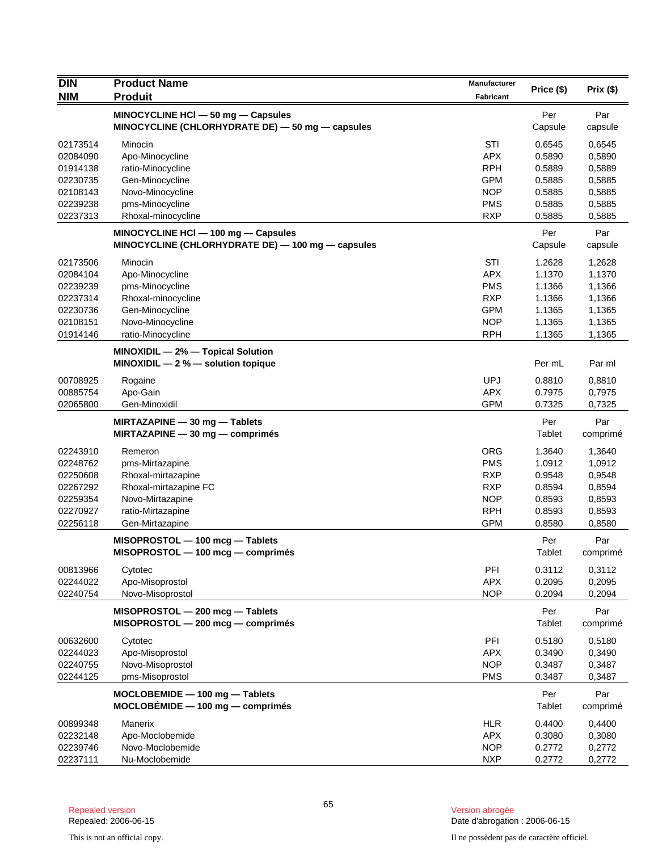| <b>DIN</b>           | <b>Product Name</b>                                                                      | <b>Manufacturer</b>      | Price (\$)       | Prix(\$)         |
|----------------------|------------------------------------------------------------------------------------------|--------------------------|------------------|------------------|
| <b>NIM</b>           | <b>Produit</b>                                                                           | <b>Fabricant</b>         |                  |                  |
|                      | MINOCYCLINE HCI - 50 mg - Capsules                                                       |                          | Per              | Par              |
|                      | MINOCYCLINE (CHLORHYDRATE DE) $-$ 50 mg $-$ capsules                                     |                          | Capsule          | capsule          |
| 02173514             | Minocin                                                                                  | STI                      | 0.6545           | 0,6545           |
| 02084090             | Apo-Minocycline                                                                          | <b>APX</b>               | 0.5890           | 0,5890           |
| 01914138             | ratio-Minocycline                                                                        | <b>RPH</b>               | 0.5889           | 0,5889           |
| 02230735             | Gen-Minocycline                                                                          | <b>GPM</b>               | 0.5885           | 0,5885           |
| 02108143             | Novo-Minocycline                                                                         | <b>NOP</b>               | 0.5885           | 0,5885           |
| 02239238             | pms-Minocycline                                                                          | <b>PMS</b>               | 0.5885           | 0,5885           |
| 02237313             | Rhoxal-minocycline                                                                       | <b>RXP</b>               | 0.5885           | 0,5885           |
|                      | MINOCYCLINE HCI - 100 mg - Capsules<br>MINOCYCLINE (CHLORHYDRATE DE) - 100 mg - capsules |                          | Per<br>Capsule   | Par<br>capsule   |
| 02173506             | Minocin                                                                                  | STI                      | 1.2628           | 1,2628           |
| 02084104             | Apo-Minocycline                                                                          | <b>APX</b>               | 1.1370           | 1,1370           |
| 02239239             | pms-Minocycline                                                                          | <b>PMS</b>               | 1.1366           | 1,1366           |
| 02237314             | Rhoxal-minocycline                                                                       | <b>RXP</b>               | 1.1366           | 1,1366           |
| 02230736             | Gen-Minocycline                                                                          | <b>GPM</b>               | 1.1365           | 1,1365           |
| 02108151             | Novo-Minocycline                                                                         | <b>NOP</b>               | 1.1365           | 1,1365           |
| 01914146             | ratio-Minocycline                                                                        | <b>RPH</b>               | 1.1365           | 1,1365           |
|                      | MINOXIDIL - 2% - Topical Solution<br>MINOXIDIL $-2$ % $-$ solution topique               |                          | Per mL           | Par ml           |
| 00708925             | Rogaine                                                                                  | <b>UPJ</b>               | 0.8810           | 0,8810           |
| 00885754             | Apo-Gain                                                                                 | <b>APX</b>               | 0.7975           | 0,7975           |
| 02065800             | Gen-Minoxidil                                                                            | <b>GPM</b>               | 0.7325           | 0,7325           |
|                      | MIRTAZAPINE - 30 mg - Tablets                                                            |                          | Per              | Par              |
|                      | $MIRTAZAPINE - 30 mg - comprimés$                                                        |                          | Tablet           | comprimé         |
| 02243910             | Remeron                                                                                  | <b>ORG</b>               | 1.3640           | 1,3640           |
| 02248762             | pms-Mirtazapine                                                                          | <b>PMS</b>               | 1.0912           | 1,0912           |
| 02250608             | Rhoxal-mirtazapine                                                                       | <b>RXP</b>               | 0.9548           | 0,9548           |
| 02267292             | Rhoxal-mirtazapine FC                                                                    | <b>RXP</b>               | 0.8594           | 0,8594           |
| 02259354             | Novo-Mirtazapine                                                                         | <b>NOP</b>               | 0.8593           | 0,8593           |
| 02270927             | ratio-Mirtazapine                                                                        | <b>RPH</b>               | 0.8593           | 0,8593           |
| 02256118             | Gen-Mirtazapine                                                                          | <b>GPM</b>               | 0.8580           | 0,8580           |
|                      | MISOPROSTOL - 100 mcg - Tablets<br>$MISOPROSTOL - 100~mg - comprimés$                    |                          | Per<br>Tablet    | Par<br>comprimé  |
|                      |                                                                                          |                          |                  |                  |
| 00813966             | Cytotec                                                                                  | PFI                      | 0.3112           | 0,3112           |
| 02244022<br>02240754 | Apo-Misoprostol<br>Novo-Misoprostol                                                      | <b>APX</b><br><b>NOP</b> | 0.2095<br>0.2094 | 0,2095<br>0,2094 |
|                      |                                                                                          |                          |                  |                  |
|                      | MISOPROSTOL - 200 mcg - Tablets<br>MISOPROSTOL - 200 mcg - comprimés                     |                          | Per<br>Tablet    | Par<br>comprimé  |
| 00632600             | Cytotec                                                                                  | PFI                      | 0.5180           | 0,5180           |
| 02244023             | Apo-Misoprostol                                                                          | <b>APX</b>               | 0.3490           | 0,3490           |
| 02240755             | Novo-Misoprostol                                                                         | <b>NOP</b>               | 0.3487           | 0,3487           |
| 02244125             | pms-Misoprostol                                                                          | <b>PMS</b>               | 0.3487           | 0,3487           |
|                      | MOCLOBEMIDE - 100 mg - Tablets                                                           |                          | Per              | Par              |
|                      | $MOCLOBÉMIDE - 100 mg - comprimés$                                                       |                          | Tablet           | comprimé         |
| 00899348             | Manerix                                                                                  | <b>HLR</b>               | 0.4400           | 0,4400           |
| 02232148             | Apo-Moclobemide                                                                          | <b>APX</b>               | 0.3080           | 0,3080           |
| 02239746             | Novo-Moclobemide                                                                         | <b>NOP</b>               | 0.2772           | 0,2772           |
| 02237111             | Nu-Moclobemide                                                                           | <b>NXP</b>               | 0.2772           | 0,2772           |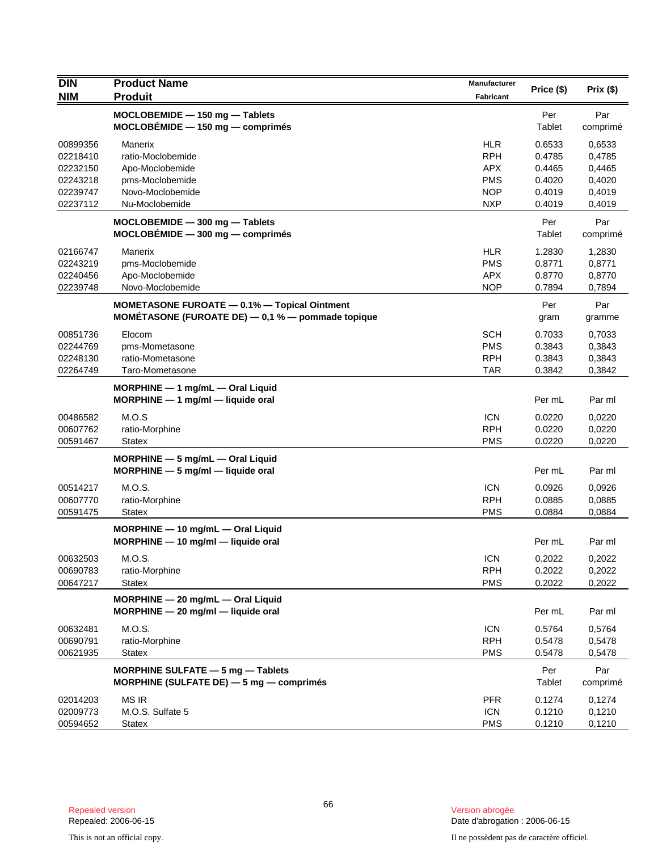| <b>DIN</b>                                                           | <b>Product Name</b>                                                                                      | Manufacturer                                                                     | Price (\$)                                               | Prix(\$)                                                 |
|----------------------------------------------------------------------|----------------------------------------------------------------------------------------------------------|----------------------------------------------------------------------------------|----------------------------------------------------------|----------------------------------------------------------|
| <b>NIM</b>                                                           | <b>Produit</b>                                                                                           | <b>Fabricant</b>                                                                 |                                                          |                                                          |
|                                                                      | MOCLOBEMIDE - 150 mg - Tablets<br>$MOCLOBÉMIDE - 150 mg - comprimés$                                     |                                                                                  | Per<br>Tablet                                            | Par<br>comprimé                                          |
| 00899356<br>02218410<br>02232150<br>02243218<br>02239747<br>02237112 | Manerix<br>ratio-Moclobemide<br>Apo-Moclobemide<br>pms-Moclobemide<br>Novo-Moclobemide<br>Nu-Moclobemide | <b>HLR</b><br><b>RPH</b><br><b>APX</b><br><b>PMS</b><br><b>NOP</b><br><b>NXP</b> | 0.6533<br>0.4785<br>0.4465<br>0.4020<br>0.4019<br>0.4019 | 0,6533<br>0,4785<br>0,4465<br>0,4020<br>0,4019<br>0.4019 |
|                                                                      | MOCLOBEMIDE - 300 mg - Tablets<br>$MOCLOBÉMIDE - 300 mg - comprimés$                                     |                                                                                  | Per<br>Tablet                                            | Par<br>comprimé                                          |
| 02166747<br>02243219<br>02240456<br>02239748                         | Manerix<br>pms-Moclobemide<br>Apo-Moclobemide<br>Novo-Moclobemide                                        | <b>HLR</b><br><b>PMS</b><br><b>APX</b><br><b>NOP</b>                             | 1.2830<br>0.8771<br>0.8770<br>0.7894                     | 1,2830<br>0,8771<br>0,8770<br>0,7894                     |
|                                                                      | MOMETASONE FUROATE - 0.1% - Topical Ointment<br>MOMÉTASONE (FUROATE DE) $-$ 0,1 % $-$ pommade topique    |                                                                                  | Per<br>gram                                              | Par<br>gramme                                            |
| 00851736<br>02244769<br>02248130<br>02264749                         | Elocom<br>pms-Mometasone<br>ratio-Mometasone<br>Taro-Mometasone                                          | <b>SCH</b><br><b>PMS</b><br><b>RPH</b><br><b>TAR</b>                             | 0.7033<br>0.3843<br>0.3843<br>0.3842                     | 0,7033<br>0,3843<br>0,3843<br>0,3842                     |
|                                                                      | $MORPHINE - 1$ mg/mL $-$ Oral Liquid<br>MORPHINE - 1 mg/ml - liquide oral                                |                                                                                  | Per mL                                                   | Par ml                                                   |
| 00486582<br>00607762<br>00591467                                     | M.O.S<br>ratio-Morphine<br><b>Statex</b>                                                                 | <b>ICN</b><br><b>RPH</b><br><b>PMS</b>                                           | 0.0220<br>0.0220<br>0.0220                               | 0,0220<br>0,0220<br>0,0220                               |
|                                                                      | MORPHINE - 5 mg/mL - Oral Liquid<br>$MORPHINE - 5 mg/ml - liquide$ oral                                  |                                                                                  | Per mL                                                   | Par ml                                                   |
| 00514217<br>00607770<br>00591475                                     | M.O.S.<br>ratio-Morphine<br><b>Statex</b>                                                                | <b>ICN</b><br><b>RPH</b><br><b>PMS</b>                                           | 0.0926<br>0.0885<br>0.0884                               | 0,0926<br>0,0885<br>0,0884                               |
|                                                                      | MORPHINE - 10 mg/mL - Oral Liquid<br>MORPHINE - 10 mg/ml - liquide oral                                  |                                                                                  | Per mL                                                   | Par ml                                                   |
| 00632503<br>00690783<br>00647217                                     | M.O.S.<br>ratio-Morphine<br><b>Statex</b>                                                                | <b>ICN</b><br><b>RPH</b><br><b>PMS</b>                                           | 0.2022<br>0.2022<br>0.2022                               | 0,2022<br>0,2022<br>0,2022                               |
|                                                                      | MORPHINE - 20 mg/mL - Oral Liquid<br>$MORPHINE - 20$ mg/ml - liquide oral                                |                                                                                  | Per mL                                                   | Par ml                                                   |
| 00632481<br>00690791<br>00621935                                     | M.O.S.<br>ratio-Morphine<br><b>Statex</b>                                                                | <b>ICN</b><br><b>RPH</b><br><b>PMS</b>                                           | 0.5764<br>0.5478<br>0.5478                               | 0,5764<br>0,5478<br>0,5478                               |
|                                                                      | MORPHINE SULFATE - 5 mg - Tablets<br>MORPHINE (SULFATE DE) $-5$ mg $-$ comprimes                         |                                                                                  | Per<br>Tablet                                            | Par<br>comprimé                                          |
| 02014203<br>02009773<br>00594652                                     | <b>MS IR</b><br>M.O.S. Sulfate 5<br><b>Statex</b>                                                        | <b>PFR</b><br><b>ICN</b><br><b>PMS</b>                                           | 0.1274<br>0.1210<br>0.1210                               | 0,1274<br>0,1210<br>0,1210                               |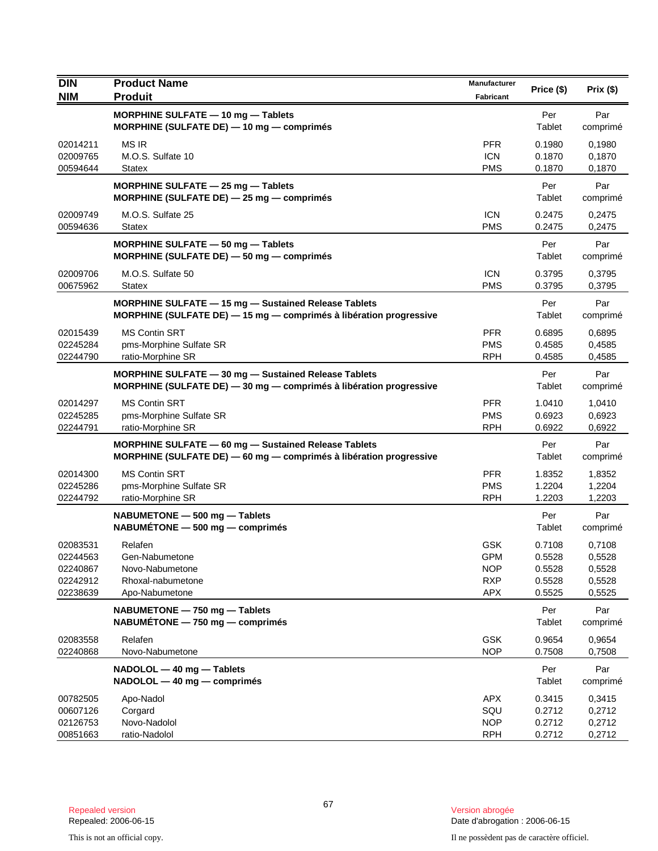| <b>DIN</b>                                               | <b>Product Name</b>                                                                                                        | Manufacturer                                                       | Price (\$)                                     | Prix(\$)                                       |
|----------------------------------------------------------|----------------------------------------------------------------------------------------------------------------------------|--------------------------------------------------------------------|------------------------------------------------|------------------------------------------------|
| <b>NIM</b>                                               | <b>Produit</b>                                                                                                             | Fabricant                                                          |                                                |                                                |
|                                                          | MORPHINE SULFATE - 10 mg - Tablets<br>MORPHINE (SULFATE DE) $-$ 10 mg $-$ comprimés                                        |                                                                    | Per<br>Tablet                                  | Par<br>comprimé                                |
| 02014211<br>02009765<br>00594644                         | <b>MS IR</b><br>M.O.S. Sulfate 10<br><b>Statex</b>                                                                         | <b>PFR</b><br><b>ICN</b><br><b>PMS</b>                             | 0.1980<br>0.1870<br>0.1870                     | 0,1980<br>0,1870<br>0,1870                     |
|                                                          | MORPHINE SULFATE $-$ 25 mg $-$ Tablets<br>MORPHINE (SULFATE DE) - 25 mg - comprimés                                        |                                                                    | Per<br>Tablet                                  | Par<br>comprimé                                |
| 02009749<br>00594636                                     | M.O.S. Sulfate 25<br><b>Statex</b>                                                                                         | <b>ICN</b><br><b>PMS</b>                                           | 0.2475<br>0.2475                               | 0,2475<br>0,2475                               |
|                                                          | MORPHINE SULFATE - 50 mg - Tablets<br>MORPHINE (SULFATE DE) - 50 mg - comprimés                                            |                                                                    | Per<br>Tablet                                  | Par<br>comprimé                                |
| 02009706<br>00675962                                     | M.O.S. Sulfate 50<br><b>Statex</b>                                                                                         | <b>ICN</b><br><b>PMS</b>                                           | 0.3795<br>0.3795                               | 0,3795<br>0,3795                               |
|                                                          | MORPHINE SULFATE - 15 mg - Sustained Release Tablets<br>MORPHINE (SULFATE DE) - 15 mg - comprimés à libération progressive |                                                                    | Per<br>Tablet                                  | Par<br>comprimé                                |
| 02015439<br>02245284<br>02244790                         | <b>MS Contin SRT</b><br>pms-Morphine Sulfate SR<br>ratio-Morphine SR                                                       | <b>PFR</b><br><b>PMS</b><br><b>RPH</b>                             | 0.6895<br>0.4585<br>0.4585                     | 0,6895<br>0,4585<br>0,4585                     |
|                                                          | MORPHINE SULFATE - 30 mg - Sustained Release Tablets<br>MORPHINE (SULFATE DE) - 30 mg - comprimés à libération progressive |                                                                    | Per<br>Tablet                                  | Par<br>comprimé                                |
| 02014297<br>02245285<br>02244791                         | <b>MS Contin SRT</b><br>pms-Morphine Sulfate SR<br>ratio-Morphine SR                                                       | <b>PFR</b><br><b>PMS</b><br><b>RPH</b>                             | 1.0410<br>0.6923<br>0.6922                     | 1,0410<br>0,6923<br>0,6922                     |
|                                                          | MORPHINE SULFATE - 60 mg - Sustained Release Tablets<br>MORPHINE (SULFATE DE) - 60 mg - comprimés à libération progressive |                                                                    | Per<br>Tablet                                  | Par<br>comprimé                                |
| 02014300<br>02245286<br>02244792                         | <b>MS Contin SRT</b><br>pms-Morphine Sulfate SR<br>ratio-Morphine SR                                                       | <b>PFR</b><br><b>PMS</b><br><b>RPH</b>                             | 1.8352<br>1.2204<br>1.2203                     | 1,8352<br>1,2204<br>1,2203                     |
|                                                          | NABUMETONE - 500 mg - Tablets<br>$NABUMÉTONE - 500 mg - comprimés$                                                         |                                                                    | Per<br>Tablet                                  | Par<br>comprimé                                |
| 02083531<br>02244563<br>02240867<br>02242912<br>02238639 | Relafen<br>Gen-Nabumetone<br>Novo-Nabumetone<br>Rhoxal-nabumetone<br>Apo-Nabumetone                                        | <b>GSK</b><br><b>GPM</b><br><b>NOP</b><br><b>RXP</b><br><b>APX</b> | 0.7108<br>0.5528<br>0.5528<br>0.5528<br>0.5525 | 0,7108<br>0,5528<br>0,5528<br>0,5528<br>0,5525 |
|                                                          | NABUMETONE - 750 mg - Tablets<br>$NABUMÉTONE - 750 mg - comprimés$                                                         |                                                                    | Per<br>Tablet                                  | Par<br>comprimé                                |
| 02083558<br>02240868                                     | Relafen<br>Novo-Nabumetone                                                                                                 | <b>GSK</b><br><b>NOP</b>                                           | 0.9654<br>0.7508                               | 0,9654<br>0,7508                               |
|                                                          | NADOLOL - 40 mg - Tablets<br>NADOLOL - 40 mg - comprimés                                                                   |                                                                    | Per<br>Tablet                                  | Par<br>comprimé                                |
| 00782505<br>00607126<br>02126753<br>00851663             | Apo-Nadol<br>Corgard<br>Novo-Nadolol<br>ratio-Nadolol                                                                      | <b>APX</b><br>SQU<br><b>NOP</b><br><b>RPH</b>                      | 0.3415<br>0.2712<br>0.2712<br>0.2712           | 0,3415<br>0,2712<br>0,2712<br>0,2712           |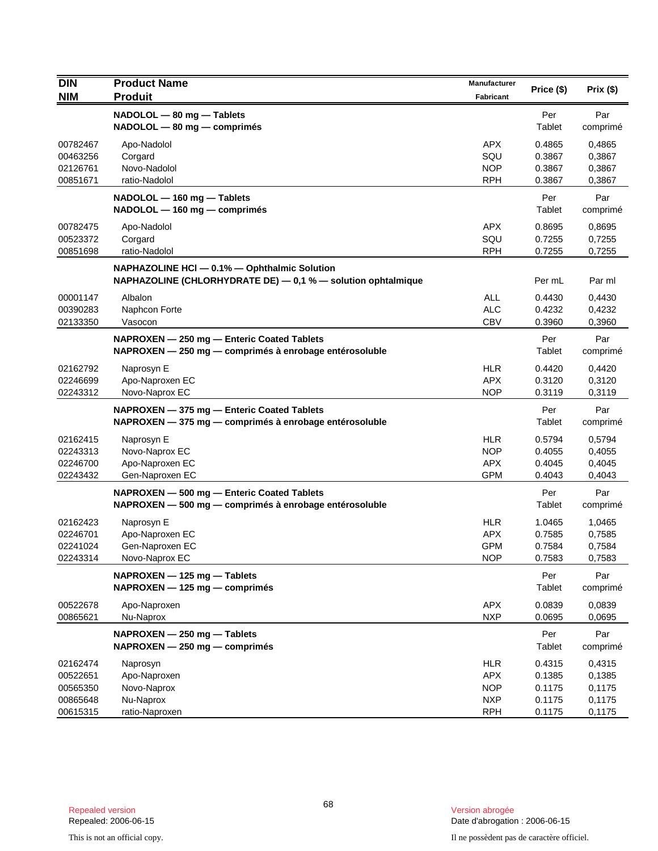| <b>DIN</b> | <b>Product Name</b>                                          | Manufacturer |            |          |
|------------|--------------------------------------------------------------|--------------|------------|----------|
| <b>NIM</b> | <b>Produit</b>                                               | Fabricant    | Price (\$) | Prix(\$) |
|            | NADOLOL - 80 mg - Tablets                                    |              | Per        | Par      |
|            | $NADOLOL$ $-$ 80 mg $-$ comprimés                            |              | Tablet     | comprimé |
| 00782467   | Apo-Nadolol                                                  | <b>APX</b>   | 0.4865     | 0,4865   |
| 00463256   | Corgard                                                      | SQU          | 0.3867     | 0,3867   |
| 02126761   | Novo-Nadolol                                                 | <b>NOP</b>   | 0.3867     | 0,3867   |
| 00851671   | ratio-Nadolol                                                | <b>RPH</b>   | 0.3867     | 0,3867   |
|            | NADOLOL - 160 mg - Tablets                                   |              | Per        | Par      |
|            | NADOLOL - 160 mg - comprimés                                 |              | Tablet     | comprimé |
| 00782475   | Apo-Nadolol                                                  | <b>APX</b>   | 0.8695     | 0,8695   |
| 00523372   | Corgard                                                      | SQU          | 0.7255     | 0,7255   |
| 00851698   | ratio-Nadolol                                                | <b>RPH</b>   | 0.7255     | 0,7255   |
|            | NAPHAZOLINE HCI - 0.1% - Ophthalmic Solution                 |              |            |          |
|            | NAPHAZOLINE (CHLORHYDRATE DE) - 0,1 % - solution ophtalmique |              | Per mL     | Par ml   |
| 00001147   | Albalon                                                      | <b>ALL</b>   | 0.4430     | 0,4430   |
| 00390283   | Naphcon Forte                                                | <b>ALC</b>   | 0.4232     | 0,4232   |
| 02133350   | Vasocon                                                      | <b>CBV</b>   | 0.3960     | 0,3960   |
|            | NAPROXEN - 250 mg - Enteric Coated Tablets                   |              | Per        | Par      |
|            | NAPROXEN - 250 mg - comprimés à enrobage entérosoluble       |              | Tablet     | comprimé |
| 02162792   | Naprosyn E                                                   | <b>HLR</b>   | 0.4420     | 0,4420   |
| 02246699   | Apo-Naproxen EC                                              | <b>APX</b>   | 0.3120     | 0,3120   |
| 02243312   | Novo-Naprox EC                                               | <b>NOP</b>   | 0.3119     | 0,3119   |
|            | NAPROXEN - 375 mg - Enteric Coated Tablets                   |              | Per        | Par      |
|            | NAPROXEN - 375 mg - comprimés à enrobage entérosoluble       |              | Tablet     | comprimé |
| 02162415   | Naprosyn E                                                   | <b>HLR</b>   | 0.5794     | 0,5794   |
| 02243313   | Novo-Naprox EC                                               | <b>NOP</b>   | 0.4055     | 0,4055   |
| 02246700   | Apo-Naproxen EC                                              | <b>APX</b>   | 0.4045     | 0,4045   |
| 02243432   | Gen-Naproxen EC                                              | <b>GPM</b>   | 0.4043     | 0,4043   |
|            | NAPROXEN - 500 mg - Enteric Coated Tablets                   |              | Per        | Par      |
|            | NAPROXEN - 500 mg - comprimés à enrobage entérosoluble       |              | Tablet     | comprimé |
| 02162423   | Naprosyn E                                                   | <b>HLR</b>   | 1.0465     | 1,0465   |
| 02246701   | Apo-Naproxen EC                                              | <b>APX</b>   | 0.7585     | 0,7585   |
| 02241024   | Gen-Naproxen EC                                              | <b>GPM</b>   | 0.7584     | 0,7584   |
| 02243314   | Novo-Naprox EC                                               | <b>NOP</b>   | 0.7583     | 0,7583   |
|            | NAPROXEN - 125 mg - Tablets                                  |              | Per        | Par      |
|            | NAPROXEN - 125 mg - comprimés                                |              | Tablet     | comprimé |
| 00522678   | Apo-Naproxen                                                 | <b>APX</b>   | 0.0839     | 0,0839   |
| 00865621   | Nu-Naprox                                                    | <b>NXP</b>   | 0.0695     | 0,0695   |
|            | NAPROXEN - 250 mg - Tablets                                  |              | Per        | Par      |
|            | NAPROXEN - 250 mg - comprimés                                |              | Tablet     | comprimé |
| 02162474   | Naprosyn                                                     | <b>HLR</b>   | 0.4315     | 0,4315   |
| 00522651   | Apo-Naproxen                                                 | <b>APX</b>   | 0.1385     | 0,1385   |
| 00565350   | Novo-Naprox                                                  | <b>NOP</b>   | 0.1175     | 0,1175   |
| 00865648   | Nu-Naprox                                                    | <b>NXP</b>   | 0.1175     | 0,1175   |
| 00615315   | ratio-Naproxen                                               | <b>RPH</b>   | 0.1175     | 0,1175   |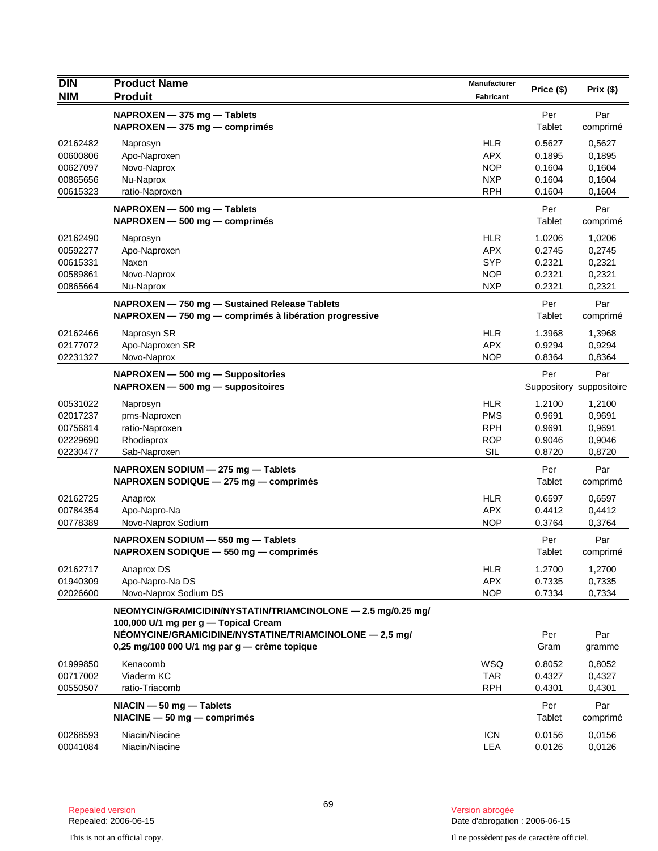| <b>DIN</b> | <b>Product Name</b>                                          | Manufacturer     | Price (\$) | Prix (\$)                |
|------------|--------------------------------------------------------------|------------------|------------|--------------------------|
| <b>NIM</b> | <b>Produit</b>                                               | <b>Fabricant</b> |            |                          |
|            | NAPROXEN - 375 mg - Tablets                                  |                  | Per        | Par                      |
|            | NAPROXEN - 375 mg - comprimés                                |                  | Tablet     | comprimé                 |
| 02162482   | Naprosyn                                                     | <b>HLR</b>       | 0.5627     | 0,5627                   |
| 00600806   | Apo-Naproxen                                                 | <b>APX</b>       | 0.1895     | 0,1895                   |
| 00627097   | Novo-Naprox                                                  | <b>NOP</b>       | 0.1604     | 0,1604                   |
| 00865656   | Nu-Naprox                                                    | <b>NXP</b>       | 0.1604     | 0,1604                   |
| 00615323   | ratio-Naproxen                                               | <b>RPH</b>       | 0.1604     | 0,1604                   |
|            | NAPROXEN - 500 mg - Tablets                                  |                  | Per        | Par                      |
|            | NAPROXEN - 500 mg - comprimés                                |                  | Tablet     | comprimé                 |
| 02162490   | Naprosyn                                                     | <b>HLR</b>       | 1.0206     | 1,0206                   |
| 00592277   | Apo-Naproxen                                                 | <b>APX</b>       | 0.2745     | 0,2745                   |
| 00615331   | Naxen                                                        | <b>SYP</b>       | 0.2321     | 0,2321                   |
| 00589861   | Novo-Naprox                                                  | <b>NOP</b>       | 0.2321     | 0,2321                   |
| 00865664   | Nu-Naprox                                                    | <b>NXP</b>       | 0.2321     | 0,2321                   |
|            | NAPROXEN - 750 mg - Sustained Release Tablets                |                  | Per        | Par                      |
|            | NAPROXEN - 750 mg - comprimés à libération progressive       |                  | Tablet     | comprimé                 |
| 02162466   | Naprosyn SR                                                  | <b>HLR</b>       | 1.3968     | 1,3968                   |
| 02177072   | Apo-Naproxen SR                                              | <b>APX</b>       | 0.9294     | 0,9294                   |
| 02231327   | Novo-Naprox                                                  | <b>NOP</b>       | 0.8364     | 0,8364                   |
|            | NAPROXEN - 500 mg - Suppositories                            |                  | Per        | Par                      |
|            | NAPROXEN - 500 mg - suppositoires                            |                  |            | Suppository suppositoire |
| 00531022   | Naprosyn                                                     | <b>HLR</b>       | 1.2100     | 1,2100                   |
| 02017237   | pms-Naproxen                                                 | <b>PMS</b>       | 0.9691     | 0,9691                   |
| 00756814   | ratio-Naproxen                                               | <b>RPH</b>       | 0.9691     | 0,9691                   |
| 02229690   | Rhodiaprox                                                   | <b>ROP</b>       | 0.9046     | 0,9046                   |
| 02230477   | Sab-Naproxen                                                 | SIL              | 0.8720     | 0,8720                   |
|            | NAPROXEN SODIUM - 275 mg - Tablets                           |                  | Per        | Par                      |
|            | NAPROXEN SODIQUE - 275 mg - comprimés                        |                  | Tablet     | comprimé                 |
| 02162725   | Anaprox                                                      | <b>HLR</b>       | 0.6597     | 0,6597                   |
| 00784354   | Apo-Napro-Na                                                 | <b>APX</b>       | 0.4412     | 0,4412                   |
| 00778389   | Novo-Naprox Sodium                                           | <b>NOP</b>       | 0.3764     | 0,3764                   |
|            | NAPROXEN SODIUM - 550 mg - Tablets                           |                  | Per        | Par                      |
|            | NAPROXEN SODIQUE - 550 mg - comprimés                        |                  | Tablet     | comprimé                 |
| 02162717   | Anaprox DS                                                   | <b>HLR</b>       | 1.2700     | 1,2700                   |
| 01940309   | Apo-Napro-Na DS                                              | <b>APX</b>       | 0.7335     | 0,7335                   |
| 02026600   | Novo-Naprox Sodium DS                                        | <b>NOP</b>       | 0.7334     | 0,7334                   |
|            | NEOMYCIN/GRAMICIDIN/NYSTATIN/TRIAMCINOLONE - 2.5 mg/0.25 mg/ |                  |            |                          |
|            | 100,000 U/1 mg per g - Topical Cream                         |                  |            |                          |
|            | NÉOMYCINE/GRAMICIDINE/NYSTATINE/TRIAMCINOLONE - 2,5 mg/      |                  | Per        | Par                      |
|            | 0,25 mg/100 000 U/1 mg par g - crème topique                 |                  | Gram       | gramme                   |
| 01999850   | Kenacomb                                                     | <b>WSQ</b>       | 0.8052     | 0,8052                   |
| 00717002   | Viaderm KC                                                   | <b>TAR</b>       | 0.4327     | 0.4327                   |
| 00550507   | ratio-Triacomb                                               | <b>RPH</b>       | 0.4301     | 0,4301                   |
|            | $NACIN - 50 mg - Tables$                                     |                  | Per        | Par                      |
|            | $NIACINE - 50 mg - comprimés$                                |                  | Tablet     | comprimé                 |
| 00268593   | Niacin/Niacine                                               | <b>ICN</b>       | 0.0156     | 0,0156                   |
| 00041084   | Niacin/Niacine                                               | LEA              | 0.0126     | 0,0126                   |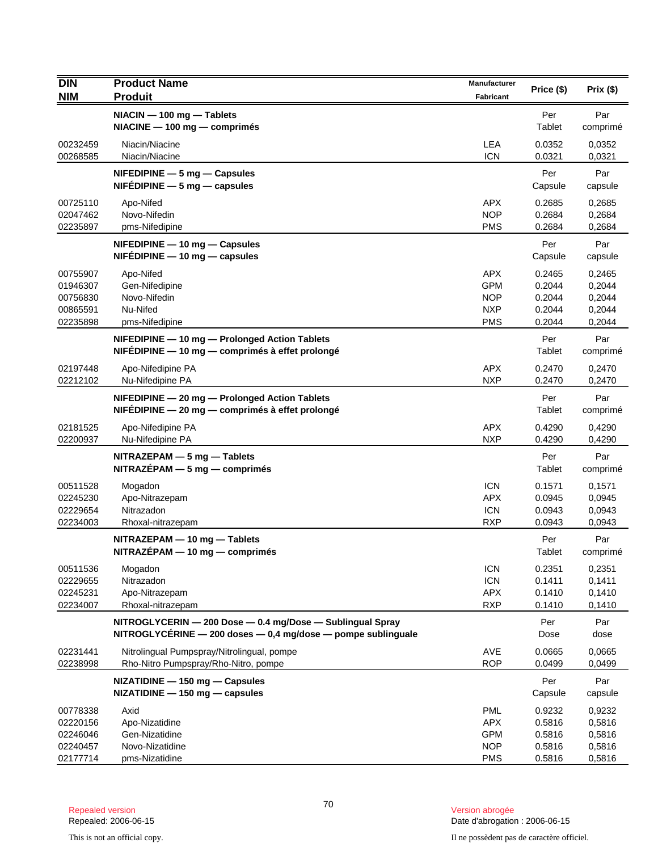| <b>DIN</b><br><b>NIM</b>                                 | <b>Product Name</b><br><b>Produit</b>                                                                                           | Manufacturer<br>Fabricant                                          | Price (\$)                                     | Prix(\$)                                       |
|----------------------------------------------------------|---------------------------------------------------------------------------------------------------------------------------------|--------------------------------------------------------------------|------------------------------------------------|------------------------------------------------|
|                                                          | NIACIN - 100 mg - Tablets<br>NIACINE - 100 mg - comprimés                                                                       |                                                                    | Per<br>Tablet                                  | Par<br>comprimé                                |
| 00232459<br>00268585                                     | Niacin/Niacine<br>Niacin/Niacine                                                                                                | <b>LEA</b><br><b>ICN</b>                                           | 0.0352<br>0.0321                               | 0,0352<br>0,0321                               |
|                                                          | $N$ FEDIPINE $-5$ mg $-$ Capsules<br>$NIFÉDIPINE - 5 mg - capsules$                                                             |                                                                    | Per<br>Capsule                                 | Par<br>capsule                                 |
| 00725110<br>02047462<br>02235897                         | Apo-Nifed<br>Novo-Nifedin<br>pms-Nifedipine                                                                                     | <b>APX</b><br><b>NOP</b><br><b>PMS</b>                             | 0.2685<br>0.2684<br>0.2684                     | 0,2685<br>0,2684<br>0,2684                     |
|                                                          | $N$ FEDIPINE $-$ 10 mg $-$ Capsules<br>$N$ FEDIPINE $-$ 10 mg $-$ capsules                                                      |                                                                    | Per<br>Capsule                                 | Par<br>capsule                                 |
| 00755907<br>01946307<br>00756830<br>00865591<br>02235898 | Apo-Nifed<br>Gen-Nifedipine<br>Novo-Nifedin<br>Nu-Nifed<br>pms-Nifedipine                                                       | <b>APX</b><br><b>GPM</b><br><b>NOP</b><br><b>NXP</b><br><b>PMS</b> | 0.2465<br>0.2044<br>0.2044<br>0.2044<br>0.2044 | 0,2465<br>0,2044<br>0,2044<br>0,2044<br>0,2044 |
|                                                          | NIFEDIPINE - 10 mg - Prolonged Action Tablets<br>NIFÉDIPINE - 10 mg - comprimés à effet prolongé                                |                                                                    | Per<br>Tablet                                  | Par<br>comprimé                                |
| 02197448<br>02212102                                     | Apo-Nifedipine PA<br>Nu-Nifedipine PA                                                                                           | <b>APX</b><br><b>NXP</b>                                           | 0.2470<br>0.2470                               | 0,2470<br>0,2470                               |
|                                                          | NIFEDIPINE - 20 mg - Prolonged Action Tablets<br>$NIF$ EDIPINE — 20 mg — comprimés à effet prolongé                             |                                                                    | Per<br>Tablet                                  | Par<br>comprimé                                |
| 02181525<br>02200937                                     | Apo-Nifedipine PA<br>Nu-Nifedipine PA                                                                                           | <b>APX</b><br><b>NXP</b>                                           | 0.4290<br>0.4290                               | 0,4290<br>0,4290                               |
|                                                          | NITRAZEPAM - 5 mg - Tablets<br>NITRAZÉPAM - 5 mg - comprimés                                                                    |                                                                    | Per<br>Tablet                                  | Par<br>comprimé                                |
| 00511528<br>02245230<br>02229654<br>02234003             | Mogadon<br>Apo-Nitrazepam<br>Nitrazadon<br>Rhoxal-nitrazepam                                                                    | <b>ICN</b><br><b>APX</b><br><b>ICN</b><br><b>RXP</b>               | 0.1571<br>0.0945<br>0.0943<br>0.0943           | 0,1571<br>0,0945<br>0,0943<br>0,0943           |
|                                                          | NITRAZEPAM - 10 mg - Tablets<br>$NITRAZÉPAM - 10 mg - comprimés$                                                                |                                                                    | Per<br>Tablet                                  | Par<br>comprimé                                |
| 00511536<br>02229655<br>02245231<br>02234007             | Mogadon<br>Nitrazadon<br>Apo-Nitrazepam<br>Rhoxal-nitrazepam                                                                    | <b>ICN</b><br><b>ICN</b><br><b>APX</b><br><b>RXP</b>               | 0.2351<br>0.1411<br>0.1410<br>0.1410           | 0,2351<br>0,1411<br>0,1410<br>0,1410           |
|                                                          | NITROGLYCERIN - 200 Dose - 0.4 mg/Dose - Sublingual Spray<br>NITROGLYCÉRINE $-$ 200 doses $-$ 0,4 mg/dose $-$ pompe sublinguale |                                                                    | Per<br>Dose                                    | Par<br>dose                                    |
| 02231441<br>02238998                                     | Nitrolingual Pumpspray/Nitrolingual, pompe<br>Rho-Nitro Pumpspray/Rho-Nitro, pompe                                              | <b>AVE</b><br><b>ROP</b>                                           | 0.0665<br>0.0499                               | 0,0665<br>0,0499                               |
|                                                          | $NIZATIDINE - 150 mg - Capsules$<br>$NIZATIDINE - 150 mg - capsules$                                                            |                                                                    | Per<br>Capsule                                 | Par<br>capsule                                 |
| 00778338<br>02220156<br>02246046<br>02240457<br>02177714 | Axid<br>Apo-Nizatidine<br>Gen-Nizatidine<br>Novo-Nizatidine<br>pms-Nizatidine                                                   | <b>PML</b><br><b>APX</b><br><b>GPM</b><br><b>NOP</b><br><b>PMS</b> | 0.9232<br>0.5816<br>0.5816<br>0.5816<br>0.5816 | 0,9232<br>0,5816<br>0,5816<br>0,5816<br>0,5816 |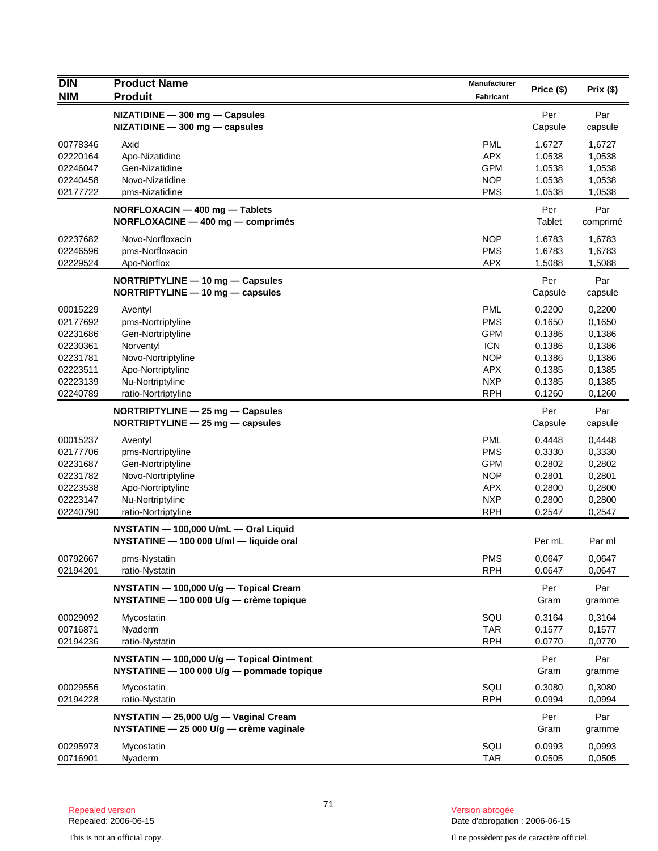| <b>DIN</b>           | <b>Product Name</b>                                                                    | Manufacturer      | Price (\$)       | Prix(\$)         |
|----------------------|----------------------------------------------------------------------------------------|-------------------|------------------|------------------|
| <b>NIM</b>           | <b>Produit</b>                                                                         | Fabricant         |                  |                  |
|                      | NIZATIDINE - 300 mg - Capsules<br>$NIZATIDINE - 300 mg - capsules$                     |                   | Per<br>Capsule   | Par<br>capsule   |
| 00778346             | Axid                                                                                   | <b>PML</b>        | 1.6727           | 1,6727           |
| 02220164             | Apo-Nizatidine                                                                         | <b>APX</b>        | 1.0538           | 1,0538           |
| 02246047             | Gen-Nizatidine                                                                         | <b>GPM</b>        | 1.0538           | 1,0538           |
| 02240458             | Novo-Nizatidine                                                                        | <b>NOP</b>        | 1.0538           | 1,0538           |
| 02177722             | pms-Nizatidine                                                                         | <b>PMS</b>        | 1.0538           | 1,0538           |
|                      | NORFLOXACIN - 400 mg - Tablets<br>NORFLOXACINE - 400 mg - comprimés                    |                   | Per<br>Tablet    | Par<br>comprimé  |
| 02237682             | Novo-Norfloxacin                                                                       | <b>NOP</b>        | 1.6783           | 1,6783           |
| 02246596             | pms-Norfloxacin                                                                        | <b>PMS</b>        | 1.6783           | 1,6783           |
| 02229524             | Apo-Norflox                                                                            | <b>APX</b>        | 1.5088           | 1,5088           |
|                      | NORTRIPTYLINE - 10 mg - Capsules<br>NORTRIPTYLINE - 10 mg - capsules                   |                   | Per<br>Capsule   | Par<br>capsule   |
| 00015229             | Aventyl                                                                                | <b>PML</b>        | 0.2200           | 0,2200           |
| 02177692             | pms-Nortriptyline                                                                      | <b>PMS</b>        | 0.1650           | 0,1650           |
| 02231686             | Gen-Nortriptyline                                                                      | <b>GPM</b>        | 0.1386           | 0,1386           |
| 02230361             | Norventyl                                                                              | <b>ICN</b>        | 0.1386           | 0,1386           |
| 02231781             | Novo-Nortriptyline                                                                     | <b>NOP</b>        | 0.1386           | 0,1386           |
| 02223511             | Apo-Nortriptyline                                                                      | <b>APX</b>        | 0.1385           | 0,1385           |
| 02223139             | Nu-Nortriptyline                                                                       | <b>NXP</b>        | 0.1385           | 0,1385           |
| 02240789             | ratio-Nortriptyline                                                                    | <b>RPH</b>        | 0.1260           | 0,1260           |
|                      | NORTRIPTYLINE - 25 mg - Capsules<br>NORTRIPTYLINE $-$ 25 mg $-$ capsules               |                   | Per<br>Capsule   | Par<br>capsule   |
| 00015237             | Aventyl                                                                                | <b>PML</b>        | 0.4448           | 0,4448           |
| 02177706             | pms-Nortriptyline                                                                      | <b>PMS</b>        | 0.3330           | 0,3330           |
| 02231687             | Gen-Nortriptyline                                                                      | <b>GPM</b>        | 0.2802           | 0,2802           |
| 02231782             | Novo-Nortriptyline                                                                     | <b>NOP</b>        | 0.2801           | 0,2801           |
| 02223538             | Apo-Nortriptyline                                                                      | <b>APX</b>        | 0.2800           | 0,2800           |
| 02223147             | Nu-Nortriptyline                                                                       | <b>NXP</b>        | 0.2800           | 0,2800           |
| 02240790             | ratio-Nortriptyline                                                                    | <b>RPH</b>        | 0.2547           | 0,2547           |
|                      | NYSTATIN - 100,000 U/mL - Oral Liquid<br>NYSTATINE - 100 000 U/ml - liquide oral       |                   | Per mL           | Par ml           |
| 00792667             | pms-Nystatin                                                                           | <b>PMS</b>        | 0.0647           | 0,0647           |
| 02194201             | ratio-Nystatin                                                                         | <b>RPH</b>        | 0.0647           | 0,0647           |
|                      | NYSTATIN - 100,000 U/g - Topical Cream<br>NYSTATINE - 100 000 U/g - crème topique      |                   | Per<br>Gram      | Par<br>gramme    |
| 00029092             | Mycostatin                                                                             | SQU               | 0.3164           | 0,3164           |
| 00716871             | Nyaderm                                                                                | <b>TAR</b>        | 0.1577           | 0,1577           |
| 02194236             | ratio-Nystatin                                                                         | <b>RPH</b>        | 0.0770           | 0,0770           |
|                      | NYSTATIN - 100,000 U/g - Topical Ointment<br>NYSTATINE - 100 000 U/g - pommade topique |                   | Per<br>Gram      | Par<br>gramme    |
| 00029556<br>02194228 | Mycostatin<br>ratio-Nystatin                                                           | SQU<br><b>RPH</b> | 0.3080<br>0.0994 | 0,3080<br>0,0994 |
|                      | NYSTATIN - 25,000 U/g - Vaginal Cream                                                  |                   | Per              | Par              |
|                      | NYSTATINE - 25 000 U/g - crème vaginale                                                |                   | Gram             | gramme           |
| 00295973             |                                                                                        | SQU               | 0.0993           | 0,0993           |
| 00716901             | Mycostatin<br>Nyaderm                                                                  | <b>TAR</b>        | 0.0505           | 0,0505           |
|                      |                                                                                        |                   |                  |                  |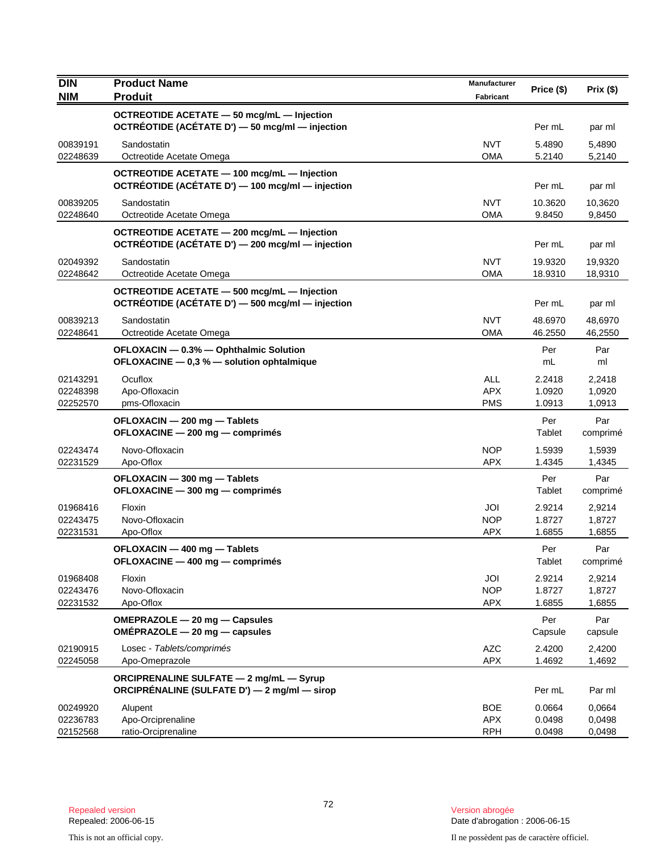| <b>DIN</b>                       | <b>Product Name</b>                                                                                  | Manufacturer                           |                            |                            |
|----------------------------------|------------------------------------------------------------------------------------------------------|----------------------------------------|----------------------------|----------------------------|
| <b>NIM</b>                       | <b>Produit</b>                                                                                       | <b>Fabricant</b>                       | Price (\$)                 | Prix(\$)                   |
|                                  | <b>OCTREOTIDE ACETATE - 50 mcg/mL - Injection</b><br>OCTRÉOTIDE (ACÉTATE D') - 50 mcg/ml - injection |                                        | Per mL                     | par ml                     |
| 00839191<br>02248639             | Sandostatin<br>Octreotide Acetate Omega                                                              | <b>NVT</b><br><b>OMA</b>               | 5.4890<br>5.2140           | 5,4890<br>5,2140           |
|                                  | OCTREOTIDE ACETATE - 100 mcg/mL - Injection<br>OCTRÉOTIDE (ACÉTATE D') - 100 mcg/ml - injection      |                                        | Per mL                     | par ml                     |
| 00839205<br>02248640             | Sandostatin<br>Octreotide Acetate Omega                                                              | <b>NVT</b><br><b>OMA</b>               | 10.3620<br>9.8450          | 10,3620<br>9,8450          |
|                                  | OCTREOTIDE ACETATE - 200 mcg/mL - Injection<br>OCTRÉOTIDE (ACÉTATE D') - 200 mcg/ml - injection      |                                        | Per mL                     | par ml                     |
| 02049392<br>02248642             | Sandostatin<br>Octreotide Acetate Omega                                                              | <b>NVT</b><br><b>OMA</b>               | 19.9320<br>18.9310         | 19,9320<br>18,9310         |
|                                  | OCTREOTIDE ACETATE - 500 mcg/mL - Injection<br>OCTRÉOTIDE (ACÉTATE D') - 500 mcg/ml - injection      |                                        | Per mL                     | par ml                     |
| 00839213<br>02248641             | Sandostatin<br>Octreotide Acetate Omega                                                              | <b>NVT</b><br><b>OMA</b>               | 48.6970<br>46.2550         | 48,6970<br>46,2550         |
|                                  | OFLOXACIN - 0.3% - Ophthalmic Solution<br>OFLOXACINE - 0,3 % - solution ophtalmique                  |                                        | Per<br>mL                  | Par<br>ml                  |
| 02143291<br>02248398<br>02252570 | Ocuflox<br>Apo-Ofloxacin<br>pms-Ofloxacin                                                            | <b>ALL</b><br><b>APX</b><br><b>PMS</b> | 2.2418<br>1.0920<br>1.0913 | 2,2418<br>1,0920<br>1,0913 |
|                                  | OFLOXACIN - 200 mg - Tablets<br>OFLOXACINE - 200 mg - comprimés                                      |                                        | Per<br>Tablet              | Par<br>comprimé            |
| 02243474<br>02231529             | Novo-Ofloxacin<br>Apo-Oflox                                                                          | <b>NOP</b><br><b>APX</b>               | 1.5939<br>1.4345           | 1,5939<br>1,4345           |
|                                  | OFLOXACIN - 300 mg - Tablets<br>OFLOXACINE - 300 mg - comprimés                                      |                                        | Per<br>Tablet              | Par<br>comprimé            |
| 01968416<br>02243475<br>02231531 | Floxin<br>Novo-Ofloxacin<br>Apo-Oflox                                                                | JOI<br><b>NOP</b><br><b>APX</b>        | 2.9214<br>1.8727<br>1.6855 | 2,9214<br>1,8727<br>1,6855 |
|                                  | OFLOXACIN - 400 mg - Tablets<br>OFLOXACINE - 400 mg - comprimés                                      |                                        | Per<br>Tablet              | Par<br>comprimé            |
| 01968408<br>02243476<br>02231532 | Floxin<br>Novo-Ofloxacin<br>Apo-Oflox                                                                | JOI<br><b>NOP</b><br><b>APX</b>        | 2.9214<br>1.8727<br>1.6855 | 2,9214<br>1,8727<br>1,6855 |
|                                  | OMEPRAZOLE - 20 mg - Capsules<br>OMÉPRAZOLE - 20 mg - capsules                                       |                                        | Per<br>Capsule             | Par<br>capsule             |
| 02190915<br>02245058             | Losec - Tablets/comprimés<br>Apo-Omeprazole                                                          | <b>AZC</b><br><b>APX</b>               | 2.4200<br>1.4692           | 2,4200<br>1,4692           |
|                                  | <b>ORCIPRENALINE SULFATE - 2 mg/mL - Syrup</b><br>ORCIPRÉNALINE (SULFATE D') — 2 mg/ml — sirop       |                                        | Per mL                     | Par ml                     |
| 00249920<br>02236783<br>02152568 | Alupent<br>Apo-Orciprenaline<br>ratio-Orciprenaline                                                  | <b>BOE</b><br><b>APX</b><br><b>RPH</b> | 0.0664<br>0.0498<br>0.0498 | 0,0664<br>0,0498<br>0,0498 |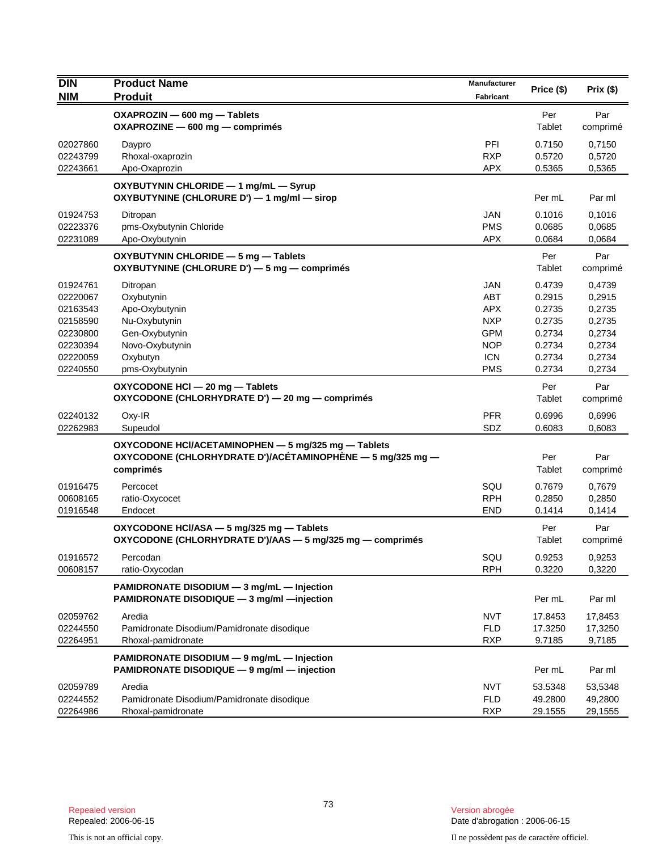| DIN        | <b>Product Name</b>                                        | Manufacturer |            |          |
|------------|------------------------------------------------------------|--------------|------------|----------|
| <b>NIM</b> | <b>Produit</b>                                             | Fabricant    | Price (\$) | Prix(\$) |
|            | OXAPROZIN - 600 mg - Tablets                               |              | Per        | Par      |
|            | OXAPROZINE - 600 mg - comprimés                            |              | Tablet     | comprimé |
| 02027860   | Daypro                                                     | PFI          | 0.7150     | 0,7150   |
| 02243799   | Rhoxal-oxaprozin                                           | <b>RXP</b>   | 0.5720     | 0,5720   |
| 02243661   | Apo-Oxaprozin                                              | <b>APX</b>   | 0.5365     | 0,5365   |
|            | OXYBUTYNIN CHLORIDE - 1 mg/mL - Syrup                      |              |            |          |
|            | OXYBUTYNINE (CHLORURE D') - 1 mg/ml - sirop                |              | Per mL     | Par ml   |
| 01924753   | Ditropan                                                   | <b>JAN</b>   | 0.1016     | 0,1016   |
| 02223376   | pms-Oxybutynin Chloride                                    | <b>PMS</b>   | 0.0685     | 0,0685   |
| 02231089   | Apo-Oxybutynin                                             | <b>APX</b>   | 0.0684     | 0,0684   |
|            | OXYBUTYNIN CHLORIDE - 5 mg - Tablets                       |              | Per        | Par      |
|            | OXYBUTYNINE (CHLORURE D') - 5 mg - comprimés               |              | Tablet     | comprimé |
| 01924761   | Ditropan                                                   | <b>JAN</b>   | 0.4739     | 0,4739   |
| 02220067   | Oxybutynin                                                 | ABT          | 0.2915     | 0,2915   |
| 02163543   | Apo-Oxybutynin                                             | <b>APX</b>   | 0.2735     | 0,2735   |
| 02158590   | Nu-Oxybutynin                                              | <b>NXP</b>   | 0.2735     | 0,2735   |
| 02230800   | Gen-Oxybutynin                                             | <b>GPM</b>   | 0.2734     | 0,2734   |
| 02230394   | Novo-Oxybutynin                                            | <b>NOP</b>   | 0.2734     | 0,2734   |
| 02220059   | Oxybutyn                                                   | <b>ICN</b>   | 0.2734     | 0,2734   |
| 02240550   | pms-Oxybutynin                                             | <b>PMS</b>   | 0.2734     | 0,2734   |
|            | OXYCODONE HCI - 20 mg - Tablets                            |              | Per        | Par      |
|            | OXYCODONE (CHLORHYDRATE D') - 20 mg - comprimés            |              | Tablet     | comprimé |
| 02240132   | Oxy-IR                                                     | <b>PFR</b>   | 0.6996     | 0,6996   |
| 02262983   | Supeudol                                                   | SDZ          | 0.6083     | 0,6083   |
|            | OXYCODONE HCI/ACETAMINOPHEN - 5 mg/325 mg - Tablets        |              |            |          |
|            | OXYCODONE (CHLORHYDRATE D')/ACÉTAMINOPHÈNE — 5 mg/325 mg — |              | Per        | Par      |
|            | comprimés                                                  |              | Tablet     | comprimé |
| 01916475   | Percocet                                                   | SQU          | 0.7679     | 0,7679   |
| 00608165   | ratio-Oxycocet                                             | <b>RPH</b>   | 0.2850     | 0,2850   |
| 01916548   | Endocet                                                    | <b>END</b>   | 0.1414     | 0,1414   |
|            | OXYCODONE HCI/ASA - 5 mg/325 mg - Tablets                  |              | Per        | Par      |
|            | OXYCODONE (CHLORHYDRATE D')/AAS - 5 mg/325 mg - comprimés  |              | Tablet     | comprimé |
| 01916572   | Percodan                                                   | SQU          | 0.9253     | 0,9253   |
| 00608157   | ratio-Oxycodan                                             | <b>RPH</b>   | 0.3220     | 0,3220   |
|            | PAMIDRONATE DISODIUM - 3 mg/mL - Injection                 |              |            |          |
|            | PAMIDRONATE DISODIQUE - 3 mg/ml - injection                |              | Per mL     | Par ml   |
| 02059762   | Aredia                                                     | <b>NVT</b>   | 17.8453    | 17,8453  |
| 02244550   | Pamidronate Disodium/Pamidronate disodique                 | <b>FLD</b>   | 17.3250    | 17,3250  |
| 02264951   | Rhoxal-pamidronate                                         | <b>RXP</b>   | 9.7185     | 9,7185   |
|            | PAMIDRONATE DISODIUM - 9 mg/mL - Injection                 |              |            |          |
|            | PAMIDRONATE DISODIQUE - 9 mg/ml - injection                |              | Per mL     | Par ml   |
| 02059789   | Aredia                                                     | <b>NVT</b>   | 53.5348    | 53,5348  |
| 02244552   | Pamidronate Disodium/Pamidronate disodique                 | <b>FLD</b>   | 49.2800    | 49,2800  |
| 02264986   | Rhoxal-pamidronate                                         | <b>RXP</b>   | 29.1555    | 29,1555  |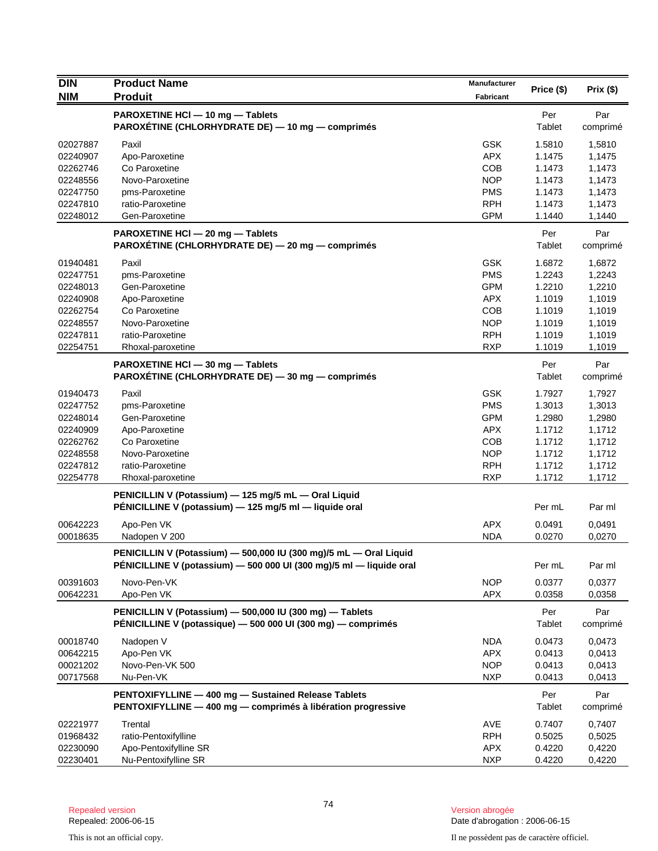| <b>DIN</b> | <b>Product Name</b>                                                                                                                      | <b>Manufacturer</b> | Price (\$)    | Prix(\$)        |
|------------|------------------------------------------------------------------------------------------------------------------------------------------|---------------------|---------------|-----------------|
| <b>NIM</b> | <b>Produit</b>                                                                                                                           | Fabricant           |               |                 |
|            | PAROXETINE HCI - 10 mg - Tablets<br>PAROXETINE (CHLORHYDRATE DE) — 10 mg — comprimés                                                     |                     | Per<br>Tablet | Par<br>comprimé |
| 02027887   | Paxil                                                                                                                                    | <b>GSK</b>          | 1.5810        | 1,5810          |
| 02240907   | Apo-Paroxetine                                                                                                                           | <b>APX</b>          | 1.1475        | 1,1475          |
| 02262746   | Co Paroxetine                                                                                                                            | <b>COB</b>          | 1.1473        | 1,1473          |
| 02248556   | Novo-Paroxetine                                                                                                                          | <b>NOP</b>          | 1.1473        | 1,1473          |
| 02247750   | pms-Paroxetine                                                                                                                           | <b>PMS</b>          | 1.1473        | 1,1473          |
| 02247810   | ratio-Paroxetine                                                                                                                         | <b>RPH</b>          | 1.1473        | 1,1473          |
| 02248012   | Gen-Paroxetine                                                                                                                           | <b>GPM</b>          | 1.1440        | 1,1440          |
|            | PAROXETINE HCI - 20 mg - Tablets<br>PAROXÉTINE (CHLORHYDRATE DE) - 20 mg - comprimés                                                     |                     | Per<br>Tablet | Par<br>comprimé |
| 01940481   | Paxil                                                                                                                                    | <b>GSK</b>          | 1.6872        | 1,6872          |
| 02247751   | pms-Paroxetine                                                                                                                           | <b>PMS</b>          | 1.2243        | 1,2243          |
| 02248013   | Gen-Paroxetine                                                                                                                           | <b>GPM</b>          | 1.2210        | 1,2210          |
| 02240908   | Apo-Paroxetine                                                                                                                           | <b>APX</b>          | 1.1019        | 1,1019          |
| 02262754   | Co Paroxetine                                                                                                                            | <b>COB</b>          | 1.1019        | 1,1019          |
| 02248557   | Novo-Paroxetine                                                                                                                          | <b>NOP</b>          | 1.1019        | 1,1019          |
| 02247811   | ratio-Paroxetine                                                                                                                         | <b>RPH</b>          | 1.1019        | 1,1019          |
| 02254751   | Rhoxal-paroxetine                                                                                                                        | <b>RXP</b>          | 1.1019        | 1,1019          |
|            | PAROXETINE HCI - 30 mg - Tablets<br>PAROXÉTINE (CHLORHYDRATE DE) - 30 mg - comprimés                                                     |                     | Per<br>Tablet | Par<br>comprimé |
| 01940473   | Paxil                                                                                                                                    | <b>GSK</b>          | 1.7927        | 1,7927          |
| 02247752   | pms-Paroxetine                                                                                                                           | <b>PMS</b>          | 1.3013        | 1,3013          |
| 02248014   | Gen-Paroxetine                                                                                                                           | <b>GPM</b>          | 1.2980        | 1,2980          |
| 02240909   | Apo-Paroxetine                                                                                                                           | <b>APX</b>          | 1.1712        | 1,1712          |
| 02262762   | Co Paroxetine                                                                                                                            | <b>COB</b>          | 1.1712        | 1,1712          |
| 02248558   | Novo-Paroxetine                                                                                                                          | <b>NOP</b>          | 1.1712        | 1,1712          |
| 02247812   | ratio-Paroxetine                                                                                                                         | <b>RPH</b>          | 1.1712        | 1,1712          |
| 02254778   | Rhoxal-paroxetine                                                                                                                        | <b>RXP</b>          | 1.1712        | 1,1712          |
|            | PENICILLIN V (Potassium) - 125 mg/5 mL - Oral Liquid<br>PÉNICILLINE V (potassium) - 125 mg/5 ml - liquide oral                           |                     | Per mL        | Par ml          |
| 00642223   | Apo-Pen VK                                                                                                                               | <b>APX</b>          | 0.0491        | 0,0491          |
| 00018635   | Nadopen V 200                                                                                                                            | <b>NDA</b>          | 0.0270        | 0,0270          |
|            | PENICILLIN V (Potassium) - 500,000 IU (300 mg)/5 mL - Oral Liquid<br>PÉNICILLINE V (potassium) - 500 000 UI (300 mg)/5 ml - liquide oral |                     | Per mL        | Par ml          |
| 00391603   | Novo-Pen-VK                                                                                                                              | <b>NOP</b>          | 0.0377        | 0,0377          |
| 00642231   | Apo-Pen VK                                                                                                                               | <b>APX</b>          | 0.0358        | 0,0358          |
|            | PENICILLIN V (Potassium) - 500,000 IU (300 mg) - Tablets<br>PÉNICILLINE V (potassique) - 500 000 UI (300 mg) - comprimés                 |                     | Per<br>Tablet | Par<br>comprimé |
| 00018740   | Nadopen V                                                                                                                                | <b>NDA</b>          | 0.0473        | 0,0473          |
| 00642215   | Apo-Pen VK                                                                                                                               | <b>APX</b>          | 0.0413        | 0,0413          |
| 00021202   | Novo-Pen-VK 500                                                                                                                          | <b>NOP</b>          | 0.0413        | 0,0413          |
| 00717568   | Nu-Pen-VK                                                                                                                                | <b>NXP</b>          | 0.0413        | 0,0413          |
|            | PENTOXIFYLLINE - 400 mg - Sustained Release Tablets<br>PENTOXIFYLLINE - 400 mg - comprimés à libération progressive                      |                     | Per<br>Tablet | Par<br>comprimé |
| 02221977   | Trental                                                                                                                                  | <b>AVE</b>          | 0.7407        | 0,7407          |
| 01968432   | ratio-Pentoxifylline                                                                                                                     | <b>RPH</b>          | 0.5025        | 0,5025          |
| 02230090   | Apo-Pentoxifylline SR                                                                                                                    | APX                 | 0.4220        | 0,4220          |
| 02230401   | Nu-Pentoxifylline SR                                                                                                                     | <b>NXP</b>          | 0.4220        | 0,4220          |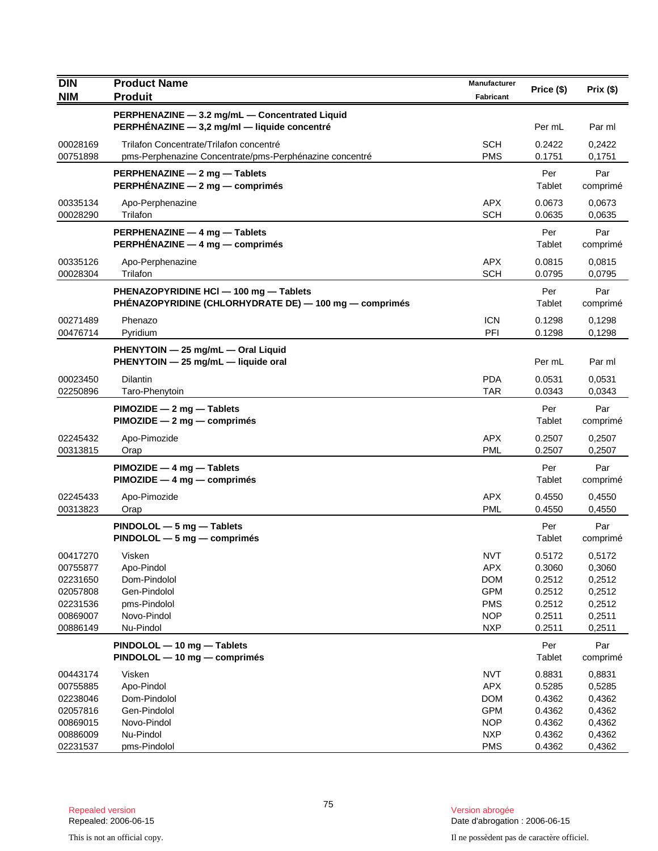| <b>DIN</b>                                                                       | <b>Product Name</b>                                                                                | Manufacturer                                                                                   | Price (\$)                                                         | Prix(\$)                                                           |
|----------------------------------------------------------------------------------|----------------------------------------------------------------------------------------------------|------------------------------------------------------------------------------------------------|--------------------------------------------------------------------|--------------------------------------------------------------------|
| <b>NIM</b>                                                                       | <b>Produit</b>                                                                                     | <b>Fabricant</b>                                                                               |                                                                    |                                                                    |
|                                                                                  | PERPHENAZINE - 3.2 mg/mL - Concentrated Liquid<br>PERPHÉNAZINE - 3,2 mg/ml - liquide concentré     |                                                                                                | Per mL                                                             | Par ml                                                             |
| 00028169<br>00751898                                                             | Trilafon Concentrate/Trilafon concentré<br>pms-Perphenazine Concentrate/pms-Perphénazine concentré | <b>SCH</b><br><b>PMS</b>                                                                       | 0.2422<br>0.1751                                                   | 0,2422<br>0,1751                                                   |
|                                                                                  | PERPHENAZINE - 2 mg - Tablets<br><b>PERPHÉNAZINE — 2 mg — comprimés</b>                            |                                                                                                | Per<br>Tablet                                                      | Par<br>comprimé                                                    |
| 00335134<br>00028290                                                             | Apo-Perphenazine<br>Trilafon                                                                       | <b>APX</b><br><b>SCH</b>                                                                       | 0.0673<br>0.0635                                                   | 0,0673<br>0,0635                                                   |
|                                                                                  | PERPHENAZINE - 4 mg - Tablets<br>PERPHÉNAZINE - 4 mg - comprimés                                   |                                                                                                | Per<br>Tablet                                                      | Par<br>comprimé                                                    |
| 00335126<br>00028304                                                             | Apo-Perphenazine<br>Trilafon                                                                       | <b>APX</b><br><b>SCH</b>                                                                       | 0.0815<br>0.0795                                                   | 0,0815<br>0,0795                                                   |
|                                                                                  | PHENAZOPYRIDINE HCI - 100 mg - Tablets<br>PHÉNAZOPYRIDINE (CHLORHYDRATE DE) — 100 mg — comprimés   |                                                                                                | Per<br>Tablet                                                      | Par<br>comprimé                                                    |
| 00271489<br>00476714                                                             | Phenazo<br>Pyridium                                                                                | <b>ICN</b><br>PFI                                                                              | 0.1298<br>0.1298                                                   | 0,1298<br>0,1298                                                   |
|                                                                                  | PHENYTOIN - 25 mg/mL - Oral Liquid<br>PHENYTOIN - 25 mg/mL - liquide oral                          |                                                                                                | Per mL                                                             | Par ml                                                             |
| 00023450<br>02250896                                                             | <b>Dilantin</b><br>Taro-Phenytoin                                                                  | <b>PDA</b><br><b>TAR</b>                                                                       | 0.0531<br>0.0343                                                   | 0,0531<br>0,0343                                                   |
|                                                                                  | $PIMOZIDE - 2 mg - Tables$<br>$PIMOZIDE - 2 mg - comprimés$                                        |                                                                                                | Per<br>Tablet                                                      | Par<br>comprimé                                                    |
| 02245432<br>00313815                                                             | Apo-Pimozide<br>Orap                                                                               | <b>APX</b><br><b>PML</b>                                                                       | 0.2507<br>0.2507                                                   | 0,2507<br>0,2507                                                   |
|                                                                                  | $PIMOZIDE - 4 mg - Tables$<br>$PIMOZIDE - 4 mg - comprimés$                                        |                                                                                                | Per<br>Tablet                                                      | Par<br>comprimé                                                    |
| 02245433<br>00313823                                                             | Apo-Pimozide<br>Orap                                                                               | APX.<br><b>PML</b>                                                                             | 0.4550<br>0.4550                                                   | 0,4550<br>0,4550                                                   |
|                                                                                  | $PINDOLOL - 5 mg - Tables$<br>$PINDOLOL - 5 mg - comprimés$                                        |                                                                                                | Per<br>Tablet                                                      | Par<br>comprimé                                                    |
| 00417270<br>00755877<br>02231650<br>02057808<br>02231536<br>00869007<br>00886149 | Visken<br>Apo-Pindol<br>Dom-Pindolol<br>Gen-Pindolol<br>pms-Pindolol<br>Novo-Pindol<br>Nu-Pindol   | <b>NVT</b><br><b>APX</b><br><b>DOM</b><br><b>GPM</b><br><b>PMS</b><br><b>NOP</b><br><b>NXP</b> | 0.5172<br>0.3060<br>0.2512<br>0.2512<br>0.2512<br>0.2511<br>0.2511 | 0,5172<br>0,3060<br>0,2512<br>0,2512<br>0,2512<br>0,2511<br>0,2511 |
|                                                                                  | PINDOLOL - 10 mg - Tablets<br>PINDOLOL - 10 mg - comprimés                                         |                                                                                                | Per<br>Tablet                                                      | Par<br>comprimé                                                    |
| 00443174<br>00755885<br>02238046<br>02057816<br>00869015<br>00886009             | Visken<br>Apo-Pindol<br>Dom-Pindolol<br>Gen-Pindolol<br>Novo-Pindol<br>Nu-Pindol                   | <b>NVT</b><br><b>APX</b><br><b>DOM</b><br><b>GPM</b><br><b>NOP</b><br><b>NXP</b>               | 0.8831<br>0.5285<br>0.4362<br>0.4362<br>0.4362<br>0.4362           | 0,8831<br>0,5285<br>0,4362<br>0,4362<br>0,4362<br>0,4362           |
| 02231537                                                                         | pms-Pindolol                                                                                       | <b>PMS</b>                                                                                     | 0.4362                                                             | 0,4362                                                             |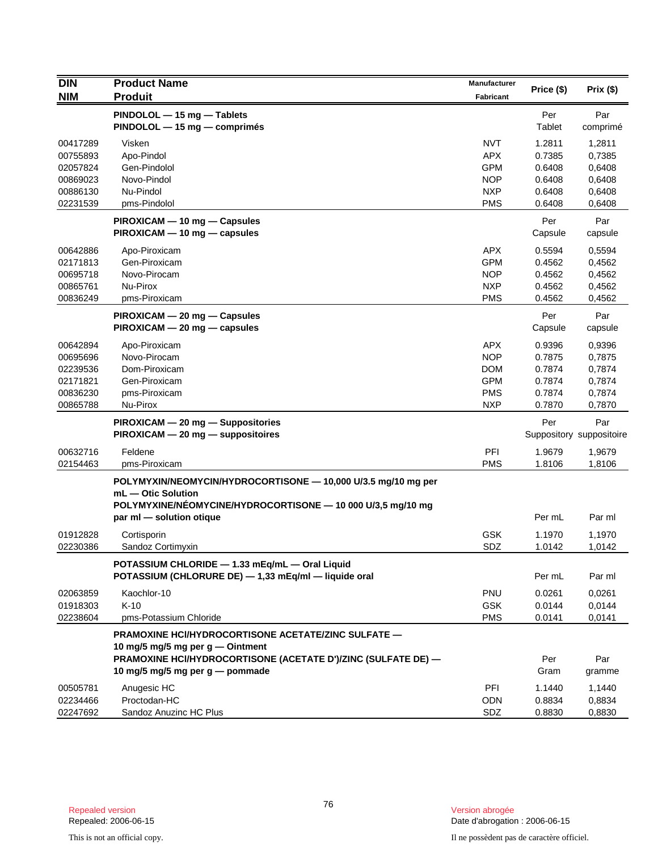| <b>DIN</b>                                                           | <b>Product Name</b><br><b>Produit</b>                                                                                                                                                       | <b>Manufacturer</b>                                                              | Price (\$)                                               | Prix(\$)                                                 |
|----------------------------------------------------------------------|---------------------------------------------------------------------------------------------------------------------------------------------------------------------------------------------|----------------------------------------------------------------------------------|----------------------------------------------------------|----------------------------------------------------------|
| <b>NIM</b>                                                           |                                                                                                                                                                                             | Fabricant                                                                        |                                                          |                                                          |
|                                                                      | PINDOLOL - 15 mg - Tablets<br>PINDOLOL - 15 mg - comprimés                                                                                                                                  |                                                                                  | Per<br>Tablet                                            | Par<br>comprimé                                          |
| 00417289<br>00755893<br>02057824<br>00869023<br>00886130<br>02231539 | Visken<br>Apo-Pindol<br>Gen-Pindolol<br>Novo-Pindol<br>Nu-Pindol<br>pms-Pindolol                                                                                                            | <b>NVT</b><br><b>APX</b><br><b>GPM</b><br><b>NOP</b><br><b>NXP</b><br><b>PMS</b> | 1.2811<br>0.7385<br>0.6408<br>0.6408<br>0.6408<br>0.6408 | 1,2811<br>0,7385<br>0,6408<br>0,6408<br>0,6408<br>0,6408 |
|                                                                      | PIROXICAM - 10 mg - Capsules<br>PIROXICAM - 10 mg - capsules                                                                                                                                |                                                                                  | Per<br>Capsule                                           | Par<br>capsule                                           |
| 00642886<br>02171813<br>00695718<br>00865761<br>00836249             | Apo-Piroxicam<br>Gen-Piroxicam<br>Novo-Pirocam<br>Nu-Pirox<br>pms-Piroxicam                                                                                                                 | <b>APX</b><br><b>GPM</b><br><b>NOP</b><br><b>NXP</b><br><b>PMS</b>               | 0.5594<br>0.4562<br>0.4562<br>0.4562<br>0.4562           | 0,5594<br>0,4562<br>0,4562<br>0,4562<br>0,4562           |
|                                                                      | PIROXICAM - 20 mg - Capsules<br>$PIROXICAM - 20 mg - capsules$                                                                                                                              |                                                                                  | Per<br>Capsule                                           | Par<br>capsule                                           |
| 00642894<br>00695696<br>02239536<br>02171821<br>00836230<br>00865788 | Apo-Piroxicam<br>Novo-Pirocam<br>Dom-Piroxicam<br>Gen-Piroxicam<br>pms-Piroxicam<br>Nu-Pirox                                                                                                | <b>APX</b><br><b>NOP</b><br><b>DOM</b><br><b>GPM</b><br><b>PMS</b><br><b>NXP</b> | 0.9396<br>0.7875<br>0.7874<br>0.7874<br>0.7874<br>0.7870 | 0,9396<br>0,7875<br>0,7874<br>0,7874<br>0,7874<br>0,7870 |
|                                                                      | PIROXICAM - 20 mg - Suppositories<br>PIROXICAM - 20 mg - suppositoires                                                                                                                      |                                                                                  | Per                                                      | Par<br>Suppository suppositoire                          |
| 00632716<br>02154463                                                 | Feldene<br>pms-Piroxicam                                                                                                                                                                    | PFI<br><b>PMS</b>                                                                | 1.9679<br>1.8106                                         | 1,9679<br>1,8106                                         |
|                                                                      | POLYMYXIN/NEOMYCIN/HYDROCORTISONE - 10,000 U/3.5 mg/10 mg per<br>mL - Otic Solution<br>POLYMYXINE/NÉOMYCINE/HYDROCORTISONE - 10 000 U/3,5 mg/10 mg<br>par ml - solution otique              |                                                                                  | Per mL                                                   | Par ml                                                   |
| 01912828<br>02230386                                                 | Cortisporin<br>Sandoz Cortimyxin                                                                                                                                                            | <b>GSK</b><br>SDZ                                                                | 1.1970<br>1.0142                                         | 1,1970<br>1,0142                                         |
|                                                                      | POTASSIUM CHLORIDE - 1.33 mEq/mL - Oral Liquid<br>POTASSIUM (CHLORURE DE) - 1,33 mEq/ml - liquide oral                                                                                      |                                                                                  | Per mL                                                   | Par ml                                                   |
| 02063859<br>01918303<br>02238604                                     | Kaochlor-10<br>$K-10$<br>pms-Potassium Chloride                                                                                                                                             | <b>PNU</b><br><b>GSK</b><br><b>PMS</b>                                           | 0.0261<br>0.0144<br>0.0141                               | 0,0261<br>0,0144<br>0,0141                               |
|                                                                      | PRAMOXINE HCI/HYDROCORTISONE ACETATE/ZINC SULFATE -<br>10 mg/5 mg/5 mg per g — Ointment<br>PRAMOXINE HCI/HYDROCORTISONE (ACETATE D')/ZINC (SULFATE DE) -<br>10 mg/5 mg/5 mg per g — pommade |                                                                                  | Per<br>Gram                                              | Par<br>gramme                                            |
| 00505781<br>02234466<br>02247692                                     | Anugesic HC<br>Proctodan-HC<br>Sandoz Anuzinc HC Plus                                                                                                                                       | PFI<br><b>ODN</b><br>SDZ                                                         | 1.1440<br>0.8834<br>0.8830                               | 1,1440<br>0,8834<br>0,8830                               |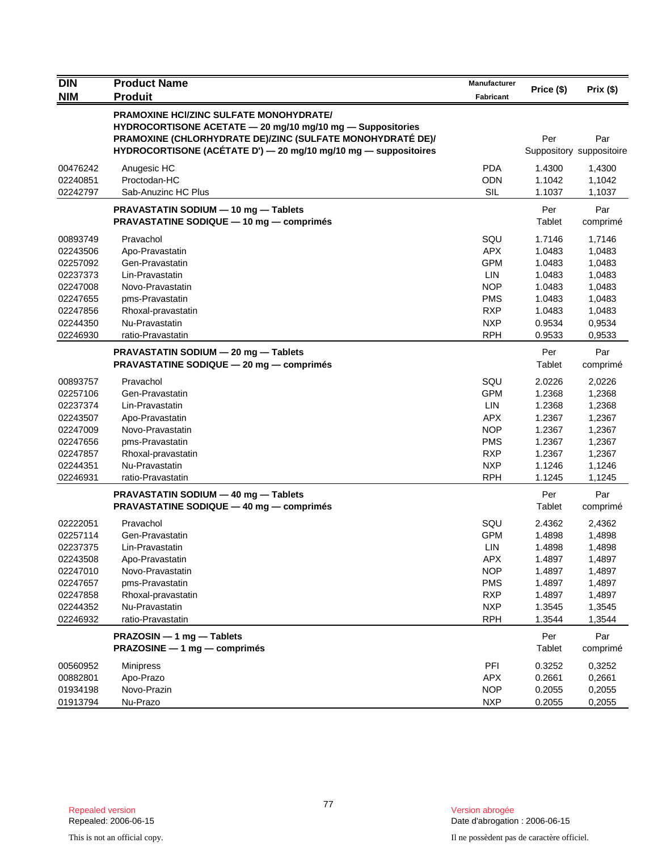| $\overline{D}$ IN<br><b>NIM</b>                                                                          | <b>Product Name</b><br><b>Produit</b>                                                                                                                                                                                                         | Manufacturer<br><b>Fabricant</b>                                                                                    | Price (\$)                                                                             | Prix(\$)                                                                               |
|----------------------------------------------------------------------------------------------------------|-----------------------------------------------------------------------------------------------------------------------------------------------------------------------------------------------------------------------------------------------|---------------------------------------------------------------------------------------------------------------------|----------------------------------------------------------------------------------------|----------------------------------------------------------------------------------------|
|                                                                                                          | <b>PRAMOXINE HCI/ZINC SULFATE MONOHYDRATE/</b><br>HYDROCORTISONE ACETATE - 20 mg/10 mg/10 mg - Suppositories<br>PRAMOXINE (CHLORHYDRATE DE)/ZINC (SULFATE MONOHYDRATÉ DE)/<br>HYDROCORTISONE (ACÉTATE D') - 20 mg/10 mg/10 mg - suppositoires |                                                                                                                     | Per                                                                                    | Par<br>Suppository suppositoire                                                        |
| 00476242<br>02240851<br>02242797                                                                         | Anugesic HC<br>Proctodan-HC<br>Sab-Anuzinc HC Plus                                                                                                                                                                                            | <b>PDA</b><br><b>ODN</b><br><b>SIL</b>                                                                              | 1.4300<br>1.1042<br>1.1037                                                             | 1,4300<br>1,1042<br>1,1037                                                             |
|                                                                                                          | PRAVASTATIN SODIUM - 10 mg - Tablets<br>PRAVASTATINE SODIQUE - 10 mg - comprimés                                                                                                                                                              |                                                                                                                     | Per<br>Tablet                                                                          | Par<br>comprimé                                                                        |
| 00893749<br>02243506<br>02257092<br>02237373<br>02247008<br>02247655<br>02247856<br>02244350<br>02246930 | Pravachol<br>Apo-Pravastatin<br>Gen-Pravastatin<br>Lin-Pravastatin<br>Novo-Pravastatin<br>pms-Pravastatin<br>Rhoxal-pravastatin<br>Nu-Pravastatin<br>ratio-Pravastatin                                                                        | SQU<br><b>APX</b><br><b>GPM</b><br><b>LIN</b><br><b>NOP</b><br><b>PMS</b><br><b>RXP</b><br><b>NXP</b><br><b>RPH</b> | 1.7146<br>1.0483<br>1.0483<br>1.0483<br>1.0483<br>1.0483<br>1.0483<br>0.9534<br>0.9533 | 1,7146<br>1,0483<br>1,0483<br>1,0483<br>1,0483<br>1,0483<br>1,0483<br>0,9534<br>0,9533 |
|                                                                                                          | PRAVASTATIN SODIUM - 20 mg - Tablets<br>PRAVASTATINE SODIQUE - 20 mg - comprimés                                                                                                                                                              |                                                                                                                     | Per<br>Tablet                                                                          | Par<br>comprimé                                                                        |
| 00893757<br>02257106<br>02237374<br>02243507<br>02247009<br>02247656<br>02247857<br>02244351<br>02246931 | Pravachol<br>Gen-Pravastatin<br>Lin-Pravastatin<br>Apo-Pravastatin<br>Novo-Pravastatin<br>pms-Pravastatin<br>Rhoxal-pravastatin<br>Nu-Pravastatin<br>ratio-Pravastatin                                                                        | SQU<br><b>GPM</b><br><b>LIN</b><br><b>APX</b><br><b>NOP</b><br><b>PMS</b><br><b>RXP</b><br><b>NXP</b><br><b>RPH</b> | 2.0226<br>1.2368<br>1.2368<br>1.2367<br>1.2367<br>1.2367<br>1.2367<br>1.1246<br>1.1245 | 2,0226<br>1,2368<br>1,2368<br>1,2367<br>1,2367<br>1,2367<br>1,2367<br>1,1246<br>1,1245 |
|                                                                                                          | PRAVASTATIN SODIUM - 40 mg - Tablets<br><b>PRAVASTATINE SODIQUE - 40 mg - comprimés</b>                                                                                                                                                       |                                                                                                                     | Per<br>Tablet                                                                          | Par<br>comprimé                                                                        |
| 02222051<br>02257114<br>02237375<br>02243508<br>02247010<br>02247657<br>02247858<br>02244352<br>02246932 | Pravachol<br>Gen-Pravastatin<br>Lin-Pravastatin<br>Apo-Pravastatin<br>Novo-Pravastatin<br>pms-Pravastatin<br>Rhoxal-pravastatin<br>Nu-Pravastatin<br>ratio-Pravastatin                                                                        | SQU<br><b>GPM</b><br>LIN<br>APX<br><b>NOP</b><br><b>PMS</b><br><b>RXP</b><br><b>NXP</b><br><b>RPH</b>               | 2.4362<br>1.4898<br>1.4898<br>1.4897<br>1.4897<br>1.4897<br>1.4897<br>1.3545<br>1.3544 | 2,4362<br>1,4898<br>1,4898<br>1,4897<br>1,4897<br>1,4897<br>1,4897<br>1,3545<br>1,3544 |
|                                                                                                          | PRAZOSIN - 1 mg - Tablets<br>PRAZOSINE - 1 mg - comprimés                                                                                                                                                                                     |                                                                                                                     | Per<br>Tablet                                                                          | Par<br>comprimé                                                                        |
| 00560952<br>00882801<br>01934198<br>01913794                                                             | <b>Minipress</b><br>Apo-Prazo<br>Novo-Prazin<br>Nu-Prazo                                                                                                                                                                                      | PFI<br><b>APX</b><br><b>NOP</b><br><b>NXP</b>                                                                       | 0.3252<br>0.2661<br>0.2055<br>0.2055                                                   | 0,3252<br>0,2661<br>0,2055<br>0,2055                                                   |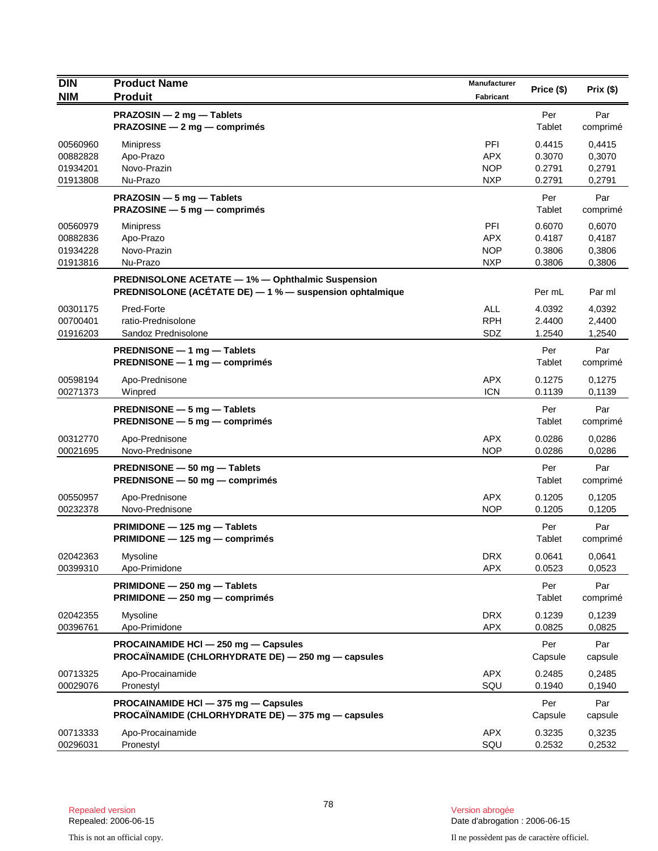| <b>DIN</b>                                   | <b>Product Name</b>                                                                                           | Manufacturer                                  | Price (\$)                           | Prix(\$)                             |
|----------------------------------------------|---------------------------------------------------------------------------------------------------------------|-----------------------------------------------|--------------------------------------|--------------------------------------|
| <b>NIM</b>                                   | <b>Produit</b>                                                                                                | Fabricant                                     |                                      |                                      |
|                                              | PRAZOSIN - 2 mg - Tablets<br>PRAZOSINE - 2 mg - comprimés                                                     |                                               | Per<br>Tablet                        | Par<br>comprimé                      |
| 00560960<br>00882828<br>01934201<br>01913808 | <b>Minipress</b><br>Apo-Prazo<br>Novo-Prazin<br>Nu-Prazo                                                      | PFI<br><b>APX</b><br><b>NOP</b><br><b>NXP</b> | 0.4415<br>0.3070<br>0.2791<br>0.2791 | 0,4415<br>0,3070<br>0,2791<br>0,2791 |
|                                              | PRAZOSIN - 5 mg - Tablets<br><b>PRAZOSINE</b> $-5$ mg $-$ comprimes                                           |                                               | Per<br>Tablet                        | Par<br>comprimé                      |
| 00560979<br>00882836<br>01934228<br>01913816 | Minipress<br>Apo-Prazo<br>Novo-Prazin<br>Nu-Prazo                                                             | PFI<br><b>APX</b><br><b>NOP</b><br><b>NXP</b> | 0.6070<br>0.4187<br>0.3806<br>0.3806 | 0,6070<br>0,4187<br>0,3806<br>0,3806 |
|                                              | PREDNISOLONE ACETATE - 1% - Ophthalmic Suspension<br>PREDNISOLONE (ACÉTATE DE) - 1 % - suspension ophtalmique |                                               | Per mL                               | Par ml                               |
| 00301175<br>00700401<br>01916203             | Pred-Forte<br>ratio-Prednisolone<br>Sandoz Prednisolone                                                       | <b>ALL</b><br><b>RPH</b><br>SDZ               | 4.0392<br>2.4400<br>1.2540           | 4,0392<br>2,4400<br>1,2540           |
|                                              | PREDNISONE - 1 mg - Tablets<br>PREDNISONE - 1 mg - comprimés                                                  |                                               | Per<br>Tablet                        | Par<br>comprimé                      |
| 00598194<br>00271373                         | Apo-Prednisone<br>Winpred                                                                                     | <b>APX</b><br><b>ICN</b>                      | 0.1275<br>0.1139                     | 0,1275<br>0,1139                     |
|                                              | PREDNISONE - 5 mg - Tablets<br><b>PREDNISONE <math>-5</math> mg <math>-</math> comprimes</b>                  |                                               | Per<br>Tablet                        | Par<br>comprimé                      |
| 00312770<br>00021695                         | Apo-Prednisone<br>Novo-Prednisone                                                                             | <b>APX</b><br><b>NOP</b>                      | 0.0286<br>0.0286                     | 0,0286<br>0,0286                     |
|                                              | PREDNISONE - 50 mg - Tablets<br><b>PREDNISONE <math>-50</math> mg <math>-</math> comprimes</b>                |                                               | Per<br>Tablet                        | Par<br>comprimé                      |
| 00550957<br>00232378                         | Apo-Prednisone<br>Novo-Prednisone                                                                             | <b>APX</b><br><b>NOP</b>                      | 0.1205<br>0.1205                     | 0,1205<br>0,1205                     |
|                                              | PRIMIDONE - 125 mg - Tablets<br>PRIMIDONE - 125 mg - comprimés                                                |                                               | Per<br>Tablet                        | Par<br>comprimé                      |
| 02042363<br>00399310                         | Mysoline<br>Apo-Primidone                                                                                     | <b>DRX</b><br><b>APX</b>                      | 0.0641<br>0.0523                     | 0,0641<br>0,0523                     |
|                                              | PRIMIDONE - 250 mg - Tablets<br>PRIMIDONE - 250 mg - comprimés                                                |                                               | Per<br>Tablet                        | Par<br>comprimé                      |
| 02042355<br>00396761                         | Mysoline<br>Apo-Primidone                                                                                     | <b>DRX</b><br><b>APX</b>                      | 0.1239<br>0.0825                     | 0,1239<br>0,0825                     |
|                                              | PROCAINAMIDE HCI - 250 mg - Capsules<br>PROCAÏNAMIDE (CHLORHYDRATE DE) - 250 mg - capsules                    |                                               | Per<br>Capsule                       | Par<br>capsule                       |
| 00713325<br>00029076                         | Apo-Procainamide<br>Pronestyl                                                                                 | <b>APX</b><br>SQU                             | 0.2485<br>0.1940                     | 0,2485<br>0.1940                     |
|                                              | PROCAINAMIDE HCI - 375 mg - Capsules<br>PROCAÏNAMIDE (CHLORHYDRATE DE) - 375 mg - capsules                    |                                               | Per<br>Capsule                       | Par<br>capsule                       |
| 00713333<br>00296031                         | Apo-Procainamide<br>Pronestyl                                                                                 | <b>APX</b><br>SQU                             | 0.3235<br>0.2532                     | 0,3235<br>0,2532                     |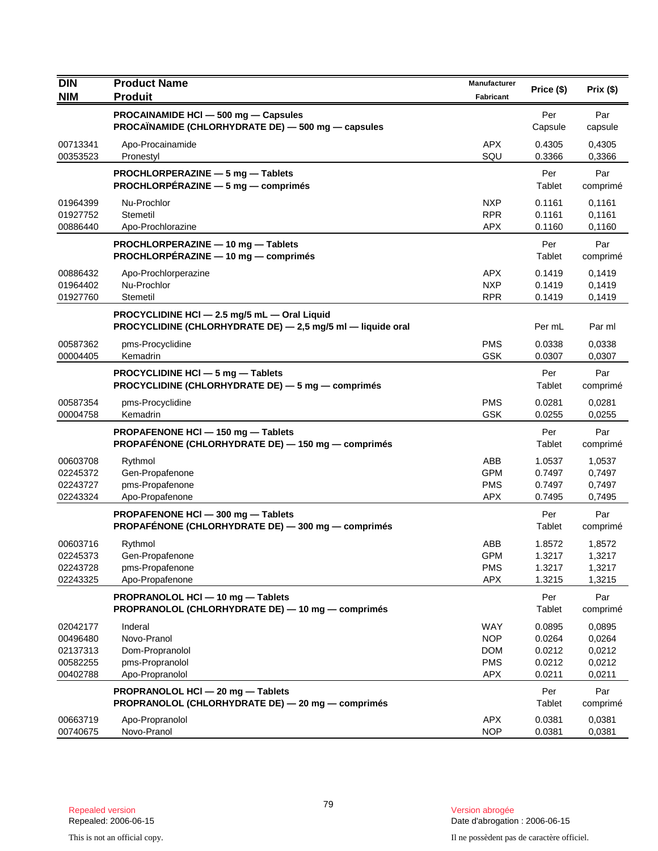| <b>DIN</b>                                               | <b>Product Name</b>                                                                                         | Manufacturer                                                | Price (\$)                                     | Prix(\$)                                       |
|----------------------------------------------------------|-------------------------------------------------------------------------------------------------------------|-------------------------------------------------------------|------------------------------------------------|------------------------------------------------|
| <b>NIM</b>                                               | <b>Produit</b>                                                                                              | <b>Fabricant</b>                                            |                                                |                                                |
|                                                          | PROCAINAMIDE HCI - 500 mg - Capsules<br>PROCAÏNAMIDE (CHLORHYDRATE DE) — 500 mg — capsules                  |                                                             | Per<br>Capsule                                 | Par<br>capsule                                 |
| 00713341<br>00353523                                     | Apo-Procainamide<br>Pronestyl                                                                               | <b>APX</b><br>SQU                                           | 0.4305<br>0.3366                               | 0,4305<br>0,3366                               |
|                                                          | PROCHLORPERAZINE - 5 mg - Tablets<br>PROCHLORPÉRAZINE - 5 mg - comprimés                                    |                                                             | Per<br>Tablet                                  | Par<br>comprimé                                |
| 01964399<br>01927752<br>00886440                         | Nu-Prochlor<br>Stemetil<br>Apo-Prochlorazine                                                                | <b>NXP</b><br><b>RPR</b><br><b>APX</b>                      | 0.1161<br>0.1161<br>0.1160                     | 0,1161<br>0,1161<br>0,1160                     |
|                                                          | PROCHLORPERAZINE - 10 mg - Tablets<br>PROCHLORPÉRAZINE - 10 mg - comprimés                                  |                                                             | Per<br>Tablet                                  | Par<br>comprimé                                |
| 00886432<br>01964402<br>01927760                         | Apo-Prochlorperazine<br>Nu-Prochlor<br>Stemetil                                                             | <b>APX</b><br><b>NXP</b><br><b>RPR</b>                      | 0.1419<br>0.1419<br>0.1419                     | 0,1419<br>0,1419<br>0,1419                     |
|                                                          | PROCYCLIDINE HCI - 2.5 mg/5 mL - Oral Liquid<br>PROCYCLIDINE (CHLORHYDRATE DE) - 2,5 mg/5 ml - liquide oral |                                                             | Per mL                                         | Par ml                                         |
| 00587362<br>00004405                                     | pms-Procyclidine<br>Kemadrin                                                                                | <b>PMS</b><br><b>GSK</b>                                    | 0.0338<br>0.0307                               | 0,0338<br>0,0307                               |
|                                                          | PROCYCLIDINE HCI - 5 mg - Tablets<br>PROCYCLIDINE (CHLORHYDRATE DE) - 5 mg - comprimés                      |                                                             | Per<br>Tablet                                  | Par<br>comprimé                                |
| 00587354<br>00004758                                     | pms-Procyclidine<br>Kemadrin                                                                                | <b>PMS</b><br><b>GSK</b>                                    | 0.0281<br>0.0255                               | 0,0281<br>0,0255                               |
|                                                          | PROPAFENONE HCI - 150 mg - Tablets<br>PROPAFÉNONE (CHLORHYDRATE DE) - 150 mg - comprimés                    |                                                             | Per<br>Tablet                                  | Par<br>comprimé                                |
| 00603708<br>02245372<br>02243727<br>02243324             | Rythmol<br>Gen-Propafenone<br>pms-Propafenone<br>Apo-Propafenone                                            | ABB<br><b>GPM</b><br><b>PMS</b><br><b>APX</b>               | 1.0537<br>0.7497<br>0.7497<br>0.7495           | 1,0537<br>0,7497<br>0,7497<br>0,7495           |
|                                                          | PROPAFENONE HCI - 300 mg - Tablets<br>PROPAFÉNONE (CHLORHYDRATE DE) - 300 mg - comprimés                    |                                                             | Per<br>Tablet                                  | Par<br>comprimé                                |
| 00603716<br>02245373<br>02243728<br>02243325             | Rythmol<br>Gen-Propafenone<br>pms-Propafenone<br>Apo-Propafenone                                            | ABB<br><b>GPM</b><br><b>PMS</b><br><b>APX</b>               | 1.8572<br>1.3217<br>1.3217<br>1.3215           | 1,8572<br>1,3217<br>1,3217<br>1,3215           |
|                                                          | PROPRANOLOL HCI - 10 mg - Tablets<br>PROPRANOLOL (CHLORHYDRATE DE) - 10 mg - comprimés                      |                                                             | Per<br>Tablet                                  | Par<br>comprimé                                |
| 02042177<br>00496480<br>02137313<br>00582255<br>00402788 | Inderal<br>Novo-Pranol<br>Dom-Propranolol<br>pms-Propranolol<br>Apo-Propranolol                             | WAY<br><b>NOP</b><br><b>DOM</b><br><b>PMS</b><br><b>APX</b> | 0.0895<br>0.0264<br>0.0212<br>0.0212<br>0.0211 | 0,0895<br>0,0264<br>0,0212<br>0,0212<br>0,0211 |
|                                                          | PROPRANOLOL HCI - 20 mg - Tablets<br>PROPRANOLOL (CHLORHYDRATE DE) - 20 mg - comprimés                      |                                                             | Per<br>Tablet                                  | Par<br>comprimé                                |
| 00663719<br>00740675                                     | Apo-Propranolol<br>Novo-Pranol                                                                              | <b>APX</b><br><b>NOP</b>                                    | 0.0381<br>0.0381                               | 0,0381<br>0,0381                               |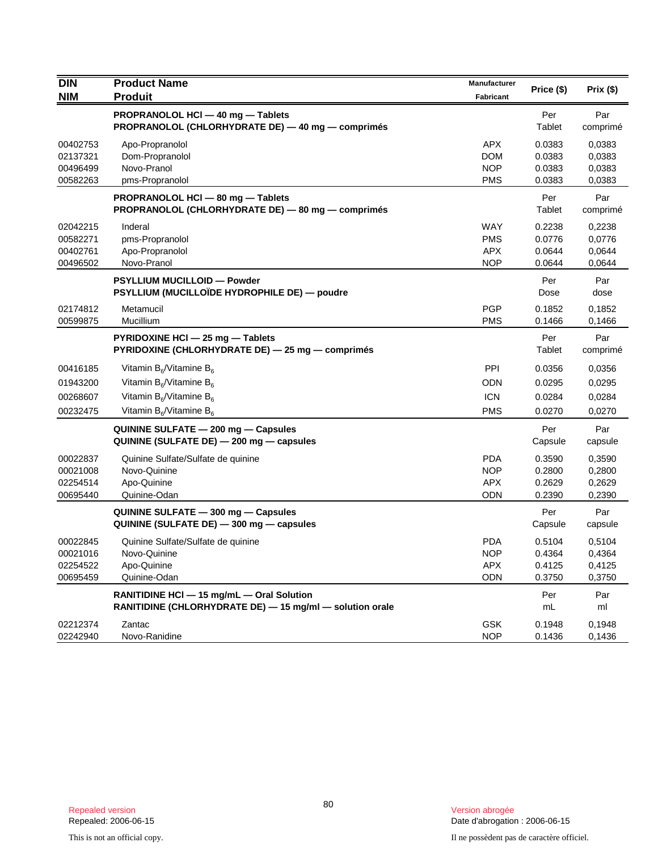| <b>DIN</b> | <b>Product Name</b>                                                                    | <b>Manufacturer</b> | Price (\$)     | Prix (\$)       |
|------------|----------------------------------------------------------------------------------------|---------------------|----------------|-----------------|
| <b>NIM</b> | <b>Produit</b>                                                                         | Fabricant           |                |                 |
|            | PROPRANOLOL HCI - 40 mg - Tablets<br>PROPRANOLOL (CHLORHYDRATE DE) - 40 mg - comprimés |                     | Per<br>Tablet  | Par<br>comprimé |
| 00402753   | Apo-Propranolol                                                                        | <b>APX</b>          | 0.0383         | 0,0383          |
| 02137321   | Dom-Propranolol                                                                        | <b>DOM</b>          | 0.0383         | 0,0383          |
| 00496499   | Novo-Pranol                                                                            | <b>NOP</b>          | 0.0383         | 0,0383          |
| 00582263   | pms-Propranolol                                                                        | <b>PMS</b>          | 0.0383         | 0,0383          |
|            | PROPRANOLOL HCI - 80 mg - Tablets<br>PROPRANOLOL (CHLORHYDRATE DE) - 80 mg - comprimés |                     | Per<br>Tablet  | Par<br>comprimé |
| 02042215   | Inderal                                                                                | <b>WAY</b>          | 0.2238         | 0,2238          |
| 00582271   | pms-Propranolol                                                                        | <b>PMS</b>          | 0.0776         | 0,0776          |
| 00402761   | Apo-Propranolol                                                                        | <b>APX</b>          | 0.0644         | 0,0644          |
| 00496502   | Novo-Pranol                                                                            | <b>NOP</b>          | 0.0644         | 0,0644          |
|            | PSYLLIUM MUCILLOID - Powder                                                            |                     | Per            | Par             |
|            | PSYLLIUM (MUCILLOÏDE HYDROPHILE DE) — poudre                                           |                     | Dose           | dose            |
| 02174812   | Metamucil                                                                              | <b>PGP</b>          | 0.1852         | 0,1852          |
| 00599875   | Mucillium                                                                              | <b>PMS</b>          | 0.1466         | 0,1466          |
|            | PYRIDOXINE HCI - 25 mg - Tablets<br>PYRIDOXINE (CHLORHYDRATE DE) - 25 mg - comprimés   |                     | Per<br>Tablet  | Par<br>comprimé |
| 00416185   | Vitamin $B_6$ /Vitamine $B_6$                                                          | PPI                 | 0.0356         | 0,0356          |
| 01943200   | Vitamin $B_6/V$ itamine $B_6$                                                          | <b>ODN</b>          | 0.0295         | 0,0295          |
| 00268607   | Vitamin $B_6$ /Vitamine $B_6$                                                          | <b>ICN</b>          | 0.0284         | 0,0284          |
| 00232475   | Vitamin B <sub>6</sub> /Vitamine B <sub>6</sub>                                        | <b>PMS</b>          | 0.0270         | 0,0270          |
|            | QUININE SULFATE - 200 mg - Capsules                                                    |                     | Per            | Par             |
|            | QUININE (SULFATE DE) - 200 mg - capsules                                               |                     | Capsule        | capsule         |
| 00022837   | Quinine Sulfate/Sulfate de quinine                                                     | <b>PDA</b>          | 0.3590         | 0,3590          |
| 00021008   | Novo-Quinine                                                                           | <b>NOP</b>          | 0.2800         | 0,2800          |
| 02254514   | Apo-Quinine                                                                            | <b>APX</b>          | 0.2629         | 0,2629          |
| 00695440   | Quinine-Odan                                                                           | ODN                 | 0.2390         | 0,2390          |
|            | QUININE SULFATE - 300 mg - Capsules<br>QUININE (SULFATE DE) - 300 mg - capsules        |                     | Per<br>Capsule | Par<br>capsule  |
| 00022845   | Quinine Sulfate/Sulfate de quinine                                                     | <b>PDA</b>          | 0.5104         | 0,5104          |
| 00021016   | Novo-Quinine                                                                           | <b>NOP</b>          | 0.4364         | 0,4364          |
| 02254522   | Apo-Quinine                                                                            | <b>APX</b>          | 0.4125         | 0,4125          |
| 00695459   | Quinine-Odan                                                                           | <b>ODN</b>          | 0.3750         | 0,3750          |
|            | RANITIDINE HCI - 15 mg/mL - Oral Solution                                              |                     | Per            | Par             |
|            | RANITIDINE (CHLORHYDRATE DE) - 15 mg/ml - solution orale                               |                     | mL             | ml              |
| 02212374   | Zantac                                                                                 | <b>GSK</b>          | 0.1948         | 0,1948          |
| 02242940   | Novo-Ranidine                                                                          | <b>NOP</b>          | 0.1436         | 0,1436          |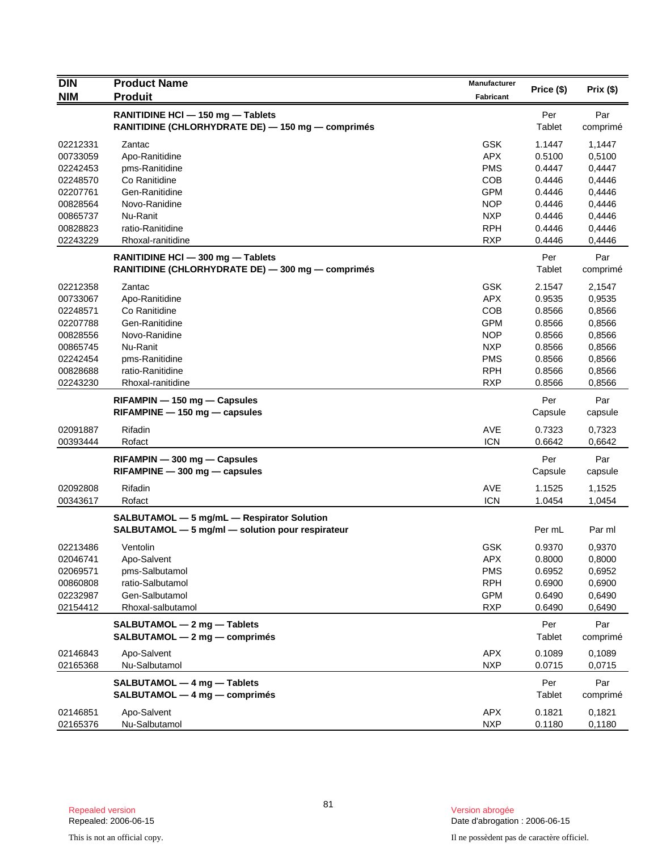| <b>DIN</b> | <b>Product Name</b>                               | Manufacturer             | Price (\$) | Prix(\$) |
|------------|---------------------------------------------------|--------------------------|------------|----------|
| <b>NIM</b> | <b>Produit</b>                                    | <b>Fabricant</b>         |            |          |
|            | RANITIDINE HCI - 150 mg - Tablets                 |                          | Per        | Par      |
|            | RANITIDINE (CHLORHYDRATE DE) - 150 mg - comprimés |                          | Tablet     | comprimé |
| 02212331   | Zantac                                            | <b>GSK</b>               | 1.1447     | 1,1447   |
| 00733059   | Apo-Ranitidine                                    | APX                      | 0.5100     | 0,5100   |
| 02242453   | pms-Ranitidine                                    | <b>PMS</b>               | 0.4447     | 0,4447   |
| 02248570   | Co Ranitidine                                     | COB                      | 0.4446     | 0,4446   |
| 02207761   | Gen-Ranitidine                                    | <b>GPM</b>               | 0.4446     | 0,4446   |
| 00828564   | Novo-Ranidine                                     | <b>NOP</b>               | 0.4446     | 0,4446   |
| 00865737   | Nu-Ranit                                          | <b>NXP</b>               | 0.4446     | 0,4446   |
| 00828823   | ratio-Ranitidine                                  | <b>RPH</b>               | 0.4446     | 0,4446   |
| 02243229   | Rhoxal-ranitidine                                 | <b>RXP</b>               | 0.4446     | 0,4446   |
|            | RANITIDINE HCI - 300 mg - Tablets                 |                          | Per        | Par      |
|            | RANITIDINE (CHLORHYDRATE DE) - 300 mg - comprimés |                          | Tablet     | comprimé |
| 02212358   | Zantac                                            | <b>GSK</b>               | 2.1547     | 2,1547   |
| 00733067   | Apo-Ranitidine                                    | <b>APX</b>               | 0.9535     | 0,9535   |
| 02248571   | Co Ranitidine                                     | COB                      | 0.8566     | 0,8566   |
| 02207788   | Gen-Ranitidine                                    | <b>GPM</b>               | 0.8566     | 0,8566   |
| 00828556   | Novo-Ranidine                                     | <b>NOP</b>               | 0.8566     | 0,8566   |
| 00865745   | Nu-Ranit                                          | <b>NXP</b>               | 0.8566     | 0,8566   |
| 02242454   | pms-Ranitidine                                    | <b>PMS</b>               | 0.8566     | 0,8566   |
| 00828688   | ratio-Ranitidine                                  | <b>RPH</b>               | 0.8566     | 0,8566   |
| 02243230   | Rhoxal-ranitidine                                 | <b>RXP</b>               | 0.8566     | 0,8566   |
|            | $RIFAMPIN - 150 mg - Capsules$                    |                          | Per        | Par      |
|            | $RIFAMPINE - 150 mg - capsules$                   |                          | Capsule    | capsule  |
| 02091887   | Rifadin                                           | <b>AVE</b>               | 0.7323     | 0,7323   |
| 00393444   | Rofact                                            | <b>ICN</b>               | 0.6642     | 0,6642   |
|            | $RIFAMPIN - 300 mg - Capsules$                    |                          | Per        | Par      |
|            | $RIFAMPINE - 300 mg - capsules$                   |                          | Capsule    | capsule  |
|            |                                                   |                          |            |          |
| 02092808   | Rifadin                                           | <b>AVE</b><br><b>ICN</b> | 1.1525     | 1,1525   |
| 00343617   | Rofact                                            |                          | 1.0454     | 1,0454   |
|            | SALBUTAMOL - 5 mg/mL - Respirator Solution        |                          |            |          |
|            | SALBUTAMOL - 5 mg/ml - solution pour respirateur  |                          | Per mL     | Par ml   |
| 02213486   | Ventolin                                          | <b>GSK</b>               | 0.9370     | 0,9370   |
| 02046741   | Apo-Salvent                                       | APX                      | 0.8000     | 0,8000   |
| 02069571   | pms-Salbutamol                                    | <b>PMS</b>               | 0.6952     | 0,6952   |
| 00860808   | ratio-Salbutamol                                  | <b>RPH</b>               | 0.6900     | 0,6900   |
| 02232987   | Gen-Salbutamol                                    | <b>GPM</b>               | 0.6490     | 0,6490   |
| 02154412   | Rhoxal-salbutamol                                 | <b>RXP</b>               | 0.6490     | 0,6490   |
|            | SALBUTAMOL - 2 mg - Tablets                       |                          | Per        | Par      |
|            | SALBUTAMOL - 2 mg - comprimés                     |                          | Tablet     | comprimé |
| 02146843   | Apo-Salvent                                       | <b>APX</b>               | 0.1089     | 0,1089   |
| 02165368   | Nu-Salbutamol                                     | <b>NXP</b>               | 0.0715     | 0,0715   |
|            |                                                   |                          |            |          |
|            | SALBUTAMOL - 4 mg - Tablets                       |                          | Per        | Par      |
|            | SALBUTAMOL - 4 mg - comprimés                     |                          | Tablet     | comprimé |
| 02146851   | Apo-Salvent                                       | <b>APX</b>               | 0.1821     | 0,1821   |
| 02165376   | Nu-Salbutamol                                     | <b>NXP</b>               | 0.1180     | 0,1180   |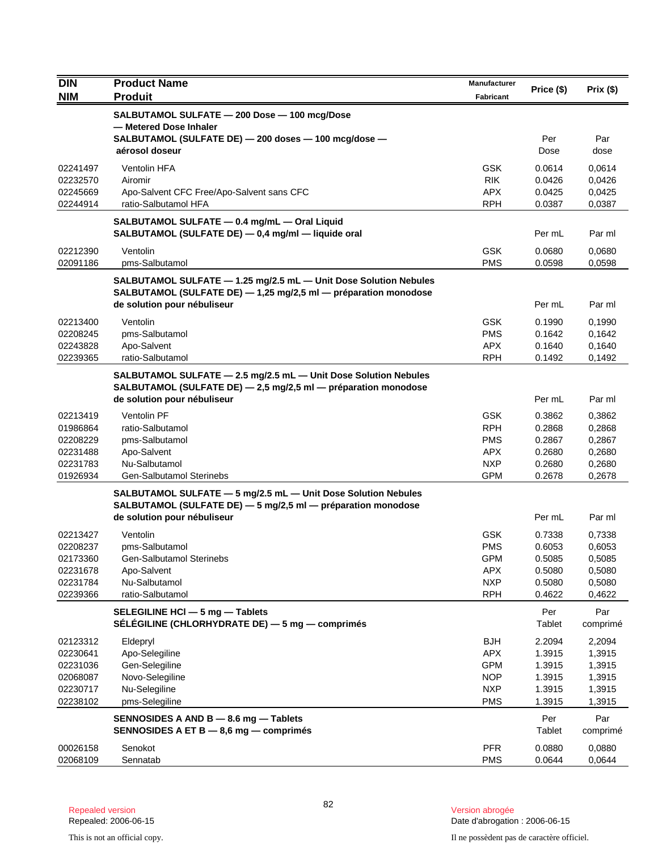| <b>DIN</b>           | <b>Product Name</b>                                                                                                                 | <b>Manufacturer</b>      | Price (\$)       | Prix(\$)         |
|----------------------|-------------------------------------------------------------------------------------------------------------------------------------|--------------------------|------------------|------------------|
| <b>NIM</b>           | <b>Produit</b>                                                                                                                      | Fabricant                |                  |                  |
|                      | SALBUTAMOL SULFATE - 200 Dose - 100 mcg/Dose<br>- Metered Dose Inhaler<br>SALBUTAMOL (SULFATE DE) - 200 doses - 100 mcg/dose -      |                          | Per              | Par              |
|                      | aérosol doseur                                                                                                                      |                          | Dose             | dose             |
| 02241497             | Ventolin HFA                                                                                                                        | <b>GSK</b>               | 0.0614           | 0,0614           |
| 02232570             | Airomir                                                                                                                             | <b>RIK</b>               | 0.0426           | 0,0426           |
| 02245669             | Apo-Salvent CFC Free/Apo-Salvent sans CFC                                                                                           | <b>APX</b>               | 0.0425           | 0,0425           |
| 02244914             | ratio-Salbutamol HFA                                                                                                                | <b>RPH</b>               | 0.0387           | 0,0387           |
|                      | SALBUTAMOL SULFATE - 0.4 mg/mL - Oral Liquid<br>SALBUTAMOL (SULFATE DE) - 0,4 mg/ml - liquide oral                                  |                          | Per mL           | Par ml           |
| 02212390             | Ventolin                                                                                                                            | <b>GSK</b>               | 0.0680           | 0,0680           |
| 02091186             | pms-Salbutamol                                                                                                                      | <b>PMS</b>               | 0.0598           | 0,0598           |
|                      | SALBUTAMOL SULFATE - 1.25 mg/2.5 mL - Unit Dose Solution Nebules<br>SALBUTAMOL (SULFATE DE) - 1,25 mg/2,5 ml - préparation monodose |                          |                  |                  |
|                      | de solution pour nébuliseur                                                                                                         |                          | Per mL           | Par ml           |
| 02213400             | Ventolin                                                                                                                            | <b>GSK</b>               | 0.1990           | 0,1990           |
| 02208245             | pms-Salbutamol                                                                                                                      | <b>PMS</b>               | 0.1642           | 0,1642           |
| 02243828             | Apo-Salvent                                                                                                                         | <b>APX</b>               | 0.1640           | 0,1640           |
| 02239365             | ratio-Salbutamol                                                                                                                    | <b>RPH</b>               | 0.1492           | 0,1492           |
|                      | SALBUTAMOL SULFATE - 2.5 mg/2.5 mL - Unit Dose Solution Nebules<br>SALBUTAMOL (SULFATE DE) - 2,5 mg/2,5 ml - préparation monodose   |                          |                  |                  |
|                      | de solution pour nébuliseur                                                                                                         |                          | Per mL           | Par ml           |
| 02213419             | Ventolin PF                                                                                                                         | <b>GSK</b>               | 0.3862           | 0,3862           |
| 01986864             | ratio-Salbutamol                                                                                                                    | <b>RPH</b>               | 0.2868           | 0,2868           |
| 02208229             | pms-Salbutamol                                                                                                                      | <b>PMS</b>               | 0.2867           | 0,2867           |
| 02231488             | Apo-Salvent                                                                                                                         | <b>APX</b>               | 0.2680           | 0,2680           |
| 02231783<br>01926934 | Nu-Salbutamol<br><b>Gen-Salbutamol Sterinebs</b>                                                                                    | <b>NXP</b><br><b>GPM</b> | 0.2680<br>0.2678 | 0,2680<br>0,2678 |
|                      | SALBUTAMOL SULFATE - 5 mg/2.5 mL - Unit Dose Solution Nebules                                                                       |                          |                  |                  |
|                      | SALBUTAMOL (SULFATE DE) - 5 mg/2,5 ml - préparation monodose                                                                        |                          |                  |                  |
|                      | de solution pour nébuliseur                                                                                                         |                          | Per mL           | Par ml           |
| 02213427             | Ventolin                                                                                                                            | <b>GSK</b>               | 0.7338           | 0,7338           |
| 02208237             | pms-Salbutamol                                                                                                                      | <b>PMS</b>               | 0.6053           | 0,6053           |
| 02173360             | Gen-Salbutamol Sterinebs                                                                                                            | <b>GPM</b>               | 0.5085           | 0,5085           |
| 02231678             | Apo-Salvent                                                                                                                         | <b>APX</b>               | 0.5080           | 0,5080           |
| 02231784<br>02239366 | Nu-Salbutamol<br>ratio-Salbutamol                                                                                                   | <b>NXP</b><br><b>RPH</b> | 0.5080<br>0.4622 | 0,5080<br>0,4622 |
|                      |                                                                                                                                     |                          |                  |                  |
|                      | SELEGILINE HCI - 5 mg - Tablets<br>SÉLÉGILINE (CHLORHYDRATE DE) — 5 mg — comprimés                                                  |                          | Per<br>Tablet    | Par<br>comprimé  |
| 02123312             | Eldepryl                                                                                                                            | <b>BJH</b>               | 2.2094           | 2,2094           |
| 02230641             | Apo-Selegiline                                                                                                                      | <b>APX</b>               | 1.3915           | 1,3915           |
| 02231036             | Gen-Selegiline                                                                                                                      | <b>GPM</b>               | 1.3915           | 1,3915           |
| 02068087             | Novo-Selegiline                                                                                                                     | <b>NOP</b>               | 1.3915           | 1,3915           |
| 02230717             | Nu-Selegiline                                                                                                                       | <b>NXP</b>               | 1.3915           | 1,3915           |
| 02238102             | pms-Selegiline                                                                                                                      | <b>PMS</b>               | 1.3915           | 1,3915           |
|                      | SENNOSIDES A AND B - 8.6 mg - Tablets<br>SENNOSIDES A ET B - 8,6 mg - comprimés                                                     |                          | Per<br>Tablet    | Par<br>comprimé  |
| 00026158             | Senokot                                                                                                                             | <b>PFR</b>               | 0.0880           | 0,0880           |
| 02068109             | Sennatab                                                                                                                            | <b>PMS</b>               | 0.0644           | 0,0644           |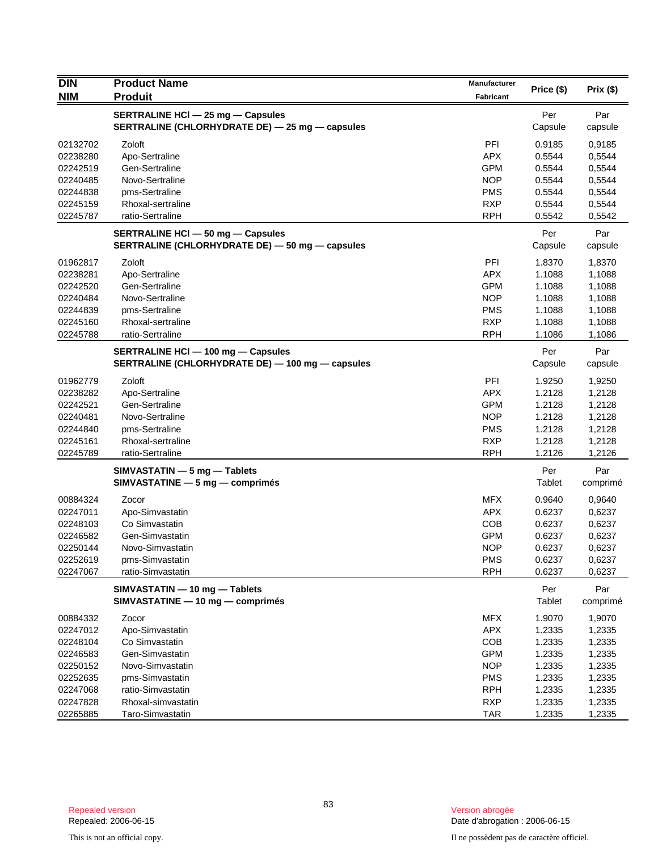| <b>DIN</b> | <b>Product Name</b>                              | <b>Manufacturer</b> |            |           |
|------------|--------------------------------------------------|---------------------|------------|-----------|
| <b>NIM</b> | <b>Produit</b>                                   | <b>Fabricant</b>    | Price (\$) | Prix (\$) |
|            | <b>SERTRALINE HCI - 25 mg - Capsules</b>         |                     | Per        | Par       |
|            | SERTRALINE (CHLORHYDRATE DE) - 25 mg - capsules  |                     | Capsule    | capsule   |
| 02132702   | Zoloft                                           | PFI                 | 0.9185     | 0,9185    |
| 02238280   | Apo-Sertraline                                   | <b>APX</b>          | 0.5544     | 0,5544    |
| 02242519   | Gen-Sertraline                                   | <b>GPM</b>          | 0.5544     | 0,5544    |
| 02240485   | Novo-Sertraline                                  | <b>NOP</b>          | 0.5544     | 0,5544    |
| 02244838   | pms-Sertraline                                   | <b>PMS</b>          | 0.5544     | 0,5544    |
| 02245159   | Rhoxal-sertraline                                | <b>RXP</b>          | 0.5544     | 0,5544    |
| 02245787   | ratio-Sertraline                                 | <b>RPH</b>          | 0.5542     | 0,5542    |
|            | SERTRALINE HCI - 50 mg - Capsules                |                     | Per        | Par       |
|            | SERTRALINE (CHLORHYDRATE DE) - 50 mg - capsules  |                     | Capsule    | capsule   |
| 01962817   | Zoloft                                           | PFI                 | 1.8370     | 1,8370    |
| 02238281   | Apo-Sertraline                                   | <b>APX</b>          | 1.1088     | 1,1088    |
| 02242520   | Gen-Sertraline                                   | <b>GPM</b>          | 1.1088     | 1,1088    |
| 02240484   | Novo-Sertraline                                  | <b>NOP</b>          | 1.1088     | 1,1088    |
| 02244839   | pms-Sertraline                                   | <b>PMS</b>          | 1.1088     | 1,1088    |
| 02245160   | Rhoxal-sertraline                                | <b>RXP</b>          | 1.1088     | 1,1088    |
| 02245788   | ratio-Sertraline                                 | <b>RPH</b>          | 1.1086     | 1,1086    |
|            | SERTRALINE HCI - 100 mg - Capsules               |                     | Per        | Par       |
|            | SERTRALINE (CHLORHYDRATE DE) - 100 mg - capsules |                     | Capsule    | capsule   |
| 01962779   | Zoloft                                           | PFI                 | 1.9250     | 1,9250    |
| 02238282   | Apo-Sertraline                                   | <b>APX</b>          | 1.2128     | 1,2128    |
| 02242521   | Gen-Sertraline                                   | <b>GPM</b>          | 1.2128     | 1,2128    |
| 02240481   | Novo-Sertraline                                  | <b>NOP</b>          | 1.2128     | 1,2128    |
| 02244840   | pms-Sertraline                                   | <b>PMS</b>          | 1.2128     | 1,2128    |
| 02245161   | Rhoxal-sertraline                                | <b>RXP</b>          | 1.2128     | 1,2128    |
| 02245789   | ratio-Sertraline                                 | <b>RPH</b>          | 1.2126     | 1,2126    |
|            | SIMVASTATIN - 5 mg - Tablets                     |                     | Per        | Par       |
|            | $SIMVASTATING - 5 mg - comprimés$                |                     | Tablet     | comprimé  |
| 00884324   | Zocor                                            | <b>MFX</b>          | 0.9640     | 0,9640    |
| 02247011   | Apo-Simvastatin                                  | <b>APX</b>          | 0.6237     | 0,6237    |
| 02248103   | Co Simvastatin                                   | COB                 | 0.6237     | 0,6237    |
| 02246582   | Gen-Simvastatin                                  | <b>GPM</b>          | 0.6237     | 0,6237    |
| 02250144   | Novo-Simvastatin                                 | <b>NOP</b>          | 0.6237     | 0,6237    |
| 02252619   | pms-Simvastatin                                  | <b>PMS</b>          | 0.6237     | 0,6237    |
| 02247067   | ratio-Simvastatin                                | <b>RPH</b>          | 0.6237     | 0,6237    |
|            | SIMVASTATIN - 10 mg - Tablets                    |                     | Per        | Par       |
|            | SIMVASTATINE - 10 mg - comprimés                 |                     | Tablet     | comprimé  |
| 00884332   | Zocor                                            | <b>MFX</b>          | 1.9070     | 1,9070    |
| 02247012   | Apo-Simvastatin                                  | APX                 | 1.2335     | 1,2335    |
| 02248104   | Co Simvastatin                                   | COB                 | 1.2335     | 1,2335    |
| 02246583   | Gen-Simvastatin                                  | <b>GPM</b>          | 1.2335     | 1,2335    |
| 02250152   | Novo-Simvastatin                                 | <b>NOP</b>          | 1.2335     | 1,2335    |
| 02252635   | pms-Simvastatin                                  | <b>PMS</b>          | 1.2335     | 1,2335    |
| 02247068   | ratio-Simvastatin                                | <b>RPH</b>          | 1.2335     | 1,2335    |
| 02247828   | Rhoxal-simvastatin                               | <b>RXP</b>          | 1.2335     | 1,2335    |
| 02265885   | Taro-Simvastatin                                 | <b>TAR</b>          | 1.2335     | 1,2335    |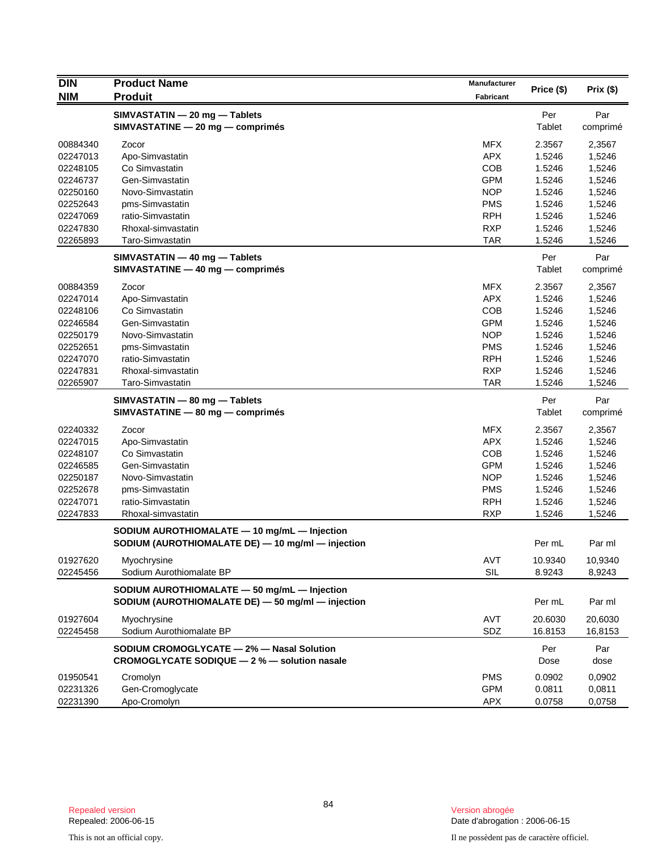| <b>DIN</b> | <b>Product Name</b><br><b>Produit</b>             | Manufacturer | Price (\$) | Prix(\$) |
|------------|---------------------------------------------------|--------------|------------|----------|
| <b>NIM</b> |                                                   | Fabricant    |            |          |
|            | SIMVASTATIN - 20 mg - Tablets                     |              | Per        | Par      |
|            | SIMVASTATINE - 20 mg - comprimés                  |              | Tablet     | comprimé |
| 00884340   | Zocor                                             | <b>MFX</b>   | 2.3567     | 2,3567   |
| 02247013   | Apo-Simvastatin                                   | <b>APX</b>   | 1.5246     | 1,5246   |
| 02248105   | Co Simvastatin                                    | <b>COB</b>   | 1.5246     | 1,5246   |
| 02246737   | Gen-Simvastatin                                   | <b>GPM</b>   | 1.5246     | 1,5246   |
| 02250160   | Novo-Simvastatin                                  | <b>NOP</b>   | 1.5246     | 1,5246   |
| 02252643   | pms-Simvastatin                                   | <b>PMS</b>   | 1.5246     | 1,5246   |
| 02247069   | ratio-Simvastatin                                 | <b>RPH</b>   | 1.5246     | 1,5246   |
| 02247830   | Rhoxal-simvastatin                                | <b>RXP</b>   | 1.5246     | 1,5246   |
| 02265893   | Taro-Simvastatin                                  | <b>TAR</b>   | 1.5246     | 1,5246   |
|            | SIMVASTATIN - 40 mg - Tablets                     |              | Per        | Par      |
|            | SIMVASTATINE - 40 mg - comprimés                  |              | Tablet     | comprimé |
| 00884359   | Zocor                                             | <b>MFX</b>   | 2.3567     | 2,3567   |
| 02247014   | Apo-Simvastatin                                   | <b>APX</b>   | 1.5246     | 1,5246   |
| 02248106   | Co Simvastatin                                    | <b>COB</b>   | 1.5246     | 1,5246   |
| 02246584   | Gen-Simvastatin                                   | <b>GPM</b>   | 1.5246     | 1,5246   |
| 02250179   | Novo-Simvastatin                                  | <b>NOP</b>   | 1.5246     | 1,5246   |
| 02252651   | pms-Simvastatin                                   | <b>PMS</b>   | 1.5246     | 1,5246   |
| 02247070   | ratio-Simvastatin                                 | <b>RPH</b>   | 1.5246     | 1,5246   |
| 02247831   | Rhoxal-simvastatin                                | <b>RXP</b>   | 1.5246     | 1,5246   |
| 02265907   | Taro-Simvastatin                                  | <b>TAR</b>   | 1.5246     | 1,5246   |
|            | SIMVASTATIN - 80 mg - Tablets                     |              | Per        | Par      |
|            | SIMVASTATINE - 80 mg - comprimés                  |              | Tablet     | comprimé |
| 02240332   | Zocor                                             | <b>MFX</b>   | 2.3567     | 2,3567   |
| 02247015   | Apo-Simvastatin                                   | <b>APX</b>   | 1.5246     | 1,5246   |
| 02248107   | Co Simvastatin                                    | COB          | 1.5246     | 1,5246   |
| 02246585   | Gen-Simvastatin                                   | <b>GPM</b>   | 1.5246     | 1,5246   |
| 02250187   | Novo-Simvastatin                                  | <b>NOP</b>   | 1.5246     | 1,5246   |
| 02252678   | pms-Simvastatin                                   | <b>PMS</b>   | 1.5246     | 1,5246   |
| 02247071   | ratio-Simvastatin                                 | <b>RPH</b>   | 1.5246     | 1,5246   |
| 02247833   | Rhoxal-simvastatin                                | <b>RXP</b>   | 1.5246     | 1,5246   |
|            | SODIUM AUROTHIOMALATE - 10 mg/mL - Injection      |              |            |          |
|            | SODIUM (AUROTHIOMALATE DE) - 10 mg/ml - injection |              | Per mL     | Par ml   |
| 01927620   | Myochrysine                                       | AVT          | 10.9340    | 10,9340  |
| 02245456   | Sodium Aurothiomalate BP                          | <b>SIL</b>   | 8.9243     | 8,9243   |
|            | SODIUM AUROTHIOMALATE - 50 mg/mL - Injection      |              |            |          |
|            | SODIUM (AUROTHIOMALATE DE) - 50 mg/ml - injection |              | Per mL     | Par ml   |
| 01927604   | Myochrysine                                       | AVT          | 20.6030    | 20,6030  |
| 02245458   | Sodium Aurothiomalate BP                          | SDZ          | 16.8153    | 16,8153  |
|            | SODIUM CROMOGLYCATE - 2% - Nasal Solution         |              | Per        | Par      |
|            | CROMOGLYCATE SODIQUE - 2 % - solution nasale      |              | Dose       | dose     |
| 01950541   | Cromolyn                                          | <b>PMS</b>   | 0.0902     | 0,0902   |
| 02231326   | Gen-Cromoglycate                                  | <b>GPM</b>   | 0.0811     | 0,0811   |
| 02231390   | Apo-Cromolyn                                      | <b>APX</b>   | 0.0758     | 0,0758   |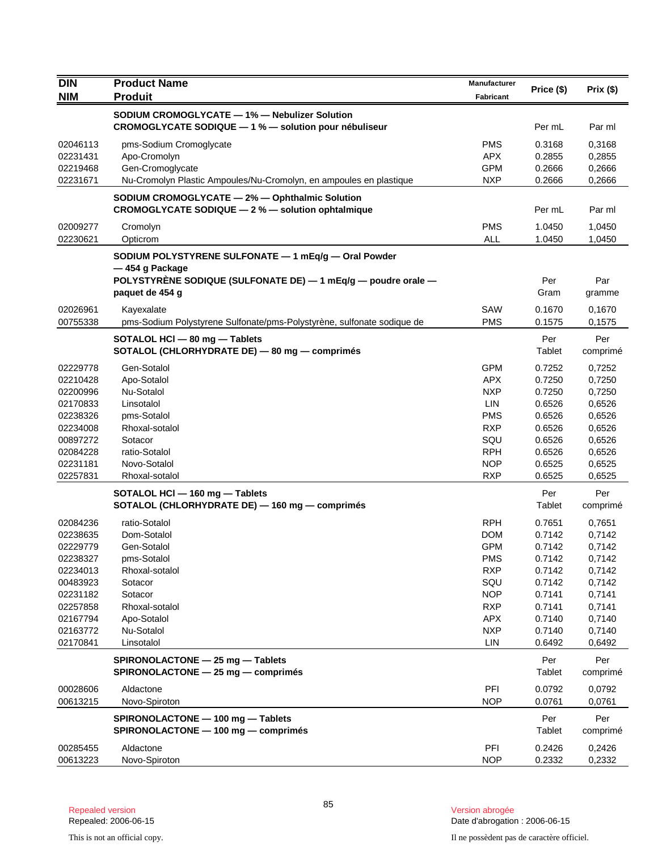| <b>DIN</b>           | <b>Product Name</b>                                                                                                                                        | Manufacturer             | Price (\$)       | Prix(\$)         |
|----------------------|------------------------------------------------------------------------------------------------------------------------------------------------------------|--------------------------|------------------|------------------|
| <b>NIM</b>           | <b>Produit</b>                                                                                                                                             | <b>Fabricant</b>         |                  |                  |
|                      | SODIUM CROMOGLYCATE - 1% - Nebulizer Solution                                                                                                              |                          |                  |                  |
|                      | CROMOGLYCATE SODIQUE - 1 % - solution pour nébuliseur                                                                                                      |                          | Per mL           | Par ml           |
| 02046113             | pms-Sodium Cromoglycate                                                                                                                                    | <b>PMS</b>               | 0.3168           | 0,3168           |
| 02231431             | Apo-Cromolyn                                                                                                                                               | APX.                     | 0.2855           | 0,2855           |
| 02219468             | Gen-Cromoglycate                                                                                                                                           | <b>GPM</b>               | 0.2666           | 0,2666           |
| 02231671             | Nu-Cromolyn Plastic Ampoules/Nu-Cromolyn, en ampoules en plastique                                                                                         | <b>NXP</b>               | 0.2666           | 0,2666           |
|                      | SODIUM CROMOGLYCATE - 2% - Ophthalmic Solution<br>CROMOGLYCATE SODIQUE - 2 % - solution ophtalmique                                                        |                          | Per mL           | Par ml           |
| 02009277<br>02230621 | Cromolyn<br>Opticrom                                                                                                                                       | <b>PMS</b><br><b>ALL</b> | 1.0450<br>1.0450 | 1,0450<br>1,0450 |
|                      | SODIUM POLYSTYRENE SULFONATE - 1 mEq/g - Oral Powder<br>-454 g Package<br>POLYSTYRENE SODIQUE (SULFONATE DE) - 1 mEq/g - poudre orale -<br>paquet de 454 g |                          | Per<br>Gram      | Par<br>gramme    |
| 02026961             | Kayexalate                                                                                                                                                 | SAW                      | 0.1670           | 0,1670           |
| 00755338             | pms-Sodium Polystyrene Sulfonate/pms-Polystyrène, sulfonate sodique de                                                                                     | <b>PMS</b>               | 0.1575           | 0,1575           |
|                      | SOTALOL HCI - 80 mg - Tablets<br>SOTALOL (CHLORHYDRATE DE) - 80 mg - comprimés                                                                             |                          | Per<br>Tablet    | Per<br>comprimé  |
| 02229778             | Gen-Sotalol                                                                                                                                                | <b>GPM</b>               | 0.7252           | 0,7252           |
| 02210428             | Apo-Sotalol                                                                                                                                                | <b>APX</b>               | 0.7250           | 0,7250           |
| 02200996             | Nu-Sotalol                                                                                                                                                 | <b>NXP</b>               | 0.7250           | 0,7250           |
| 02170833             | Linsotalol                                                                                                                                                 | <b>LIN</b>               | 0.6526           | 0,6526           |
| 02238326             | pms-Sotalol                                                                                                                                                | <b>PMS</b>               | 0.6526           | 0,6526           |
| 02234008             | Rhoxal-sotalol                                                                                                                                             | <b>RXP</b>               | 0.6526           | 0,6526           |
| 00897272             | Sotacor                                                                                                                                                    | SQU                      | 0.6526           | 0,6526           |
| 02084228             | ratio-Sotalol                                                                                                                                              | <b>RPH</b>               | 0.6526           | 0,6526           |
| 02231181             | Novo-Sotalol                                                                                                                                               | <b>NOP</b>               | 0.6525           | 0,6525           |
| 02257831             | Rhoxal-sotalol                                                                                                                                             | <b>RXP</b>               | 0.6525           | 0,6525           |
|                      | SOTALOL HCI - 160 mg - Tablets<br>SOTALOL (CHLORHYDRATE DE) - 160 mg - comprimés                                                                           |                          | Per<br>Tablet    | Per<br>comprimé  |
| 02084236             | ratio-Sotalol                                                                                                                                              | <b>RPH</b>               | 0.7651           | 0,7651           |
| 02238635             | Dom-Sotalol                                                                                                                                                | <b>DOM</b>               | 0.7142           | 0,7142           |
| 02229779             | Gen-Sotalol                                                                                                                                                | <b>GPM</b>               | 0.7142           | 0,7142           |
| 02238327             | pms-Sotalol                                                                                                                                                | <b>PMS</b>               | 0.7142           | 0,7142           |
| 02234013             | Rhoxal-sotalol                                                                                                                                             | <b>RXP</b>               | 0.7142           | 0,7142           |
| 00483923             | Sotacor                                                                                                                                                    | SQU                      | 0.7142           | 0,7142           |
| 02231182             | Sotacor                                                                                                                                                    | <b>NOP</b>               | 0.7141           | 0,7141           |
| 02257858<br>02167794 | Rhoxal-sotalol<br>Apo-Sotalol                                                                                                                              | <b>RXP</b><br><b>APX</b> | 0.7141<br>0.7140 | 0,7141<br>0,7140 |
| 02163772             | Nu-Sotalol                                                                                                                                                 | <b>NXP</b>               | 0.7140           | 0,7140           |
| 02170841             | Linsotalol                                                                                                                                                 | LIN                      | 0.6492           | 0,6492           |
|                      | SPIRONOLACTONE - 25 mg - Tablets                                                                                                                           |                          | Per              | Per              |
|                      | SPIRONOLACTONE - 25 mg - comprimés                                                                                                                         |                          | Tablet           | comprimé         |
| 00028606<br>00613215 | Aldactone<br>Novo-Spiroton                                                                                                                                 | PFI<br><b>NOP</b>        | 0.0792<br>0.0761 | 0,0792<br>0,0761 |
|                      | SPIRONOLACTONE - 100 mg - Tablets<br>SPIRONOLACTONE - 100 mg - comprimés                                                                                   |                          | Per<br>Tablet    | Per<br>comprimé  |
| 00285455             | Aldactone                                                                                                                                                  | PFI                      | 0.2426           | 0,2426           |
| 00613223             | Novo-Spiroton                                                                                                                                              | <b>NOP</b>               | 0.2332           | 0,2332           |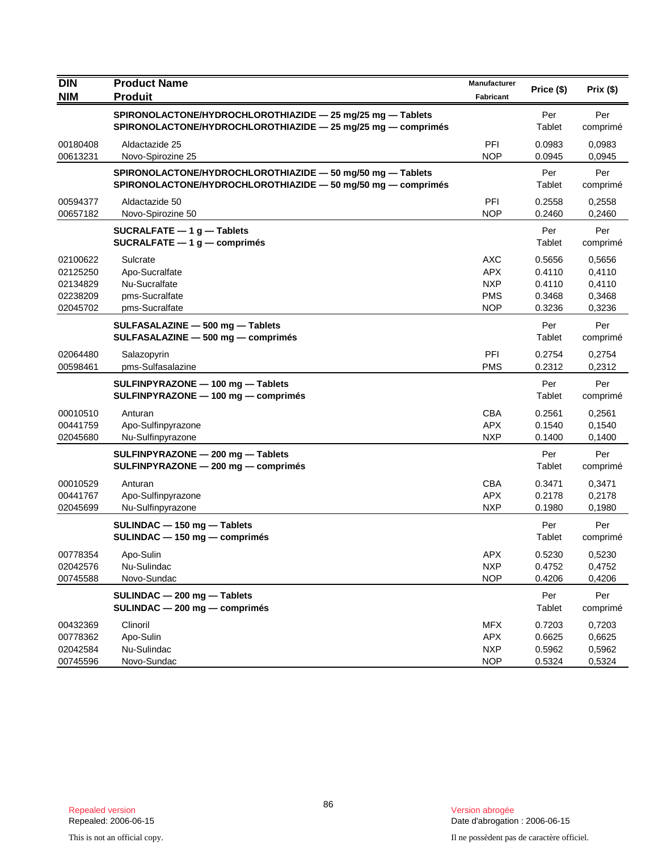| DIN<br><b>NIM</b>                                        | <b>Product Name</b><br><b>Produit</b>                                                                                      | Manufacturer<br>Fabricant                                          | Price (\$)                                     | Prix(\$)                                       |
|----------------------------------------------------------|----------------------------------------------------------------------------------------------------------------------------|--------------------------------------------------------------------|------------------------------------------------|------------------------------------------------|
|                                                          | SPIRONOLACTONE/HYDROCHLOROTHIAZIDE - 25 mg/25 mg - Tablets<br>SPIRONOLACTONE/HYDROCHLOROTHIAZIDE - 25 mg/25 mg - comprimés |                                                                    | Per<br>Tablet                                  | Per<br>comprimé                                |
| 00180408<br>00613231                                     | Aldactazide 25<br>Novo-Spirozine 25                                                                                        | PFI<br><b>NOP</b>                                                  | 0.0983<br>0.0945                               | 0,0983<br>0,0945                               |
|                                                          | SPIRONOLACTONE/HYDROCHLOROTHIAZIDE - 50 mg/50 mg - Tablets<br>SPIRONOLACTONE/HYDROCHLOROTHIAZIDE - 50 mg/50 mg - comprimés |                                                                    | Per<br><b>Tablet</b>                           | Per<br>comprimé                                |
| 00594377<br>00657182                                     | Aldactazide 50<br>Novo-Spirozine 50                                                                                        | <b>PFI</b><br><b>NOP</b>                                           | 0.2558<br>0.2460                               | 0,2558<br>0,2460                               |
|                                                          | SUCRALFATE $-1$ g $-$ Tablets<br>$SUCRALFATE - 1 g - comprimés$                                                            |                                                                    | Per<br>Tablet                                  | Per<br>comprimé                                |
| 02100622<br>02125250<br>02134829<br>02238209<br>02045702 | Sulcrate<br>Apo-Sucralfate<br>Nu-Sucralfate<br>pms-Sucralfate<br>pms-Sucralfate                                            | <b>AXC</b><br><b>APX</b><br><b>NXP</b><br><b>PMS</b><br><b>NOP</b> | 0.5656<br>0.4110<br>0.4110<br>0.3468<br>0.3236 | 0,5656<br>0,4110<br>0,4110<br>0,3468<br>0,3236 |
|                                                          | SULFASALAZINE - 500 mg - Tablets<br>SULFASALAZINE - 500 mg - comprimés                                                     |                                                                    | Per<br>Tablet                                  | Per<br>comprimé                                |
| 02064480<br>00598461                                     | Salazopyrin<br>pms-Sulfasalazine                                                                                           | <b>PFI</b><br><b>PMS</b>                                           | 0.2754<br>0.2312                               | 0,2754<br>0,2312                               |
|                                                          | SULFINPYRAZONE - 100 mg - Tablets<br>SULFINPYRAZONE - 100 mg - comprimés                                                   |                                                                    | Per<br>Tablet                                  | Per<br>comprimé                                |
| 00010510<br>00441759<br>02045680                         | Anturan<br>Apo-Sulfinpyrazone<br>Nu-Sulfinpyrazone                                                                         | <b>CBA</b><br><b>APX</b><br><b>NXP</b>                             | 0.2561<br>0.1540<br>0.1400                     | 0,2561<br>0,1540<br>0,1400                     |
|                                                          | SULFINPYRAZONE - 200 mg - Tablets<br>SULFINPYRAZONE - 200 mg - comprimés                                                   |                                                                    | Per<br>Tablet                                  | Per<br>comprimé                                |
| 00010529<br>00441767<br>02045699                         | Anturan<br>Apo-Sulfinpyrazone<br>Nu-Sulfinpyrazone                                                                         | <b>CBA</b><br><b>APX</b><br><b>NXP</b>                             | 0.3471<br>0.2178<br>0.1980                     | 0,3471<br>0,2178<br>0,1980                     |
|                                                          | $SULINDAC - 150 mg - Tables$<br>$SULINDAC - 150 mg - comprimés$                                                            |                                                                    | Per<br>Tablet                                  | Per<br>comprimé                                |
| 00778354<br>02042576<br>00745588                         | Apo-Sulin<br>Nu-Sulindac<br>Novo-Sundac                                                                                    | <b>APX</b><br><b>NXP</b><br><b>NOP</b>                             | 0.5230<br>0.4752<br>0.4206                     | 0,5230<br>0,4752<br>0,4206                     |
|                                                          | SULINDAC - 200 mg - Tablets<br>SULINDAC - 200 mg - comprimés                                                               |                                                                    | Per<br>Tablet                                  | Per<br>comprimé                                |
| 00432369<br>00778362<br>02042584<br>00745596             | Clinoril<br>Apo-Sulin<br>Nu-Sulindac<br>Novo-Sundac                                                                        | MFX<br><b>APX</b><br><b>NXP</b><br><b>NOP</b>                      | 0.7203<br>0.6625<br>0.5962<br>0.5324           | 0,7203<br>0,6625<br>0,5962<br>0,5324           |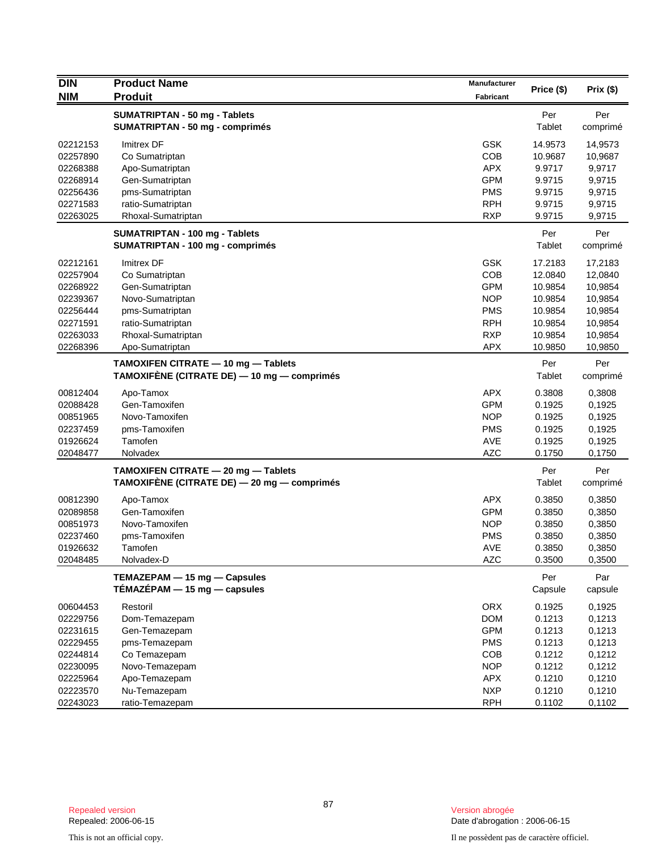| <b>DIN</b> | <b>Product Name</b>                         | <b>Manufacturer</b> | Price (\$) | Prix (\$) |
|------------|---------------------------------------------|---------------------|------------|-----------|
| <b>NIM</b> | <b>Produit</b>                              | <b>Fabricant</b>    |            |           |
|            | SUMATRIPTAN - 50 mg - Tablets               |                     | Per        | Per       |
|            | <b>SUMATRIPTAN - 50 mg - comprimés</b>      |                     | Tablet     | comprimé  |
| 02212153   | <b>Imitrex DF</b>                           | <b>GSK</b>          | 14.9573    | 14,9573   |
| 02257890   | Co Sumatriptan                              | COB                 | 10.9687    | 10,9687   |
| 02268388   | Apo-Sumatriptan                             | <b>APX</b>          | 9.9717     | 9,9717    |
| 02268914   | Gen-Sumatriptan                             | <b>GPM</b>          | 9.9715     | 9,9715    |
| 02256436   | pms-Sumatriptan                             | <b>PMS</b>          | 9.9715     | 9,9715    |
| 02271583   | ratio-Sumatriptan                           | <b>RPH</b>          | 9.9715     | 9,9715    |
| 02263025   | Rhoxal-Sumatriptan                          | <b>RXP</b>          | 9.9715     | 9,9715    |
|            | <b>SUMATRIPTAN - 100 mg - Tablets</b>       |                     | Per        | Per       |
|            | <b>SUMATRIPTAN - 100 mg - comprimés</b>     |                     | Tablet     | comprimé  |
| 02212161   | <b>Imitrex DF</b>                           | <b>GSK</b>          | 17.2183    | 17,2183   |
| 02257904   | Co Sumatriptan                              | COB                 | 12.0840    | 12,0840   |
| 02268922   | Gen-Sumatriptan                             | <b>GPM</b>          | 10.9854    | 10,9854   |
| 02239367   | Novo-Sumatriptan                            | <b>NOP</b>          | 10.9854    | 10,9854   |
| 02256444   | pms-Sumatriptan                             | <b>PMS</b>          | 10.9854    | 10,9854   |
| 02271591   | ratio-Sumatriptan                           | <b>RPH</b>          | 10.9854    | 10,9854   |
| 02263033   | Rhoxal-Sumatriptan                          | <b>RXP</b>          | 10.9854    | 10,9854   |
| 02268396   | Apo-Sumatriptan                             | <b>APX</b>          | 10.9850    | 10,9850   |
|            | TAMOXIFEN CITRATE - 10 mg - Tablets         |                     | Per        | Per       |
|            | TAMOXIFÈNE (CITRATE DE) - 10 mg - comprimés |                     | Tablet     | comprimé  |
| 00812404   | Apo-Tamox                                   | <b>APX</b>          | 0.3808     | 0,3808    |
| 02088428   | Gen-Tamoxifen                               | <b>GPM</b>          | 0.1925     | 0,1925    |
| 00851965   | Novo-Tamoxifen                              | <b>NOP</b>          | 0.1925     | 0,1925    |
| 02237459   | pms-Tamoxifen                               | <b>PMS</b>          | 0.1925     | 0,1925    |
| 01926624   | Tamofen                                     | AVE                 | 0.1925     | 0,1925    |
| 02048477   | Nolvadex                                    | <b>AZC</b>          | 0.1750     | 0,1750    |
|            | TAMOXIFEN CITRATE - 20 mg - Tablets         |                     | Per        | Per       |
|            | TAMOXIFÈNE (CITRATE DE) — 20 mg — comprimés |                     | Tablet     | comprimé  |
| 00812390   | Apo-Tamox                                   | <b>APX</b>          | 0.3850     | 0,3850    |
| 02089858   | Gen-Tamoxifen                               | <b>GPM</b>          | 0.3850     | 0,3850    |
| 00851973   | Novo-Tamoxifen                              | <b>NOP</b>          | 0.3850     | 0,3850    |
| 02237460   | pms-Tamoxifen                               | <b>PMS</b>          | 0.3850     | 0,3850    |
| 01926632   | Tamofen                                     | <b>AVE</b>          | 0.3850     | 0,3850    |
| 02048485   | Nolvadex-D                                  | AZC                 | 0.3500     | 0,3500    |
|            | TEMAZEPAM - 15 mg - Capsules                |                     | Per        | Par       |
|            | $TÉMAZÉPAM - 15 mg - capsules$              |                     | Capsule    | capsule   |
| 00604453   | Restoril                                    | <b>ORX</b>          | 0.1925     | 0,1925    |
| 02229756   | Dom-Temazepam                               | <b>DOM</b>          | 0.1213     | 0,1213    |
| 02231615   | Gen-Temazepam                               | <b>GPM</b>          | 0.1213     | 0,1213    |
| 02229455   | pms-Temazepam                               | <b>PMS</b>          | 0.1213     | 0,1213    |
| 02244814   | Co Temazepam                                | COB                 | 0.1212     | 0,1212    |
| 02230095   | Novo-Temazepam                              | <b>NOP</b>          | 0.1212     | 0,1212    |
| 02225964   | Apo-Temazepam                               | APX                 | 0.1210     | 0,1210    |
| 02223570   | Nu-Temazepam                                | <b>NXP</b>          | 0.1210     | 0,1210    |
| 02243023   | ratio-Temazepam                             | <b>RPH</b>          | 0.1102     | 0,1102    |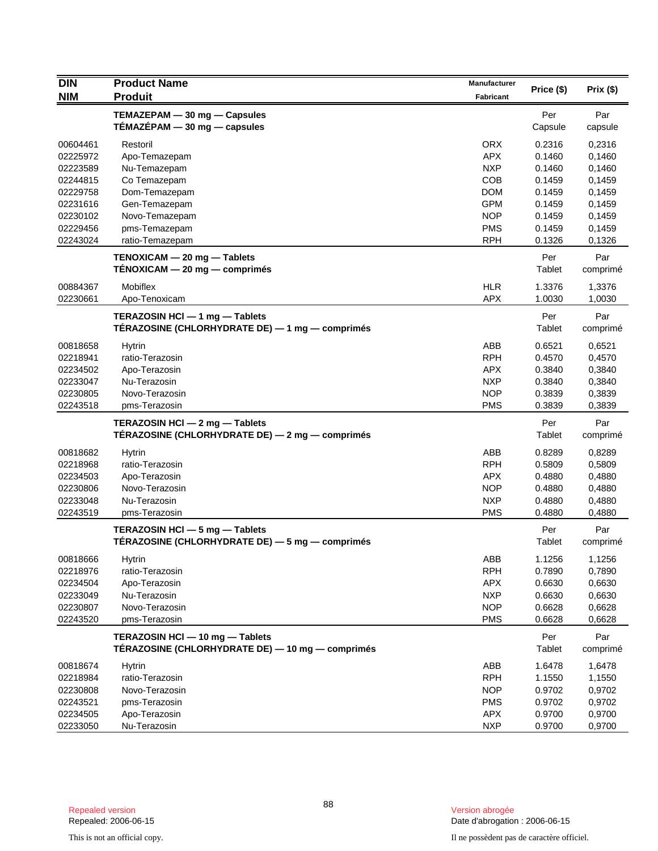| <b>DIN</b> | <b>Product Name</b>                                                                 | Manufacturer     |               |                 |
|------------|-------------------------------------------------------------------------------------|------------------|---------------|-----------------|
| <b>NIM</b> | <b>Produit</b>                                                                      | <b>Fabricant</b> | Price (\$)    | Prix(\$)        |
|            | TEMAZEPAM - 30 mg - Capsules                                                        |                  | Per           | Par             |
|            | TÉMAZÉPAM - 30 mg - capsules                                                        |                  | Capsule       | capsule         |
| 00604461   | Restoril                                                                            | <b>ORX</b>       | 0.2316        | 0,2316          |
| 02225972   | Apo-Temazepam                                                                       | <b>APX</b>       | 0.1460        | 0,1460          |
| 02223589   | Nu-Temazepam                                                                        | <b>NXP</b>       | 0.1460        | 0,1460          |
| 02244815   | Co Temazepam                                                                        | <b>COB</b>       | 0.1459        | 0,1459          |
| 02229758   | Dom-Temazepam                                                                       | <b>DOM</b>       | 0.1459        | 0,1459          |
| 02231616   | Gen-Temazepam                                                                       | <b>GPM</b>       | 0.1459        | 0,1459          |
| 02230102   | Novo-Temazepam                                                                      | <b>NOP</b>       | 0.1459        | 0,1459          |
| 02229456   | pms-Temazepam                                                                       | <b>PMS</b>       | 0.1459        | 0,1459          |
| 02243024   | ratio-Temazepam                                                                     | <b>RPH</b>       | 0.1326        | 0,1326          |
|            | TENOXICAM - 20 mg - Tablets                                                         |                  | Per           | Par             |
|            | $TENOXICAM - 20 mg - comprimés$                                                     |                  | Tablet        | comprimé        |
| 00884367   | Mobiflex                                                                            | <b>HLR</b>       | 1.3376        | 1,3376          |
| 02230661   | Apo-Tenoxicam                                                                       | <b>APX</b>       | 1.0030        | 1,0030          |
|            | TERAZOSIN HCI - 1 mg - Tablets                                                      |                  | Per           | Par             |
|            | TÉRAZOSINE (CHLORHYDRATE DE) — 1 mg — comprimés                                     |                  | Tablet        | comprimé        |
| 00818658   | <b>Hytrin</b>                                                                       | ABB              | 0.6521        | 0,6521          |
| 02218941   | ratio-Terazosin                                                                     | <b>RPH</b>       | 0.4570        | 0,4570          |
| 02234502   | Apo-Terazosin                                                                       | <b>APX</b>       | 0.3840        | 0,3840          |
| 02233047   | Nu-Terazosin                                                                        | <b>NXP</b>       | 0.3840        | 0,3840          |
| 02230805   | Novo-Terazosin                                                                      | <b>NOP</b>       | 0.3839        | 0,3839          |
| 02243518   | pms-Terazosin                                                                       | <b>PMS</b>       | 0.3839        | 0,3839          |
|            | TERAZOSIN HCI - 2 mg - Tablets                                                      |                  | Per           | Par             |
|            | TÉRAZOSINE (CHLORHYDRATE DE) — 2 mg — comprimés                                     |                  | Tablet        | comprimé        |
| 00818682   | Hytrin                                                                              | ABB              | 0.8289        | 0,8289          |
| 02218968   | ratio-Terazosin                                                                     | <b>RPH</b>       | 0.5809        | 0,5809          |
| 02234503   | Apo-Terazosin                                                                       | <b>APX</b>       | 0.4880        | 0,4880          |
| 02230806   | Novo-Terazosin                                                                      | <b>NOP</b>       | 0.4880        | 0,4880          |
| 02233048   | Nu-Terazosin                                                                        | <b>NXP</b>       | 0.4880        | 0,4880          |
| 02243519   | pms-Terazosin                                                                       | <b>PMS</b>       | 0.4880        | 0,4880          |
|            | TERAZOSIN HCI - 5 mg - Tablets                                                      |                  | Per           | Par             |
|            | TÉRAZOSINE (CHLORHYDRATE DE) — 5 mg — comprimés                                     |                  | Tablet        | comprimé        |
| 00818666   | Hytrin                                                                              | ABB              | 1.1256        | 1,1256          |
| 02218976   | ratio-Terazosin                                                                     | <b>RPH</b>       | 0.7890        | 0,7890          |
| 02234504   | Apo-Terazosin                                                                       | APX              | 0.6630        | 0,6630          |
| 02233049   | Nu-Terazosin                                                                        | <b>NXP</b>       | 0.6630        | 0,6630          |
| 02230807   | Novo-Terazosin                                                                      | <b>NOP</b>       | 0.6628        | 0,6628          |
| 02243520   | pms-Terazosin                                                                       | <b>PMS</b>       | 0.6628        | 0,6628          |
|            | TERAZOSIN HCI - 10 mg - Tablets<br>TÉRAZOSINE (CHLORHYDRATE DE) — 10 mg — comprimés |                  | Per<br>Tablet | Par<br>comprimé |
| 00818674   | <b>Hytrin</b>                                                                       | ABB              | 1.6478        | 1,6478          |
| 02218984   | ratio-Terazosin                                                                     | <b>RPH</b>       | 1.1550        | 1,1550          |
| 02230808   | Novo-Terazosin                                                                      | <b>NOP</b>       | 0.9702        | 0,9702          |
| 02243521   | pms-Terazosin                                                                       | <b>PMS</b>       | 0.9702        | 0,9702          |
| 02234505   | Apo-Terazosin                                                                       | APX              | 0.9700        | 0,9700          |
| 02233050   | Nu-Terazosin                                                                        | <b>NXP</b>       | 0.9700        | 0,9700          |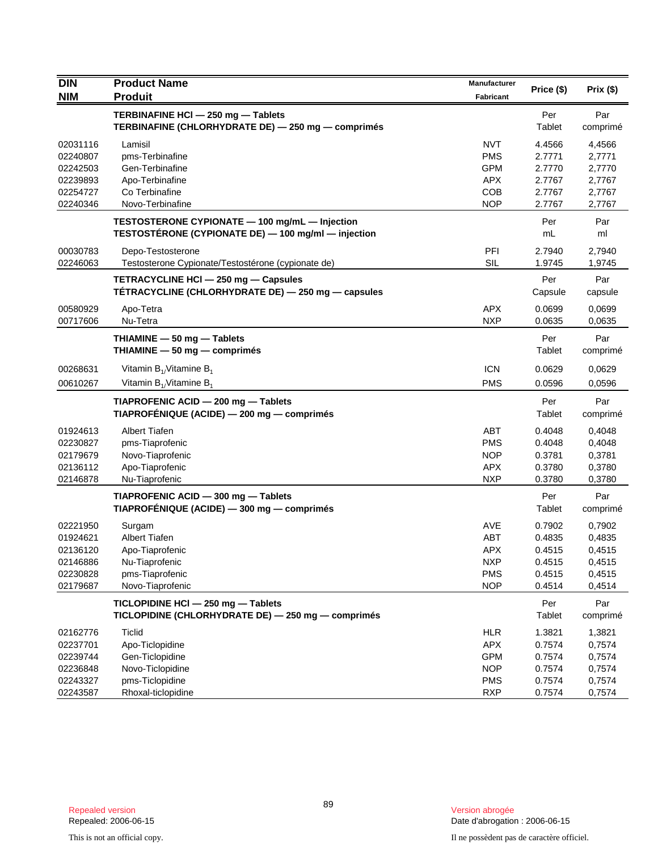| <b>DIN</b> | <b>Product Name</b>                                                                                   | Manufacturer | Price (\$)     | Prix(\$)        |
|------------|-------------------------------------------------------------------------------------------------------|--------------|----------------|-----------------|
| <b>NIM</b> | <b>Produit</b>                                                                                        | Fabricant    |                |                 |
|            | TERBINAFINE HCI - 250 mg - Tablets<br>TERBINAFINE (CHLORHYDRATE DE) - 250 mg - comprimés              |              | Per<br>Tablet  | Par<br>comprimé |
| 02031116   | Lamisil                                                                                               | <b>NVT</b>   | 4.4566         | 4,4566          |
| 02240807   | pms-Terbinafine                                                                                       | <b>PMS</b>   | 2.7771         | 2,7771          |
| 02242503   | Gen-Terbinafine                                                                                       | <b>GPM</b>   | 2.7770         | 2,7770          |
| 02239893   | Apo-Terbinafine                                                                                       | <b>APX</b>   | 2.7767         | 2,7767          |
| 02254727   | Co Terbinafine                                                                                        | <b>COB</b>   | 2.7767         | 2,7767          |
| 02240346   | Novo-Terbinafine                                                                                      | <b>NOP</b>   | 2.7767         | 2,7767          |
|            | TESTOSTERONE CYPIONATE - 100 mg/mL - Injection<br>TESTOSTÉRONE (CYPIONATE DE) - 100 mg/ml - injection |              | Per<br>mL      | Par<br>ml       |
| 00030783   | Depo-Testosterone                                                                                     | PFI          | 2.7940         | 2,7940          |
| 02246063   | Testosterone Cypionate/Testostérone (cypionate de)                                                    | <b>SIL</b>   | 1.9745         | 1,9745          |
|            | TETRACYCLINE HCI - 250 mg - Capsules<br>TÉTRACYCLINE (CHLORHYDRATE DE) — 250 mg — capsules            |              | Per<br>Capsule | Par<br>capsule  |
| 00580929   | Apo-Tetra                                                                                             | <b>APX</b>   | 0.0699         | 0,0699          |
| 00717606   | Nu-Tetra                                                                                              | <b>NXP</b>   | 0.0635         | 0,0635          |
|            | THIAMINE $-50$ mg $-$ Tablets<br>THIAMINE - 50 mg - comprimés                                         |              | Per<br>Tablet  | Par<br>comprimé |
| 00268631   | Vitamin $B_{1}/V$ itamine $B_{1}$                                                                     | <b>ICN</b>   | 0.0629         | 0,0629          |
| 00610267   | Vitamin $B_{1}/V$ itamine $B_{1}$                                                                     | <b>PMS</b>   | 0.0596         | 0,0596          |
|            | TIAPROFENIC ACID - 200 mg - Tablets<br>TIAPROFÉNIQUE (ACIDE) — 200 mg — comprimés                     |              | Per<br>Tablet  | Par<br>comprimé |
| 01924613   | <b>Albert Tiafen</b>                                                                                  | <b>ABT</b>   | 0.4048         | 0,4048          |
| 02230827   | pms-Tiaprofenic                                                                                       | <b>PMS</b>   | 0.4048         | 0,4048          |
| 02179679   | Novo-Tiaprofenic                                                                                      | <b>NOP</b>   | 0.3781         | 0,3781          |
| 02136112   | Apo-Tiaprofenic                                                                                       | <b>APX</b>   | 0.3780         | 0,3780          |
| 02146878   | Nu-Tiaprofenic                                                                                        | <b>NXP</b>   | 0.3780         | 0,3780          |
|            | TIAPROFENIC ACID - 300 mg - Tablets                                                                   |              | Per            | Par             |
|            | TIAPROFÉNIQUE (ACIDE) — 300 mg — comprimés                                                            |              | Tablet         | comprimé        |
| 02221950   | Surgam                                                                                                | <b>AVE</b>   | 0.7902         | 0,7902          |
| 01924621   | <b>Albert Tiafen</b>                                                                                  | <b>ABT</b>   | 0.4835         | 0,4835          |
| 02136120   | Apo-Tiaprofenic                                                                                       | <b>APX</b>   | 0.4515         | 0,4515          |
| 02146886   | Nu-Tiaprofenic                                                                                        | <b>NXP</b>   | 0.4515         | 0,4515          |
| 02230828   | pms-Tiaprofenic                                                                                       | <b>PMS</b>   | 0.4515         | 0,4515          |
| 02179687   | Novo-Tiaprofenic                                                                                      | <b>NOP</b>   | 0.4514         | 0,4514          |
|            | TICLOPIDINE HCI - 250 mg - Tablets<br>TICLOPIDINE (CHLORHYDRATE DE) - 250 mg - comprimés              |              | Per<br>Tablet  | Par<br>comprimé |
| 02162776   | <b>Ticlid</b>                                                                                         | <b>HLR</b>   | 1.3821         | 1,3821          |
| 02237701   | Apo-Ticlopidine                                                                                       | <b>APX</b>   | 0.7574         | 0,7574          |
| 02239744   | Gen-Ticlopidine                                                                                       | <b>GPM</b>   | 0.7574         | 0,7574          |
| 02236848   | Novo-Ticlopidine                                                                                      | <b>NOP</b>   | 0.7574         | 0,7574          |
| 02243327   | pms-Ticlopidine                                                                                       | <b>PMS</b>   | 0.7574         | 0,7574          |
| 02243587   | Rhoxal-ticlopidine                                                                                    | <b>RXP</b>   | 0.7574         | 0,7574          |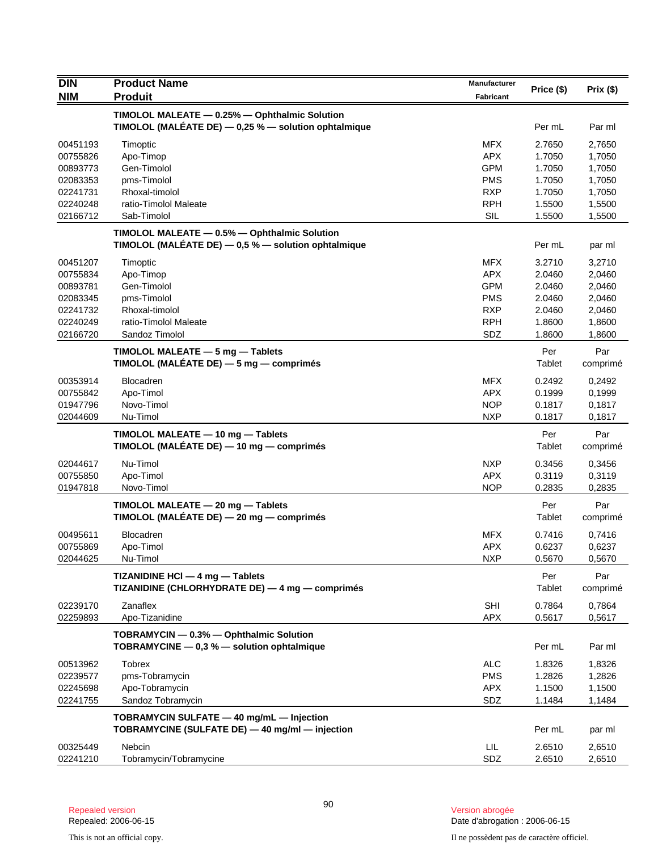| <b>DIN</b> | <b>Product Name</b>                                                                                     | Manufacturer     |               |                 |
|------------|---------------------------------------------------------------------------------------------------------|------------------|---------------|-----------------|
| <b>NIM</b> | <b>Produit</b>                                                                                          | <b>Fabricant</b> | Price (\$)    | Prix(\$)        |
|            | TIMOLOL MALEATE - 0.25% - Ophthalmic Solution                                                           |                  |               |                 |
|            | TIMOLOL (MALÉATE DE) $-$ 0,25 % $-$ solution ophtalmique                                                |                  | Per mL        | Par ml          |
| 00451193   | Timoptic                                                                                                | <b>MFX</b>       | 2.7650        | 2,7650          |
| 00755826   | Apo-Timop                                                                                               | <b>APX</b>       | 1.7050        | 1,7050          |
| 00893773   | Gen-Timolol                                                                                             | <b>GPM</b>       | 1.7050        | 1,7050          |
| 02083353   | pms-Timolol                                                                                             | <b>PMS</b>       | 1.7050        | 1,7050          |
| 02241731   | Rhoxal-timolol                                                                                          | <b>RXP</b>       | 1.7050        | 1,7050          |
| 02240248   | ratio-Timolol Maleate                                                                                   | <b>RPH</b>       | 1.5500        | 1,5500          |
| 02166712   | Sab-Timolol                                                                                             | SIL              | 1.5500        | 1,5500          |
|            | TIMOLOL MALEATE - 0.5% - Ophthalmic Solution<br>TIMOLOL (MALÉATE DE) $-$ 0,5 % $-$ solution ophtalmique |                  | Per mL        | par ml          |
| 00451207   | Timoptic                                                                                                | <b>MFX</b>       | 3.2710        | 3,2710          |
| 00755834   | Apo-Timop                                                                                               | <b>APX</b>       | 2.0460        | 2,0460          |
| 00893781   | Gen-Timolol                                                                                             | <b>GPM</b>       | 2.0460        | 2,0460          |
| 02083345   | pms-Timolol                                                                                             | <b>PMS</b>       | 2.0460        | 2,0460          |
| 02241732   | Rhoxal-timolol                                                                                          | <b>RXP</b>       | 2.0460        | 2,0460          |
| 02240249   | ratio-Timolol Maleate                                                                                   | <b>RPH</b>       | 1.8600        | 1,8600          |
| 02166720   | Sandoz Timolol                                                                                          | SDZ              | 1.8600        | 1,8600          |
|            | TIMOLOL MALEATE - 5 mg - Tablets                                                                        |                  | Per           | Par             |
|            | TIMOLOL (MALÉATE DE) - 5 mg - comprimés                                                                 |                  | Tablet        | comprimé        |
| 00353914   | <b>Blocadren</b>                                                                                        | <b>MFX</b>       | 0.2492        | 0,2492          |
| 00755842   | Apo-Timol                                                                                               | <b>APX</b>       | 0.1999        | 0,1999          |
| 01947796   | Novo-Timol                                                                                              | <b>NOP</b>       | 0.1817        | 0,1817          |
| 02044609   | Nu-Timol                                                                                                | <b>NXP</b>       | 0.1817        | 0,1817          |
|            | TIMOLOL MALEATE - 10 mg - Tablets<br>TIMOLOL (MALÉATE DE) — 10 mg — comprimés                           |                  | Per<br>Tablet | Par<br>comprimé |
| 02044617   | Nu-Timol                                                                                                | <b>NXP</b>       | 0.3456        | 0,3456          |
| 00755850   | Apo-Timol                                                                                               | <b>APX</b>       | 0.3119        | 0,3119          |
| 01947818   | Novo-Timol                                                                                              | <b>NOP</b>       | 0.2835        | 0,2835          |
|            | TIMOLOL MALEATE - 20 mg - Tablets<br>TIMOLOL (MALÉATE DE) - 20 mg - comprimés                           |                  | Per<br>Tablet | Par<br>comprimé |
| 00495611   | <b>Blocadren</b>                                                                                        | MFX              | 0.7416        | 0,7416          |
| 00755869   | Apo-Timol                                                                                               | <b>APX</b>       | 0.6237        | 0,6237          |
| 02044625   | Nu-Timol                                                                                                | NXP              | 0.5670        | 0,5670          |
|            | TIZANIDINE HCI - 4 mg - Tablets<br>TIZANIDINE (CHLORHYDRATE DE) - 4 mg - comprimés                      |                  | Per<br>Tablet | Par<br>comprimé |
| 02239170   | Zanaflex                                                                                                | <b>SHI</b>       | 0.7864        | 0,7864          |
| 02259893   | Apo-Tizanidine                                                                                          | <b>APX</b>       | 0.5617        | 0,5617          |
|            | TOBRAMYCIN - 0.3% - Ophthalmic Solution<br>TOBRAMYCINE $-$ 0.3 % $-$ solution ophtalmique               |                  | Per mL        | Par ml          |
| 00513962   | <b>Tobrex</b>                                                                                           | <b>ALC</b>       | 1.8326        | 1,8326          |
| 02239577   | pms-Tobramycin                                                                                          | <b>PMS</b>       | 1.2826        | 1,2826          |
| 02245698   | Apo-Tobramycin                                                                                          | APX              | 1.1500        | 1,1500          |
| 02241755   | Sandoz Tobramycin                                                                                       | SDZ              | 1.1484        | 1,1484          |
|            | TOBRAMYCIN SULFATE - 40 mg/mL - Injection<br>TOBRAMYCINE (SULFATE DE) - 40 mg/ml - injection            |                  | Per mL        | par ml          |
|            |                                                                                                         |                  |               |                 |
| 00325449   | Nebcin                                                                                                  | LIL              | 2.6510        | 2,6510          |
| 02241210   | Tobramycin/Tobramycine                                                                                  | SDZ              | 2.6510        | 2,6510          |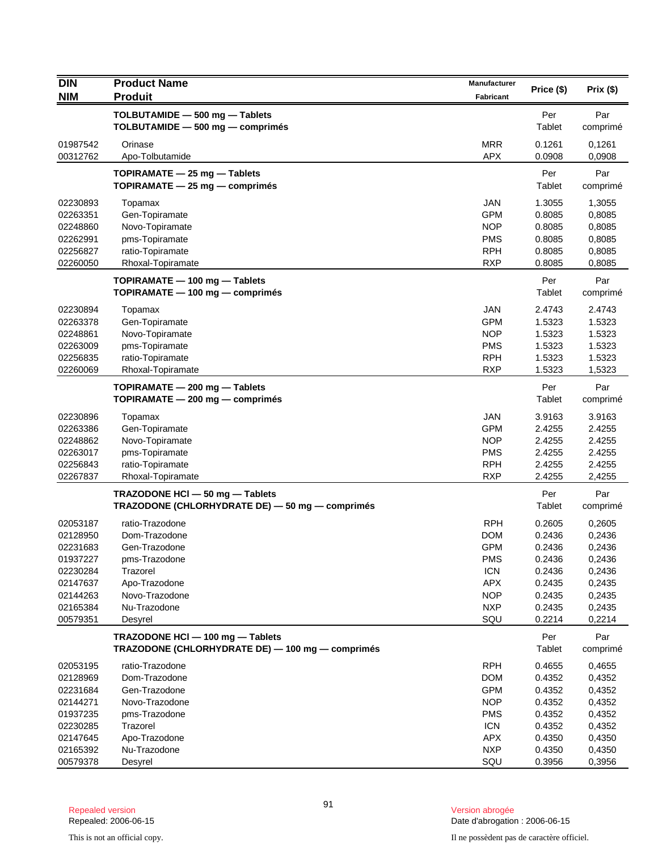| <b>DIN</b> | <b>Product Name</b>                              | Manufacturer     | Price (\$)    | Prix(\$) |
|------------|--------------------------------------------------|------------------|---------------|----------|
| <b>NIM</b> | <b>Produit</b>                                   | <b>Fabricant</b> |               |          |
|            | TOLBUTAMIDE - 500 mg - Tablets                   |                  | Per           | Par      |
|            | TOLBUTAMIDE - 500 mg - comprimés                 |                  | Tablet        | comprimé |
| 01987542   | Orinase                                          | <b>MRR</b>       | 0.1261        | 0,1261   |
| 00312762   | Apo-Tolbutamide                                  | <b>APX</b>       | 0.0908        | 0,0908   |
|            | TOPIRAMATE - 25 mg - Tablets                     |                  | Per           | Par      |
|            | TOPIRAMATE - 25 mg - comprimés                   |                  | <b>Tablet</b> | comprimé |
| 02230893   | Topamax                                          | JAN              | 1.3055        | 1,3055   |
| 02263351   | Gen-Topiramate                                   | <b>GPM</b>       | 0.8085        | 0,8085   |
| 02248860   | Novo-Topiramate                                  | <b>NOP</b>       | 0.8085        | 0,8085   |
| 02262991   | pms-Topiramate                                   | <b>PMS</b>       | 0.8085        | 0,8085   |
| 02256827   | ratio-Topiramate                                 | <b>RPH</b>       | 0.8085        | 0,8085   |
| 02260050   | Rhoxal-Topiramate                                | <b>RXP</b>       | 0.8085        | 0,8085   |
|            | TOPIRAMATE - 100 mg - Tablets                    |                  | Per           | Par      |
|            | TOPIRAMATE - 100 mg - comprimés                  |                  | Tablet        | comprimé |
| 02230894   | Topamax                                          | <b>JAN</b>       | 2.4743        | 2.4743   |
| 02263378   | Gen-Topiramate                                   | <b>GPM</b>       | 1.5323        | 1.5323   |
| 02248861   | Novo-Topiramate                                  | <b>NOP</b>       | 1.5323        | 1.5323   |
| 02263009   | pms-Topiramate                                   | <b>PMS</b>       | 1.5323        | 1.5323   |
| 02256835   | ratio-Topiramate                                 | <b>RPH</b>       | 1.5323        | 1.5323   |
| 02260069   | Rhoxal-Topiramate                                | <b>RXP</b>       | 1.5323        | 1,5323   |
|            | TOPIRAMATE - 200 mg - Tablets                    |                  | Per           | Par      |
|            | TOPIRAMATE - 200 mg - comprimés                  |                  | Tablet        | comprimé |
| 02230896   | Topamax                                          | <b>JAN</b>       | 3.9163        | 3.9163   |
| 02263386   | Gen-Topiramate                                   | <b>GPM</b>       | 2.4255        | 2.4255   |
| 02248862   | Novo-Topiramate                                  | <b>NOP</b>       | 2.4255        | 2.4255   |
| 02263017   | pms-Topiramate                                   | <b>PMS</b>       | 2.4255        | 2.4255   |
| 02256843   | ratio-Topiramate                                 | <b>RPH</b>       | 2.4255        | 2.4255   |
| 02267837   | Rhoxal-Topiramate                                | <b>RXP</b>       | 2.4255        | 2,4255   |
|            | TRAZODONE HCI - 50 mg - Tablets                  |                  | Per           | Par      |
|            | TRAZODONE (CHLORHYDRATE DE) - 50 mg - comprimés  |                  | Tablet        | comprimé |
| 02053187   | ratio-Trazodone                                  | <b>RPH</b>       | 0.2605        | 0,2605   |
| 02128950   | Dom-Trazodone                                    | <b>DOM</b>       | 0.2436        | 0,2436   |
| 02231683   | Gen-Trazodone                                    | <b>GPM</b>       | 0.2436        | 0,2436   |
| 01937227   | pms-Trazodone                                    | <b>PMS</b>       | 0.2436        | 0,2436   |
| 02230284   | Trazorel                                         | <b>ICN</b>       | 0.2436        | 0,2436   |
| 02147637   | Apo-Trazodone                                    | <b>APX</b>       | 0.2435        | 0,2435   |
| 02144263   | Novo-Trazodone                                   | <b>NOP</b>       | 0.2435        | 0,2435   |
| 02165384   | Nu-Trazodone                                     | <b>NXP</b>       | 0.2435        | 0,2435   |
| 00579351   | Desyrel                                          | SQU              | 0.2214        | 0,2214   |
|            | TRAZODONE HCI - 100 mg - Tablets                 |                  | Per           | Par      |
|            | TRAZODONE (CHLORHYDRATE DE) - 100 mg - comprimés |                  | Tablet        | comprimé |
| 02053195   | ratio-Trazodone                                  | <b>RPH</b>       | 0.4655        | 0,4655   |
| 02128969   | Dom-Trazodone                                    | <b>DOM</b>       | 0.4352        | 0,4352   |
| 02231684   | Gen-Trazodone                                    | <b>GPM</b>       | 0.4352        | 0,4352   |
| 02144271   | Novo-Trazodone                                   | <b>NOP</b>       | 0.4352        | 0,4352   |
| 01937235   | pms-Trazodone                                    | <b>PMS</b>       | 0.4352        | 0,4352   |
| 02230285   | Trazorel                                         | <b>ICN</b>       | 0.4352        | 0,4352   |
| 02147645   | Apo-Trazodone                                    | <b>APX</b>       | 0.4350        | 0,4350   |
| 02165392   | Nu-Trazodone                                     | <b>NXP</b>       | 0.4350        | 0,4350   |
| 00579378   | Desyrel                                          | SQU              | 0.3956        | 0,3956   |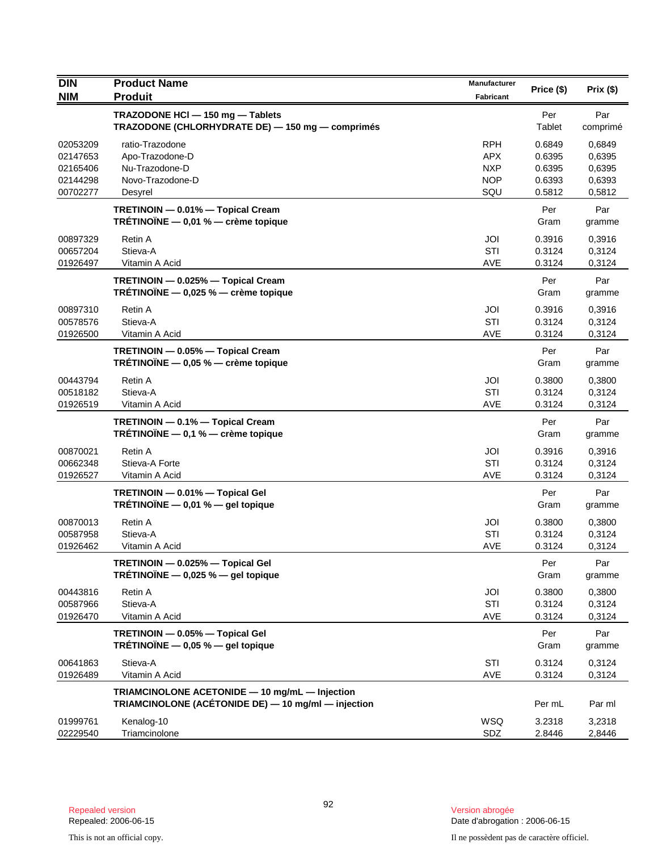| <b>DIN</b><br><b>NIM</b>                                 | <b>Product Name</b><br><b>Produit</b>                                                                 | Manufacturer<br>Fabricant                                   | Price (\$)                                     | Prix (\$)                                      |
|----------------------------------------------------------|-------------------------------------------------------------------------------------------------------|-------------------------------------------------------------|------------------------------------------------|------------------------------------------------|
|                                                          | TRAZODONE HCI - 150 mg - Tablets<br>TRAZODONE (CHLORHYDRATE DE) - 150 mg - comprimés                  |                                                             | Per<br>Tablet                                  | Par<br>comprimé                                |
| 02053209<br>02147653<br>02165406<br>02144298<br>00702277 | ratio-Trazodone<br>Apo-Trazodone-D<br>Nu-Trazodone-D<br>Novo-Trazodone-D<br>Desyrel                   | <b>RPH</b><br><b>APX</b><br><b>NXP</b><br><b>NOP</b><br>SQU | 0.6849<br>0.6395<br>0.6395<br>0.6393<br>0.5812 | 0,6849<br>0,6395<br>0,6395<br>0,6393<br>0,5812 |
|                                                          | TRETINOIN - 0.01% - Topical Cream<br>TRÉTINOÏNE $-$ 0,01 % $-$ crème topique                          |                                                             | Per<br>Gram                                    | Par<br>gramme                                  |
| 00897329<br>00657204<br>01926497                         | Retin A<br>Stieva-A<br>Vitamin A Acid                                                                 | JOI<br>STI<br><b>AVE</b>                                    | 0.3916<br>0.3124<br>0.3124                     | 0,3916<br>0,3124<br>0,3124                     |
|                                                          | TRETINOIN - 0.025% - Topical Cream<br>TRÉTINOÏNE $-$ 0,025 % $-$ crème topique                        |                                                             | Per<br>Gram                                    | Par<br>gramme                                  |
| 00897310<br>00578576<br>01926500                         | Retin A<br>Stieva-A<br>Vitamin A Acid                                                                 | JOI<br>STI<br>AVE                                           | 0.3916<br>0.3124<br>0.3124                     | 0,3916<br>0,3124<br>0,3124                     |
|                                                          | TRETINOIN - 0.05% - Topical Cream<br>TRÉTINOÏNE $-$ 0,05 % $-$ crème topique                          |                                                             | Per<br>Gram                                    | Par<br>gramme                                  |
| 00443794<br>00518182<br>01926519                         | Retin A<br>Stieva-A<br>Vitamin A Acid                                                                 | JOI<br>STI<br><b>AVE</b>                                    | 0.3800<br>0.3124<br>0.3124                     | 0,3800<br>0,3124<br>0,3124                     |
|                                                          | TRETINOIN - 0.1% - Topical Cream<br>TRÉTINOÏNE $-$ 0,1 % $-$ crème topique                            |                                                             | Per<br>Gram                                    | Par<br>gramme                                  |
| 00870021<br>00662348<br>01926527                         | Retin A<br>Stieva-A Forte<br>Vitamin A Acid                                                           | JOI<br>STI<br>AVE                                           | 0.3916<br>0.3124<br>0.3124                     | 0,3916<br>0,3124<br>0,3124                     |
|                                                          | TRETINOIN - 0.01% - Topical Gel<br>TRÉTINOÏNE $-$ 0,01 % $-$ gel topique                              |                                                             | Per<br>Gram                                    | Par<br>gramme                                  |
| 00870013<br>00587958<br>01926462                         | Retin A<br>Stieva-A<br>Vitamin A Acid                                                                 | JOI<br>STI<br><b>AVE</b>                                    | 0.3800<br>0.3124<br>0.3124                     | 0,3800<br>0,3124<br>0,3124                     |
|                                                          | TRETINOIN - 0.025% - Topical Gel<br>TRÉTINOÏNE $-$ 0,025 % $-$ gel topique                            |                                                             | Per<br>Gram                                    | Par<br>gramme                                  |
| 00443816<br>00587966<br>01926470                         | Retin A<br>Stieva-A<br>Vitamin A Acid                                                                 | JOI<br>STI<br>AVE                                           | 0.3800<br>0.3124<br>0.3124                     | 0,3800<br>0,3124<br>0,3124                     |
|                                                          | TRETINOIN - 0.05% - Topical Gel<br>TRÉTINOÏNE $-$ 0,05 % $-$ gel topique                              |                                                             | Per<br>Gram                                    | Par<br>gramme                                  |
| 00641863<br>01926489                                     | Stieva-A<br>Vitamin A Acid                                                                            | STI<br>AVE                                                  | 0.3124<br>0.3124                               | 0,3124<br>0,3124                               |
|                                                          | TRIAMCINOLONE ACETONIDE - 10 mg/mL - Injection<br>TRIAMCINOLONE (ACÉTONIDE DE) - 10 mg/ml - injection |                                                             | Per mL                                         | Par ml                                         |
| 01999761<br>02229540                                     | Kenalog-10<br>Triamcinolone                                                                           | WSQ<br>SDZ                                                  | 3.2318<br>2.8446                               | 3,2318<br>2,8446                               |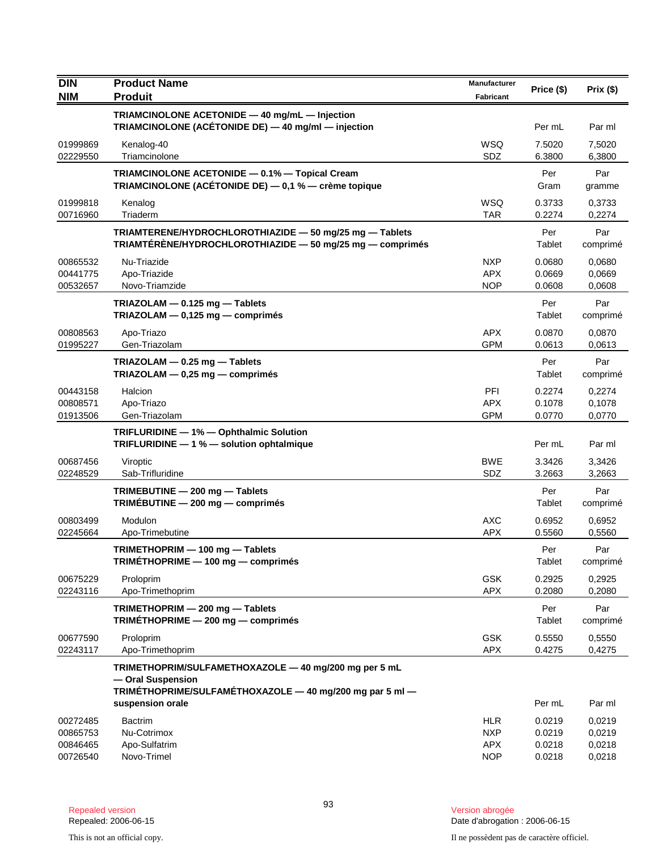| DIN<br><b>NIM</b>                            | <b>Product Name</b><br><b>Produit</b>                                                                                                  | <b>Manufacturer</b><br><b>Fabricant</b>              | Price (\$)                           | Prix(\$)                             |
|----------------------------------------------|----------------------------------------------------------------------------------------------------------------------------------------|------------------------------------------------------|--------------------------------------|--------------------------------------|
|                                              | TRIAMCINOLONE ACETONIDE - 40 mg/mL - Injection<br>TRIAMCINOLONE (ACÉTONIDE DE) - 40 mg/ml - injection                                  |                                                      | Per mL                               | Par ml                               |
| 01999869<br>02229550                         | Kenalog-40<br>Triamcinolone                                                                                                            | WSQ<br>SDZ                                           | 7.5020<br>6.3800                     | 7,5020<br>6,3800                     |
|                                              | TRIAMCINOLONE ACETONIDE - 0.1% - Topical Cream<br>TRIAMCINOLONE (ACÉTONIDE DE) - 0,1 % - crème topique                                 |                                                      | Per<br>Gram                          | Par<br>gramme                        |
| 01999818<br>00716960                         | Kenalog<br>Triaderm                                                                                                                    | <b>WSQ</b><br><b>TAR</b>                             | 0.3733<br>0.2274                     | 0,3733<br>0,2274                     |
|                                              | TRIAMTERENE/HYDROCHLOROTHIAZIDE - 50 mg/25 mg - Tablets<br>TRIAMTÉRÉNE/HYDROCHLOROTHIAZIDE - 50 mg/25 mg - comprimés                   |                                                      | Per<br>Tablet                        | Par<br>comprimé                      |
| 00865532<br>00441775<br>00532657             | Nu-Triazide<br>Apo-Triazide<br>Novo-Triamzide                                                                                          | <b>NXP</b><br><b>APX</b><br><b>NOP</b>               | 0.0680<br>0.0669<br>0.0608           | 0,0680<br>0,0669<br>0,0608           |
|                                              | TRIAZOLAM $-$ 0.125 mg $-$ Tablets<br>TRIAZOLAM - 0,125 mg - comprimés                                                                 |                                                      | Per<br>Tablet                        | Par<br>comprimé                      |
| 00808563<br>01995227                         | Apo-Triazo<br>Gen-Triazolam                                                                                                            | <b>APX</b><br><b>GPM</b>                             | 0.0870<br>0.0613                     | 0,0870<br>0,0613                     |
|                                              | TRIAZOLAM - 0.25 mg - Tablets<br>TRIAZOLAM $-$ 0,25 mg $-$ comprimés                                                                   |                                                      | Per<br>Tablet                        | Par<br>comprimé                      |
| 00443158<br>00808571<br>01913506             | Halcion<br>Apo-Triazo<br>Gen-Triazolam                                                                                                 | PFI<br><b>APX</b><br><b>GPM</b>                      | 0.2274<br>0.1078<br>0.0770           | 0,2274<br>0,1078<br>0,0770           |
|                                              | TRIFLURIDINE - 1% - Ophthalmic Solution<br>TRIFLURIDINE - 1 % - solution ophtalmique                                                   |                                                      | Per mL                               | Par ml                               |
| 00687456<br>02248529                         | Viroptic<br>Sab-Trifluridine                                                                                                           | <b>BWE</b><br>SDZ                                    | 3.3426<br>3.2663                     | 3,3426<br>3,2663                     |
|                                              | TRIMEBUTINE - 200 mg - Tablets<br>TRIMÉBUTINE $-$ 200 mg $-$ comprimés                                                                 |                                                      | Per<br>Tablet                        | Par<br>comprimé                      |
| 00803499<br>02245664                         | Modulon<br>Apo-Trimebutine                                                                                                             | <b>AXC</b><br><b>APX</b>                             | 0.6952<br>0.5560                     | 0,6952<br>0,5560                     |
|                                              | TRIMETHOPRIM - 100 mg - Tablets<br>TRIMETHOPRIME - 100 mg - comprimés                                                                  |                                                      | Per<br>Tablet                        | Par<br>comprimé                      |
| 00675229<br>02243116                         | Proloprim<br>Apo-Trimethoprim                                                                                                          | <b>GSK</b><br>APX                                    | 0.2925<br>0.2080                     | 0,2925<br>0,2080                     |
|                                              | TRIMETHOPRIM - 200 mg - Tablets<br>TRIMÉTHOPRIME - 200 mg - comprimés                                                                  |                                                      | Per<br>Tablet                        | Par<br>comprimé                      |
| 00677590<br>02243117                         | Proloprim<br>Apo-Trimethoprim                                                                                                          | <b>GSK</b><br><b>APX</b>                             | 0.5550<br>0.4275                     | 0,5550<br>0,4275                     |
|                                              | TRIMETHOPRIM/SULFAMETHOXAZOLE - 40 mg/200 mg per 5 mL<br>- Oral Suspension<br>TRIMÉTHOPRIME/SULFAMÉTHOXAZOLE - 40 mg/200 mg par 5 ml - |                                                      |                                      |                                      |
|                                              | suspension orale                                                                                                                       |                                                      | Per mL                               | Par ml                               |
| 00272485<br>00865753<br>00846465<br>00726540 | <b>Bactrim</b><br>Nu-Cotrimox<br>Apo-Sulfatrim<br>Novo-Trimel                                                                          | <b>HLR</b><br><b>NXP</b><br><b>APX</b><br><b>NOP</b> | 0.0219<br>0.0219<br>0.0218<br>0.0218 | 0,0219<br>0,0219<br>0,0218<br>0,0218 |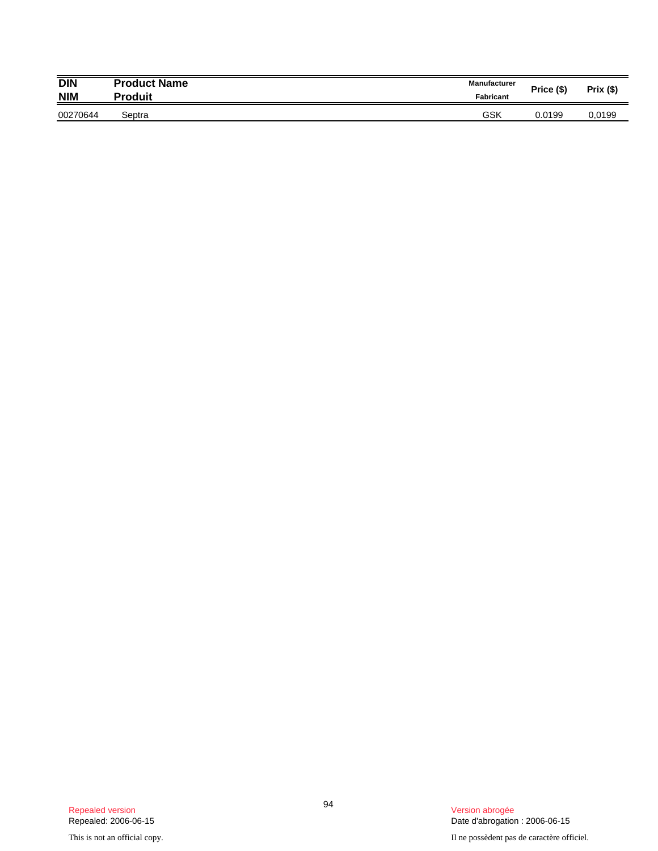| <b>DIN</b> | <b>Product Name</b> | <b>Manufacturer</b> | Price (\$) | Prix (\$) |
|------------|---------------------|---------------------|------------|-----------|
| <b>NIM</b> | Produit             | Fabricant           |            |           |
| 00270644   | Septra              | GSK                 | 0.0199     | 0.0199    |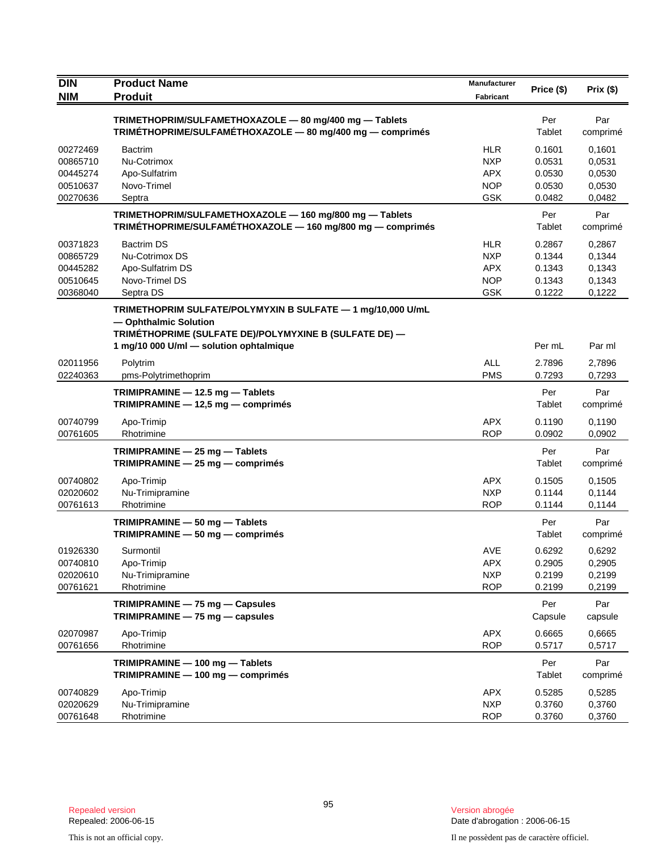| <b>DIN</b>                                               | <b>Product Name</b>                                                                                                                                                                       | Manufacturer                                                       | Price (\$)                                     | Prix(\$)                                       |
|----------------------------------------------------------|-------------------------------------------------------------------------------------------------------------------------------------------------------------------------------------------|--------------------------------------------------------------------|------------------------------------------------|------------------------------------------------|
| <b>NIM</b>                                               | <b>Produit</b>                                                                                                                                                                            | <b>Fabricant</b>                                                   |                                                |                                                |
|                                                          | TRIMETHOPRIM/SULFAMETHOXAZOLE - 80 mg/400 mg - Tablets<br>TRIMÉTHOPRIME/SULFAMÉTHOXAZOLE - 80 mg/400 mg - comprimés                                                                       |                                                                    | Per<br>Tablet                                  | Par<br>comprimé                                |
| 00272469<br>00865710<br>00445274<br>00510637<br>00270636 | <b>Bactrim</b><br>Nu-Cotrimox<br>Apo-Sulfatrim<br>Novo-Trimel<br>Septra                                                                                                                   | <b>HLR</b><br><b>NXP</b><br><b>APX</b><br>NOP<br><b>GSK</b>        | 0.1601<br>0.0531<br>0.0530<br>0.0530<br>0.0482 | 0.1601<br>0,0531<br>0,0530<br>0,0530<br>0,0482 |
|                                                          | TRIMETHOPRIM/SULFAMETHOXAZOLE - 160 mg/800 mg - Tablets<br>TRIMÉTHOPRIME/SULFAMÉTHOXAZOLE - 160 mg/800 mg - comprimés                                                                     |                                                                    | Per<br>Tablet                                  | Par<br>comprimé                                |
| 00371823<br>00865729<br>00445282<br>00510645<br>00368040 | <b>Bactrim DS</b><br>Nu-Cotrimox DS<br>Apo-Sulfatrim DS<br>Novo-Trimel DS<br>Septra DS                                                                                                    | <b>HLR</b><br><b>NXP</b><br><b>APX</b><br><b>NOP</b><br><b>GSK</b> | 0.2867<br>0.1344<br>0.1343<br>0.1343<br>0.1222 | 0,2867<br>0,1344<br>0,1343<br>0,1343<br>0,1222 |
|                                                          | TRIMETHOPRIM SULFATE/POLYMYXIN B SULFATE - 1 mg/10,000 U/mL<br>- Ophthalmic Solution<br>TRIMÉTHOPRIME (SULFATE DE)/POLYMYXINE B (SULFATE DE) —<br>1 mg/10 000 U/ml - solution ophtalmique |                                                                    | Per mL                                         | Par ml                                         |
| 02011956<br>02240363                                     | Polytrim<br>pms-Polytrimethoprim                                                                                                                                                          | <b>ALL</b><br><b>PMS</b>                                           | 2.7896<br>0.7293                               | 2,7896<br>0,7293                               |
|                                                          | TRIMIPRAMINE - 12.5 mg - Tablets<br>TRIMIPRAMINE - 12,5 mg - comprimés                                                                                                                    |                                                                    | Per<br>Tablet                                  | Par<br>comprimé                                |
| 00740799<br>00761605                                     | Apo-Trimip<br>Rhotrimine                                                                                                                                                                  | <b>APX</b><br><b>ROP</b>                                           | 0.1190<br>0.0902                               | 0,1190<br>0,0902                               |
|                                                          | TRIMIPRAMINE - 25 mg - Tablets<br>TRIMIPRAMINE - 25 mg - comprimés                                                                                                                        |                                                                    | Per<br>Tablet                                  | Par<br>comprimé                                |
| 00740802<br>02020602<br>00761613                         | Apo-Trimip<br>Nu-Trimipramine<br>Rhotrimine                                                                                                                                               | <b>APX</b><br><b>NXP</b><br><b>ROP</b>                             | 0.1505<br>0.1144<br>0.1144                     | 0,1505<br>0,1144<br>0,1144                     |
|                                                          | TRIMIPRAMINE - 50 mg - Tablets<br>TRIMIPRAMINE - 50 mg - comprimés                                                                                                                        |                                                                    | Per<br>Tablet                                  | Par<br>comprimé                                |
| 01926330<br>00740810<br>02020610<br>00761621             | Surmontil<br>Apo-Trimip<br>Nu-Trimipramine<br>Rhotrimine                                                                                                                                  | AVE<br><b>APX</b><br><b>NXP</b><br><b>ROP</b>                      | 0.6292<br>0.2905<br>0.2199<br>0.2199           | 0,6292<br>0,2905<br>0,2199<br>0,2199           |
|                                                          | TRIMIPRAMINE - 75 mg - Capsules<br>TRIMIPRAMINE - 75 mg - capsules                                                                                                                        |                                                                    | Per<br>Capsule                                 | Par<br>capsule                                 |
| 02070987<br>00761656                                     | Apo-Trimip<br>Rhotrimine                                                                                                                                                                  | <b>APX</b><br><b>ROP</b>                                           | 0.6665<br>0.5717                               | 0,6665<br>0,5717                               |
|                                                          | TRIMIPRAMINE - 100 mg - Tablets<br>$TRIMIPRAMINE - 100 mg - comprising$                                                                                                                   |                                                                    | Per<br>Tablet                                  | Par<br>comprimé                                |
| 00740829<br>02020629<br>00761648                         | Apo-Trimip<br>Nu-Trimipramine<br>Rhotrimine                                                                                                                                               | <b>APX</b><br><b>NXP</b><br><b>ROP</b>                             | 0.5285<br>0.3760<br>0.3760                     | 0,5285<br>0,3760<br>0,3760                     |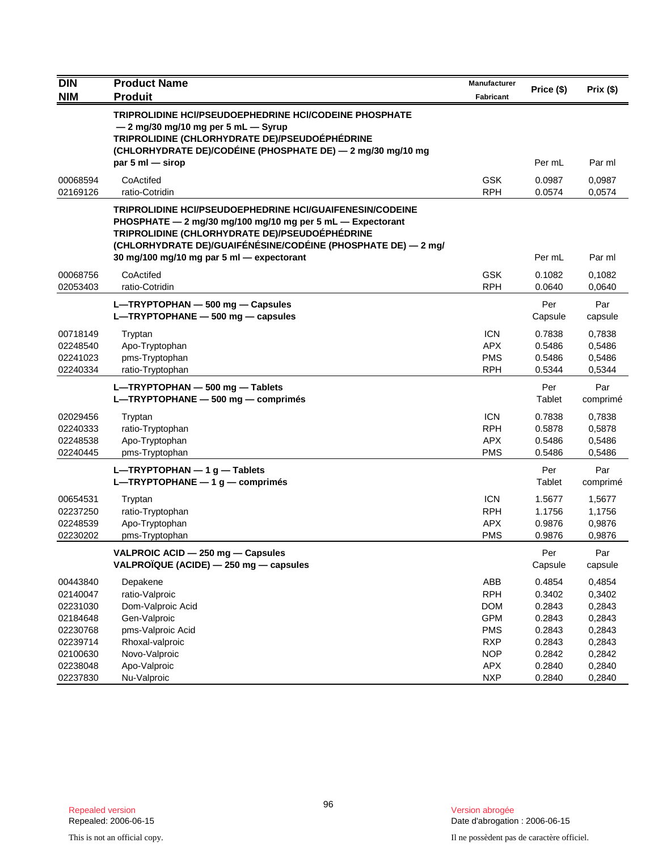| <b>DIN</b>           | <b>Product Name</b>                                                                                           | Manufacturer             | Price (\$)       | Prix(\$)         |
|----------------------|---------------------------------------------------------------------------------------------------------------|--------------------------|------------------|------------------|
| <b>NIM</b>           | <b>Produit</b>                                                                                                | <b>Fabricant</b>         |                  |                  |
|                      | <b>TRIPROLIDINE HCI/PSEUDOEPHEDRINE HCI/CODEINE PHOSPHATE</b>                                                 |                          |                  |                  |
|                      | $-2$ mg/30 mg/10 mg per 5 mL $-$ Syrup                                                                        |                          |                  |                  |
|                      | TRIPROLIDINE (CHLORHYDRATE DE)/PSEUDOÉPHÉDRINE<br>(CHLORHYDRATE DE)/CODÉINE (PHOSPHATE DE) — 2 mg/30 mg/10 mg |                          |                  |                  |
|                      | par $5 \text{ ml}$ - sirop                                                                                    |                          | Per mL           | Par ml           |
| 00068594             | CoActifed                                                                                                     | <b>GSK</b>               | 0.0987           | 0,0987           |
| 02169126             | ratio-Cotridin                                                                                                | <b>RPH</b>               | 0.0574           | 0,0574           |
|                      | <b>TRIPROLIDINE HCI/PSEUDOEPHEDRINE HCI/GUAIFENESIN/CODEINE</b>                                               |                          |                  |                  |
|                      | PHOSPHATE - 2 mg/30 mg/100 mg/10 mg per 5 mL - Expectorant                                                    |                          |                  |                  |
|                      | TRIPROLIDINE (CHLORHYDRATE DE)/PSEUDOÉPHÉDRINE                                                                |                          |                  |                  |
|                      | (CHLORHYDRATE DE)/GUAIFÉNÉSINE/CODÉINE (PHOSPHATE DE) — 2 mg/                                                 |                          |                  |                  |
|                      | 30 mg/100 mg/10 mg par 5 ml - expectorant                                                                     |                          | Per mL           | Par ml           |
| 00068756             | CoActifed                                                                                                     | <b>GSK</b>               | 0.1082           | 0,1082           |
| 02053403             | ratio-Cotridin                                                                                                | <b>RPH</b>               | 0.0640           | 0,0640           |
|                      | L-TRYPTOPHAN - 500 mg - Capsules                                                                              |                          | Per              | Par              |
|                      | $L$ -TRYPTOPHANE $-$ 500 mg - capsules                                                                        |                          | Capsule          | capsule          |
| 00718149             | Tryptan                                                                                                       | <b>ICN</b>               | 0.7838           | 0,7838           |
| 02248540             | Apo-Tryptophan                                                                                                | <b>APX</b>               | 0.5486           | 0,5486           |
| 02241023             | pms-Tryptophan                                                                                                | <b>PMS</b>               | 0.5486           | 0,5486           |
| 02240334             | ratio-Tryptophan                                                                                              | <b>RPH</b>               | 0.5344           | 0,5344           |
|                      | L-TRYPTOPHAN - 500 mg - Tablets                                                                               |                          | Per              | Par              |
|                      | L-TRYPTOPHANE - 500 mg - comprimés                                                                            |                          | Tablet           | comprimé         |
| 02029456             | Tryptan                                                                                                       | <b>ICN</b>               | 0.7838           | 0,7838           |
| 02240333             | ratio-Tryptophan                                                                                              | <b>RPH</b>               | 0.5878           | 0,5878           |
| 02248538             | Apo-Tryptophan                                                                                                | <b>APX</b>               | 0.5486           | 0,5486           |
| 02240445             | pms-Tryptophan                                                                                                | <b>PMS</b>               | 0.5486           | 0,5486           |
|                      | $L$ –TRYPTOPHAN – 1 g – Tablets                                                                               |                          | Per              | Par              |
|                      | L-TRYPTOPHANE $-1$ g $-$ comprimés                                                                            |                          | Tablet           | comprimé         |
| 00654531             | Tryptan                                                                                                       | <b>ICN</b>               | 1.5677           | 1,5677           |
| 02237250             | ratio-Tryptophan                                                                                              | <b>RPH</b>               | 1.1756           | 1,1756           |
| 02248539             | Apo-Tryptophan                                                                                                | <b>APX</b>               | 0.9876           | 0,9876           |
| 02230202             | pms-Tryptophan                                                                                                | <b>PMS</b>               | 0.9876           | 0,9876           |
|                      | VALPROIC ACID - 250 mg - Capsules                                                                             |                          | Per              | Par              |
|                      | VALPROÏQUE (ACIDE) - 250 mg - capsules                                                                        |                          | Capsule          | capsule          |
| 00443840             | Depakene                                                                                                      | ABB                      | 0.4854           | 0,4854           |
| 02140047             | ratio-Valproic                                                                                                | <b>RPH</b>               | 0.3402           | 0,3402           |
| 02231030             | Dom-Valproic Acid                                                                                             | <b>DOM</b>               | 0.2843           | 0,2843           |
| 02184648<br>02230768 | Gen-Valproic                                                                                                  | <b>GPM</b>               | 0.2843           | 0,2843           |
| 02239714             | pms-Valproic Acid<br>Rhoxal-valproic                                                                          | <b>PMS</b><br><b>RXP</b> | 0.2843<br>0.2843 | 0,2843<br>0,2843 |
| 02100630             | Novo-Valproic                                                                                                 | <b>NOP</b>               | 0.2842           | 0,2842           |
| 02238048             | Apo-Valproic                                                                                                  | <b>APX</b>               | 0.2840           | 0,2840           |
| 02237830             | Nu-Valproic                                                                                                   | <b>NXP</b>               | 0.2840           | 0,2840           |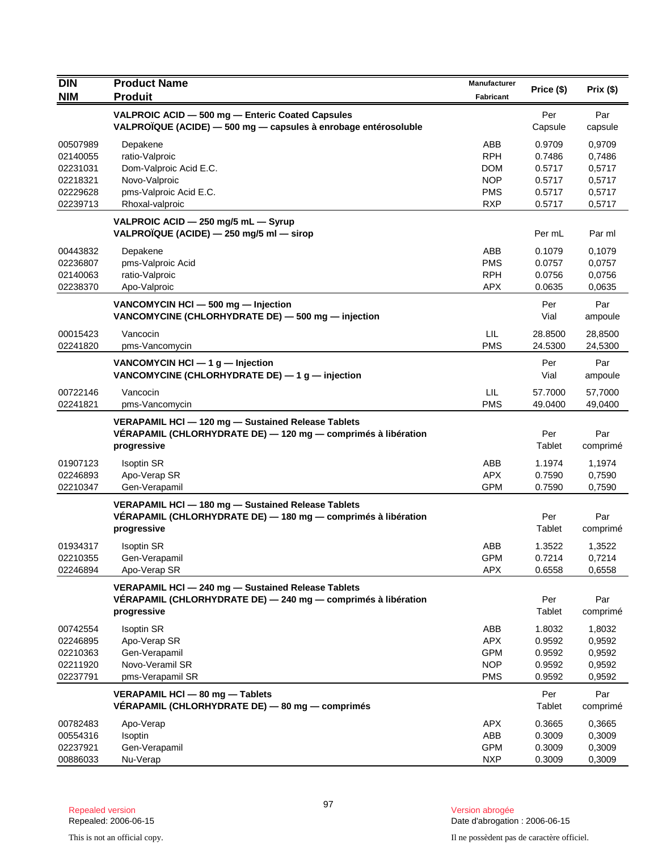| <b>DIN</b> | <b>Product Name</b>                                                                                                                | Manufacturer |               |                 |
|------------|------------------------------------------------------------------------------------------------------------------------------------|--------------|---------------|-----------------|
| <b>NIM</b> | <b>Produit</b>                                                                                                                     | Fabricant    | Price (\$)    | Prix(\$)        |
|            | VALPROIC ACID - 500 mg - Enteric Coated Capsules                                                                                   |              | Per           | Par             |
|            | VALPROÏQUE (ACIDE) - 500 mg - capsules à enrobage entérosoluble                                                                    |              | Capsule       | capsule         |
| 00507989   | Depakene                                                                                                                           | ABB          | 0.9709        | 0,9709          |
| 02140055   | ratio-Valproic                                                                                                                     | <b>RPH</b>   | 0.7486        | 0,7486          |
| 02231031   | Dom-Valproic Acid E.C.                                                                                                             | <b>DOM</b>   | 0.5717        | 0,5717          |
| 02218321   | Novo-Valproic                                                                                                                      | <b>NOP</b>   | 0.5717        | 0,5717          |
| 02229628   | pms-Valproic Acid E.C.                                                                                                             | <b>PMS</b>   | 0.5717        | 0,5717          |
| 02239713   | Rhoxal-valproic                                                                                                                    | <b>RXP</b>   | 0.5717        | 0,5717          |
|            | VALPROIC ACID - 250 mg/5 mL - Syrup<br>VALPROÏQUE (ACIDE) - 250 mg/5 ml - sirop                                                    |              | Per mL        | Par ml          |
| 00443832   | Depakene                                                                                                                           | ABB          | 0.1079        | 0,1079          |
| 02236807   | pms-Valproic Acid                                                                                                                  | <b>PMS</b>   | 0.0757        | 0,0757          |
| 02140063   | ratio-Valproic                                                                                                                     | <b>RPH</b>   | 0.0756        | 0,0756          |
| 02238370   | Apo-Valproic                                                                                                                       | <b>APX</b>   | 0.0635        | 0,0635          |
|            | VANCOMYCIN HCI - 500 mg - Injection                                                                                                |              | Per           | Par             |
|            | VANCOMYCINE (CHLORHYDRATE DE) - 500 mg - injection                                                                                 |              | Vial          | ampoule         |
| 00015423   | Vancocin                                                                                                                           | LIL          | 28.8500       | 28,8500         |
| 02241820   | pms-Vancomycin                                                                                                                     | <b>PMS</b>   | 24.5300       | 24,5300         |
|            | VANCOMYCIN HCI $-$ 1 g $-$ Injection<br>VANCOMYCINE (CHLORHYDRATE DE) - 1 g - injection                                            |              | Per<br>Vial   | Par<br>ampoule  |
| 00722146   | Vancocin                                                                                                                           | LIL          | 57.7000       | 57,7000         |
| 02241821   | pms-Vancomycin                                                                                                                     | <b>PMS</b>   | 49.0400       | 49,0400         |
|            | VERAPAMIL HCI - 120 mg - Sustained Release Tablets<br>VÉRAPAMIL (CHLORHYDRATE DE) - 120 mg - comprimés à libération<br>progressive |              | Per<br>Tablet | Par<br>comprimé |
| 01907123   | <b>Isoptin SR</b>                                                                                                                  | ABB          | 1.1974        | 1,1974          |
| 02246893   | Apo-Verap SR                                                                                                                       | <b>APX</b>   | 0.7590        | 0,7590          |
| 02210347   | Gen-Verapamil                                                                                                                      | <b>GPM</b>   | 0.7590        | 0,7590          |
|            | VERAPAMIL HCl - 180 mg - Sustained Release Tablets<br>VÉRAPAMIL (CHLORHYDRATE DE) - 180 mg - comprimés à libération<br>progressive |              | Per<br>Tablet | Par<br>comprimé |
| 01934317   | <b>Isoptin SR</b>                                                                                                                  | ABB          | 1.3522        | 1,3522          |
| 02210355   | Gen-Verapamil                                                                                                                      | <b>GPM</b>   | 0.7214        | 0,7214          |
| 02246894   | Apo-Verap SR                                                                                                                       | <b>APX</b>   | 0.6558        | 0,6558          |
|            | VERAPAMIL HCI - 240 mg - Sustained Release Tablets<br>VÉRAPAMIL (CHLORHYDRATE DE) - 240 mg - comprimés à libération<br>progressive |              | Per<br>Tablet | Par<br>comprimé |
| 00742554   | <b>Isoptin SR</b>                                                                                                                  | ABB          | 1.8032        | 1,8032          |
| 02246895   | Apo-Verap SR                                                                                                                       | <b>APX</b>   | 0.9592        | 0,9592          |
| 02210363   | Gen-Verapamil                                                                                                                      | <b>GPM</b>   | 0.9592        | 0,9592          |
| 02211920   | Novo-Veramil SR                                                                                                                    | <b>NOP</b>   | 0.9592        | 0,9592          |
| 02237791   | pms-Verapamil SR                                                                                                                   | <b>PMS</b>   | 0.9592        | 0,9592          |
|            | VERAPAMIL HCI - 80 mg - Tablets<br>VÉRAPAMIL (CHLORHYDRATE DE) - 80 mg - comprimés                                                 |              | Per<br>Tablet | Par<br>comprimé |
| 00782483   | Apo-Verap                                                                                                                          | <b>APX</b>   | 0.3665        | 0,3665          |
| 00554316   | Isoptin                                                                                                                            | ABB          | 0.3009        | 0,3009          |
| 02237921   | Gen-Verapamil                                                                                                                      | <b>GPM</b>   | 0.3009        | 0,3009          |
| 00886033   | Nu-Verap                                                                                                                           | <b>NXP</b>   | 0.3009        | 0,3009          |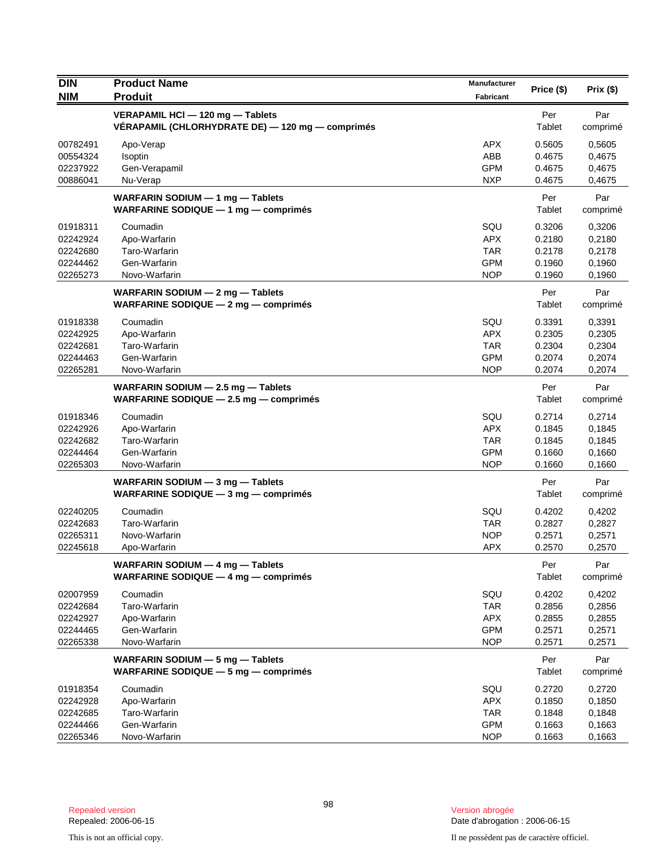| <b>DIN</b>                                               | <b>Product Name</b>                                                                  | Manufacturer                                                |                                                |                                                |
|----------------------------------------------------------|--------------------------------------------------------------------------------------|-------------------------------------------------------------|------------------------------------------------|------------------------------------------------|
| <b>NIM</b>                                               | <b>Produit</b>                                                                       | Fabricant                                                   | Price (\$)                                     | Prix(\$)                                       |
|                                                          | VERAPAMIL HCI - 120 mg - Tablets<br>VERAPAMIL (CHLORHYDRATE DE) - 120 mg - comprimés |                                                             | Per<br>Tablet                                  | Par<br>comprimé                                |
| 00782491<br>00554324<br>02237922<br>00886041             | Apo-Verap<br>Isoptin<br>Gen-Verapamil<br>Nu-Verap                                    | <b>APX</b><br>ABB<br><b>GPM</b><br><b>NXP</b>               | 0.5605<br>0.4675<br>0.4675<br>0.4675           | 0,5605<br>0,4675<br>0,4675<br>0,4675           |
|                                                          | WARFARIN SODIUM $-$ 1 mg $-$ Tablets<br>WARFARINE SODIQUE $-1$ mg $-$ comprimes      |                                                             | Per<br>Tablet                                  | Par<br>comprimé                                |
| 01918311<br>02242924<br>02242680<br>02244462<br>02265273 | Coumadin<br>Apo-Warfarin<br>Taro-Warfarin<br>Gen-Warfarin<br>Novo-Warfarin           | SQU<br><b>APX</b><br><b>TAR</b><br><b>GPM</b><br><b>NOP</b> | 0.3206<br>0.2180<br>0.2178<br>0.1960<br>0.1960 | 0,3206<br>0,2180<br>0,2178<br>0,1960<br>0,1960 |
|                                                          | WARFARIN SODIUM - 2 mg - Tablets<br>WARFARINE SODIQUE - 2 mg - comprimés             |                                                             | Per<br>Tablet                                  | Par<br>comprimé                                |
| 01918338<br>02242925<br>02242681<br>02244463<br>02265281 | Coumadin<br>Apo-Warfarin<br>Taro-Warfarin<br>Gen-Warfarin<br>Novo-Warfarin           | SQU<br><b>APX</b><br><b>TAR</b><br><b>GPM</b><br><b>NOP</b> | 0.3391<br>0.2305<br>0.2304<br>0.2074<br>0.2074 | 0,3391<br>0,2305<br>0,2304<br>0,2074<br>0,2074 |
|                                                          | WARFARIN SODIUM - 2.5 mg - Tablets<br>WARFARINE SODIQUE $-$ 2.5 mg $-$ comprimes     |                                                             | Per<br>Tablet                                  | Par<br>comprimé                                |
| 01918346<br>02242926<br>02242682<br>02244464<br>02265303 | Coumadin<br>Apo-Warfarin<br>Taro-Warfarin<br>Gen-Warfarin<br>Novo-Warfarin           | SQU<br><b>APX</b><br><b>TAR</b><br><b>GPM</b><br><b>NOP</b> | 0.2714<br>0.1845<br>0.1845<br>0.1660<br>0.1660 | 0,2714<br>0,1845<br>0,1845<br>0,1660<br>0,1660 |
|                                                          | WARFARIN SODIUM - 3 mg - Tablets<br>WARFARINE SODIQUE $-3$ mg $-$ comprimes          |                                                             | Per<br>Tablet                                  | Par<br>comprimé                                |
| 02240205<br>02242683<br>02265311<br>02245618             | Coumadin<br>Taro-Warfarin<br>Novo-Warfarin<br>Apo-Warfarin                           | SQU<br><b>TAR</b><br><b>NOP</b><br><b>APX</b>               | 0.4202<br>0.2827<br>0.2571<br>0.2570           | 0,4202<br>0,2827<br>0,2571<br>0,2570           |
|                                                          | WARFARIN SODIUM - 4 mg - Tablets<br>WARFARINE SODIQUE $-$ 4 mg $-$ comprimes         |                                                             | Per<br>Tablet                                  | Par<br>comprimé                                |
| 02007959<br>02242684<br>02242927<br>02244465<br>02265338 | Coumadin<br>Taro-Warfarin<br>Apo-Warfarin<br>Gen-Warfarin<br>Novo-Warfarin           | SQU<br><b>TAR</b><br><b>APX</b><br><b>GPM</b><br><b>NOP</b> | 0.4202<br>0.2856<br>0.2855<br>0.2571<br>0.2571 | 0,4202<br>0,2856<br>0,2855<br>0,2571<br>0,2571 |
|                                                          | WARFARIN SODIUM - 5 mg - Tablets<br>WARFARINE SODIQUE $-5$ mg $-$ comprimés          |                                                             | Per<br>Tablet                                  | Par<br>comprimé                                |
| 01918354<br>02242928<br>02242685<br>02244466<br>02265346 | Coumadin<br>Apo-Warfarin<br>Taro-Warfarin<br>Gen-Warfarin<br>Novo-Warfarin           | SQU<br><b>APX</b><br><b>TAR</b><br><b>GPM</b><br><b>NOP</b> | 0.2720<br>0.1850<br>0.1848<br>0.1663<br>0.1663 | 0,2720<br>0,1850<br>0,1848<br>0,1663<br>0,1663 |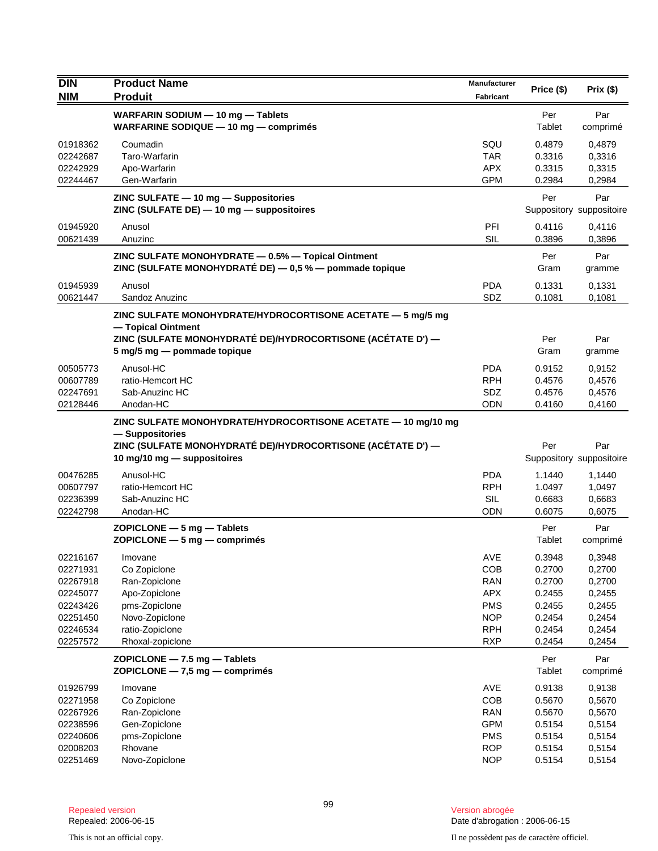| <b>DIN</b>           | <b>Product Name</b>                                                                                                                              | Manufacturer             |                  |                                 |
|----------------------|--------------------------------------------------------------------------------------------------------------------------------------------------|--------------------------|------------------|---------------------------------|
| <b>NIM</b>           | <b>Produit</b>                                                                                                                                   | <b>Fabricant</b>         | Price (\$)       | Prix(\$)                        |
|                      | WARFARIN SODIUM - 10 mg - Tablets<br>WARFARINE SODIQUE - 10 mg - comprimés                                                                       |                          | Per<br>Tablet    | Par<br>comprimé                 |
| 01918362             | Coumadin                                                                                                                                         | SQU                      | 0.4879           | 0,4879                          |
| 02242687             | Taro-Warfarin                                                                                                                                    | TAR                      | 0.3316           | 0,3316                          |
| 02242929             | Apo-Warfarin                                                                                                                                     | <b>APX</b>               | 0.3315           | 0,3315                          |
| 02244467             | Gen-Warfarin                                                                                                                                     | <b>GPM</b>               | 0.2984           | 0,2984                          |
|                      | ZINC SULFATE - 10 mg - Suppositories<br>ZINC (SULFATE DE) - 10 mg - suppositoires                                                                |                          | Per              | Par<br>Suppository suppositoire |
| 01945920<br>00621439 | Anusol<br>Anuzinc                                                                                                                                | PFI<br><b>SIL</b>        | 0.4116<br>0.3896 | 0,4116<br>0,3896                |
|                      | ZINC SULFATE MONOHYDRATE - 0.5% - Topical Ointment<br>ZINC (SULFATE MONOHYDRATÉ DE) - 0,5 % - pommade topique                                    |                          | Per<br>Gram      | Par<br>gramme                   |
| 01945939             | Anusol                                                                                                                                           | <b>PDA</b>               | 0.1331           | 0,1331                          |
| 00621447             | Sandoz Anuzinc                                                                                                                                   | SDZ                      | 0.1081           | 0,1081                          |
|                      | ZINC SULFATE MONOHYDRATE/HYDROCORTISONE ACETATE - 5 mg/5 mg<br>- Topical Ointment<br>ZINC (SULFATE MONOHYDRATÉ DE)/HYDROCORTISONE (ACÉTATE D') — |                          | Per<br>Gram      | Par                             |
|                      | 5 mg/5 mg - pommade topique                                                                                                                      |                          |                  | gramme                          |
| 00505773             | Anusol-HC                                                                                                                                        | <b>PDA</b>               | 0.9152           | 0,9152                          |
| 00607789             | ratio-Hemcort HC                                                                                                                                 | <b>RPH</b>               | 0.4576           | 0,4576                          |
| 02247691<br>02128446 | Sab-Anuzinc HC<br>Anodan-HC                                                                                                                      | SDZ<br><b>ODN</b>        | 0.4576<br>0.4160 | 0,4576<br>0,4160                |
|                      | ZINC SULFATE MONOHYDRATE/HYDROCORTISONE ACETATE - 10 mg/10 mg<br>- Suppositories<br>ZINC (SULFATE MONOHYDRATÉ DE)/HYDROCORTISONE (ACÉTATE D') —  |                          | Per              | Par                             |
|                      | 10 mg/10 mg - suppositoires                                                                                                                      |                          |                  | Suppository suppositoire        |
| 00476285             | Anusol-HC                                                                                                                                        | <b>PDA</b>               | 1.1440           | 1,1440                          |
| 00607797             | ratio-Hemcort HC                                                                                                                                 | <b>RPH</b>               | 1.0497           | 1,0497                          |
| 02236399             | Sab-Anuzinc HC                                                                                                                                   | <b>SIL</b>               | 0.6683           | 0,6683                          |
| 02242798             | Anodan-HC                                                                                                                                        | <b>ODN</b>               | 0.6075           | 0,6075                          |
|                      | $ZOPICLONE - 5 mg - Tables$<br>$ZOPICLONE - 5 mg - comprimés$                                                                                    |                          | Per<br>Tablet    | Par<br>comprimé                 |
| 02216167             | Imovane                                                                                                                                          | AVE                      | 0.3948           | 0,3948                          |
| 02271931             | Co Zopiclone                                                                                                                                     | COB                      | 0.2700           | 0,2700                          |
| 02267918             | Ran-Zopiclone                                                                                                                                    | <b>RAN</b>               | 0.2700           | 0,2700                          |
| 02245077             | Apo-Zopiclone                                                                                                                                    | <b>APX</b>               | 0.2455           | 0,2455                          |
| 02243426             | pms-Zopiclone                                                                                                                                    | <b>PMS</b>               | 0.2455           | 0,2455                          |
| 02251450<br>02246534 | Novo-Zopiclone<br>ratio-Zopiclone                                                                                                                | <b>NOP</b><br><b>RPH</b> | 0.2454<br>0.2454 | 0,2454<br>0,2454                |
| 02257572             | Rhoxal-zopiclone                                                                                                                                 | <b>RXP</b>               | 0.2454           | 0,2454                          |
|                      | ZOPICLONE - 7.5 mg - Tablets<br>$ZOPICLONE - 7.5$ mg $-$ comprimés                                                                               |                          | Per<br>Tablet    | Par<br>comprimé                 |
| 01926799             | Imovane                                                                                                                                          | AVE                      | 0.9138           | 0,9138                          |
| 02271958             | Co Zopiclone                                                                                                                                     | COB                      | 0.5670           | 0,5670                          |
| 02267926             | Ran-Zopiclone                                                                                                                                    | <b>RAN</b>               | 0.5670           | 0,5670                          |
| 02238596             | Gen-Zopiclone                                                                                                                                    | <b>GPM</b>               | 0.5154           | 0,5154                          |
| 02240606             | pms-Zopiclone                                                                                                                                    | <b>PMS</b>               | 0.5154           | 0,5154                          |
| 02008203             | Rhovane                                                                                                                                          | <b>ROP</b>               | 0.5154           | 0,5154                          |
| 02251469             | Novo-Zopiclone                                                                                                                                   | <b>NOP</b>               | 0.5154           | 0,5154                          |